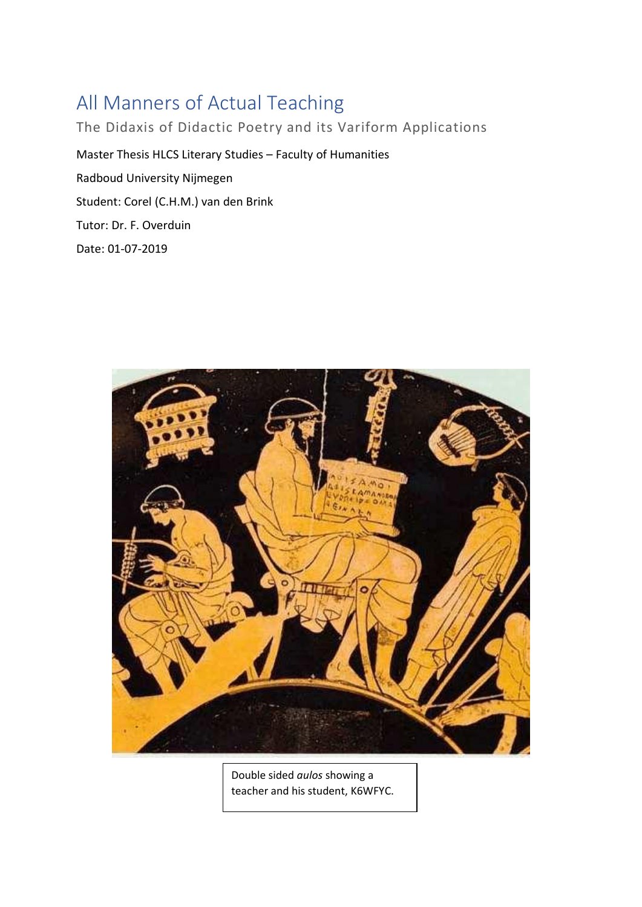# <span id="page-0-0"></span>All Manners of Actual Teaching

The Didaxis of Didactic Poetry and its Variform Applications Master Thesis HLCS Literary Studies – Faculty of Humanities Radboud University Nijmegen Student: Corel (C.H.M.) van den Brink Tutor: Dr. F. Overduin Date: 01-07-2019



Double sided *aulos* showing a teacher and his student, K6WFYC.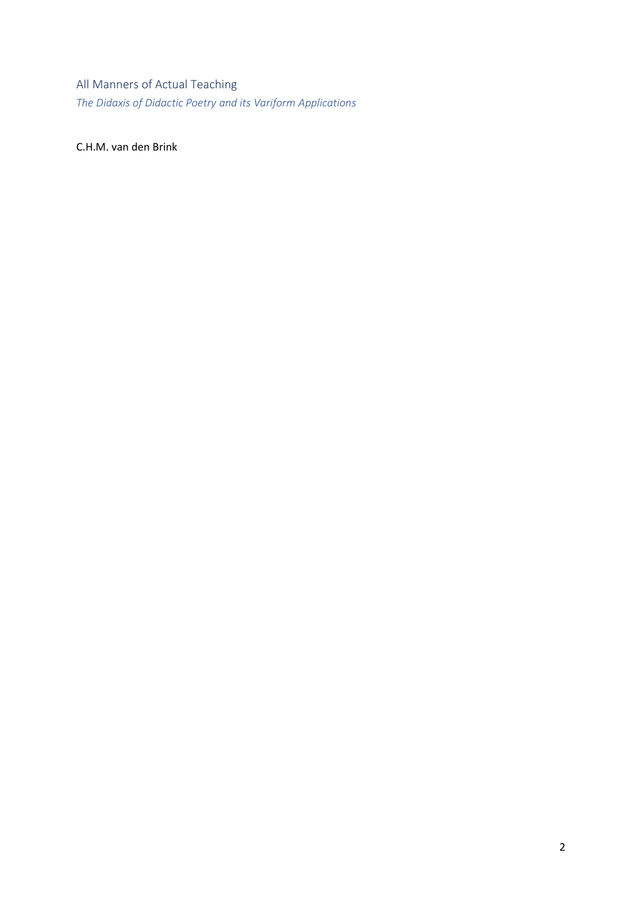All Manners of Actual Teaching *The Didaxis of Didactic Poetry and its Variform Applications*

C.H.M. van den Brink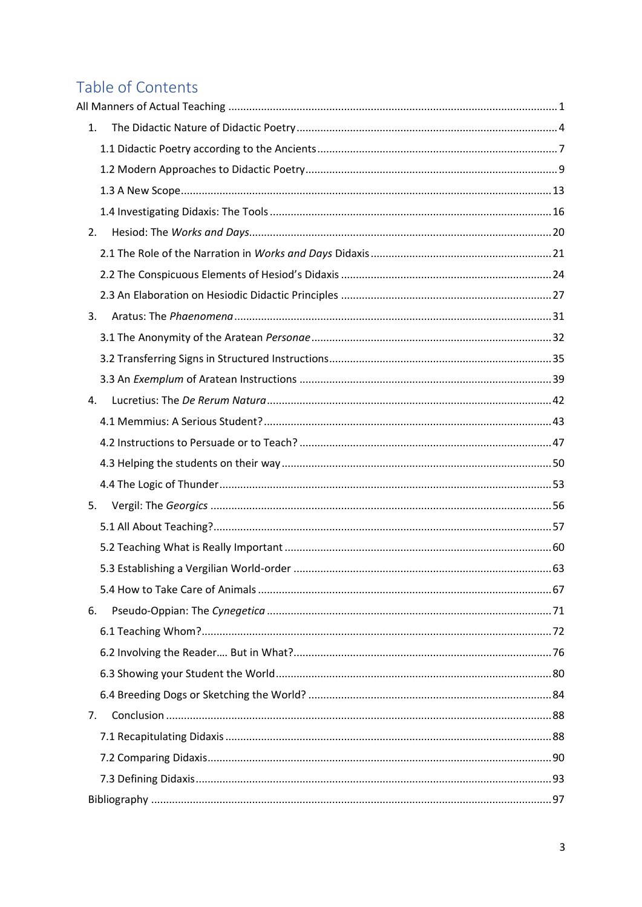## Table of Contents

| 1. |  |
|----|--|
|    |  |
|    |  |
|    |  |
|    |  |
| 2. |  |
|    |  |
|    |  |
|    |  |
| 3. |  |
|    |  |
|    |  |
|    |  |
| 4. |  |
|    |  |
|    |  |
|    |  |
|    |  |
| 5. |  |
|    |  |
|    |  |
|    |  |
|    |  |
| 6. |  |
|    |  |
|    |  |
|    |  |
|    |  |
| 7. |  |
|    |  |
|    |  |
|    |  |
|    |  |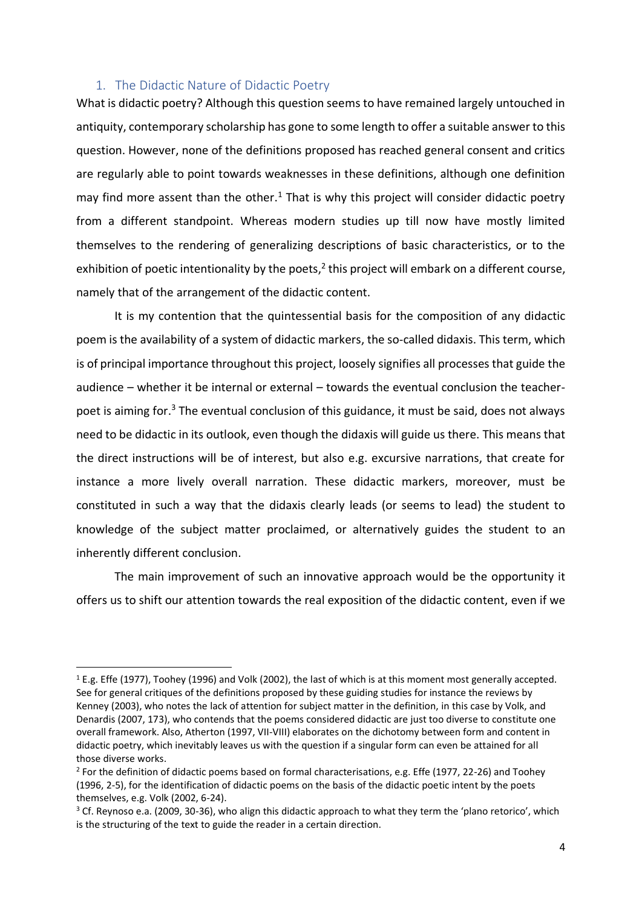## <span id="page-3-0"></span>1. The Didactic Nature of Didactic Poetry

What is didactic poetry? Although this question seems to have remained largely untouched in antiquity, contemporary scholarship has gone to some length to offer a suitable answer to this question. However, none of the definitions proposed has reached general consent and critics are regularly able to point towards weaknesses in these definitions, although one definition may find more assent than the other. $<sup>1</sup>$  That is why this project will consider didactic poetry</sup> from a different standpoint. Whereas modern studies up till now have mostly limited themselves to the rendering of generalizing descriptions of basic characteristics, or to the exhibition of poetic intentionality by the poets, $<sup>2</sup>$  this project will embark on a different course,</sup> namely that of the arrangement of the didactic content.

It is my contention that the quintessential basis for the composition of any didactic poem is the availability of a system of didactic markers, the so-called didaxis. This term, which is of principal importance throughout this project, loosely signifies all processes that guide the audience – whether it be internal or external – towards the eventual conclusion the teacherpoet is aiming for.<sup>3</sup> The eventual conclusion of this guidance, it must be said, does not always need to be didactic in its outlook, even though the didaxis will guide us there. This means that the direct instructions will be of interest, but also e.g. excursive narrations, that create for instance a more lively overall narration. These didactic markers, moreover, must be constituted in such a way that the didaxis clearly leads (or seems to lead) the student to knowledge of the subject matter proclaimed, or alternatively guides the student to an inherently different conclusion.

The main improvement of such an innovative approach would be the opportunity it offers us to shift our attention towards the real exposition of the didactic content, even if we

 $\overline{a}$ 

<sup>1</sup> E.g. Effe (1977), Toohey (1996) and Volk (2002), the last of which is at this moment most generally accepted. See for general critiques of the definitions proposed by these guiding studies for instance the reviews by Kenney (2003), who notes the lack of attention for subject matter in the definition, in this case by Volk, and Denardis (2007, 173), who contends that the poems considered didactic are just too diverse to constitute one overall framework. Also, Atherton (1997, VII-VIII) elaborates on the dichotomy between form and content in didactic poetry, which inevitably leaves us with the question if a singular form can even be attained for all those diverse works.

<sup>&</sup>lt;sup>2</sup> For the definition of didactic poems based on formal characterisations, e.g. Effe (1977, 22-26) and Toohey (1996, 2-5), for the identification of didactic poems on the basis of the didactic poetic intent by the poets themselves, e.g. Volk (2002, 6-24).

<sup>&</sup>lt;sup>3</sup> Cf. Reynoso e.a. (2009, 30-36), who align this didactic approach to what they term the 'plano retorico', which is the structuring of the text to guide the reader in a certain direction.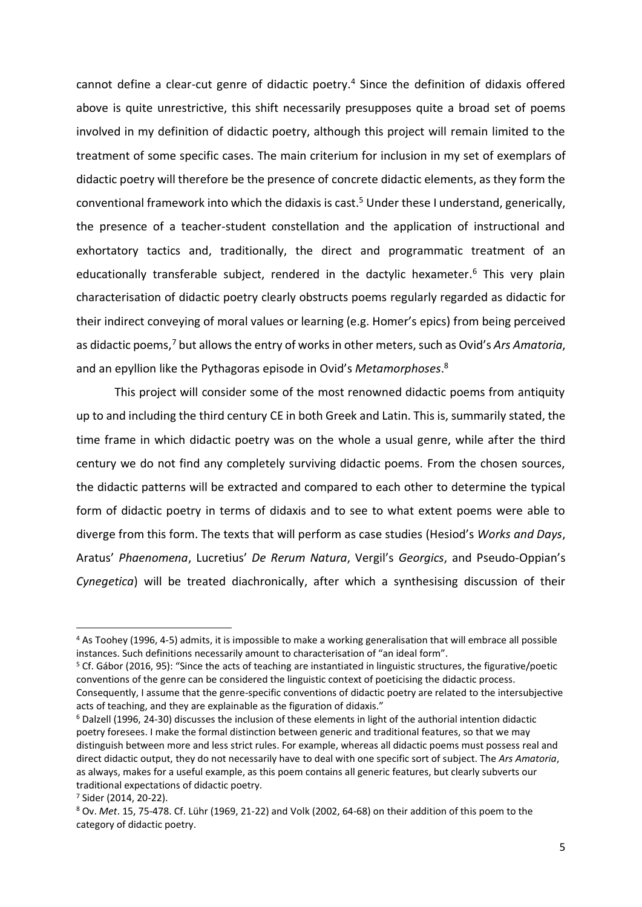cannot define a clear-cut genre of didactic poetry.<sup>4</sup> Since the definition of didaxis offered above is quite unrestrictive, this shift necessarily presupposes quite a broad set of poems involved in my definition of didactic poetry, although this project will remain limited to the treatment of some specific cases. The main criterium for inclusion in my set of exemplars of didactic poetry will therefore be the presence of concrete didactic elements, as they form the conventional framework into which the didaxis is cast.<sup>5</sup> Under these I understand, generically, the presence of a teacher-student constellation and the application of instructional and exhortatory tactics and, traditionally, the direct and programmatic treatment of an educationally transferable subject, rendered in the dactylic hexameter.<sup>6</sup> This very plain characterisation of didactic poetry clearly obstructs poems regularly regarded as didactic for their indirect conveying of moral values or learning (e.g. Homer's epics) from being perceived as didactic poems, <sup>7</sup> but allowsthe entry of works in other meters, such as Ovid's *Ars Amatoria*, and an epyllion like the Pythagoras episode in Ovid's *Metamorphoses*. 8

This project will consider some of the most renowned didactic poems from antiquity up to and including the third century CE in both Greek and Latin. This is, summarily stated, the time frame in which didactic poetry was on the whole a usual genre, while after the third century we do not find any completely surviving didactic poems. From the chosen sources, the didactic patterns will be extracted and compared to each other to determine the typical form of didactic poetry in terms of didaxis and to see to what extent poems were able to diverge from this form. The texts that will perform as case studies (Hesiod's *Works and Days*, Aratus' *Phaenomena*, Lucretius' *De Rerum Natura*, Vergil's *Georgics*, and Pseudo-Oppian's *Cynegetica*) will be treated diachronically, after which a synthesising discussion of their

<sup>4</sup> As Toohey (1996, 4-5) admits, it is impossible to make a working generalisation that will embrace all possible instances. Such definitions necessarily amount to characterisation of "an ideal form".

<sup>5</sup> Cf. Gábor (2016, 95): "Since the acts of teaching are instantiated in linguistic structures, the figurative/poetic conventions of the genre can be considered the linguistic context of poeticising the didactic process. Consequently, I assume that the genre-specific conventions of didactic poetry are related to the intersubjective acts of teaching, and they are explainable as the figuration of didaxis."

<sup>6</sup> Dalzell (1996, 24-30) discusses the inclusion of these elements in light of the authorial intention didactic poetry foresees. I make the formal distinction between generic and traditional features, so that we may distinguish between more and less strict rules. For example, whereas all didactic poems must possess real and direct didactic output, they do not necessarily have to deal with one specific sort of subject. The *Ars Amatoria*, as always, makes for a useful example, as this poem contains all generic features, but clearly subverts our traditional expectations of didactic poetry.

<sup>7</sup> Sider (2014, 20-22).

<sup>8</sup> Ov. *Met*. 15, 75-478. Cf. Lühr (1969, 21-22) and Volk (2002, 64-68) on their addition of this poem to the category of didactic poetry.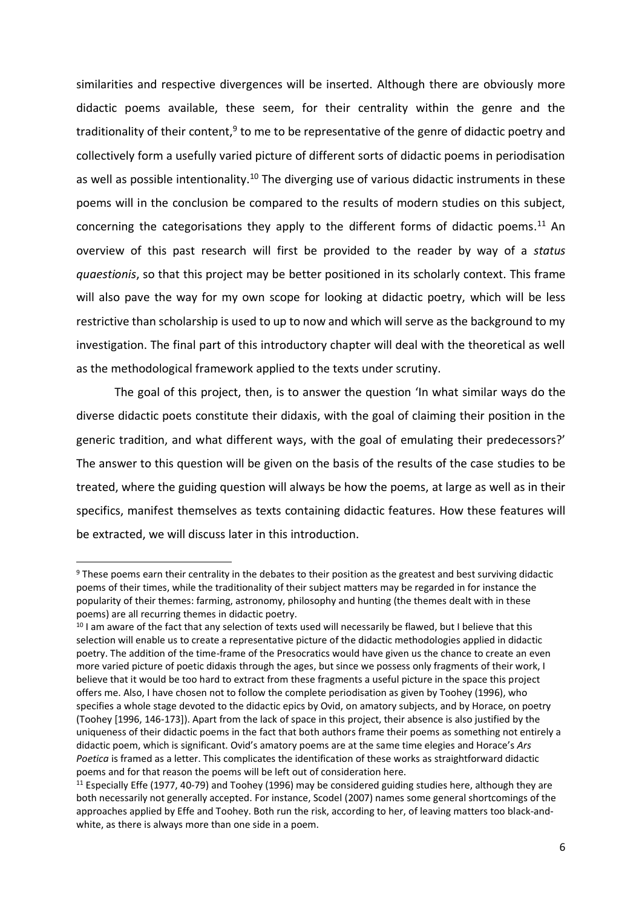similarities and respective divergences will be inserted. Although there are obviously more didactic poems available, these seem, for their centrality within the genre and the traditionality of their content,<sup>9</sup> to me to be representative of the genre of didactic poetry and collectively form a usefully varied picture of different sorts of didactic poems in periodisation as well as possible intentionality.<sup>10</sup> The diverging use of various didactic instruments in these poems will in the conclusion be compared to the results of modern studies on this subject, concerning the categorisations they apply to the different forms of didactic poems.<sup>11</sup> An overview of this past research will first be provided to the reader by way of a *status quaestionis*, so that this project may be better positioned in its scholarly context. This frame will also pave the way for my own scope for looking at didactic poetry, which will be less restrictive than scholarship is used to up to now and which will serve as the background to my investigation. The final part of this introductory chapter will deal with the theoretical as well as the methodological framework applied to the texts under scrutiny.

The goal of this project, then, is to answer the question 'In what similar ways do the diverse didactic poets constitute their didaxis, with the goal of claiming their position in the generic tradition, and what different ways, with the goal of emulating their predecessors?' The answer to this question will be given on the basis of the results of the case studies to be treated, where the guiding question will always be how the poems, at large as well as in their specifics, manifest themselves as texts containing didactic features. How these features will be extracted, we will discuss later in this introduction.

<sup>9</sup> These poems earn their centrality in the debates to their position as the greatest and best surviving didactic poems of their times, while the traditionality of their subject matters may be regarded in for instance the popularity of their themes: farming, astronomy, philosophy and hunting (the themes dealt with in these poems) are all recurring themes in didactic poetry.

<sup>&</sup>lt;sup>10</sup> I am aware of the fact that any selection of texts used will necessarily be flawed, but I believe that this selection will enable us to create a representative picture of the didactic methodologies applied in didactic poetry. The addition of the time-frame of the Presocratics would have given us the chance to create an even more varied picture of poetic didaxis through the ages, but since we possess only fragments of their work, I believe that it would be too hard to extract from these fragments a useful picture in the space this project offers me. Also, I have chosen not to follow the complete periodisation as given by Toohey (1996), who specifies a whole stage devoted to the didactic epics by Ovid, on amatory subjects, and by Horace, on poetry (Toohey [1996, 146-173]). Apart from the lack of space in this project, their absence is also justified by the uniqueness of their didactic poems in the fact that both authors frame their poems as something not entirely a didactic poem, which is significant. Ovid's amatory poems are at the same time elegies and Horace's *Ars Poetica* is framed as a letter. This complicates the identification of these works as straightforward didactic poems and for that reason the poems will be left out of consideration here.

 $11$  Especially Effe (1977, 40-79) and Toohey (1996) may be considered guiding studies here, although they are both necessarily not generally accepted. For instance, Scodel (2007) names some general shortcomings of the approaches applied by Effe and Toohey. Both run the risk, according to her, of leaving matters too black-andwhite, as there is always more than one side in a poem.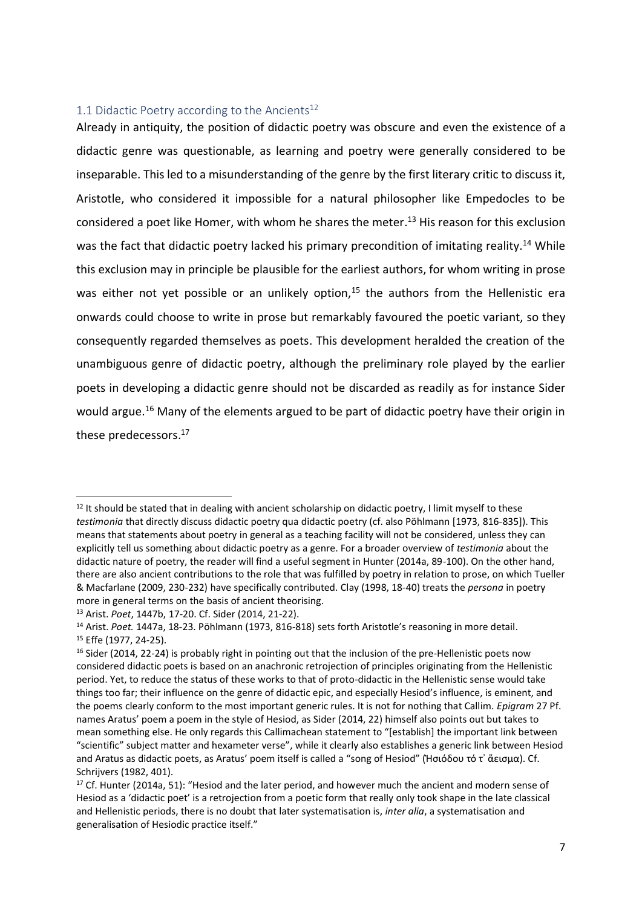## <span id="page-6-0"></span>1.1 Didactic Poetry according to the Ancients<sup>12</sup>

Already in antiquity, the position of didactic poetry was obscure and even the existence of a didactic genre was questionable, as learning and poetry were generally considered to be inseparable. This led to a misunderstanding of the genre by the first literary critic to discuss it, Aristotle, who considered it impossible for a natural philosopher like Empedocles to be considered a poet like Homer, with whom he shares the meter.<sup>13</sup> His reason for this exclusion was the fact that didactic poetry lacked his primary precondition of imitating reality.<sup>14</sup> While this exclusion may in principle be plausible for the earliest authors, for whom writing in prose was either not yet possible or an unlikely option, $15$  the authors from the Hellenistic era onwards could choose to write in prose but remarkably favoured the poetic variant, so they consequently regarded themselves as poets. This development heralded the creation of the unambiguous genre of didactic poetry, although the preliminary role played by the earlier poets in developing a didactic genre should not be discarded as readily as for instance Sider would argue.<sup>16</sup> Many of the elements argued to be part of didactic poetry have their origin in these predecessors. 17

 $12$  It should be stated that in dealing with ancient scholarship on didactic poetry, I limit myself to these *testimonia* that directly discuss didactic poetry qua didactic poetry (cf. also Pöhlmann [1973, 816-835]). This means that statements about poetry in general as a teaching facility will not be considered, unless they can explicitly tell us something about didactic poetry as a genre. For a broader overview of *testimonia* about the didactic nature of poetry, the reader will find a useful segment in Hunter (2014a, 89-100). On the other hand, there are also ancient contributions to the role that was fulfilled by poetry in relation to prose, on which Tueller & Macfarlane (2009, 230-232) have specifically contributed. Clay (1998, 18-40) treats the *persona* in poetry more in general terms on the basis of ancient theorising.

<sup>13</sup> Arist. *Poet*, 1447b, 17-20. Cf. Sider (2014, 21-22).

<sup>14</sup> Arist. *Poet.* 1447a, 18-23. Pöhlmann (1973, 816-818) sets forth Aristotle's reasoning in more detail. <sup>15</sup> Effe (1977, 24-25).

<sup>&</sup>lt;sup>16</sup> Sider (2014, 22-24) is probably right in pointing out that the inclusion of the pre-Hellenistic poets now considered didactic poets is based on an anachronic retrojection of principles originating from the Hellenistic period. Yet, to reduce the status of these works to that of proto-didactic in the Hellenistic sense would take things too far; their influence on the genre of didactic epic, and especially Hesiod's influence, is eminent, and the poems clearly conform to the most important generic rules. It is not for nothing that Callim. *Epigram* 27 Pf. names Aratus' poem a poem in the style of Hesiod, as Sider (2014, 22) himself also points out but takes to mean something else. He only regards this Callimachean statement to "[establish] the important link between "scientific" subject matter and hexameter verse", while it clearly also establishes a generic link between Hesiod and Aratus as didactic poets, as Aratus' poem itself is called a "song of Hesiod" (Ἡσιόδου τό τ᾿ ἄεισμα). Cf. Schrijvers (1982, 401).

 $17$  Cf. Hunter (2014a, 51): "Hesiod and the later period, and however much the ancient and modern sense of Hesiod as a 'didactic poet' is a retrojection from a poetic form that really only took shape in the late classical and Hellenistic periods, there is no doubt that later systematisation is, *inter alia*, a systematisation and generalisation of Hesiodic practice itself."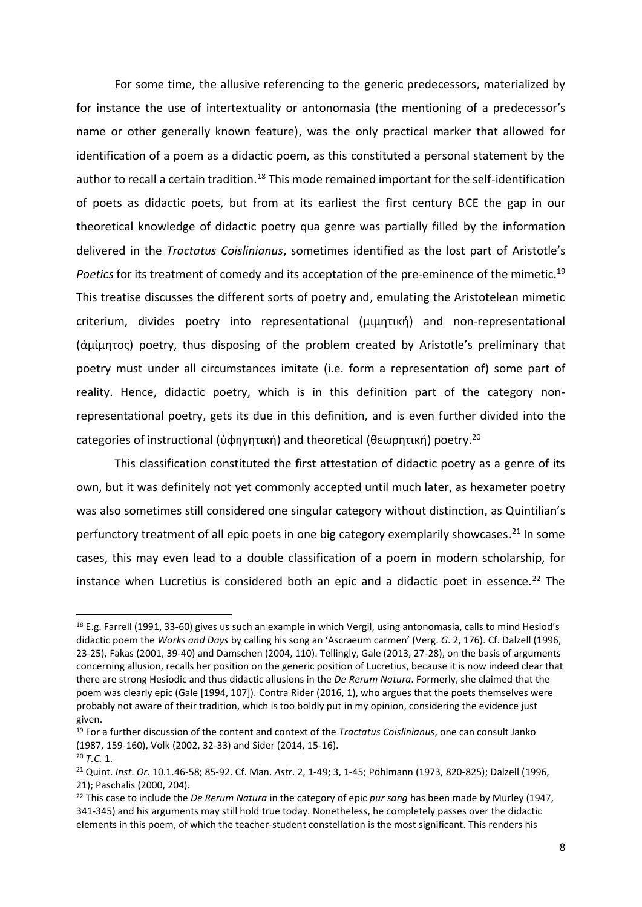For some time, the allusive referencing to the generic predecessors, materialized by for instance the use of intertextuality or antonomasia (the mentioning of a predecessor's name or other generally known feature), was the only practical marker that allowed for identification of a poem as a didactic poem, as this constituted a personal statement by the author to recall a certain tradition.<sup>18</sup> This mode remained important for the self-identification of poets as didactic poets, but from at its earliest the first century BCE the gap in our theoretical knowledge of didactic poetry qua genre was partially filled by the information delivered in the *Tractatus Coislinianus*, sometimes identified as the lost part of Aristotle's Poetics for its treatment of comedy and its acceptation of the pre-eminence of the mimetic.<sup>19</sup> This treatise discusses the different sorts of poetry and, emulating the Aristotelean mimetic criterium, divides poetry into representational (μιμητική) and non-representational (ἀμίμητος) poetry, thus disposing of the problem created by Aristotle's preliminary that poetry must under all circumstances imitate (i.e. form a representation of) some part of reality. Hence, didactic poetry, which is in this definition part of the category nonrepresentational poetry, gets its due in this definition, and is even further divided into the categories of instructional (ὑφηγητική) and theoretical (θεωρητική) poetry.<sup>20</sup>

This classification constituted the first attestation of didactic poetry as a genre of its own, but it was definitely not yet commonly accepted until much later, as hexameter poetry was also sometimes still considered one singular category without distinction, as Quintilian's perfunctory treatment of all epic poets in one big category exemplarily showcases.<sup>21</sup> In some cases, this may even lead to a double classification of a poem in modern scholarship, for instance when Lucretius is considered both an epic and a didactic poet in essence.<sup>22</sup> The

 $\overline{a}$ 

<sup>&</sup>lt;sup>18</sup> E.g. Farrell (1991, 33-60) gives us such an example in which Vergil, using antonomasia, calls to mind Hesiod's didactic poem the *Works and Days* by calling his song an 'Ascraeum carmen' (Verg. *G*. 2, 176). Cf. Dalzell (1996, 23-25), Fakas (2001, 39-40) and Damschen (2004, 110). Tellingly, Gale (2013, 27-28), on the basis of arguments concerning allusion, recalls her position on the generic position of Lucretius, because it is now indeed clear that there are strong Hesiodic and thus didactic allusions in the *De Rerum Natura*. Formerly, she claimed that the poem was clearly epic (Gale [1994, 107]). Contra Rider (2016, 1), who argues that the poets themselves were probably not aware of their tradition, which is too boldly put in my opinion, considering the evidence just given.

<sup>19</sup> For a further discussion of the content and context of the *Tractatus Coislinianus*, one can consult Janko (1987, 159-160), Volk (2002, 32-33) and Sider (2014, 15-16).

<sup>20</sup> *T.C.* 1.

<sup>21</sup> Quint. *Inst*. *Or.* 10.1.46-58; 85-92. Cf. Man. *Astr*. 2, 1-49; 3, 1-45; Pöhlmann (1973, 820-825); Dalzell (1996, 21); Paschalis (2000, 204).

<sup>22</sup> This case to include the *De Rerum Natura* in the category of epic *pur sang* has been made by Murley (1947, 341-345) and his arguments may still hold true today. Nonetheless, he completely passes over the didactic elements in this poem, of which the teacher-student constellation is the most significant. This renders his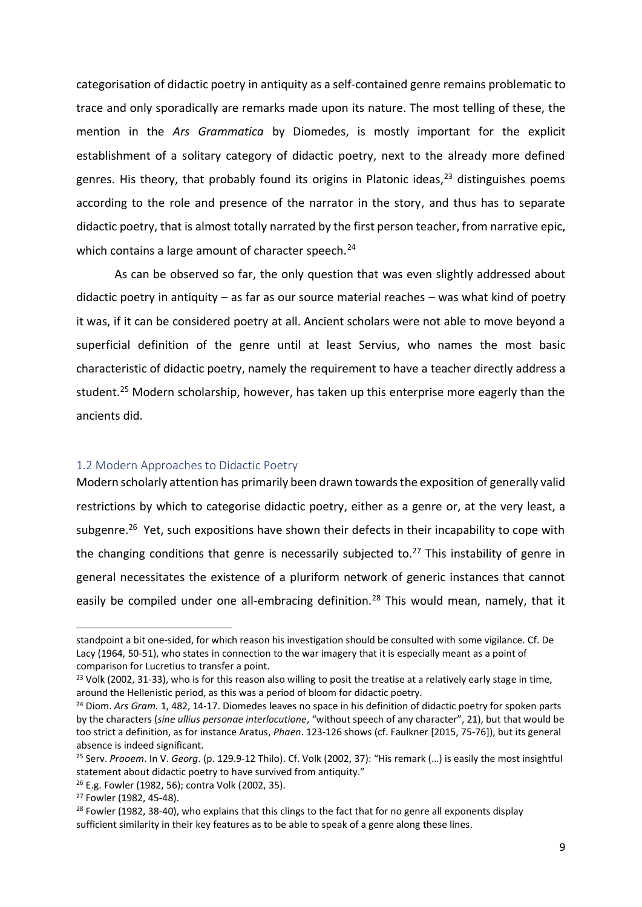categorisation of didactic poetry in antiquity as a self-contained genre remains problematic to trace and only sporadically are remarks made upon its nature. The most telling of these, the mention in the *Ars Grammatica* by Diomedes, is mostly important for the explicit establishment of a solitary category of didactic poetry, next to the already more defined genres. His theory, that probably found its origins in Platonic ideas, $^{23}$  distinguishes poems according to the role and presence of the narrator in the story, and thus has to separate didactic poetry, that is almost totally narrated by the first person teacher, from narrative epic, which contains a large amount of character speech.<sup>24</sup>

As can be observed so far, the only question that was even slightly addressed about didactic poetry in antiquity – as far as our source material reaches – was what kind of poetry it was, if it can be considered poetry at all. Ancient scholars were not able to move beyond a superficial definition of the genre until at least Servius, who names the most basic characteristic of didactic poetry, namely the requirement to have a teacher directly address a student.<sup>25</sup> Modern scholarship, however, has taken up this enterprise more eagerly than the ancients did.

## <span id="page-8-0"></span>1.2 Modern Approaches to Didactic Poetry

Modern scholarly attention has primarily been drawn towards the exposition of generally valid restrictions by which to categorise didactic poetry, either as a genre or, at the very least, a subgenre.<sup>26</sup> Yet, such expositions have shown their defects in their incapability to cope with the changing conditions that genre is necessarily subjected to.<sup>27</sup> This instability of genre in general necessitates the existence of a pluriform network of generic instances that cannot easily be compiled under one all-embracing definition.<sup>28</sup> This would mean, namely, that it

standpoint a bit one-sided, for which reason his investigation should be consulted with some vigilance. Cf. De Lacy (1964, 50-51), who states in connection to the war imagery that it is especially meant as a point of comparison for Lucretius to transfer a point.

<sup>&</sup>lt;sup>23</sup> Volk (2002, 31-33), who is for this reason also willing to posit the treatise at a relatively early stage in time, around the Hellenistic period, as this was a period of bloom for didactic poetry.

<sup>24</sup> Diom. *Ars Gram.* 1, 482, 14-17. Diomedes leaves no space in his definition of didactic poetry for spoken parts by the characters (*sine ullius personae interlocutione*, "without speech of any character", 21), but that would be too strict a definition, as for instance Aratus, *Phaen*. 123-126 shows (cf. Faulkner [2015, 75-76]), but its general absence is indeed significant.

<sup>25</sup> Serv. *Prooem*. In V. *Georg*. (p. 129.9-12 Thilo). Cf. Volk (2002, 37): "His remark (…) is easily the most insightful statement about didactic poetry to have survived from antiquity."

<sup>26</sup> E.g. Fowler (1982, 56); contra Volk (2002, 35).

<sup>27</sup> Fowler (1982, 45-48).

<sup>&</sup>lt;sup>28</sup> Fowler (1982, 38-40), who explains that this clings to the fact that for no genre all exponents display sufficient similarity in their key features as to be able to speak of a genre along these lines.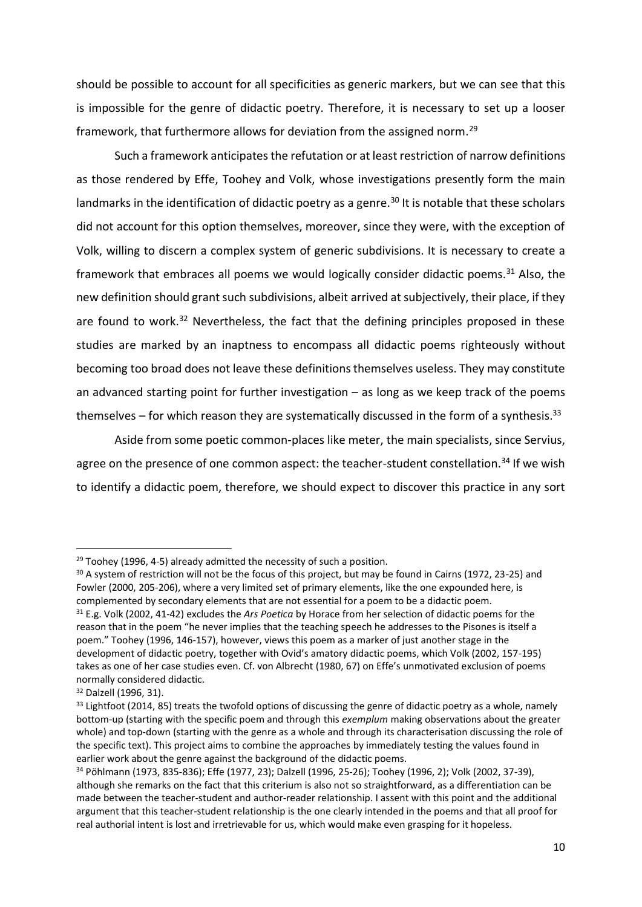should be possible to account for all specificities as generic markers, but we can see that this is impossible for the genre of didactic poetry. Therefore, it is necessary to set up a looser framework, that furthermore allows for deviation from the assigned norm.<sup>29</sup>

Such a framework anticipates the refutation or at least restriction of narrow definitions as those rendered by Effe, Toohey and Volk, whose investigations presently form the main landmarks in the identification of didactic poetry as a genre.<sup>30</sup> It is notable that these scholars did not account for this option themselves, moreover, since they were, with the exception of Volk, willing to discern a complex system of generic subdivisions. It is necessary to create a framework that embraces all poems we would logically consider didactic poems.<sup>31</sup> Also, the new definition should grant such subdivisions, albeit arrived at subjectively, their place, if they are found to work.<sup>32</sup> Nevertheless, the fact that the defining principles proposed in these studies are marked by an inaptness to encompass all didactic poems righteously without becoming too broad does not leave these definitions themselves useless. They may constitute an advanced starting point for further investigation  $-$  as long as we keep track of the poems themselves – for which reason they are systematically discussed in the form of a synthesis.<sup>33</sup>

Aside from some poetic common-places like meter, the main specialists, since Servius, agree on the presence of one common aspect: the teacher-student constellation.<sup>34</sup> If we wish to identify a didactic poem, therefore, we should expect to discover this practice in any sort

 $29$  Toohey (1996, 4-5) already admitted the necessity of such a position.

<sup>30</sup> A system of restriction will not be the focus of this project, but may be found in Cairns (1972, 23-25) and Fowler (2000, 205-206), where a very limited set of primary elements, like the one expounded here, is complemented by secondary elements that are not essential for a poem to be a didactic poem. <sup>31</sup> E.g. Volk (2002, 41-42) excludes the *Ars Poetica* by Horace from her selection of didactic poems for the reason that in the poem "he never implies that the teaching speech he addresses to the Pisones is itself a poem." Toohey (1996, 146-157), however, views this poem as a marker of just another stage in the development of didactic poetry, together with Ovid's amatory didactic poems, which Volk (2002, 157-195) takes as one of her case studies even. Cf. von Albrecht (1980, 67) on Effe's unmotivated exclusion of poems normally considered didactic.

<sup>32</sup> Dalzell (1996, 31).

<sup>33</sup> Lightfoot (2014, 85) treats the twofold options of discussing the genre of didactic poetry as a whole, namely bottom-up (starting with the specific poem and through this *exemplum* making observations about the greater whole) and top-down (starting with the genre as a whole and through its characterisation discussing the role of the specific text). This project aims to combine the approaches by immediately testing the values found in earlier work about the genre against the background of the didactic poems.

<sup>34</sup> Pöhlmann (1973, 835-836); Effe (1977, 23); Dalzell (1996, 25-26); Toohey (1996, 2); Volk (2002, 37-39), although she remarks on the fact that this criterium is also not so straightforward, as a differentiation can be made between the teacher-student and author-reader relationship. I assent with this point and the additional argument that this teacher-student relationship is the one clearly intended in the poems and that all proof for real authorial intent is lost and irretrievable for us, which would make even grasping for it hopeless.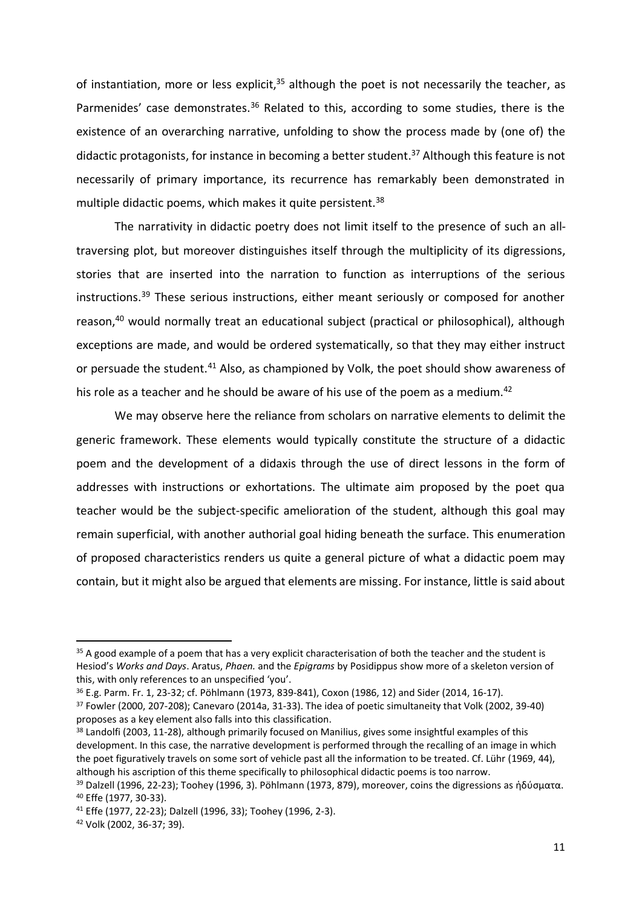of instantiation, more or less explicit, $35$  although the poet is not necessarily the teacher, as Parmenides' case demonstrates.<sup>36</sup> Related to this, according to some studies, there is the existence of an overarching narrative, unfolding to show the process made by (one of) the didactic protagonists, for instance in becoming a better student.<sup>37</sup> Although this feature is not necessarily of primary importance, its recurrence has remarkably been demonstrated in multiple didactic poems, which makes it quite persistent.<sup>38</sup>

The narrativity in didactic poetry does not limit itself to the presence of such an alltraversing plot, but moreover distinguishes itself through the multiplicity of its digressions, stories that are inserted into the narration to function as interruptions of the serious instructions.<sup>39</sup> These serious instructions, either meant seriously or composed for another reason,<sup>40</sup> would normally treat an educational subject (practical or philosophical), although exceptions are made, and would be ordered systematically, so that they may either instruct or persuade the student.<sup>41</sup> Also, as championed by Volk, the poet should show awareness of his role as a teacher and he should be aware of his use of the poem as a medium.<sup>42</sup>

We may observe here the reliance from scholars on narrative elements to delimit the generic framework. These elements would typically constitute the structure of a didactic poem and the development of a didaxis through the use of direct lessons in the form of addresses with instructions or exhortations. The ultimate aim proposed by the poet qua teacher would be the subject-specific amelioration of the student, although this goal may remain superficial, with another authorial goal hiding beneath the surface. This enumeration of proposed characteristics renders us quite a general picture of what a didactic poem may contain, but it might also be argued that elements are missing. For instance, little is said about

<sup>&</sup>lt;sup>35</sup> A good example of a poem that has a very explicit characterisation of both the teacher and the student is Hesiod's *Works and Days*. Aratus, *Phaen.* and the *Epigrams* by Posidippus show more of a skeleton version of this, with only references to an unspecified 'you'.

<sup>36</sup> E.g. Parm. Fr. 1, 23-32; cf. Pöhlmann (1973, 839-841), Coxon (1986, 12) and Sider (2014, 16-17).

<sup>37</sup> Fowler (2000, 207-208); Canevaro (2014a, 31-33). The idea of poetic simultaneity that Volk (2002, 39-40) proposes as a key element also falls into this classification.

<sup>&</sup>lt;sup>38</sup> Landolfi (2003, 11-28), although primarily focused on Manilius, gives some insightful examples of this development. In this case, the narrative development is performed through the recalling of an image in which the poet figuratively travels on some sort of vehicle past all the information to be treated. Cf. Lühr (1969, 44), although his ascription of this theme specifically to philosophical didactic poems is too narrow.

<sup>&</sup>lt;sup>39</sup> Dalzell (1996, 22-23); Toohey (1996, 3). Pöhlmann (1973, 879), moreover, coins the digressions as ἡδύσματα. <sup>40</sup> Effe (1977, 30-33).

<sup>41</sup> Effe (1977, 22-23); Dalzell (1996, 33); Toohey (1996, 2-3).

<sup>42</sup> Volk (2002, 36-37; 39).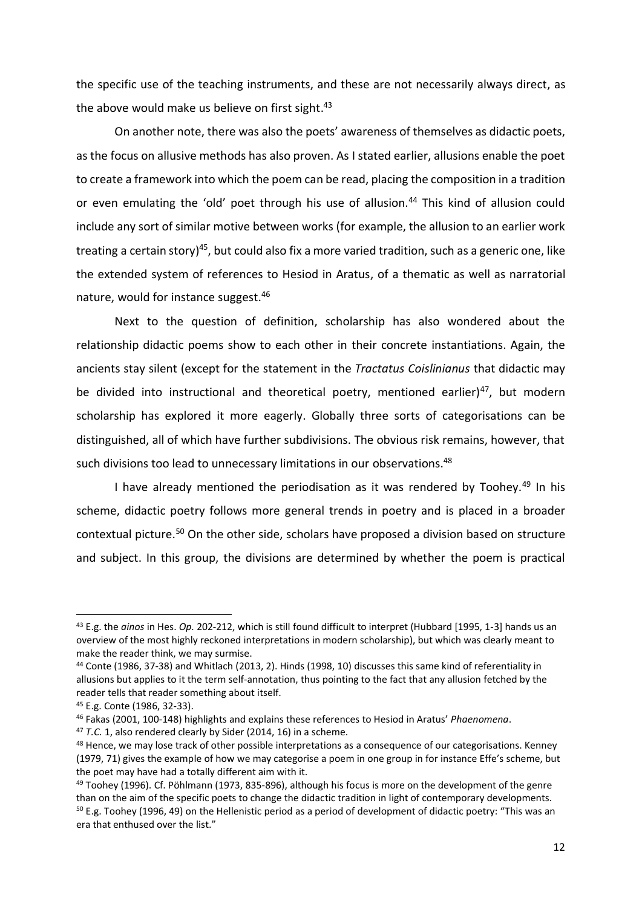the specific use of the teaching instruments, and these are not necessarily always direct, as the above would make us believe on first sight.<sup>43</sup>

On another note, there was also the poets' awareness of themselves as didactic poets, as the focus on allusive methods has also proven. As I stated earlier, allusions enable the poet to create a framework into which the poem can be read, placing the composition in a tradition or even emulating the 'old' poet through his use of allusion.<sup>44</sup> This kind of allusion could include any sort of similar motive between works (for example, the allusion to an earlier work treating a certain story)<sup>45</sup>, but could also fix a more varied tradition, such as a generic one, like the extended system of references to Hesiod in Aratus, of a thematic as well as narratorial nature, would for instance suggest.<sup>46</sup>

Next to the question of definition, scholarship has also wondered about the relationship didactic poems show to each other in their concrete instantiations. Again, the ancients stay silent (except for the statement in the *Tractatus Coislinianus* that didactic may be divided into instructional and theoretical poetry, mentioned earlier)<sup>47</sup>, but modern scholarship has explored it more eagerly. Globally three sorts of categorisations can be distinguished, all of which have further subdivisions. The obvious risk remains, however, that such divisions too lead to unnecessary limitations in our observations.<sup>48</sup>

I have already mentioned the periodisation as it was rendered by Toohey.<sup>49</sup> In his scheme, didactic poetry follows more general trends in poetry and is placed in a broader contextual picture.<sup>50</sup> On the other side, scholars have proposed a division based on structure and subject. In this group, the divisions are determined by whether the poem is practical

 $\overline{a}$ 

<sup>47</sup> *T.C.* 1, also rendered clearly by Sider (2014, 16) in a scheme.

<sup>43</sup> E.g. the *ainos* in Hes. *Op.* 202-212, which is still found difficult to interpret (Hubbard [1995, 1-3] hands us an overview of the most highly reckoned interpretations in modern scholarship), but which was clearly meant to make the reader think, we may surmise.

<sup>44</sup> Conte (1986, 37-38) and Whitlach (2013, 2). Hinds (1998, 10) discusses this same kind of referentiality in allusions but applies to it the term self-annotation, thus pointing to the fact that any allusion fetched by the reader tells that reader something about itself.

<sup>45</sup> E.g. Conte (1986, 32-33).

<sup>46</sup> Fakas (2001, 100-148) highlights and explains these references to Hesiod in Aratus' *Phaenomena*.

<sup>48</sup> Hence, we may lose track of other possible interpretations as a consequence of our categorisations. Kenney (1979, 71) gives the example of how we may categorise a poem in one group in for instance Effe's scheme, but the poet may have had a totally different aim with it.

<sup>49</sup> Toohey (1996). Cf. Pöhlmann (1973, 835-896), although his focus is more on the development of the genre than on the aim of the specific poets to change the didactic tradition in light of contemporary developments.  $50$  E.g. Toohey (1996, 49) on the Hellenistic period as a period of development of didactic poetry: "This was an era that enthused over the list."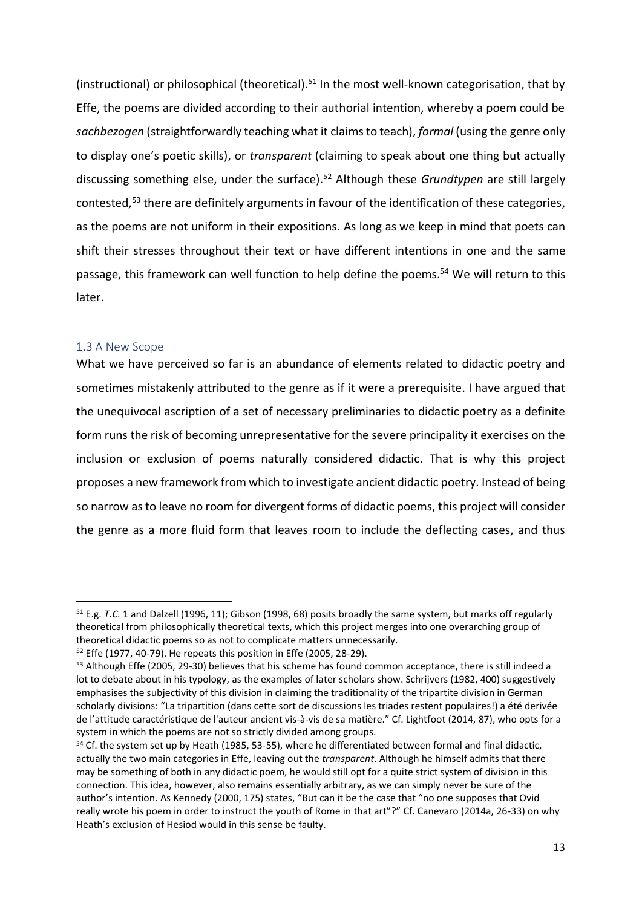(instructional) or philosophical (theoretical).<sup>51</sup> In the most well-known categorisation, that by Effe, the poems are divided according to their authorial intention, whereby a poem could be *sachbezogen* (straightforwardly teaching what it claims to teach), *formal* (using the genre only to display one's poetic skills), or *transparent* (claiming to speak about one thing but actually discussing something else, under the surface).<sup>52</sup> Although these *Grundtypen* are still largely contested,<sup>53</sup> there are definitely arguments in favour of the identification of these categories, as the poems are not uniform in their expositions. As long as we keep in mind that poets can shift their stresses throughout their text or have different intentions in one and the same passage, this framework can well function to help define the poems.<sup>54</sup> We will return to this later.

#### <span id="page-12-0"></span>1.3 A New Scope

l

What we have perceived so far is an abundance of elements related to didactic poetry and sometimes mistakenly attributed to the genre as if it were a prerequisite. I have argued that the unequivocal ascription of a set of necessary preliminaries to didactic poetry as a definite form runs the risk of becoming unrepresentative for the severe principality it exercises on the inclusion or exclusion of poems naturally considered didactic. That is why this project proposes a new framework from which to investigate ancient didactic poetry. Instead of being so narrow as to leave no room for divergent forms of didactic poems, this project will consider the genre as a more fluid form that leaves room to include the deflecting cases, and thus

<sup>51</sup> E.g. *T.C.* 1 and Dalzell (1996, 11); Gibson (1998, 68) posits broadly the same system, but marks off regularly theoretical from philosophically theoretical texts, which this project merges into one overarching group of theoretical didactic poems so as not to complicate matters unnecessarily.

<sup>52</sup> Effe (1977, 40-79). He repeats this position in Effe (2005, 28-29).

<sup>53</sup> Although Effe (2005, 29-30) believes that his scheme has found common acceptance, there is still indeed a lot to debate about in his typology, as the examples of later scholars show. Schrijvers (1982, 400) suggestively emphasises the subjectivity of this division in claiming the traditionality of the tripartite division in German scholarly divisions: "La tripartition (dans cette sort de discussions les triades restent populaires!) a été derivée de l'attitude caractéristique de l'auteur ancient vis-à-vis de sa matière." Cf. Lightfoot (2014, 87), who opts for a system in which the poems are not so strictly divided among groups.

<sup>54</sup> Cf. the system set up by Heath (1985, 53-55), where he differentiated between formal and final didactic, actually the two main categories in Effe, leaving out the *transparent*. Although he himself admits that there may be something of both in any didactic poem, he would still opt for a quite strict system of division in this connection. This idea, however, also remains essentially arbitrary, as we can simply never be sure of the author's intention. As Kennedy (2000, 175) states, "But can it be the case that "no one supposes that Ovid really wrote his poem in order to instruct the youth of Rome in that art"?" Cf. Canevaro (2014a, 26-33) on why Heath's exclusion of Hesiod would in this sense be faulty.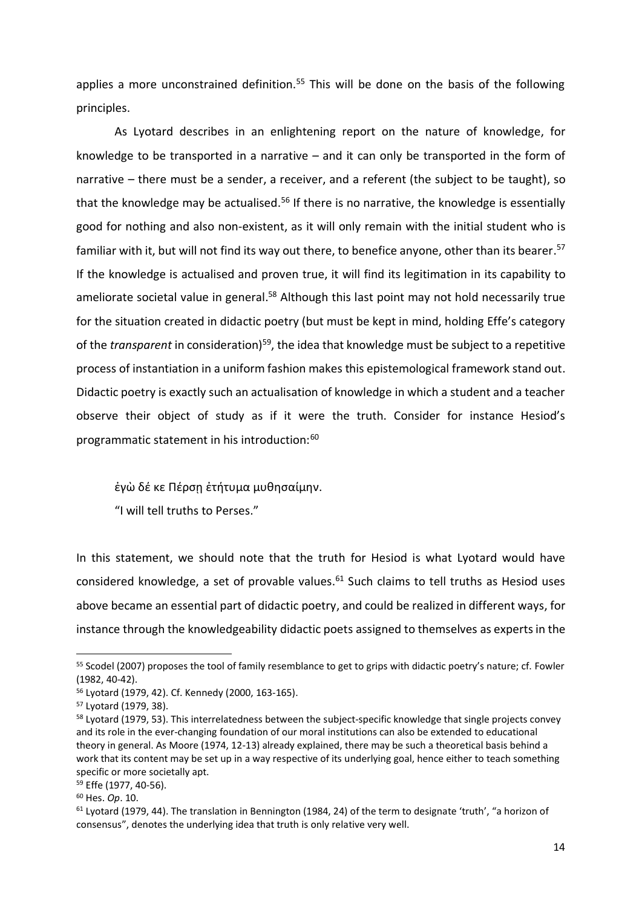applies a more unconstrained definition.<sup>55</sup> This will be done on the basis of the following principles.

As Lyotard describes in an enlightening report on the nature of knowledge, for knowledge to be transported in a narrative – and it can only be transported in the form of narrative – there must be a sender, a receiver, and a referent (the subject to be taught), so that the knowledge may be actualised.<sup>56</sup> If there is no narrative, the knowledge is essentially good for nothing and also non-existent, as it will only remain with the initial student who is familiar with it, but will not find its way out there, to benefice anyone, other than its bearer.<sup>57</sup> If the knowledge is actualised and proven true, it will find its legitimation in its capability to ameliorate societal value in general.<sup>58</sup> Although this last point may not hold necessarily true for the situation created in didactic poetry (but must be kept in mind, holding Effe's category of the *transparent* in consideration<sup>59</sup>, the idea that knowledge must be subject to a repetitive process of instantiation in a uniform fashion makes this epistemological framework stand out. Didactic poetry is exactly such an actualisation of knowledge in which a student and a teacher observe their object of study as if it were the truth. Consider for instance Hesiod's programmatic statement in his introduction:<sup>60</sup>

ἐγὼ δέ κε Πέρσῃ ἐτήτυμα μυθησαίμην.

"I will tell truths to Perses."

In this statement, we should note that the truth for Hesiod is what Lyotard would have considered knowledge, a set of provable values.<sup>61</sup> Such claims to tell truths as Hesiod uses above became an essential part of didactic poetry, and could be realized in different ways, for instance through the knowledgeability didactic poets assigned to themselves as experts in the

<sup>&</sup>lt;sup>55</sup> Scodel (2007) proposes the tool of family resemblance to get to grips with didactic poetry's nature; cf. Fowler (1982, 40-42).

<sup>56</sup> Lyotard (1979, 42). Cf. Kennedy (2000, 163-165).

<sup>57</sup> Lyotard (1979, 38).

<sup>&</sup>lt;sup>58</sup> Lyotard (1979, 53). This interrelatedness between the subject-specific knowledge that single projects convey and its role in the ever-changing foundation of our moral institutions can also be extended to educational theory in general. As Moore (1974, 12-13) already explained, there may be such a theoretical basis behind a work that its content may be set up in a way respective of its underlying goal, hence either to teach something specific or more societally apt.

<sup>59</sup> Effe (1977, 40-56).

<sup>60</sup> Hes. *Op*. 10.

<sup>61</sup> Lyotard (1979, 44). The translation in Bennington (1984, 24) of the term to designate 'truth', "a horizon of consensus", denotes the underlying idea that truth is only relative very well.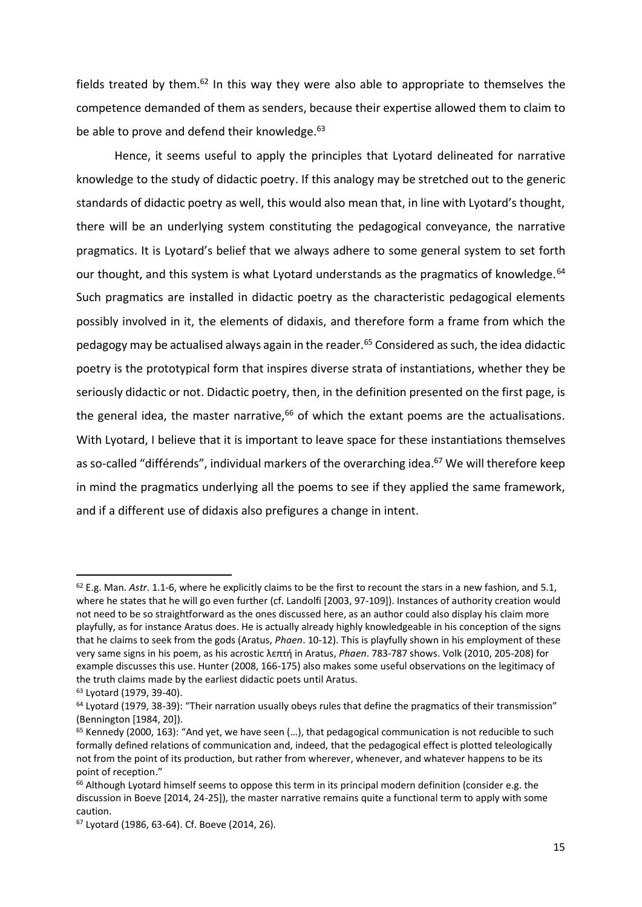fields treated by them.<sup>62</sup> In this way they were also able to appropriate to themselves the competence demanded of them as senders, because their expertise allowed them to claim to be able to prove and defend their knowledge.<sup>63</sup>

Hence, it seems useful to apply the principles that Lyotard delineated for narrative knowledge to the study of didactic poetry. If this analogy may be stretched out to the generic standards of didactic poetry as well, this would also mean that, in line with Lyotard's thought, there will be an underlying system constituting the pedagogical conveyance, the narrative pragmatics. It is Lyotard's belief that we always adhere to some general system to set forth our thought, and this system is what Lyotard understands as the pragmatics of knowledge.<sup>64</sup> Such pragmatics are installed in didactic poetry as the characteristic pedagogical elements possibly involved in it, the elements of didaxis, and therefore form a frame from which the pedagogy may be actualised always again in the reader.<sup>65</sup> Considered as such, the idea didactic poetry is the prototypical form that inspires diverse strata of instantiations, whether they be seriously didactic or not. Didactic poetry, then, in the definition presented on the first page, is the general idea, the master narrative, $66$  of which the extant poems are the actualisations. With Lyotard, I believe that it is important to leave space for these instantiations themselves as so-called "différends", individual markers of the overarching idea.<sup>67</sup> We will therefore keep in mind the pragmatics underlying all the poems to see if they applied the same framework, and if a different use of didaxis also prefigures a change in intent.

<sup>62</sup> E.g. Man. *Astr*. 1.1-6, where he explicitly claims to be the first to recount the stars in a new fashion, and 5.1, where he states that he will go even further (cf. Landolfi [2003, 97-109]). Instances of authority creation would not need to be so straightforward as the ones discussed here, as an author could also display his claim more playfully, as for instance Aratus does. He is actually already highly knowledgeable in his conception of the signs that he claims to seek from the gods (Aratus, *Phaen*. 10-12). This is playfully shown in his employment of these very same signs in his poem, as his acrostic λεπτή in Aratus, *Phaen*. 783-787 shows. Volk (2010, 205-208) for example discusses this use. Hunter (2008, 166-175) also makes some useful observations on the legitimacy of the truth claims made by the earliest didactic poets until Aratus.

<sup>63</sup> Lyotard (1979, 39-40).

<sup>64</sup> Lyotard (1979, 38-39): "Their narration usually obeys rules that define the pragmatics of their transmission" (Bennington [1984, 20]).

 $65$  Kennedy (2000, 163): "And yet, we have seen  $(...)$ , that pedagogical communication is not reducible to such formally defined relations of communication and, indeed, that the pedagogical effect is plotted teleologically not from the point of its production, but rather from wherever, whenever, and whatever happens to be its point of reception."

<sup>&</sup>lt;sup>66</sup> Although Lyotard himself seems to oppose this term in its principal modern definition (consider e.g. the discussion in Boeve [2014, 24-25]), the master narrative remains quite a functional term to apply with some caution.

<sup>67</sup> Lyotard (1986, 63-64). Cf. Boeve (2014, 26).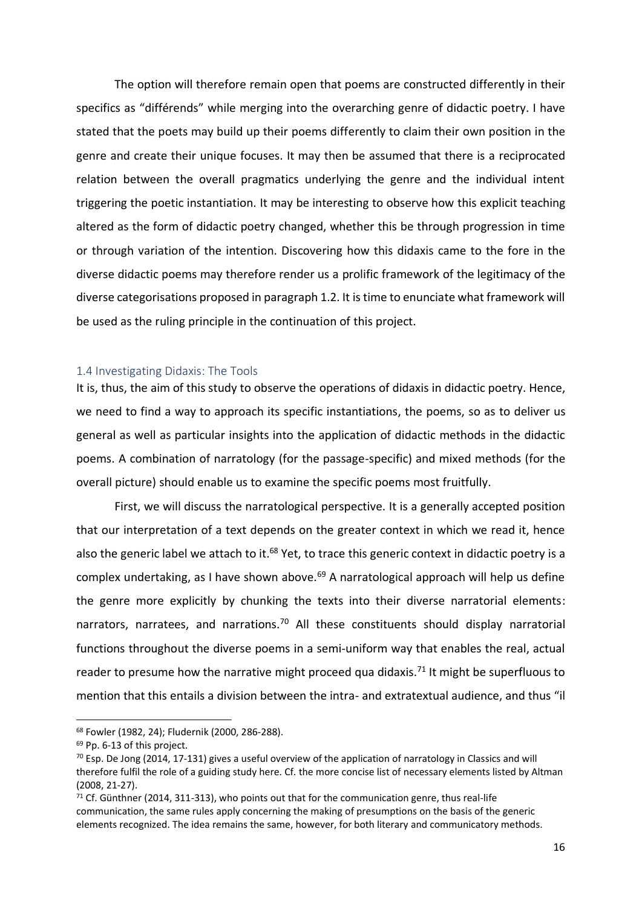The option will therefore remain open that poems are constructed differently in their specifics as "différends" while merging into the overarching genre of didactic poetry. I have stated that the poets may build up their poems differently to claim their own position in the genre and create their unique focuses. It may then be assumed that there is a reciprocated relation between the overall pragmatics underlying the genre and the individual intent triggering the poetic instantiation. It may be interesting to observe how this explicit teaching altered as the form of didactic poetry changed, whether this be through progression in time or through variation of the intention. Discovering how this didaxis came to the fore in the diverse didactic poems may therefore render us a prolific framework of the legitimacy of the diverse categorisations proposed in paragraph 1.2. It is time to enunciate what framework will be used as the ruling principle in the continuation of this project.

#### <span id="page-15-0"></span>1.4 Investigating Didaxis: The Tools

It is, thus, the aim of this study to observe the operations of didaxis in didactic poetry. Hence, we need to find a way to approach its specific instantiations, the poems, so as to deliver us general as well as particular insights into the application of didactic methods in the didactic poems. A combination of narratology (for the passage-specific) and mixed methods (for the overall picture) should enable us to examine the specific poems most fruitfully.

First, we will discuss the narratological perspective. It is a generally accepted position that our interpretation of a text depends on the greater context in which we read it, hence also the generic label we attach to it.<sup>68</sup> Yet, to trace this generic context in didactic poetry is a complex undertaking, as I have shown above.<sup>69</sup> A narratological approach will help us define the genre more explicitly by chunking the texts into their diverse narratorial elements: narrators, narratees, and narrations.<sup>70</sup> All these constituents should display narratorial functions throughout the diverse poems in a semi-uniform way that enables the real, actual reader to presume how the narrative might proceed qua didaxis.<sup>71</sup> It might be superfluous to mention that this entails a division between the intra- and extratextual audience, and thus "il

<sup>68</sup> Fowler (1982, 24); Fludernik (2000, 286-288).

<sup>69</sup> Pp. 6-13 of this project.

 $70$  Esp. De Jong (2014, 17-131) gives a useful overview of the application of narratology in Classics and will therefore fulfil the role of a guiding study here. Cf. the more concise list of necessary elements listed by Altman (2008, 21-27).

 $71$  Cf. Günthner (2014, 311-313), who points out that for the communication genre, thus real-life communication, the same rules apply concerning the making of presumptions on the basis of the generic elements recognized. The idea remains the same, however, for both literary and communicatory methods.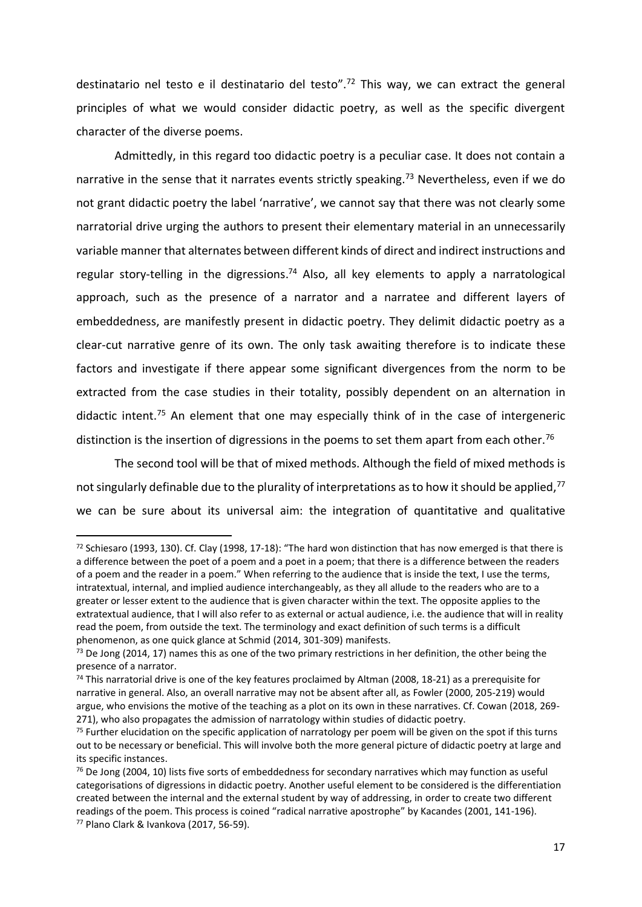destinatario nel testo e il destinatario del testo".<sup>72</sup> This way, we can extract the general principles of what we would consider didactic poetry, as well as the specific divergent character of the diverse poems.

Admittedly, in this regard too didactic poetry is a peculiar case. It does not contain a narrative in the sense that it narrates events strictly speaking.<sup>73</sup> Nevertheless, even if we do not grant didactic poetry the label 'narrative', we cannot say that there was not clearly some narratorial drive urging the authors to present their elementary material in an unnecessarily variable manner that alternates between different kinds of direct and indirect instructions and regular story-telling in the digressions.<sup>74</sup> Also, all key elements to apply a narratological approach, such as the presence of a narrator and a narratee and different layers of embeddedness, are manifestly present in didactic poetry. They delimit didactic poetry as a clear-cut narrative genre of its own. The only task awaiting therefore is to indicate these factors and investigate if there appear some significant divergences from the norm to be extracted from the case studies in their totality, possibly dependent on an alternation in didactic intent.<sup>75</sup> An element that one may especially think of in the case of intergeneric distinction is the insertion of digressions in the poems to set them apart from each other.<sup>76</sup>

The second tool will be that of mixed methods. Although the field of mixed methods is not singularly definable due to the plurality of interpretations as to how it should be applied,<sup>77</sup> we can be sure about its universal aim: the integration of quantitative and qualitative

<sup>72</sup> Schiesaro (1993, 130). Cf. Clay (1998, 17-18): "The hard won distinction that has now emerged is that there is a difference between the poet of a poem and a poet in a poem; that there is a difference between the readers of a poem and the reader in a poem." When referring to the audience that is inside the text, I use the terms, intratextual, internal, and implied audience interchangeably, as they all allude to the readers who are to a greater or lesser extent to the audience that is given character within the text. The opposite applies to the extratextual audience, that I will also refer to as external or actual audience, i.e. the audience that will in reality read the poem, from outside the text. The terminology and exact definition of such terms is a difficult phenomenon, as one quick glance at Schmid (2014, 301-309) manifests.

 $73$  De Jong (2014, 17) names this as one of the two primary restrictions in her definition, the other being the presence of a narrator.

 $74$  This narratorial drive is one of the key features proclaimed by Altman (2008, 18-21) as a prerequisite for narrative in general. Also, an overall narrative may not be absent after all, as Fowler (2000, 205-219) would argue, who envisions the motive of the teaching as a plot on its own in these narratives. Cf. Cowan (2018, 269- 271), who also propagates the admission of narratology within studies of didactic poetry.

 $75$  Further elucidation on the specific application of narratology per poem will be given on the spot if this turns out to be necessary or beneficial. This will involve both the more general picture of didactic poetry at large and its specific instances.

 $76$  De Jong (2004, 10) lists five sorts of embeddedness for secondary narratives which may function as useful categorisations of digressions in didactic poetry. Another useful element to be considered is the differentiation created between the internal and the external student by way of addressing, in order to create two different readings of the poem. This process is coined "radical narrative apostrophe" by Kacandes (2001, 141-196). <sup>77</sup> Plano Clark & Ivankova (2017, 56-59).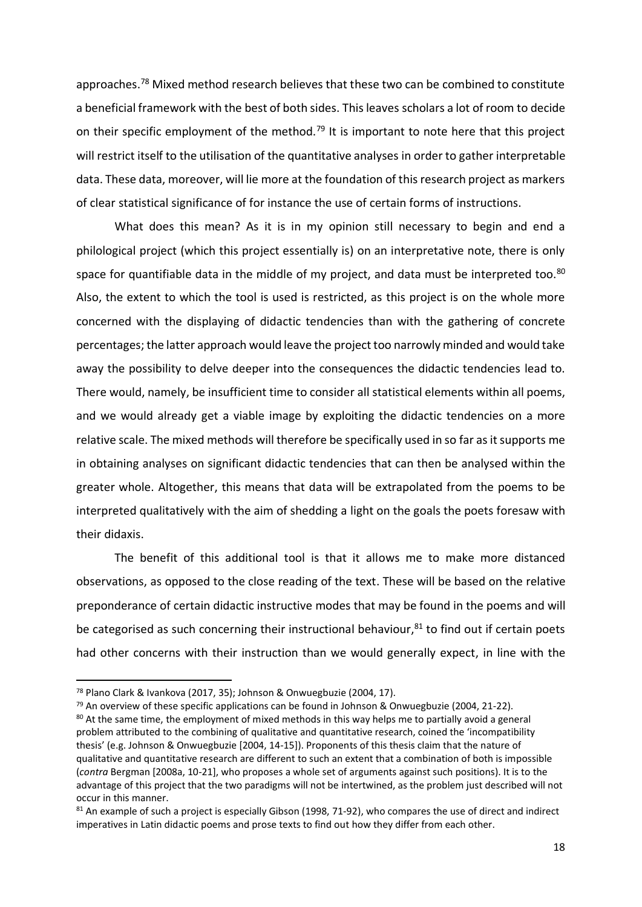approaches.<sup>78</sup> Mixed method research believes that these two can be combined to constitute a beneficial framework with the best of both sides. This leaves scholars a lot of room to decide on their specific employment of the method.<sup>79</sup> It is important to note here that this project will restrict itself to the utilisation of the quantitative analyses in order to gather interpretable data. These data, moreover, will lie more at the foundation of this research project as markers of clear statistical significance of for instance the use of certain forms of instructions.

What does this mean? As it is in my opinion still necessary to begin and end a philological project (which this project essentially is) on an interpretative note, there is only space for quantifiable data in the middle of my project, and data must be interpreted too.<sup>80</sup> Also, the extent to which the tool is used is restricted, as this project is on the whole more concerned with the displaying of didactic tendencies than with the gathering of concrete percentages; the latter approach would leave the project too narrowly minded and would take away the possibility to delve deeper into the consequences the didactic tendencies lead to. There would, namely, be insufficient time to consider all statistical elements within all poems, and we would already get a viable image by exploiting the didactic tendencies on a more relative scale. The mixed methods will therefore be specifically used in so far as it supports me in obtaining analyses on significant didactic tendencies that can then be analysed within the greater whole. Altogether, this means that data will be extrapolated from the poems to be interpreted qualitatively with the aim of shedding a light on the goals the poets foresaw with their didaxis.

The benefit of this additional tool is that it allows me to make more distanced observations, as opposed to the close reading of the text. These will be based on the relative preponderance of certain didactic instructive modes that may be found in the poems and will be categorised as such concerning their instructional behaviour,<sup>81</sup> to find out if certain poets had other concerns with their instruction than we would generally expect, in line with the

<sup>78</sup> Plano Clark & Ivankova (2017, 35); Johnson & Onwuegbuzie (2004, 17).

 $79$  An overview of these specific applications can be found in Johnson & Onwuegbuzie (2004, 21-22).

<sup>&</sup>lt;sup>80</sup> At the same time, the employment of mixed methods in this way helps me to partially avoid a general problem attributed to the combining of qualitative and quantitative research, coined the 'incompatibility thesis' (e.g. Johnson & Onwuegbuzie [2004, 14-15]). Proponents of this thesis claim that the nature of qualitative and quantitative research are different to such an extent that a combination of both is impossible (*contra* Bergman [2008a, 10-21], who proposes a whole set of arguments against such positions). It is to the advantage of this project that the two paradigms will not be intertwined, as the problem just described will not occur in this manner.

<sup>81</sup> An example of such a project is especially Gibson (1998, 71-92), who compares the use of direct and indirect imperatives in Latin didactic poems and prose texts to find out how they differ from each other.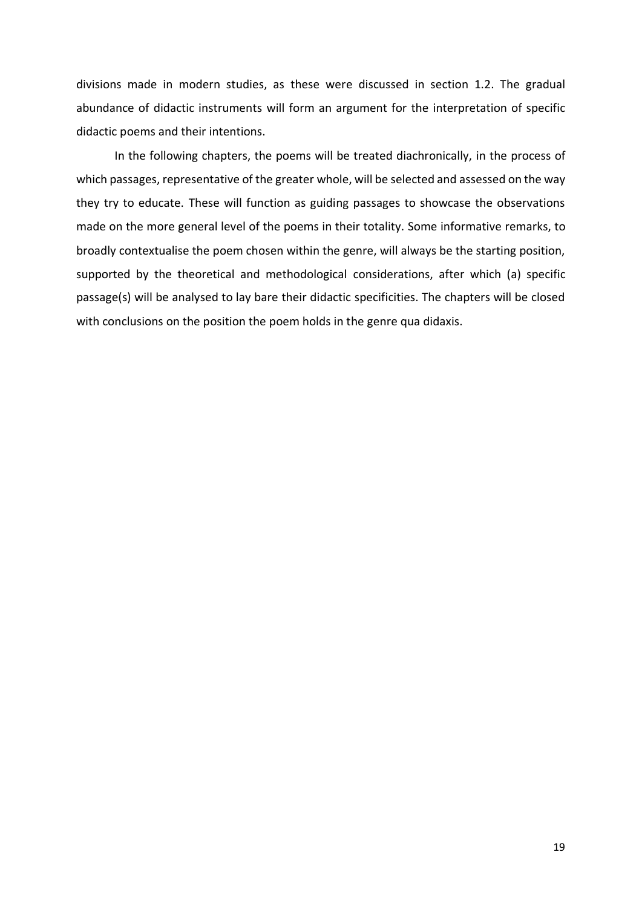divisions made in modern studies, as these were discussed in section 1.2. The gradual abundance of didactic instruments will form an argument for the interpretation of specific didactic poems and their intentions.

In the following chapters, the poems will be treated diachronically, in the process of which passages, representative of the greater whole, will be selected and assessed on the way they try to educate. These will function as guiding passages to showcase the observations made on the more general level of the poems in their totality. Some informative remarks, to broadly contextualise the poem chosen within the genre, will always be the starting position, supported by the theoretical and methodological considerations, after which (a) specific passage(s) will be analysed to lay bare their didactic specificities. The chapters will be closed with conclusions on the position the poem holds in the genre qua didaxis.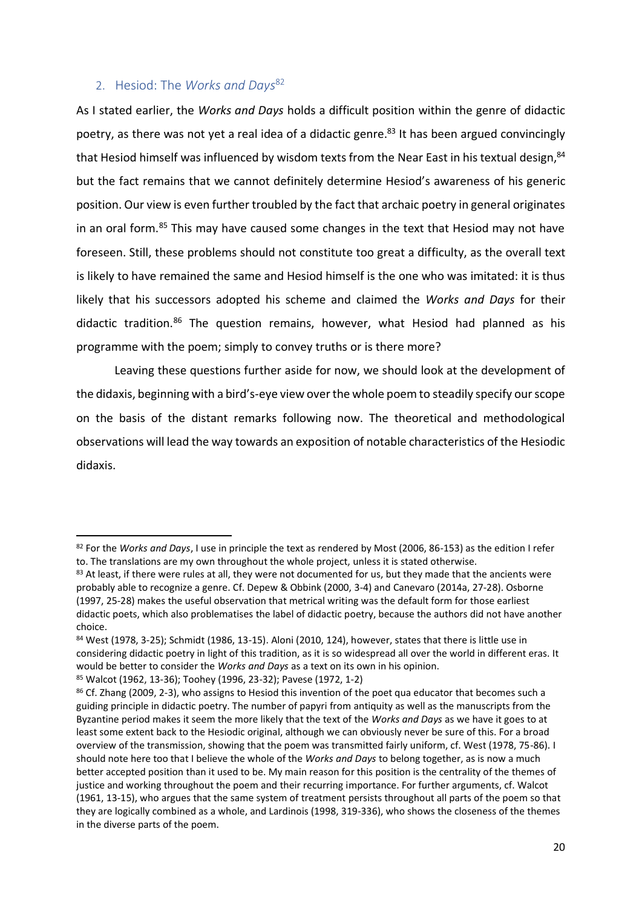## <span id="page-19-0"></span>2. Hesiod: The *Works and Days*<sup>82</sup>

As I stated earlier, the *Works and Days* holds a difficult position within the genre of didactic poetry, as there was not yet a real idea of a didactic genre.<sup>83</sup> It has been argued convincingly that Hesiod himself was influenced by wisdom texts from the Near East in his textual design, 84 but the fact remains that we cannot definitely determine Hesiod's awareness of his generic position. Our view is even further troubled by the fact that archaic poetry in general originates in an oral form.<sup>85</sup> This may have caused some changes in the text that Hesiod may not have foreseen. Still, these problems should not constitute too great a difficulty, as the overall text is likely to have remained the same and Hesiod himself is the one who was imitated: it is thus likely that his successors adopted his scheme and claimed the *Works and Days* for their didactic tradition.<sup>86</sup> The question remains, however, what Hesiod had planned as his programme with the poem; simply to convey truths or is there more?

Leaving these questions further aside for now, we should look at the development of the didaxis, beginning with a bird's-eye view over the whole poem to steadily specify our scope on the basis of the distant remarks following now. The theoretical and methodological observations will lead the way towards an exposition of notable characteristics of the Hesiodic didaxis.

<sup>82</sup> For the *Works and Days*, I use in principle the text as rendered by Most (2006, 86-153) as the edition I refer to. The translations are my own throughout the whole project, unless it is stated otherwise.

<sup>&</sup>lt;sup>83</sup> At least, if there were rules at all, they were not documented for us, but they made that the ancients were probably able to recognize a genre. Cf. Depew & Obbink (2000, 3-4) and Canevaro (2014a, 27-28). Osborne (1997, 25-28) makes the useful observation that metrical writing was the default form for those earliest didactic poets, which also problematises the label of didactic poetry, because the authors did not have another choice.

<sup>84</sup> West (1978, 3-25); Schmidt (1986, 13-15). Aloni (2010, 124), however, states that there is little use in considering didactic poetry in light of this tradition, as it is so widespread all over the world in different eras. It would be better to consider the *Works and Days* as a text on its own in his opinion.

<sup>85</sup> Walcot (1962, 13-36); Toohey (1996, 23-32); Pavese (1972, 1-2)

<sup>86</sup> Cf. Zhang (2009, 2-3), who assigns to Hesiod this invention of the poet qua educator that becomes such a guiding principle in didactic poetry. The number of papyri from antiquity as well as the manuscripts from the Byzantine period makes it seem the more likely that the text of the *Works and Days* as we have it goes to at least some extent back to the Hesiodic original, although we can obviously never be sure of this. For a broad overview of the transmission, showing that the poem was transmitted fairly uniform, cf. West (1978, 75-86). I should note here too that I believe the whole of the *Works and Days* to belong together, as is now a much better accepted position than it used to be. My main reason for this position is the centrality of the themes of justice and working throughout the poem and their recurring importance. For further arguments, cf. Walcot (1961, 13-15), who argues that the same system of treatment persists throughout all parts of the poem so that they are logically combined as a whole, and Lardinois (1998, 319-336), who shows the closeness of the themes in the diverse parts of the poem.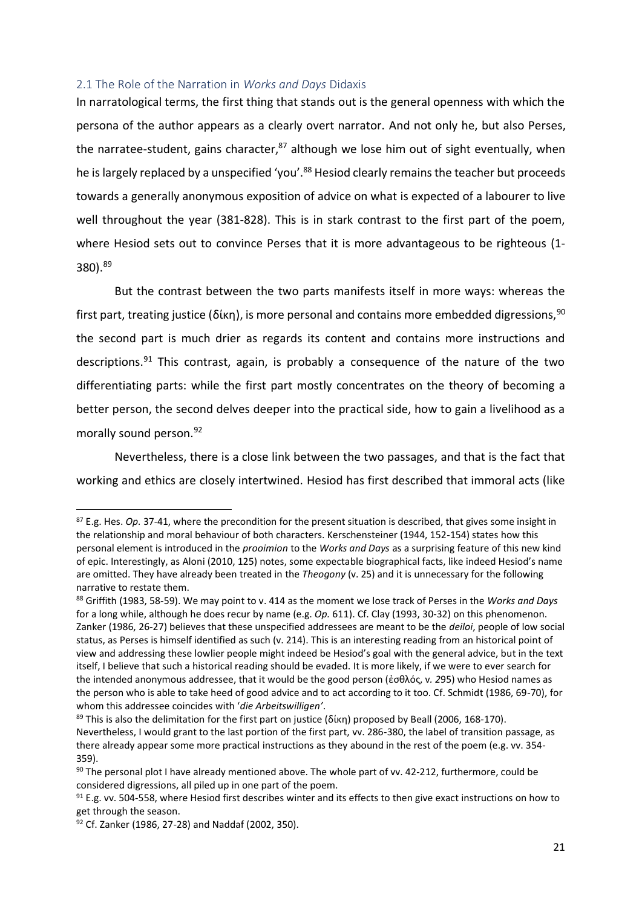#### <span id="page-20-0"></span>2.1 The Role of the Narration in *Works and Days* Didaxis

In narratological terms, the first thing that stands out is the general openness with which the persona of the author appears as a clearly overt narrator. And not only he, but also Perses, the narratee-student, gains character, $87$  although we lose him out of sight eventually, when he is largely replaced by a unspecified 'you'.<sup>88</sup> Hesiod clearly remains the teacher but proceeds towards a generally anonymous exposition of advice on what is expected of a labourer to live well throughout the year (381-828). This is in stark contrast to the first part of the poem, where Hesiod sets out to convince Perses that it is more advantageous to be righteous (1- 380). 89

But the contrast between the two parts manifests itself in more ways: whereas the first part, treating justice (δίκη), is more personal and contains more embedded digressions,  $90$ the second part is much drier as regards its content and contains more instructions and descriptions.<sup>91</sup> This contrast, again, is probably a consequence of the nature of the two differentiating parts: while the first part mostly concentrates on the theory of becoming a better person, the second delves deeper into the practical side, how to gain a livelihood as a morally sound person.<sup>92</sup>

Nevertheless, there is a close link between the two passages, and that is the fact that working and ethics are closely intertwined. Hesiod has first described that immoral acts (like

<sup>87</sup> E.g. Hes. *Op.* 37-41, where the precondition for the present situation is described, that gives some insight in the relationship and moral behaviour of both characters. Kerschensteiner (1944, 152-154) states how this personal element is introduced in the *prooimion* to the *Works and Days* as a surprising feature of this new kind of epic. Interestingly, as Aloni (2010, 125) notes, some expectable biographical facts, like indeed Hesiod's name are omitted. They have already been treated in the *Theogony* (v. 25) and it is unnecessary for the following narrative to restate them.

<sup>88</sup> Griffith (1983, 58-59). We may point to v. 414 as the moment we lose track of Perses in the *Works and Days* for a long while, although he does recur by name (e.g. *Op.* 611). Cf. Clay (1993, 30-32) on this phenomenon. Zanker (1986, 26-27) believes that these unspecified addressees are meant to be the *deiloi*, people of low social status, as Perses is himself identified as such (v. 214). This is an interesting reading from an historical point of view and addressing these lowlier people might indeed be Hesiod's goal with the general advice, but in the text itself, I believe that such a historical reading should be evaded. It is more likely, if we were to ever search for the intended anonymous addressee, that it would be the good person (ἐσθλός, v*. 2*95) who Hesiod names as the person who is able to take heed of good advice and to act according to it too. Cf. Schmidt (1986, 69-70), for whom this addressee coincides with '*die Arbeitswilligen'*.

<sup>&</sup>lt;sup>89</sup> This is also the delimitation for the first part on justice (δίκη) proposed by Beall (2006, 168-170). Nevertheless, I would grant to the last portion of the first part, vv. 286-380, the label of transition passage, as there already appear some more practical instructions as they abound in the rest of the poem (e.g. vv. 354- 359).

 $90$  The personal plot I have already mentioned above. The whole part of vv. 42-212, furthermore, could be considered digressions, all piled up in one part of the poem.

 $91$  E.g. vv. 504-558, where Hesiod first describes winter and its effects to then give exact instructions on how to get through the season.

<sup>92</sup> Cf. Zanker (1986, 27-28) and Naddaf (2002, 350).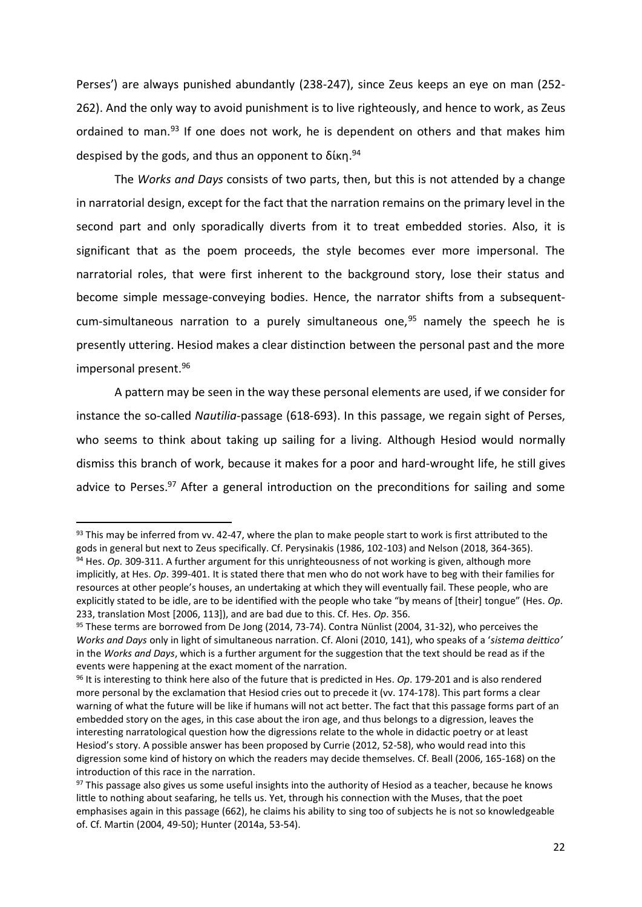Perses') are always punished abundantly (238-247), since Zeus keeps an eye on man (252- 262). And the only way to avoid punishment is to live righteously, and hence to work, as Zeus ordained to man.<sup>93</sup> If one does not work, he is dependent on others and that makes him despised by the gods, and thus an opponent to δίκη.<sup>94</sup>

The *Works and Days* consists of two parts, then, but this is not attended by a change in narratorial design, except for the fact that the narration remains on the primary level in the second part and only sporadically diverts from it to treat embedded stories. Also, it is significant that as the poem proceeds, the style becomes ever more impersonal. The narratorial roles, that were first inherent to the background story, lose their status and become simple message-conveying bodies. Hence, the narrator shifts from a subsequentcum-simultaneous narration to a purely simultaneous one, $95$  namely the speech he is presently uttering. Hesiod makes a clear distinction between the personal past and the more impersonal present.<sup>96</sup>

A pattern may be seen in the way these personal elements are used, if we consider for instance the so-called *Nautilia*-passage (618-693). In this passage, we regain sight of Perses, who seems to think about taking up sailing for a living. Although Hesiod would normally dismiss this branch of work, because it makes for a poor and hard-wrought life, he still gives advice to Perses.<sup>97</sup> After a general introduction on the preconditions for sailing and some

 $93$  This may be inferred from vv. 42-47, where the plan to make people start to work is first attributed to the gods in general but next to Zeus specifically. Cf. Perysinakis (1986, 102-103) and Nelson (2018, 364-365). <sup>94</sup> Hes. *Op.* 309-311. A further argument for this unrighteousness of not working is given, although more implicitly, at Hes. *Op*. 399-401. It is stated there that men who do not work have to beg with their families for resources at other people's houses, an undertaking at which they will eventually fail. These people, who are explicitly stated to be idle, are to be identified with the people who take "by means of [their] tongue" (Hes. *Op.* 233, translation Most [2006, 113]), and are bad due to this. Cf. Hes. *Op*. 356.

<sup>95</sup> These terms are borrowed from De Jong (2014, 73-74). Contra Nünlist (2004, 31-32), who perceives the *Works and Days* only in light of simultaneous narration. Cf. Aloni (2010, 141), who speaks of a '*sistema deittico'*  in the *Works and Days*, which is a further argument for the suggestion that the text should be read as if the events were happening at the exact moment of the narration.

<sup>96</sup> It is interesting to think here also of the future that is predicted in Hes. *Op*. 179-201 and is also rendered more personal by the exclamation that Hesiod cries out to precede it (vv. 174-178). This part forms a clear warning of what the future will be like if humans will not act better. The fact that this passage forms part of an embedded story on the ages, in this case about the iron age, and thus belongs to a digression, leaves the interesting narratological question how the digressions relate to the whole in didactic poetry or at least Hesiod's story. A possible answer has been proposed by Currie (2012, 52-58), who would read into this digression some kind of history on which the readers may decide themselves. Cf. Beall (2006, 165-168) on the introduction of this race in the narration.

<sup>&</sup>lt;sup>97</sup> This passage also gives us some useful insights into the authority of Hesiod as a teacher, because he knows little to nothing about seafaring, he tells us. Yet, through his connection with the Muses, that the poet emphasises again in this passage (662), he claims his ability to sing too of subjects he is not so knowledgeable of. Cf. Martin (2004, 49-50); Hunter (2014a, 53-54).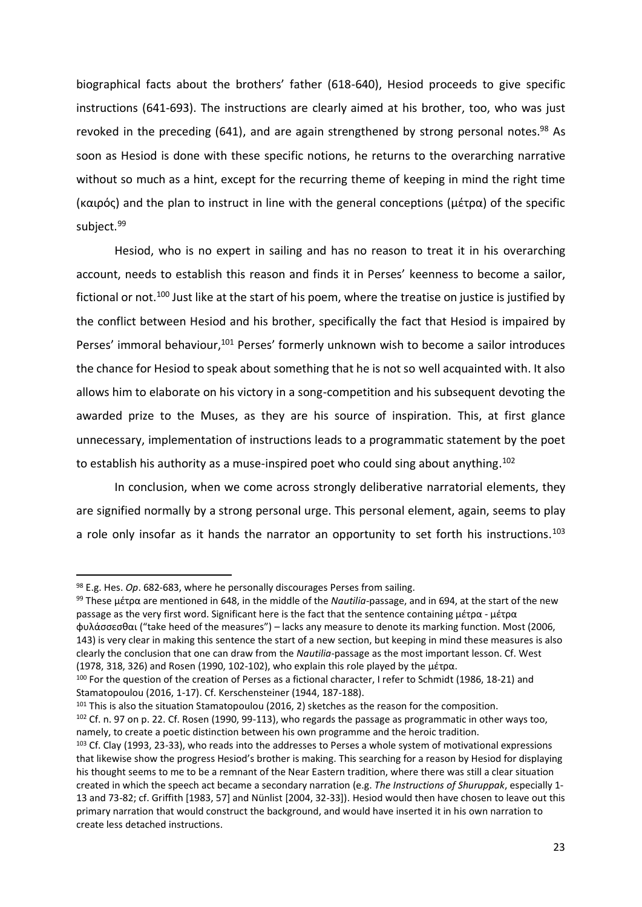biographical facts about the brothers' father (618-640), Hesiod proceeds to give specific instructions (641-693). The instructions are clearly aimed at his brother, too, who was just revoked in the preceding (641), and are again strengthened by strong personal notes.<sup>98</sup> As soon as Hesiod is done with these specific notions, he returns to the overarching narrative without so much as a hint, except for the recurring theme of keeping in mind the right time (καιρός) and the plan to instruct in line with the general conceptions (μέτρα) of the specific subject.<sup>99</sup>

Hesiod, who is no expert in sailing and has no reason to treat it in his overarching account, needs to establish this reason and finds it in Perses' keenness to become a sailor, fictional or not.<sup>100</sup> Just like at the start of his poem, where the treatise on justice is justified by the conflict between Hesiod and his brother, specifically the fact that Hesiod is impaired by Perses' immoral behaviour,<sup>101</sup> Perses' formerly unknown wish to become a sailor introduces the chance for Hesiod to speak about something that he is not so well acquainted with. It also allows him to elaborate on his victory in a song-competition and his subsequent devoting the awarded prize to the Muses, as they are his source of inspiration. This, at first glance unnecessary, implementation of instructions leads to a programmatic statement by the poet to establish his authority as a muse-inspired poet who could sing about anything.<sup>102</sup>

In conclusion, when we come across strongly deliberative narratorial elements, they are signified normally by a strong personal urge. This personal element, again, seems to play a role only insofar as it hands the narrator an opportunity to set forth his instructions.<sup>103</sup>

l

<sup>101</sup> This is also the situation Stamatopoulou (2016, 2) sketches as the reason for the composition. <sup>102</sup> Cf. n. 97 on p. 22. Cf. Rosen (1990, 99-113), who regards the passage as programmatic in other ways too, namely, to create a poetic distinction between his own programme and the heroic tradition.

<sup>98</sup> E.g. Hes. *Op*. 682-683, where he personally discourages Perses from sailing.

<sup>99</sup> These μέτρα are mentioned in 648, in the middle of the *Nautilia*-passage, and in 694, at the start of the new passage as the very first word. Significant here is the fact that the sentence containing μέτρα - μέτρα φυλάσσεσθαι ("take heed of the measures") – lacks any measure to denote its marking function. Most (2006, 143) is very clear in making this sentence the start of a new section, but keeping in mind these measures is also clearly the conclusion that one can draw from the *Nautilia*-passage as the most important lesson. Cf. West (1978, 318, 326) and Rosen (1990, 102-102), who explain this role played by the μέτρα.

<sup>100</sup> For the question of the creation of Perses as a fictional character, I refer to Schmidt (1986, 18-21) and Stamatopoulou (2016, 1-17). Cf. Kerschensteiner (1944, 187-188).

<sup>103</sup> Cf. Clay (1993, 23-33), who reads into the addresses to Perses a whole system of motivational expressions that likewise show the progress Hesiod's brother is making. This searching for a reason by Hesiod for displaying his thought seems to me to be a remnant of the Near Eastern tradition, where there was still a clear situation created in which the speech act became a secondary narration (e.g. *The Instructions of Shuruppak*, especially 1- 13 and 73-82; cf. Griffith [1983, 57] and Nünlist [2004, 32-33]). Hesiod would then have chosen to leave out this primary narration that would construct the background, and would have inserted it in his own narration to create less detached instructions.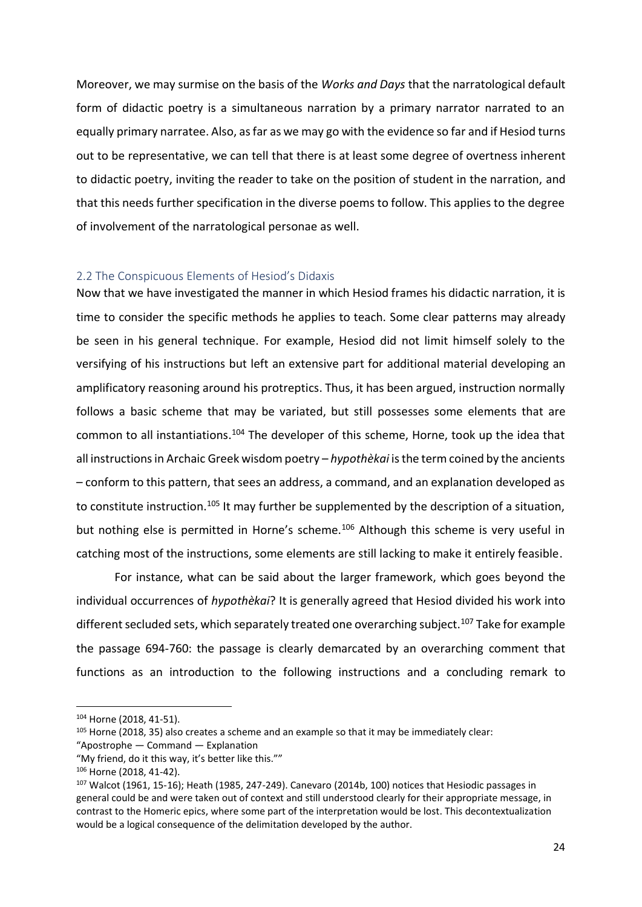Moreover, we may surmise on the basis of the *Works and Days* that the narratological default form of didactic poetry is a simultaneous narration by a primary narrator narrated to an equally primary narratee. Also, as far as we may go with the evidence so far and if Hesiod turns out to be representative, we can tell that there is at least some degree of overtness inherent to didactic poetry, inviting the reader to take on the position of student in the narration, and that this needs further specification in the diverse poems to follow. This applies to the degree of involvement of the narratological personae as well.

#### <span id="page-23-0"></span>2.2 The Conspicuous Elements of Hesiod's Didaxis

Now that we have investigated the manner in which Hesiod frames his didactic narration, it is time to consider the specific methods he applies to teach. Some clear patterns may already be seen in his general technique. For example, Hesiod did not limit himself solely to the versifying of his instructions but left an extensive part for additional material developing an amplificatory reasoning around his protreptics. Thus, it has been argued, instruction normally follows a basic scheme that may be variated, but still possesses some elements that are common to all instantiations.<sup>104</sup> The developer of this scheme, Horne, took up the idea that all instructions in Archaic Greek wisdom poetry – *hypothèkai* is the term coined by the ancients – conform to this pattern, that sees an address, a command, and an explanation developed as to constitute instruction.<sup>105</sup> It may further be supplemented by the description of a situation, but nothing else is permitted in Horne's scheme.<sup>106</sup> Although this scheme is very useful in catching most of the instructions, some elements are still lacking to make it entirely feasible.

For instance, what can be said about the larger framework, which goes beyond the individual occurrences of *hypothèkai*? It is generally agreed that Hesiod divided his work into different secluded sets, which separately treated one overarching subject.<sup>107</sup> Take for example the passage 694-760: the passage is clearly demarcated by an overarching comment that functions as an introduction to the following instructions and a concluding remark to

<sup>104</sup> Horne (2018, 41-51).

 $105$  Horne (2018, 35) also creates a scheme and an example so that it may be immediately clear:

<sup>&</sup>quot;Apostrophe — Command — Explanation

<sup>&</sup>quot;My friend, do it this way, it's better like this.""

<sup>106</sup> Horne (2018, 41-42).

<sup>107</sup> Walcot (1961, 15-16); Heath (1985, 247-249). Canevaro (2014b, 100) notices that Hesiodic passages in general could be and were taken out of context and still understood clearly for their appropriate message, in contrast to the Homeric epics, where some part of the interpretation would be lost. This decontextualization would be a logical consequence of the delimitation developed by the author.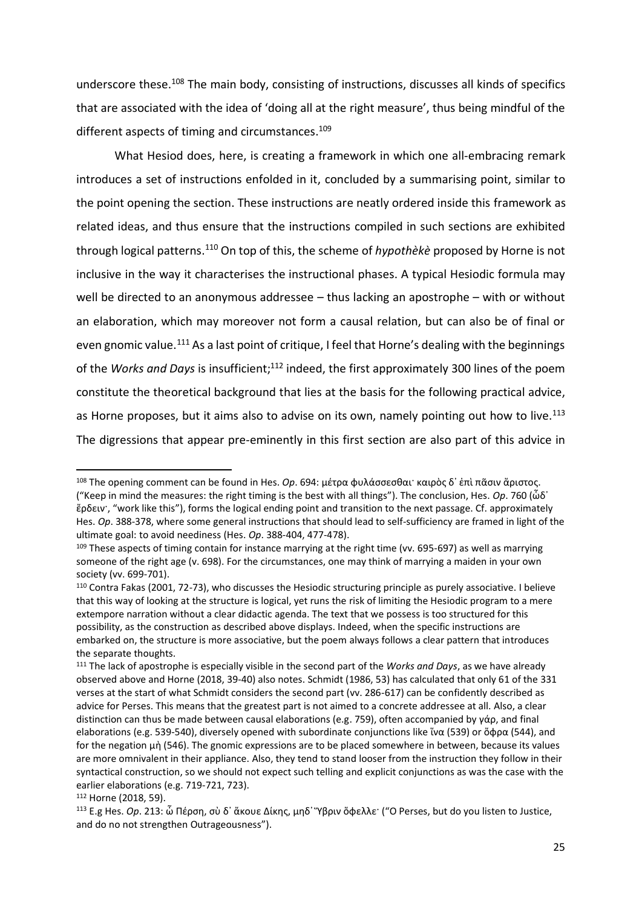underscore these.<sup>108</sup> The main body, consisting of instructions, discusses all kinds of specifics that are associated with the idea of 'doing all at the right measure', thus being mindful of the different aspects of timing and circumstances.<sup>109</sup>

What Hesiod does, here, is creating a framework in which one all-embracing remark introduces a set of instructions enfolded in it, concluded by a summarising point, similar to the point opening the section. These instructions are neatly ordered inside this framework as related ideas, and thus ensure that the instructions compiled in such sections are exhibited through logical patterns. <sup>110</sup> On top of this, the scheme of *hypothèkè* proposed by Horne is not inclusive in the way it characterises the instructional phases. A typical Hesiodic formula may well be directed to an anonymous addressee – thus lacking an apostrophe – with or without an elaboration, which may moreover not form a causal relation, but can also be of final or even gnomic value.<sup>111</sup> As a last point of critique, I feel that Horne's dealing with the beginnings of the Works and Days is insufficient;<sup>112</sup> indeed, the first approximately 300 lines of the poem constitute the theoretical background that lies at the basis for the following practical advice, as Horne proposes, but it aims also to advise on its own, namely pointing out how to live.<sup>113</sup> The digressions that appear pre-eminently in this first section are also part of this advice in

<sup>108</sup> The opening comment can be found in Hes. *Op*. 694: μέτρα φυλάσσεσθαι· καιρὸς δ᾽ ἐπὶ πᾶσιν ἄριστος. ("Keep in mind the measures: the right timing is the best with all things"). The conclusion, Hes. *Op*. 760 (ὧδ᾽ ἔρδειν·, "work like this"), forms the logical ending point and transition to the next passage. Cf. approximately Hes. *Op*. 388-378, where some general instructions that should lead to self-sufficiency are framed in light of the ultimate goal: to avoid neediness (Hes. *Op*. 388-404, 477-478).

<sup>&</sup>lt;sup>109</sup> These aspects of timing contain for instance marrying at the right time (vv. 695-697) as well as marrying someone of the right age (v. 698). For the circumstances, one may think of marrying a maiden in your own society (vv. 699-701).

<sup>110</sup> Contra Fakas (2001, 72-73), who discusses the Hesiodic structuring principle as purely associative. I believe that this way of looking at the structure is logical, yet runs the risk of limiting the Hesiodic program to a mere extempore narration without a clear didactic agenda. The text that we possess is too structured for this possibility, as the construction as described above displays. Indeed, when the specific instructions are embarked on, the structure is more associative, but the poem always follows a clear pattern that introduces the separate thoughts.

<sup>111</sup> The lack of apostrophe is especially visible in the second part of the *Works and Days*, as we have already observed above and Horne (2018, 39-40) also notes. Schmidt (1986, 53) has calculated that only 61 of the 331 verses at the start of what Schmidt considers the second part (vv. 286-617) can be confidently described as advice for Perses. This means that the greatest part is not aimed to a concrete addressee at all. Also, a clear distinction can thus be made between causal elaborations (e.g. 759), often accompanied by γάρ, and final elaborations (e.g. 539-540), diversely opened with subordinate conjunctions like ἵνα (539) or ὄφρα (544), and for the negation μὴ (546). The gnomic expressions are to be placed somewhere in between, because its values are more omnivalent in their appliance. Also, they tend to stand looser from the instruction they follow in their syntactical construction, so we should not expect such telling and explicit conjunctions as was the case with the earlier elaborations (e.g. 719-721, 723).

<sup>112</sup> Horne (2018, 59).

<sup>113</sup> E.g Hes. *Op*. 213: ὦ Πέρση, σὺ δ᾽ ἄκουε Δίκης, μηδ᾽ Ὕβριν ὄφελλε· ("O Perses, but do you listen to Justice, and do no not strengthen Outrageousness").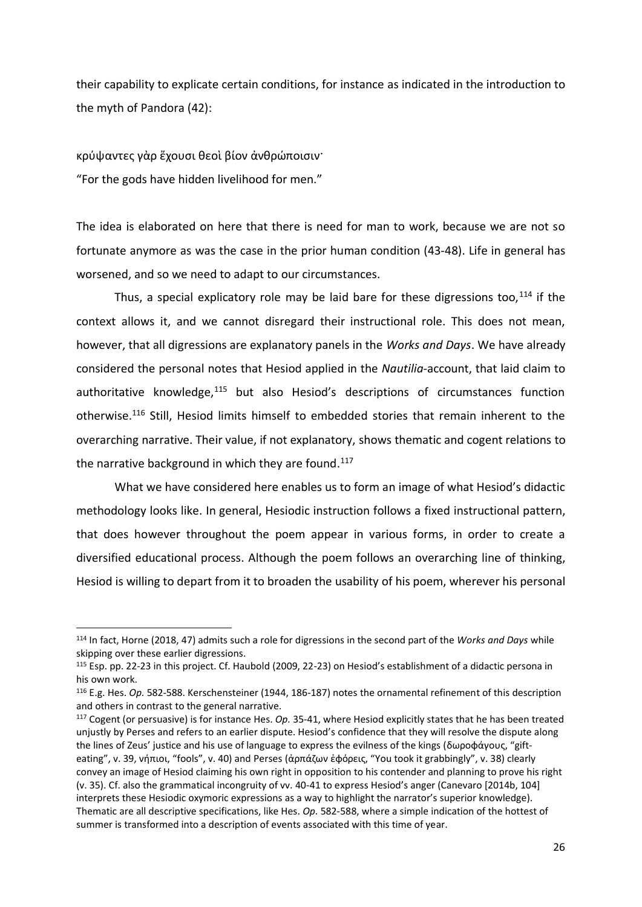their capability to explicate certain conditions, for instance as indicated in the introduction to the myth of Pandora (42):

κρύψαντες γὰρ ἔχουσι θεοὶ βίον ἀνθρώποισιν· "For the gods have hidden livelihood for men."

l

The idea is elaborated on here that there is need for man to work, because we are not so fortunate anymore as was the case in the prior human condition (43-48). Life in general has worsened, and so we need to adapt to our circumstances.

Thus, a special explicatory role may be laid bare for these digressions too,  $114$  if the context allows it, and we cannot disregard their instructional role. This does not mean, however, that all digressions are explanatory panels in the *Works and Days*. We have already considered the personal notes that Hesiod applied in the *Nautilia*-account, that laid claim to authoritative knowledge,<sup>115</sup> but also Hesiod's descriptions of circumstances function otherwise.<sup>116</sup> Still, Hesiod limits himself to embedded stories that remain inherent to the overarching narrative. Their value, if not explanatory, shows thematic and cogent relations to the narrative background in which they are found.<sup>117</sup>

What we have considered here enables us to form an image of what Hesiod's didactic methodology looks like. In general, Hesiodic instruction follows a fixed instructional pattern, that does however throughout the poem appear in various forms, in order to create a diversified educational process. Although the poem follows an overarching line of thinking, Hesiod is willing to depart from it to broaden the usability of his poem, wherever his personal

<sup>114</sup> In fact, Horne (2018, 47) admits such a role for digressions in the second part of the *Works and Days* while skipping over these earlier digressions.

<sup>115</sup> Esp. pp. 22-23 in this project. Cf. Haubold (2009, 22-23) on Hesiod's establishment of a didactic persona in his own work.

<sup>116</sup> E.g. Hes. *Op.* 582-588. Kerschensteiner (1944, 186-187) notes the ornamental refinement of this description and others in contrast to the general narrative.

<sup>117</sup> Cogent (or persuasive) is for instance Hes. *Op.* 35-41, where Hesiod explicitly states that he has been treated unjustly by Perses and refers to an earlier dispute. Hesiod's confidence that they will resolve the dispute along the lines of Zeus' justice and his use of language to express the evilness of the kings (δωροφάγους, "gifteating", v. 39, νήπιοι, "fools", v. 40) and Perses (ἁρπάζων ἐφόρεις, "You took it grabbingly", v. 38) clearly convey an image of Hesiod claiming his own right in opposition to his contender and planning to prove his right (v. 35). Cf. also the grammatical incongruity of vv. 40-41 to express Hesiod's anger (Canevaro [2014b, 104] interprets these Hesiodic oxymoric expressions as a way to highlight the narrator's superior knowledge). Thematic are all descriptive specifications, like Hes. *Op.* 582-588, where a simple indication of the hottest of summer is transformed into a description of events associated with this time of year.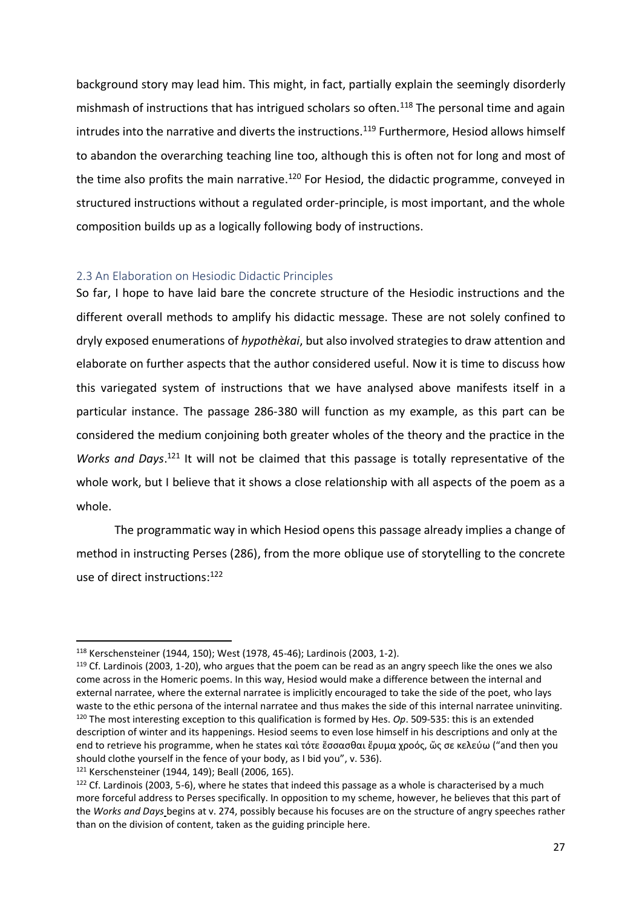background story may lead him. This might, in fact, partially explain the seemingly disorderly mishmash of instructions that has intrigued scholars so often.<sup>118</sup> The personal time and again intrudes into the narrative and diverts the instructions.<sup>119</sup> Furthermore, Hesiod allows himself to abandon the overarching teaching line too, although this is often not for long and most of the time also profits the main narrative.<sup>120</sup> For Hesiod, the didactic programme, conveyed in structured instructions without a regulated order-principle, is most important, and the whole composition builds up as a logically following body of instructions.

## <span id="page-26-0"></span>2.3 An Elaboration on Hesiodic Didactic Principles

So far, I hope to have laid bare the concrete structure of the Hesiodic instructions and the different overall methods to amplify his didactic message. These are not solely confined to dryly exposed enumerations of *hypothèkai*, but also involved strategies to draw attention and elaborate on further aspects that the author considered useful. Now it is time to discuss how this variegated system of instructions that we have analysed above manifests itself in a particular instance. The passage 286-380 will function as my example, as this part can be considered the medium conjoining both greater wholes of the theory and the practice in the Works and Days.<sup>121</sup> It will not be claimed that this passage is totally representative of the whole work, but I believe that it shows a close relationship with all aspects of the poem as a whole.

The programmatic way in which Hesiod opens this passage already implies a change of method in instructing Perses (286), from the more oblique use of storytelling to the concrete use of direct instructions: 122

<sup>118</sup> Kerschensteiner (1944, 150); West (1978, 45-46); Lardinois (2003, 1-2).

<sup>&</sup>lt;sup>119</sup> Cf. Lardinois (2003, 1-20), who argues that the poem can be read as an angry speech like the ones we also come across in the Homeric poems. In this way, Hesiod would make a difference between the internal and external narratee, where the external narratee is implicitly encouraged to take the side of the poet, who lays waste to the ethic persona of the internal narratee and thus makes the side of this internal narratee uninviting. <sup>120</sup> The most interesting exception to this qualification is formed by Hes. *Op*. 509-535: this is an extended description of winter and its happenings. Hesiod seems to even lose himself in his descriptions and only at the end to retrieve his programme, when he states καὶ τότε ἕσσασθαι ἔρυμα χροός, ὥς σε κελεύω ("and then you should clothe yourself in the fence of your body, as I bid you", v. 536). <sup>121</sup> Kerschensteiner (1944, 149); Beall (2006, 165).

<sup>&</sup>lt;sup>122</sup> Cf. Lardinois (2003, 5-6), where he states that indeed this passage as a whole is characterised by a much more forceful address to Perses specifically. In opposition to my scheme, however, he believes that this part of the *Works and Days* begins at v. 274, possibly because his focuses are on the structure of angry speeches rather than on the division of content, taken as the guiding principle here.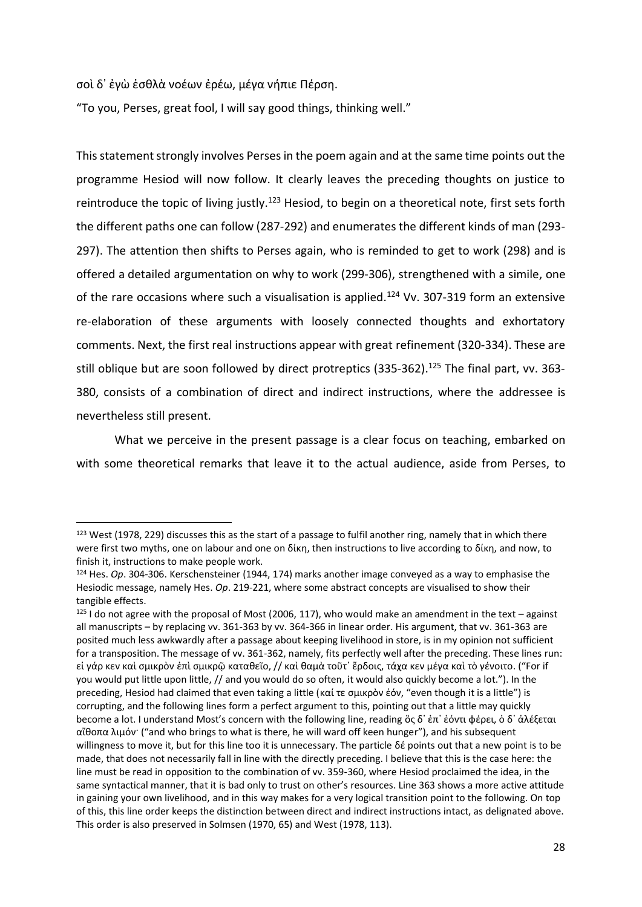σοὶ δ᾽ ἐγὼ ἐσθλὰ νοέων ἐρέω, μέγα νήπιε Πέρση.

l

"To you, Perses, great fool, I will say good things, thinking well."

This statement strongly involves Perses in the poem again and at the same time points out the programme Hesiod will now follow. It clearly leaves the preceding thoughts on justice to reintroduce the topic of living justly.<sup>123</sup> Hesiod, to begin on a theoretical note, first sets forth the different paths one can follow (287-292) and enumerates the different kinds of man (293- 297). The attention then shifts to Perses again, who is reminded to get to work (298) and is offered a detailed argumentation on why to work (299-306), strengthened with a simile, one of the rare occasions where such a visualisation is applied.<sup>124</sup> Vv. 307-319 form an extensive re-elaboration of these arguments with loosely connected thoughts and exhortatory comments. Next, the first real instructions appear with great refinement (320-334). These are still oblique but are soon followed by direct protreptics (335-362).<sup>125</sup> The final part, vv. 363-380, consists of a combination of direct and indirect instructions, where the addressee is nevertheless still present.

What we perceive in the present passage is a clear focus on teaching, embarked on with some theoretical remarks that leave it to the actual audience, aside from Perses, to

 $123$  West (1978, 229) discusses this as the start of a passage to fulfil another ring, namely that in which there were first two myths, one on labour and one on δίκη, then instructions to live according to δίκη, and now, to finish it, instructions to make people work.

<sup>124</sup> Hes. *Op*. 304-306. Kerschensteiner (1944, 174) marks another image conveyed as a way to emphasise the Hesiodic message, namely Hes. *Op*. 219-221, where some abstract concepts are visualised to show their tangible effects.

 $125$  I do not agree with the proposal of Most (2006, 117), who would make an amendment in the text – against all manuscripts – by replacing vv. 361-363 by vv. 364-366 in linear order. His argument, that vv. 361-363 are posited much less awkwardly after a passage about keeping livelihood in store, is in my opinion not sufficient for a transposition. The message of vv. 361-362, namely, fits perfectly well after the preceding. These lines run: εἰ γάρ κεν καὶ σμικρὸν ἐπὶ σμικρῷ καταθεῖο, // καὶ θαμὰ τοῦτ᾽ ἔρδοις, τάχα κεν μέγα καὶ τὸ γένοιτο. ("For if you would put little upon little, // and you would do so often, it would also quickly become a lot."). In the preceding, Hesiod had claimed that even taking a little (καί τε σμικρὸν ἐόν, "even though it is a little") is corrupting, and the following lines form a perfect argument to this, pointing out that a little may quickly become a lot. I understand Most's concern with the following line, reading ὃς δ᾽ ἐπ᾽ ἐόντι φέρει, ὁ δ᾽ ἀλέξεται αἴθοπα λιμόν· ("and who brings to what is there, he will ward off keen hunger"), and his subsequent willingness to move it, but for this line too it is unnecessary. The particle δέ points out that a new point is to be made, that does not necessarily fall in line with the directly preceding. I believe that this is the case here: the line must be read in opposition to the combination of vv. 359-360, where Hesiod proclaimed the idea, in the same syntactical manner, that it is bad only to trust on other's resources. Line 363 shows a more active attitude in gaining your own livelihood, and in this way makes for a very logical transition point to the following. On top of this, this line order keeps the distinction between direct and indirect instructions intact, as delignated above. This order is also preserved in Solmsen (1970, 65) and West (1978, 113).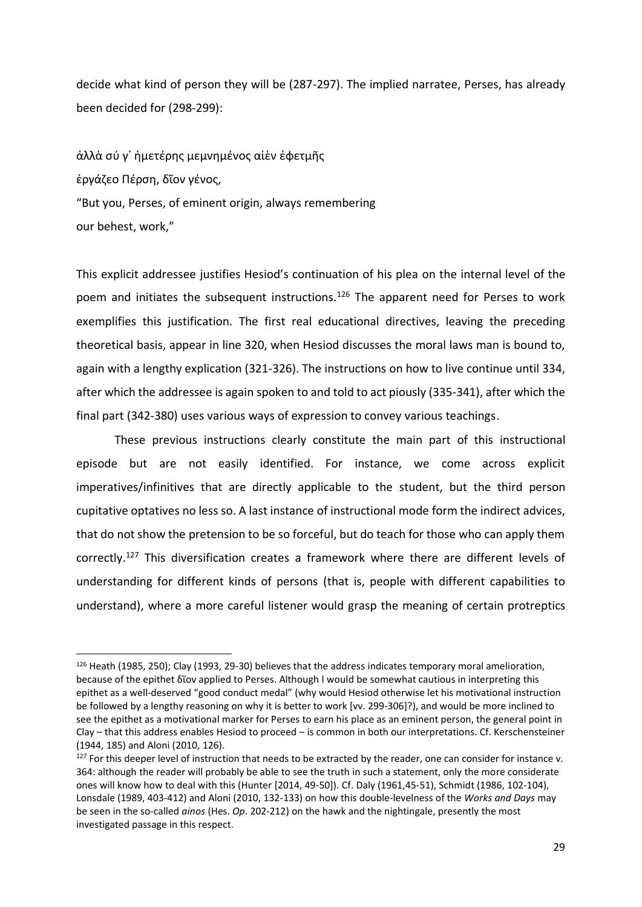decide what kind of person they will be (287-297). The implied narratee, Perses, has already been decided for (298-299):

ἀλλὰ σύ γ᾽ ἡμετέρης μεμνημένος αἰὲν ἐφετμῆς ἐργάζεο Πέρση, δῖον γένος, "But you, Perses, of eminent origin, always remembering our behest, work,"

l

This explicit addressee justifies Hesiod's continuation of his plea on the internal level of the poem and initiates the subsequent instructions.<sup>126</sup> The apparent need for Perses to work exemplifies this justification. The first real educational directives, leaving the preceding theoretical basis, appear in line 320, when Hesiod discusses the moral laws man is bound to, again with a lengthy explication (321-326). The instructions on how to live continue until 334, after which the addressee is again spoken to and told to act piously (335-341), after which the final part (342-380) uses various ways of expression to convey various teachings.

These previous instructions clearly constitute the main part of this instructional episode but are not easily identified. For instance, we come across explicit imperatives/infinitives that are directly applicable to the student, but the third person cupitative optatives no less so. A last instance of instructional mode form the indirect advices, that do not show the pretension to be so forceful, but do teach for those who can apply them correctly.<sup>127</sup> This diversification creates a framework where there are different levels of understanding for different kinds of persons (that is, people with different capabilities to understand), where a more careful listener would grasp the meaning of certain protreptics

<sup>126</sup> Heath (1985, 250); Clay (1993, 29-30) believes that the address indicates temporary moral amelioration, because of the epithet δῖον applied to Perses. Although I would be somewhat cautious in interpreting this epithet as a well-deserved "good conduct medal" (why would Hesiod otherwise let his motivational instruction be followed by a lengthy reasoning on why it is better to work [vv. 299-306]?), and would be more inclined to see the epithet as a motivational marker for Perses to earn his place as an eminent person, the general point in Clay – that this address enables Hesiod to proceed – is common in both our interpretations. Cf. Kerschensteiner (1944, 185) and Aloni (2010, 126).

 $127$  For this deeper level of instruction that needs to be extracted by the reader, one can consider for instance v. 364: although the reader will probably be able to see the truth in such a statement, only the more considerate ones will know how to deal with this (Hunter [2014, 49-50]). Cf. Daly (1961,45-51), Schmidt (1986, 102-104), Lonsdale (1989, 403-412) and Aloni (2010, 132-133) on how this double-levelness of the *Works and Days* may be seen in the so-called *ainos* (Hes. *Op*. 202-212) on the hawk and the nightingale, presently the most investigated passage in this respect.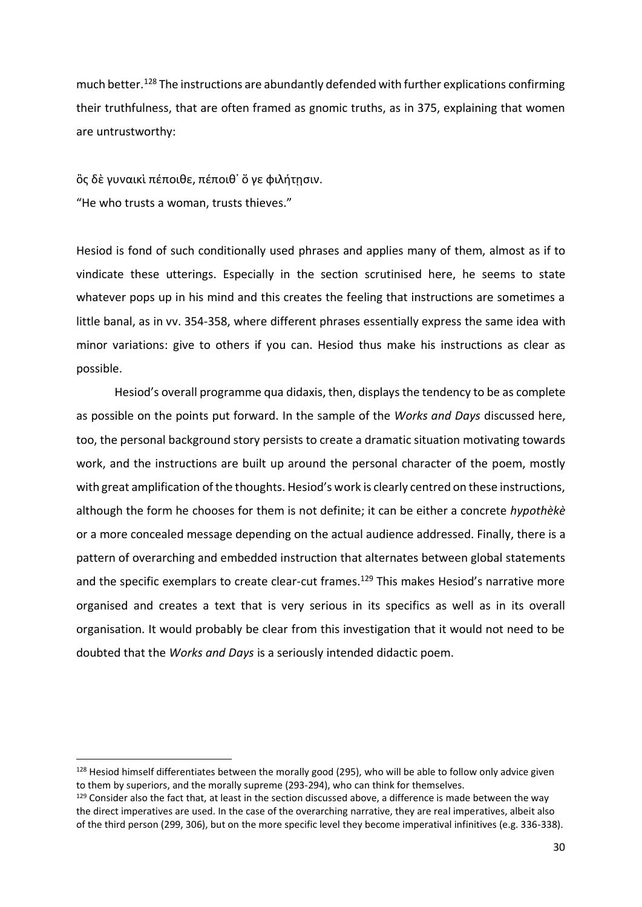much better. <sup>128</sup> The instructions are abundantly defended with further explications confirming their truthfulness, that are often framed as gnomic truths, as in 375, explaining that women are untrustworthy:

ὃς δὲ γυναικὶ πέποιθε, πέποιθ᾽ ὅ γε φιλήτῃσιν. "He who trusts a woman, trusts thieves."

l

Hesiod is fond of such conditionally used phrases and applies many of them, almost as if to vindicate these utterings. Especially in the section scrutinised here, he seems to state whatever pops up in his mind and this creates the feeling that instructions are sometimes a little banal, as in vv. 354-358, where different phrases essentially express the same idea with minor variations: give to others if you can. Hesiod thus make his instructions as clear as possible.

Hesiod's overall programme qua didaxis, then, displaysthe tendency to be as complete as possible on the points put forward. In the sample of the *Works and Days* discussed here, too, the personal background story persists to create a dramatic situation motivating towards work, and the instructions are built up around the personal character of the poem, mostly with great amplification of the thoughts. Hesiod's work is clearly centred on these instructions, although the form he chooses for them is not definite; it can be either a concrete *hypothèkè* or a more concealed message depending on the actual audience addressed. Finally, there is a pattern of overarching and embedded instruction that alternates between global statements and the specific exemplars to create clear-cut frames.<sup>129</sup> This makes Hesiod's narrative more organised and creates a text that is very serious in its specifics as well as in its overall organisation. It would probably be clear from this investigation that it would not need to be doubted that the *Works and Days* is a seriously intended didactic poem.

<sup>&</sup>lt;sup>128</sup> Hesiod himself differentiates between the morally good (295), who will be able to follow only advice given to them by superiors, and the morally supreme (293-294), who can think for themselves.

<sup>&</sup>lt;sup>129</sup> Consider also the fact that, at least in the section discussed above, a difference is made between the way the direct imperatives are used. In the case of the overarching narrative, they are real imperatives, albeit also of the third person (299, 306), but on the more specific level they become imperatival infinitives (e.g. 336-338).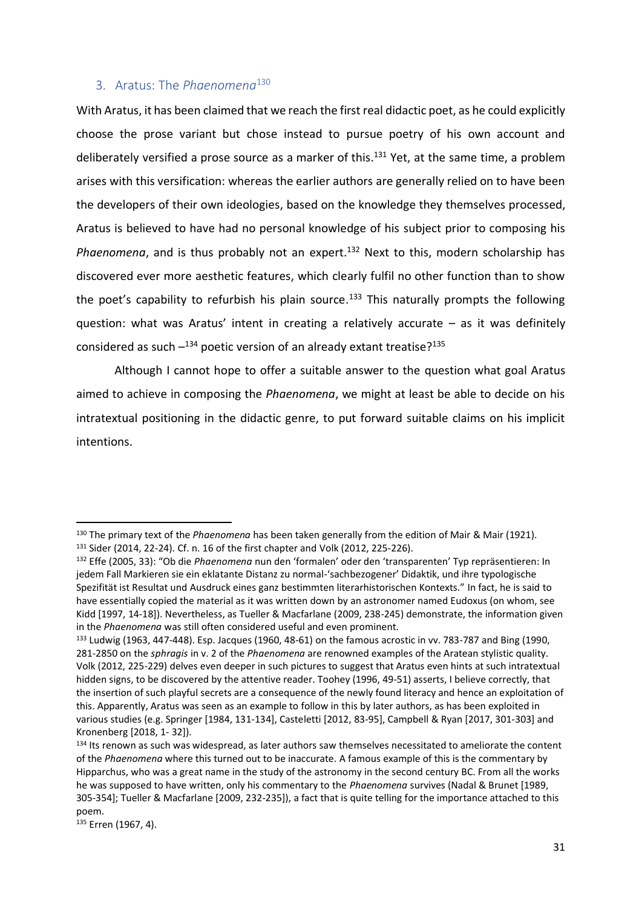## <span id="page-30-0"></span>3. Aratus: The *Phaenomena*<sup>130</sup>

With Aratus, it has been claimed that we reach the first real didactic poet, as he could explicitly choose the prose variant but chose instead to pursue poetry of his own account and deliberately versified a prose source as a marker of this.<sup>131</sup> Yet, at the same time, a problem arises with this versification: whereas the earlier authors are generally relied on to have been the developers of their own ideologies, based on the knowledge they themselves processed, Aratus is believed to have had no personal knowledge of his subject prior to composing his Phaenomena, and is thus probably not an expert.<sup>132</sup> Next to this, modern scholarship has discovered ever more aesthetic features, which clearly fulfil no other function than to show the poet's capability to refurbish his plain source.<sup>133</sup> This naturally prompts the following question: what was Aratus' intent in creating a relatively accurate – as it was definitely considered as such  $-$ <sup>134</sup> poetic version of an already extant treatise?<sup>135</sup>

Although I cannot hope to offer a suitable answer to the question what goal Aratus aimed to achieve in composing the *Phaenomena*, we might at least be able to decide on his intratextual positioning in the didactic genre, to put forward suitable claims on his implicit intentions.

<sup>130</sup> The primary text of the *Phaenomena* has been taken generally from the edition of Mair & Mair (1921). <sup>131</sup> Sider (2014, 22-24). Cf. n. 16 of the first chapter and Volk (2012, 225-226).

<sup>132</sup> Effe (2005, 33): "Ob die *Phaenomena* nun den 'formalen' oder den 'transparenten' Typ repräsentieren: In jedem Fall Markieren sie ein eklatante Distanz zu normal-'sachbezogener' Didaktik, und ihre typologische Spezifität ist Resultat und Ausdruck eines ganz bestimmten literarhistorischen Kontexts." In fact, he is said to have essentially copied the material as it was written down by an astronomer named Eudoxus (on whom, see Kidd [1997, 14-18]). Nevertheless, as Tueller & Macfarlane (2009, 238-245) demonstrate, the information given in the *Phaenomena* was still often considered useful and even prominent.

<sup>133</sup> Ludwig (1963, 447-448). Esp. Jacques (1960, 48-61) on the famous acrostic in vv. 783-787 and Bing (1990, 281-2850 on the *sphragis* in v. 2 of the *Phaenomena* are renowned examples of the Aratean stylistic quality. Volk (2012, 225-229) delves even deeper in such pictures to suggest that Aratus even hints at such intratextual hidden signs, to be discovered by the attentive reader. Toohey (1996, 49-51) asserts, I believe correctly, that the insertion of such playful secrets are a consequence of the newly found literacy and hence an exploitation of this. Apparently, Aratus was seen as an example to follow in this by later authors, as has been exploited in various studies (e.g. Springer [1984, 131-134], Casteletti [2012, 83-95], Campbell & Ryan [2017, 301-303] and Kronenberg [2018, 1- 32]).

<sup>&</sup>lt;sup>134</sup> Its renown as such was widespread, as later authors saw themselves necessitated to ameliorate the content of the *Phaenomena* where this turned out to be inaccurate. A famous example of this is the commentary by Hipparchus, who was a great name in the study of the astronomy in the second century BC. From all the works he was supposed to have written, only his commentary to the *Phaenomena* survives (Nadal & Brunet [1989, 305-354]; Tueller & Macfarlane [2009, 232-235]), a fact that is quite telling for the importance attached to this poem.

<sup>135</sup> Erren (1967, 4).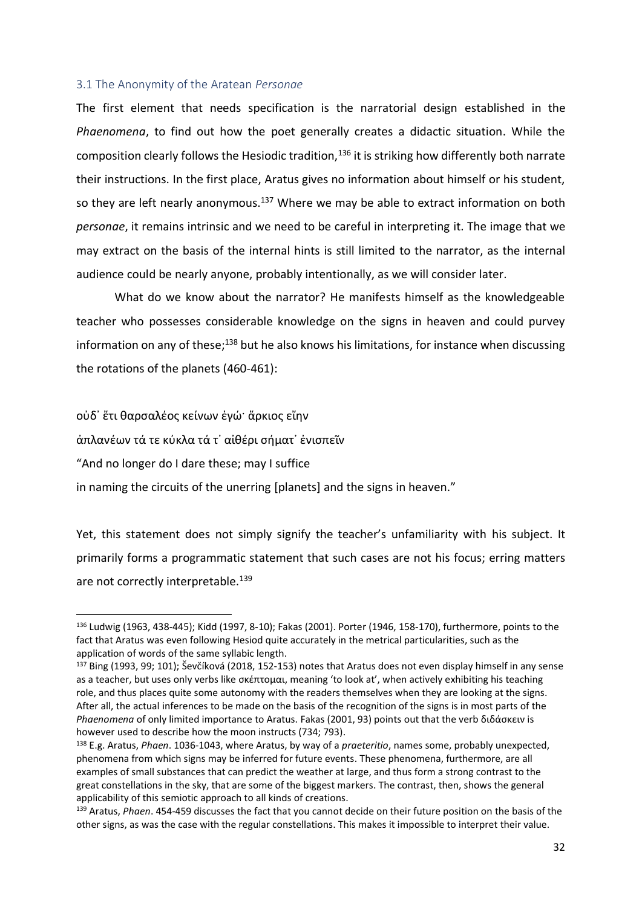#### <span id="page-31-0"></span>3.1 The Anonymity of the Aratean *Personae*

The first element that needs specification is the narratorial design established in the *Phaenomena*, to find out how the poet generally creates a didactic situation. While the composition clearly follows the Hesiodic tradition,  $136$  it is striking how differently both narrate their instructions. In the first place, Aratus gives no information about himself or his student, so they are left nearly anonymous.<sup>137</sup> Where we may be able to extract information on both *personae*, it remains intrinsic and we need to be careful in interpreting it. The image that we may extract on the basis of the internal hints is still limited to the narrator, as the internal audience could be nearly anyone, probably intentionally, as we will consider later.

What do we know about the narrator? He manifests himself as the knowledgeable teacher who possesses considerable knowledge on the signs in heaven and could purvey information on any of these;<sup>138</sup> but he also knows his limitations, for instance when discussing the rotations of the planets (460-461):

οὐδ᾿ ἔτι θαρσαλέος κείνων ἐγώ· ἄρκιος εἴην

άπλανέων τά τε κύκλα τά τ' αἰθέρι σήματ' ἐνισπεῖν

"And no longer do I dare these; may I suffice

 $\overline{a}$ 

in naming the circuits of the unerring [planets] and the signs in heaven."

Yet, this statement does not simply signify the teacher's unfamiliarity with his subject. It primarily forms a programmatic statement that such cases are not his focus; erring matters are not correctly interpretable.<sup>139</sup>

<sup>136</sup> Ludwig (1963, 438-445); Kidd (1997, 8-10); Fakas (2001). Porter (1946, 158-170), furthermore, points to the fact that Aratus was even following Hesiod quite accurately in the metrical particularities, such as the application of words of the same syllabic length.

<sup>&</sup>lt;sup>137</sup> Bing (1993, 99; 101); Ševčíková (2018, 152-153) notes that Aratus does not even display himself in any sense as a teacher, but uses only verbs like σκέπτομαι, meaning 'to look at', when actively exhibiting his teaching role, and thus places quite some autonomy with the readers themselves when they are looking at the signs. After all, the actual inferences to be made on the basis of the recognition of the signs is in most parts of the *Phaenomena* of only limited importance to Aratus. Fakas (2001, 93) points out that the verb διδάσκειν is however used to describe how the moon instructs (734; 793).

<sup>138</sup> E.g. Aratus, *Phaen*. 1036-1043, where Aratus, by way of a *praeteritio*, names some, probably unexpected, phenomena from which signs may be inferred for future events. These phenomena, furthermore, are all examples of small substances that can predict the weather at large, and thus form a strong contrast to the great constellations in the sky, that are some of the biggest markers. The contrast, then, shows the general applicability of this semiotic approach to all kinds of creations.

<sup>139</sup> Aratus, *Phaen*. 454-459 discusses the fact that you cannot decide on their future position on the basis of the other signs, as was the case with the regular constellations. This makes it impossible to interpret their value.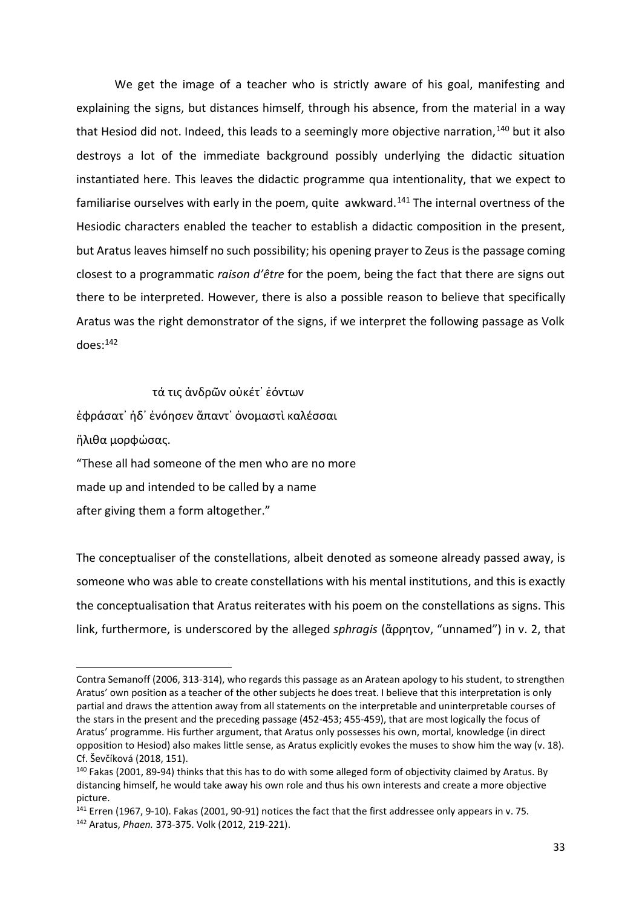We get the image of a teacher who is strictly aware of his goal, manifesting and explaining the signs, but distances himself, through his absence, from the material in a way that Hesiod did not. Indeed, this leads to a seemingly more objective narration,  $140$  but it also destroys a lot of the immediate background possibly underlying the didactic situation instantiated here. This leaves the didactic programme qua intentionality, that we expect to familiarise ourselves with early in the poem, quite awkward.<sup>141</sup> The internal overtness of the Hesiodic characters enabled the teacher to establish a didactic composition in the present, but Aratus leaves himself no such possibility; his opening prayer to Zeus is the passage coming closest to a programmatic *raison d'être* for the poem, being the fact that there are signs out there to be interpreted. However, there is also a possible reason to believe that specifically Aratus was the right demonstrator of the signs, if we interpret the following passage as Volk  $d$ oes: $142$ 

τά τις ἀνδρῶν οὐκέτ᾿ ἐόντων έφράσατ' ἠδ' ένόησεν ἅπαντ' ὀνομαστὶ καλέσσαι ἤλιθα μορφώσας. "These all had someone of the men who are no more made up and intended to be called by a name after giving them a form altogether."

 $\overline{a}$ 

The conceptualiser of the constellations, albeit denoted as someone already passed away, is someone who was able to create constellations with his mental institutions, and this is exactly the conceptualisation that Aratus reiterates with his poem on the constellations as signs. This link, furthermore, is underscored by the alleged *sphragis* (ἄρρητον, "unnamed") in v. 2, that

Contra Semanoff (2006, 313-314), who regards this passage as an Aratean apology to his student, to strengthen Aratus' own position as a teacher of the other subjects he does treat. I believe that this interpretation is only partial and draws the attention away from all statements on the interpretable and uninterpretable courses of the stars in the present and the preceding passage (452-453; 455-459), that are most logically the focus of Aratus' programme. His further argument, that Aratus only possesses his own, mortal, knowledge (in direct opposition to Hesiod) also makes little sense, as Aratus explicitly evokes the muses to show him the way (v. 18). Cf. Ševčíková (2018, 151).

<sup>140</sup> Fakas (2001, 89-94) thinks that this has to do with some alleged form of objectivity claimed by Aratus. By distancing himself, he would take away his own role and thus his own interests and create a more objective picture.

<sup>141</sup> Erren (1967, 9-10). Fakas (2001, 90-91) notices the fact that the first addressee only appears in v. 75. <sup>142</sup> Aratus, *Phaen.* 373-375. Volk (2012, 219-221).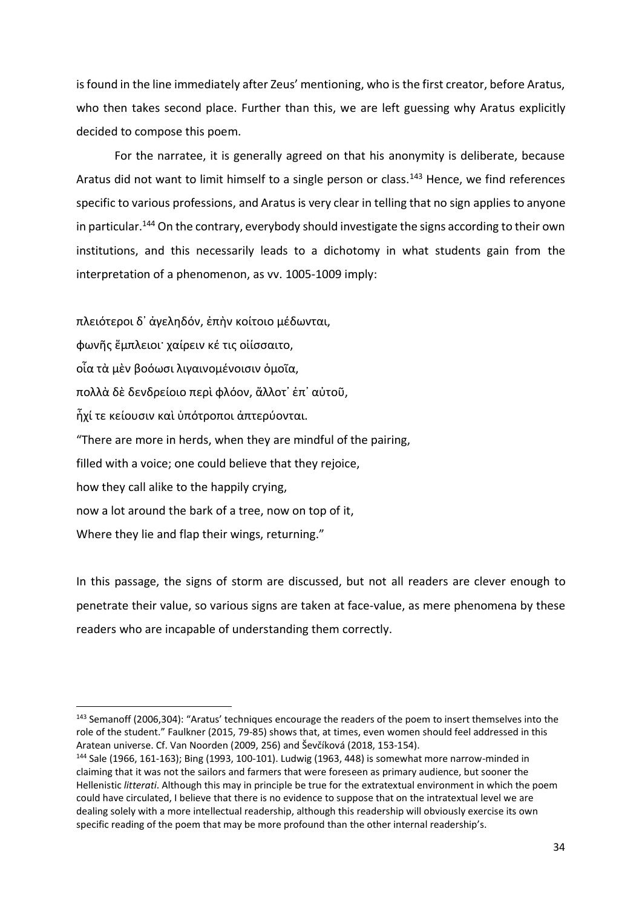is found in the line immediately after Zeus' mentioning, who is the first creator, before Aratus, who then takes second place. Further than this, we are left guessing why Aratus explicitly decided to compose this poem.

For the narratee, it is generally agreed on that his anonymity is deliberate, because Aratus did not want to limit himself to a single person or class.<sup>143</sup> Hence, we find references specific to various professions, and Aratus is very clear in telling that no sign applies to anyone in particular.<sup>144</sup> On the contrary, everybody should investigate the signs according to their own institutions, and this necessarily leads to a dichotomy in what students gain from the interpretation of a phenomenon, as vv. 1005-1009 imply:

πλειότεροι δ᾿ ἀγεληδόν, ἐπὴν κοίτοιο μέδωνται, φωνῆς ἔμπλειοι· χαίρειν κέ τις οἰίσσαιτο, οἷα τὰ μὲν βοόωσι λιγαινομένοισιν ὁμοῖα, πολλὰ δὲ δενδρείοιο περὶ φλόον, ἄλλοτ' ἐπ' αὐτοῦ, ἧχί τε κείουσιν καὶ ὑπότροποι ἀπτερύονται. "There are more in herds, when they are mindful of the pairing, filled with a voice; one could believe that they rejoice, how they call alike to the happily crying, now a lot around the bark of a tree, now on top of it, Where they lie and flap their wings, returning."

l

In this passage, the signs of storm are discussed, but not all readers are clever enough to penetrate their value, so various signs are taken at face-value, as mere phenomena by these readers who are incapable of understanding them correctly.

<sup>143</sup> Semanoff (2006,304): "Aratus' techniques encourage the readers of the poem to insert themselves into the role of the student." Faulkner (2015, 79-85) shows that, at times, even women should feel addressed in this Aratean universe. Cf. Van Noorden (2009, 256) and Ševčíková (2018, 153-154).

<sup>144</sup> Sale (1966, 161-163); Bing (1993, 100-101). Ludwig (1963, 448) is somewhat more narrow-minded in claiming that it was not the sailors and farmers that were foreseen as primary audience, but sooner the Hellenistic *litterati*. Although this may in principle be true for the extratextual environment in which the poem could have circulated, I believe that there is no evidence to suppose that on the intratextual level we are dealing solely with a more intellectual readership, although this readership will obviously exercise its own specific reading of the poem that may be more profound than the other internal readership's.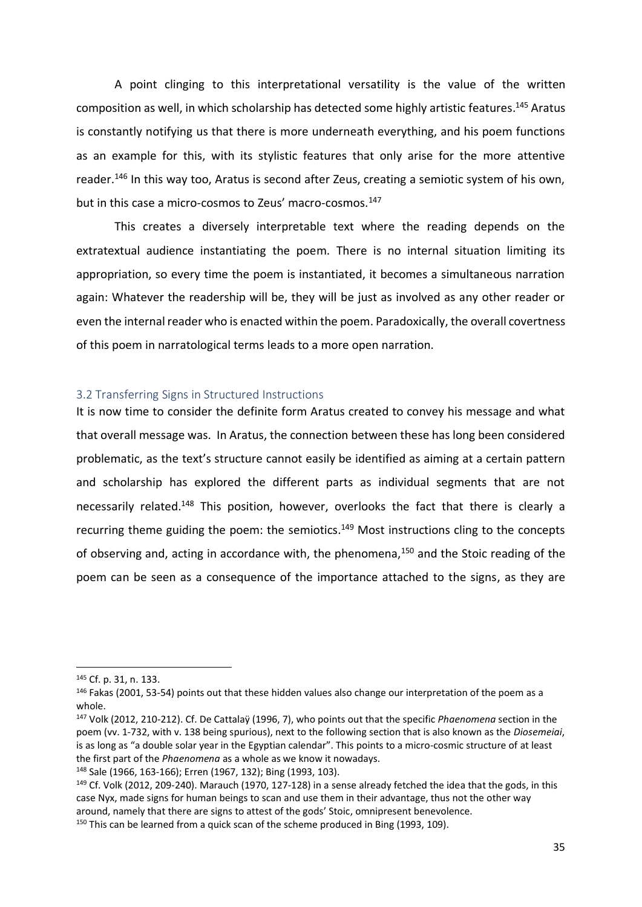A point clinging to this interpretational versatility is the value of the written composition as well, in which scholarship has detected some highly artistic features.<sup>145</sup> Aratus is constantly notifying us that there is more underneath everything, and his poem functions as an example for this, with its stylistic features that only arise for the more attentive reader.<sup>146</sup> In this way too, Aratus is second after Zeus, creating a semiotic system of his own, but in this case a micro-cosmos to Zeus' macro-cosmos.<sup>147</sup>

This creates a diversely interpretable text where the reading depends on the extratextual audience instantiating the poem. There is no internal situation limiting its appropriation, so every time the poem is instantiated, it becomes a simultaneous narration again: Whatever the readership will be, they will be just as involved as any other reader or even the internal reader who is enacted within the poem. Paradoxically, the overall covertness of this poem in narratological terms leads to a more open narration.

#### <span id="page-34-0"></span>3.2 Transferring Signs in Structured Instructions

It is now time to consider the definite form Aratus created to convey his message and what that overall message was. In Aratus, the connection between these has long been considered problematic, as the text's structure cannot easily be identified as aiming at a certain pattern and scholarship has explored the different parts as individual segments that are not necessarily related.<sup>148</sup> This position, however, overlooks the fact that there is clearly a recurring theme guiding the poem: the semiotics.<sup>149</sup> Most instructions cling to the concepts of observing and, acting in accordance with, the phenomena,<sup>150</sup> and the Stoic reading of the poem can be seen as a consequence of the importance attached to the signs, as they are

 $\overline{a}$ 

<sup>145</sup> Cf. p. 31, n. 133.

<sup>&</sup>lt;sup>146</sup> Fakas (2001, 53-54) points out that these hidden values also change our interpretation of the poem as a whole.

<sup>147</sup> Volk (2012, 210-212). Cf. De Cattalaÿ (1996, 7), who points out that the specific *Phaenomena* section in the poem (vv. 1-732, with v. 138 being spurious), next to the following section that is also known as the *Diosemeiai*, is as long as "a double solar year in the Egyptian calendar". This points to a micro-cosmic structure of at least the first part of the *Phaenomena* as a whole as we know it nowadays.

<sup>148</sup> Sale (1966, 163-166); Erren (1967, 132); Bing (1993, 103).

<sup>&</sup>lt;sup>149</sup> Cf. Volk (2012, 209-240). Marauch (1970, 127-128) in a sense already fetched the idea that the gods, in this case Nyx, made signs for human beings to scan and use them in their advantage, thus not the other way around, namely that there are signs to attest of the gods' Stoic, omnipresent benevolence. <sup>150</sup> This can be learned from a quick scan of the scheme produced in Bing (1993, 109).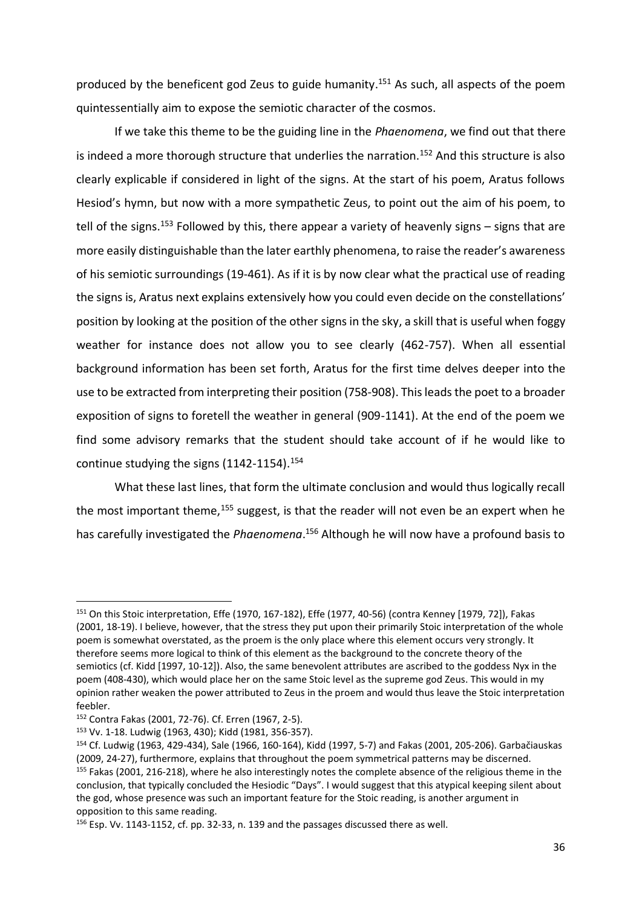produced by the beneficent god Zeus to guide humanity.<sup>151</sup> As such, all aspects of the poem quintessentially aim to expose the semiotic character of the cosmos.

If we take this theme to be the guiding line in the *Phaenomena*, we find out that there is indeed a more thorough structure that underlies the narration.<sup>152</sup> And this structure is also clearly explicable if considered in light of the signs. At the start of his poem, Aratus follows Hesiod's hymn, but now with a more sympathetic Zeus, to point out the aim of his poem, to tell of the signs.<sup>153</sup> Followed by this, there appear a variety of heavenly signs  $-$  signs that are more easily distinguishable than the later earthly phenomena, to raise the reader's awareness of his semiotic surroundings (19-461). As if it is by now clear what the practical use of reading the signs is, Aratus next explains extensively how you could even decide on the constellations' position by looking at the position of the other signs in the sky, a skill that is useful when foggy weather for instance does not allow you to see clearly (462-757). When all essential background information has been set forth, Aratus for the first time delves deeper into the use to be extracted from interpreting their position (758-908). This leads the poet to a broader exposition of signs to foretell the weather in general (909-1141). At the end of the poem we find some advisory remarks that the student should take account of if he would like to continue studying the signs  $(1142-1154).$ <sup>154</sup>

What these last lines, that form the ultimate conclusion and would thus logically recall the most important theme,  $155$  suggest, is that the reader will not even be an expert when he has carefully investigated the *Phaenomena*. <sup>156</sup> Although he will now have a profound basis to

<sup>151</sup> On this Stoic interpretation, Effe (1970, 167-182), Effe (1977, 40-56) (contra Kenney [1979, 72]), Fakas (2001, 18-19). I believe, however, that the stress they put upon their primarily Stoic interpretation of the whole poem is somewhat overstated, as the proem is the only place where this element occurs very strongly. It therefore seems more logical to think of this element as the background to the concrete theory of the semiotics (cf. Kidd [1997, 10-12]). Also, the same benevolent attributes are ascribed to the goddess Nyx in the poem (408-430), which would place her on the same Stoic level as the supreme god Zeus. This would in my opinion rather weaken the power attributed to Zeus in the proem and would thus leave the Stoic interpretation feebler.

<sup>152</sup> Contra Fakas (2001, 72-76). Cf. Erren (1967, 2-5).

<sup>153</sup> Vv. 1-18. Ludwig (1963, 430); Kidd (1981, 356-357).

<sup>154</sup> Cf. Ludwig (1963, 429-434), Sale (1966, 160-164), Kidd (1997, 5-7) and Fakas (2001, 205-206). Garbačiauskas (2009, 24-27), furthermore, explains that throughout the poem symmetrical patterns may be discerned. <sup>155</sup> Fakas (2001, 216-218), where he also interestingly notes the complete absence of the religious theme in the conclusion, that typically concluded the Hesiodic "Days". I would suggest that this atypical keeping silent about the god, whose presence was such an important feature for the Stoic reading, is another argument in opposition to this same reading.

<sup>156</sup> Esp. Vv. 1143-1152, cf. pp. 32-33, n. 139 and the passages discussed there as well.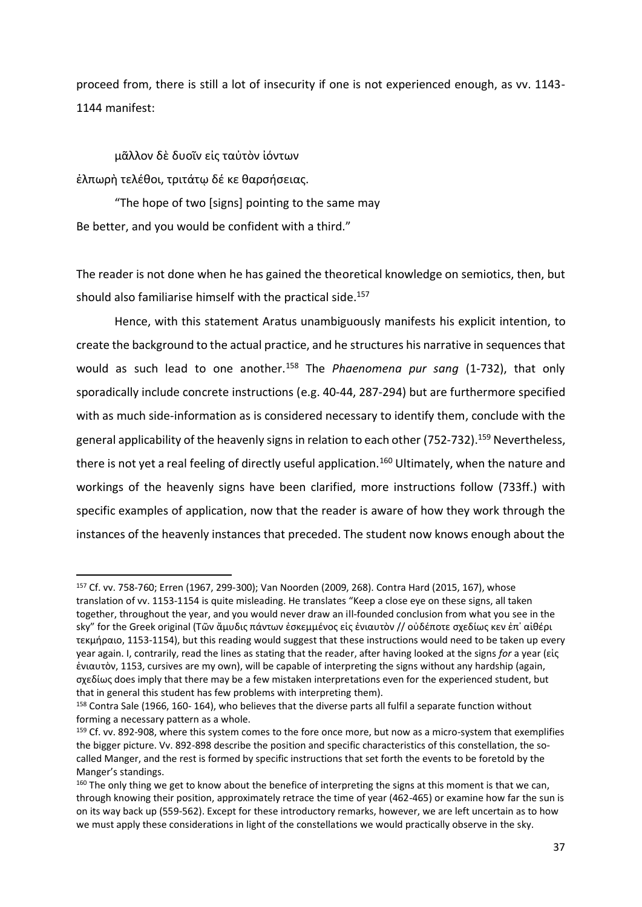proceed from, there is still a lot of insecurity if one is not experienced enough, as vv. 1143- 1144 manifest:

μᾶλλον δὲ δυοῖν εἰς ταὐτὸν ἰόντων ἐλπωρὴ τελέθοι, τριτάτῳ δέ κε θαρσήσειας.

l

"The hope of two [signs] pointing to the same may Be better, and you would be confident with a third."

The reader is not done when he has gained the theoretical knowledge on semiotics, then, but should also familiarise himself with the practical side. 157

Hence, with this statement Aratus unambiguously manifests his explicit intention, to create the background to the actual practice, and he structures his narrative in sequences that would as such lead to one another.<sup>158</sup> The *Phaenomena pur sang* (1-732), that only sporadically include concrete instructions (e.g. 40-44, 287-294) but are furthermore specified with as much side-information as is considered necessary to identify them, conclude with the general applicability of the heavenly signs in relation to each other (752-732).<sup>159</sup> Nevertheless, there is not yet a real feeling of directly useful application.<sup>160</sup> Ultimately, when the nature and workings of the heavenly signs have been clarified, more instructions follow (733ff.) with specific examples of application, now that the reader is aware of how they work through the instances of the heavenly instances that preceded. The student now knows enough about the

<sup>157</sup> Cf. vv. 758-760; Erren (1967, 299-300); Van Noorden (2009, 268). Contra Hard (2015, 167), whose translation of vv. 1153-1154 is quite misleading. He translates "Keep a close eye on these signs, all taken together, throughout the year, and you would never draw an ill-founded conclusion from what you see in the sky" for the Greek original (Τῶν ἄμυδις πάντων ἐσκεμμένος εἰς ἐνιαυτὸν // οὐδέποτε σχεδίως κεν ἐπ᾿ αἰθέρι τεκμήραιο, 1153-1154), but this reading would suggest that these instructions would need to be taken up every year again. I, contrarily, read the lines as stating that the reader, after having looked at the signs *for* a year (εἰς ἐνιαυτὸν, 1153, cursives are my own), will be capable of interpreting the signs without any hardship (again, σχεδίως does imply that there may be a few mistaken interpretations even for the experienced student, but that in general this student has few problems with interpreting them).

<sup>158</sup> Contra Sale (1966, 160- 164), who believes that the diverse parts all fulfil a separate function without forming a necessary pattern as a whole.

<sup>&</sup>lt;sup>159</sup> Cf. vv. 892-908, where this system comes to the fore once more, but now as a micro-system that exemplifies the bigger picture. Vv. 892-898 describe the position and specific characteristics of this constellation, the socalled Manger, and the rest is formed by specific instructions that set forth the events to be foretold by the Manger's standings.

<sup>&</sup>lt;sup>160</sup> The only thing we get to know about the benefice of interpreting the signs at this moment is that we can, through knowing their position, approximately retrace the time of year (462-465) or examine how far the sun is on its way back up (559-562). Except for these introductory remarks, however, we are left uncertain as to how we must apply these considerations in light of the constellations we would practically observe in the sky.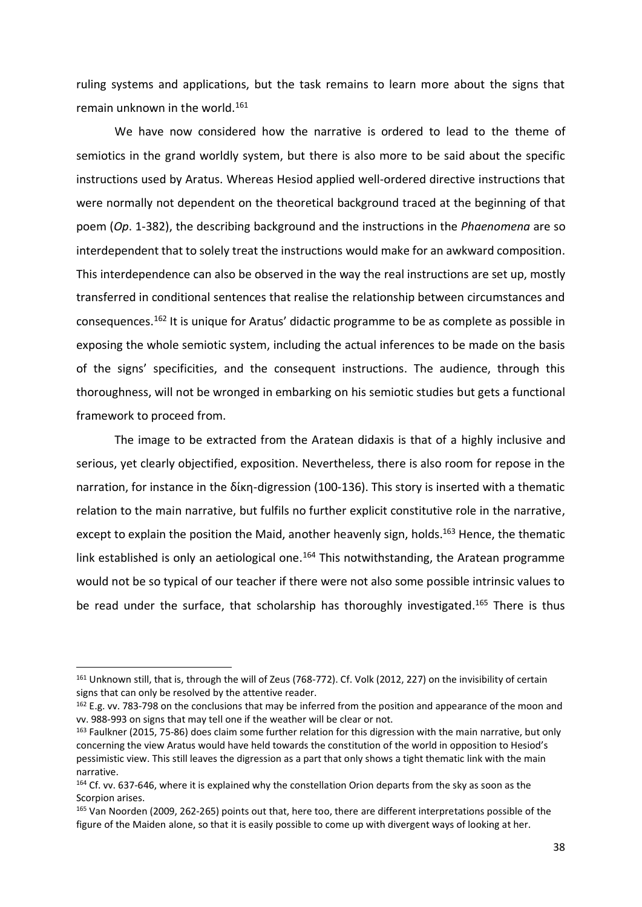ruling systems and applications, but the task remains to learn more about the signs that remain unknown in the world. 161

We have now considered how the narrative is ordered to lead to the theme of semiotics in the grand worldly system, but there is also more to be said about the specific instructions used by Aratus. Whereas Hesiod applied well-ordered directive instructions that were normally not dependent on the theoretical background traced at the beginning of that poem (*Op*. 1-382), the describing background and the instructions in the *Phaenomena* are so interdependent that to solely treat the instructions would make for an awkward composition. This interdependence can also be observed in the way the real instructions are set up, mostly transferred in conditional sentences that realise the relationship between circumstances and consequences.<sup>162</sup> It is unique for Aratus' didactic programme to be as complete as possible in exposing the whole semiotic system, including the actual inferences to be made on the basis of the signs' specificities, and the consequent instructions. The audience, through this thoroughness, will not be wronged in embarking on his semiotic studies but gets a functional framework to proceed from.

The image to be extracted from the Aratean didaxis is that of a highly inclusive and serious, yet clearly objectified, exposition. Nevertheless, there is also room for repose in the narration, for instance in the δίκη-digression (100-136). This story is inserted with a thematic relation to the main narrative, but fulfils no further explicit constitutive role in the narrative, except to explain the position the Maid, another heavenly sign, holds.<sup>163</sup> Hence, the thematic link established is only an aetiological one.<sup>164</sup> This notwithstanding, the Aratean programme would not be so typical of our teacher if there were not also some possible intrinsic values to be read under the surface, that scholarship has thoroughly investigated.<sup>165</sup> There is thus

 $\overline{a}$ 

<sup>161</sup> Unknown still, that is, through the will of Zeus (768-772). Cf. Volk (2012, 227) on the invisibility of certain signs that can only be resolved by the attentive reader.

<sup>162</sup> E.g. vv. 783-798 on the conclusions that may be inferred from the position and appearance of the moon and vv. 988-993 on signs that may tell one if the weather will be clear or not.

<sup>&</sup>lt;sup>163</sup> Faulkner (2015, 75-86) does claim some further relation for this digression with the main narrative, but only concerning the view Aratus would have held towards the constitution of the world in opposition to Hesiod's pessimistic view. This still leaves the digression as a part that only shows a tight thematic link with the main narrative.

<sup>&</sup>lt;sup>164</sup> Cf. vv. 637-646, where it is explained why the constellation Orion departs from the sky as soon as the Scorpion arises.

<sup>165</sup> Van Noorden (2009, 262-265) points out that, here too, there are different interpretations possible of the figure of the Maiden alone, so that it is easily possible to come up with divergent ways of looking at her.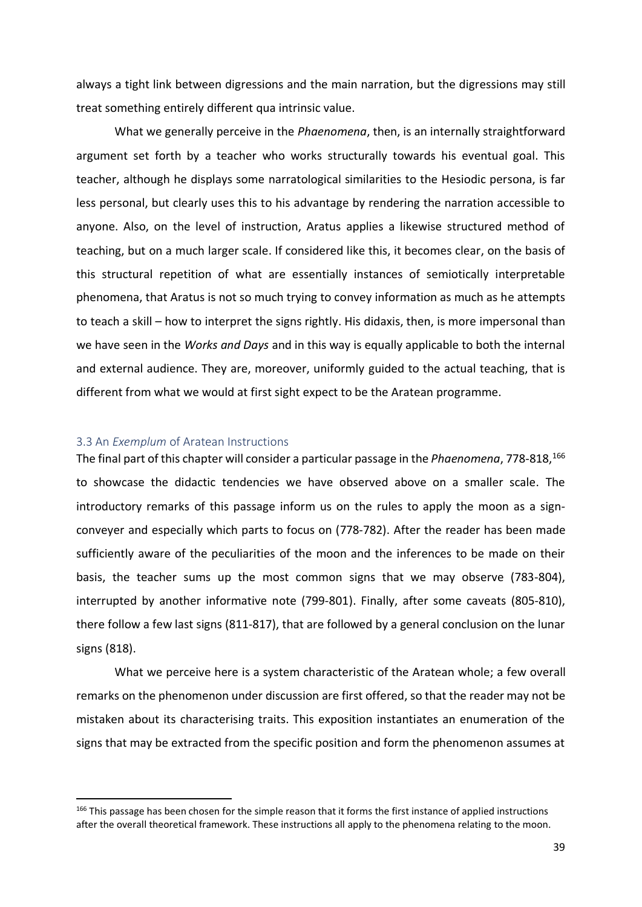always a tight link between digressions and the main narration, but the digressions may still treat something entirely different qua intrinsic value.

What we generally perceive in the *Phaenomena*, then, is an internally straightforward argument set forth by a teacher who works structurally towards his eventual goal. This teacher, although he displays some narratological similarities to the Hesiodic persona, is far less personal, but clearly uses this to his advantage by rendering the narration accessible to anyone. Also, on the level of instruction, Aratus applies a likewise structured method of teaching, but on a much larger scale. If considered like this, it becomes clear, on the basis of this structural repetition of what are essentially instances of semiotically interpretable phenomena, that Aratus is not so much trying to convey information as much as he attempts to teach a skill – how to interpret the signs rightly. His didaxis, then, is more impersonal than we have seen in the *Works and Days* and in this way is equally applicable to both the internal and external audience. They are, moreover, uniformly guided to the actual teaching, that is different from what we would at first sight expect to be the Aratean programme.

#### 3.3 An *Exemplum* of Aratean Instructions

l

The final part of this chapter will consider a particular passage in the *Phaenomena*, 778-818,<sup>166</sup> to showcase the didactic tendencies we have observed above on a smaller scale. The introductory remarks of this passage inform us on the rules to apply the moon as a signconveyer and especially which parts to focus on (778-782). After the reader has been made sufficiently aware of the peculiarities of the moon and the inferences to be made on their basis, the teacher sums up the most common signs that we may observe (783-804), interrupted by another informative note (799-801). Finally, after some caveats (805-810), there follow a few last signs (811-817), that are followed by a general conclusion on the lunar signs (818).

What we perceive here is a system characteristic of the Aratean whole; a few overall remarks on the phenomenon under discussion are first offered, so that the reader may not be mistaken about its characterising traits. This exposition instantiates an enumeration of the signs that may be extracted from the specific position and form the phenomenon assumes at

<sup>&</sup>lt;sup>166</sup> This passage has been chosen for the simple reason that it forms the first instance of applied instructions after the overall theoretical framework. These instructions all apply to the phenomena relating to the moon.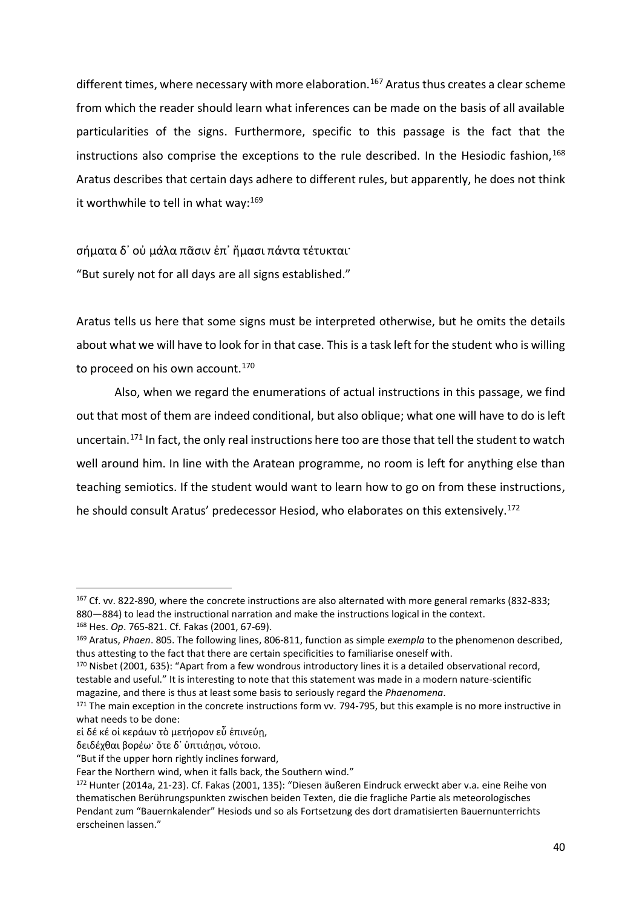different times, where necessary with more elaboration.<sup>167</sup> Aratus thus creates a clear scheme from which the reader should learn what inferences can be made on the basis of all available particularities of the signs. Furthermore, specific to this passage is the fact that the instructions also comprise the exceptions to the rule described. In the Hesiodic fashion,<sup>168</sup> Aratus describes that certain days adhere to different rules, but apparently, he does not think it worthwhile to tell in what way: $^{169}$ 

σήματα δ᾿ οὐ μάλα πᾶσιν ἐπ᾿ ἤμασι πάντα τέτυκται· "But surely not for all days are all signs established."

Aratus tells us here that some signs must be interpreted otherwise, but he omits the details about what we will have to look for in that case. This is a task left for the student who is willing to proceed on his own account.<sup>170</sup>

Also, when we regard the enumerations of actual instructions in this passage, we find out that most of them are indeed conditional, but also oblique; what one will have to do is left uncertain.<sup>171</sup> In fact, the only real instructions here too are those that tell the student to watch well around him. In line with the Aratean programme, no room is left for anything else than teaching semiotics. If the student would want to learn how to go on from these instructions, he should consult Aratus' predecessor Hesiod, who elaborates on this extensively.<sup>172</sup>

<sup>167</sup> Cf. vv. 822-890, where the concrete instructions are also alternated with more general remarks (832-833; 880—884) to lead the instructional narration and make the instructions logical in the context.

<sup>168</sup> Hes. *Op*. 765-821. Cf. Fakas (2001, 67-69).

<sup>169</sup> Aratus, *Phaen*. 805. The following lines, 806-811, function as simple *exempla* to the phenomenon described, thus attesting to the fact that there are certain specificities to familiarise oneself with.

<sup>&</sup>lt;sup>170</sup> Nisbet (2001, 635): "Apart from a few wondrous introductory lines it is a detailed observational record, testable and useful." It is interesting to note that this statement was made in a modern nature-scientific magazine, and there is thus at least some basis to seriously regard the *Phaenomena*.

<sup>171</sup> The main exception in the concrete instructions form vv. 794-795, but this example is no more instructive in what needs to be done:

εἰ δέ κέ οἱ κεράων τὸ μετήορον εὖ ἐπινεύη,

δειδέχθαι βορέω· ὅτε δ᾿ ὑπτιάῃσι, νότοιο.

<sup>&</sup>quot;But if the upper horn rightly inclines forward,

Fear the Northern wind, when it falls back, the Southern wind."

<sup>172</sup> Hunter (2014a, 21-23). Cf. Fakas (2001, 135): "Diesen äußeren Eindruck erweckt aber v.a. eine Reihe von thematischen Berührungspunkten zwischen beiden Texten, die die fragliche Partie als meteorologisches Pendant zum "Bauernkalender" Hesiods und so als Fortsetzung des dort dramatisierten Bauernunterrichts erscheinen lassen."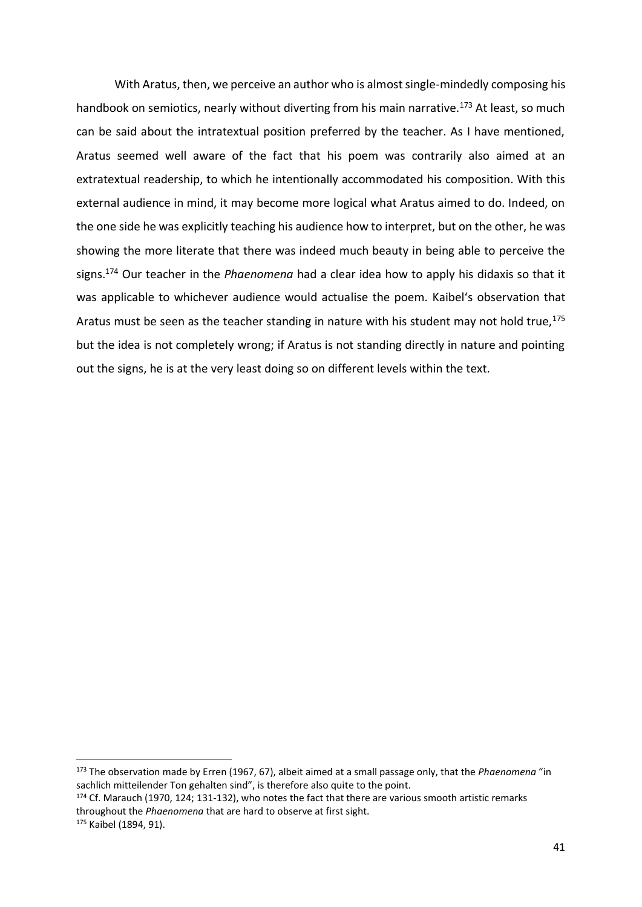With Aratus, then, we perceive an author who is almost single-mindedly composing his handbook on semiotics, nearly without diverting from his main narrative.<sup>173</sup> At least, so much can be said about the intratextual position preferred by the teacher. As I have mentioned, Aratus seemed well aware of the fact that his poem was contrarily also aimed at an extratextual readership, to which he intentionally accommodated his composition. With this external audience in mind, it may become more logical what Aratus aimed to do. Indeed, on the one side he was explicitly teaching his audience how to interpret, but on the other, he was showing the more literate that there was indeed much beauty in being able to perceive the signs.<sup>174</sup> Our teacher in the *Phaenomena* had a clear idea how to apply his didaxis so that it was applicable to whichever audience would actualise the poem. Kaibel's observation that Aratus must be seen as the teacher standing in nature with his student may not hold true,  $175$ but the idea is not completely wrong; if Aratus is not standing directly in nature and pointing out the signs, he is at the very least doing so on different levels within the text.

<sup>173</sup> The observation made by Erren (1967, 67), albeit aimed at a small passage only, that the *Phaenomena* "in sachlich mitteilender Ton gehalten sind", is therefore also quite to the point.

<sup>174</sup> Cf. Marauch (1970, 124; 131-132), who notes the fact that there are various smooth artistic remarks throughout the *Phaenomena* that are hard to observe at first sight.

<sup>175</sup> Kaibel (1894, 91).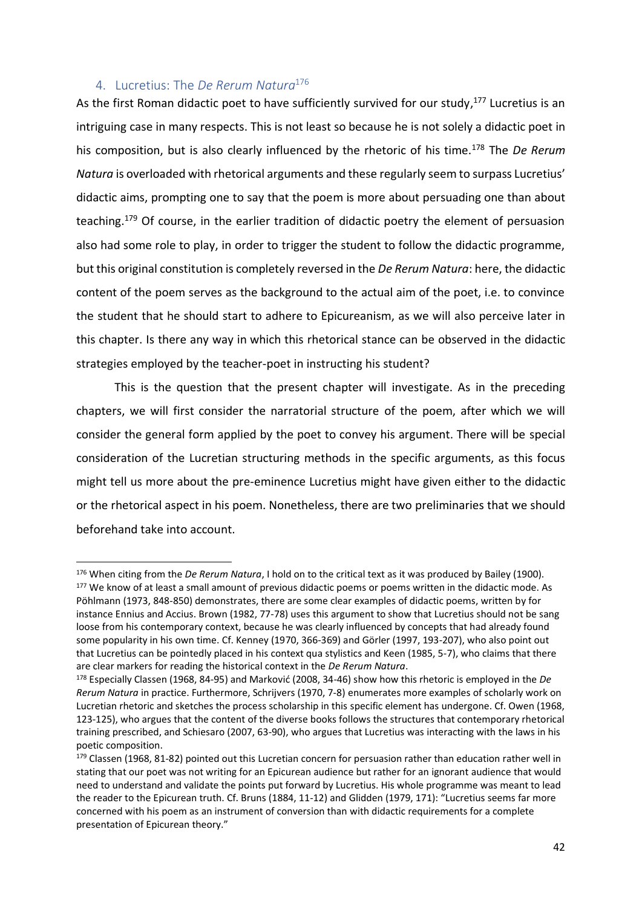# 4. Lucretius: The *De Rerum Natura*<sup>176</sup>

l

As the first Roman didactic poet to have sufficiently survived for our study,<sup>177</sup> Lucretius is an intriguing case in many respects. This is not least so because he is not solely a didactic poet in his composition, but is also clearly influenced by the rhetoric of his time.<sup>178</sup> The *De Rerum Natura* is overloaded with rhetorical arguments and these regularly seem to surpass Lucretius' didactic aims, prompting one to say that the poem is more about persuading one than about teaching.<sup>179</sup> Of course, in the earlier tradition of didactic poetry the element of persuasion also had some role to play, in order to trigger the student to follow the didactic programme, but this original constitution is completely reversed in the *De Rerum Natura*: here, the didactic content of the poem serves as the background to the actual aim of the poet, i.e. to convince the student that he should start to adhere to Epicureanism, as we will also perceive later in this chapter. Is there any way in which this rhetorical stance can be observed in the didactic strategies employed by the teacher-poet in instructing his student?

This is the question that the present chapter will investigate. As in the preceding chapters, we will first consider the narratorial structure of the poem, after which we will consider the general form applied by the poet to convey his argument. There will be special consideration of the Lucretian structuring methods in the specific arguments, as this focus might tell us more about the pre-eminence Lucretius might have given either to the didactic or the rhetorical aspect in his poem. Nonetheless, there are two preliminaries that we should beforehand take into account.

<sup>176</sup> When citing from the *De Rerum Natura*, I hold on to the critical text as it was produced by Bailey (1900). <sup>177</sup> We know of at least a small amount of previous didactic poems or poems written in the didactic mode. As Pöhlmann (1973, 848-850) demonstrates, there are some clear examples of didactic poems, written by for instance Ennius and Accius. Brown (1982, 77-78) uses this argument to show that Lucretius should not be sang loose from his contemporary context, because he was clearly influenced by concepts that had already found some popularity in his own time. Cf. Kenney (1970, 366-369) and Görler (1997, 193-207), who also point out that Lucretius can be pointedly placed in his context qua stylistics and Keen (1985, 5-7), who claims that there are clear markers for reading the historical context in the *De Rerum Natura*.

<sup>178</sup> Especially Classen (1968, 84-95) and Marković (2008, 34-46) show how this rhetoric is employed in the *De Rerum Natura* in practice. Furthermore, Schrijvers (1970, 7-8) enumerates more examples of scholarly work on Lucretian rhetoric and sketches the process scholarship in this specific element has undergone. Cf. Owen (1968, 123-125), who argues that the content of the diverse books follows the structures that contemporary rhetorical training prescribed, and Schiesaro (2007, 63-90), who argues that Lucretius was interacting with the laws in his poetic composition.

<sup>&</sup>lt;sup>179</sup> Classen (1968, 81-82) pointed out this Lucretian concern for persuasion rather than education rather well in stating that our poet was not writing for an Epicurean audience but rather for an ignorant audience that would need to understand and validate the points put forward by Lucretius. His whole programme was meant to lead the reader to the Epicurean truth. Cf. Bruns (1884, 11-12) and Glidden (1979, 171): "Lucretius seems far more concerned with his poem as an instrument of conversion than with didactic requirements for a complete presentation of Epicurean theory."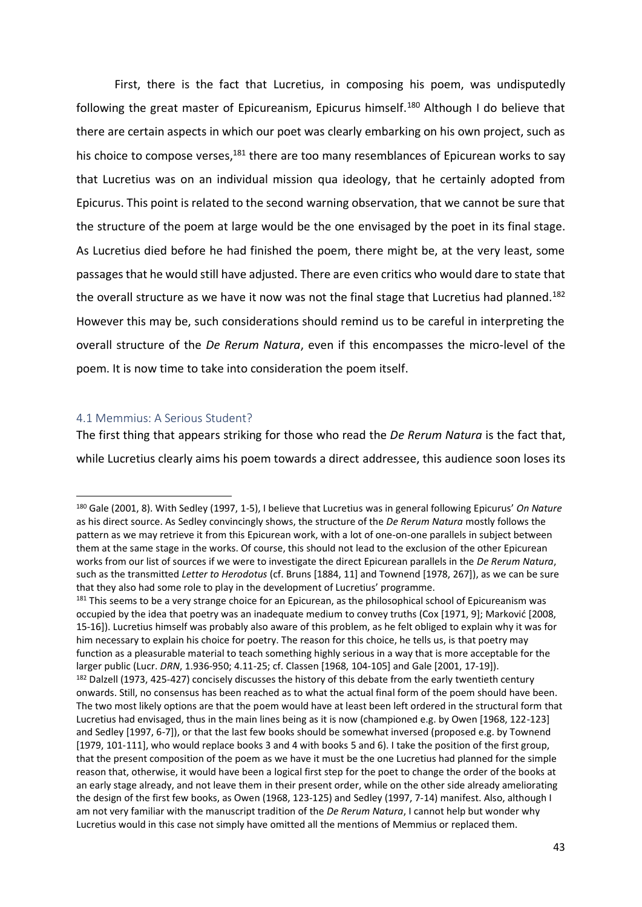First, there is the fact that Lucretius, in composing his poem, was undisputedly following the great master of Epicureanism, Epicurus himself.<sup>180</sup> Although I do believe that there are certain aspects in which our poet was clearly embarking on his own project, such as his choice to compose verses, $181$  there are too many resemblances of Epicurean works to say that Lucretius was on an individual mission qua ideology, that he certainly adopted from Epicurus. This point is related to the second warning observation, that we cannot be sure that the structure of the poem at large would be the one envisaged by the poet in its final stage. As Lucretius died before he had finished the poem, there might be, at the very least, some passages that he would still have adjusted. There are even critics who would dare to state that the overall structure as we have it now was not the final stage that Lucretius had planned.<sup>182</sup> However this may be, such considerations should remind us to be careful in interpreting the overall structure of the *De Rerum Natura*, even if this encompasses the micro-level of the poem. It is now time to take into consideration the poem itself.

### 4.1 Memmius: A Serious Student?

l

The first thing that appears striking for those who read the *De Rerum Natura* is the fact that, while Lucretius clearly aims his poem towards a direct addressee, this audience soon loses its

<sup>180</sup> Gale (2001, 8). With Sedley (1997, 1-5), I believe that Lucretius was in general following Epicurus' *On Nature*  as his direct source. As Sedley convincingly shows, the structure of the *De Rerum Natura* mostly follows the pattern as we may retrieve it from this Epicurean work, with a lot of one-on-one parallels in subject between them at the same stage in the works. Of course, this should not lead to the exclusion of the other Epicurean works from our list of sources if we were to investigate the direct Epicurean parallels in the *De Rerum Natura*, such as the transmitted *Letter to Herodotus* (cf. Bruns [1884, 11] and Townend [1978, 267]), as we can be sure that they also had some role to play in the development of Lucretius' programme.

<sup>&</sup>lt;sup>181</sup> This seems to be a very strange choice for an Epicurean, as the philosophical school of Epicureanism was occupied by the idea that poetry was an inadequate medium to convey truths (Cox [1971, 9]; Marković [2008, 15-16]). Lucretius himself was probably also aware of this problem, as he felt obliged to explain why it was for him necessary to explain his choice for poetry. The reason for this choice, he tells us, is that poetry may function as a pleasurable material to teach something highly serious in a way that is more acceptable for the larger public (Lucr. *DRN*, 1.936-950; 4.11-25; cf. Classen [1968, 104-105] and Gale [2001, 17-19]).

<sup>&</sup>lt;sup>182</sup> Dalzell (1973, 425-427) concisely discusses the history of this debate from the early twentieth century onwards. Still, no consensus has been reached as to what the actual final form of the poem should have been. The two most likely options are that the poem would have at least been left ordered in the structural form that Lucretius had envisaged, thus in the main lines being as it is now (championed e.g. by Owen [1968, 122-123] and Sedley [1997, 6-7]), or that the last few books should be somewhat inversed (proposed e.g. by Townend [1979, 101-111], who would replace books 3 and 4 with books 5 and 6). I take the position of the first group, that the present composition of the poem as we have it must be the one Lucretius had planned for the simple reason that, otherwise, it would have been a logical first step for the poet to change the order of the books at an early stage already, and not leave them in their present order, while on the other side already ameliorating the design of the first few books, as Owen (1968, 123-125) and Sedley (1997, 7-14) manifest. Also, although I am not very familiar with the manuscript tradition of the *De Rerum Natura*, I cannot help but wonder why Lucretius would in this case not simply have omitted all the mentions of Memmius or replaced them.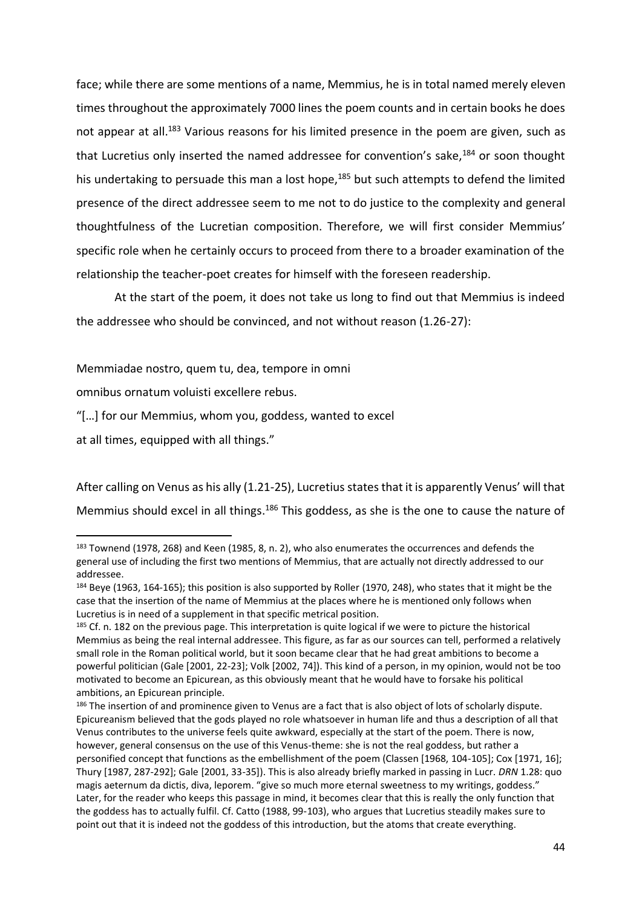face; while there are some mentions of a name, Memmius, he is in total named merely eleven times throughout the approximately 7000 lines the poem counts and in certain books he does not appear at all.<sup>183</sup> Various reasons for his limited presence in the poem are given, such as that Lucretius only inserted the named addressee for convention's sake,<sup>184</sup> or soon thought his undertaking to persuade this man a lost hope,<sup>185</sup> but such attempts to defend the limited presence of the direct addressee seem to me not to do justice to the complexity and general thoughtfulness of the Lucretian composition. Therefore, we will first consider Memmius' specific role when he certainly occurs to proceed from there to a broader examination of the relationship the teacher-poet creates for himself with the foreseen readership.

At the start of the poem, it does not take us long to find out that Memmius is indeed the addressee who should be convinced, and not without reason (1.26-27):

Memmiadae nostro, quem tu, dea, tempore in omni

omnibus ornatum voluisti excellere rebus.

"[…] for our Memmius, whom you, goddess, wanted to excel

at all times, equipped with all things."

l

After calling on Venus as his ally (1.21-25), Lucretius states that it is apparently Venus' will that Memmius should excel in all things.<sup>186</sup> This goddess, as she is the one to cause the nature of

<sup>183</sup> Townend (1978, 268) and Keen (1985, 8, n. 2), who also enumerates the occurrences and defends the general use of including the first two mentions of Memmius, that are actually not directly addressed to our addressee.

<sup>&</sup>lt;sup>184</sup> Beye (1963, 164-165); this position is also supported by Roller (1970, 248), who states that it might be the case that the insertion of the name of Memmius at the places where he is mentioned only follows when Lucretius is in need of a supplement in that specific metrical position.

<sup>&</sup>lt;sup>185</sup> Cf. n. 182 on the previous page. This interpretation is quite logical if we were to picture the historical Memmius as being the real internal addressee. This figure, as far as our sources can tell, performed a relatively small role in the Roman political world, but it soon became clear that he had great ambitions to become a powerful politician (Gale [2001, 22-23]; Volk [2002, 74]). This kind of a person, in my opinion, would not be too motivated to become an Epicurean, as this obviously meant that he would have to forsake his political ambitions, an Epicurean principle.

<sup>186</sup> The insertion of and prominence given to Venus are a fact that is also object of lots of scholarly dispute. Epicureanism believed that the gods played no role whatsoever in human life and thus a description of all that Venus contributes to the universe feels quite awkward, especially at the start of the poem. There is now, however, general consensus on the use of this Venus-theme: she is not the real goddess, but rather a personified concept that functions as the embellishment of the poem (Classen [1968, 104-105]; Cox [1971, 16]; Thury [1987, 287-292]; Gale [2001, 33-35]). This is also already briefly marked in passing in Lucr. *DRN* 1.28: quo magis aeternum da dictis, diva, leporem. "give so much more eternal sweetness to my writings, goddess." Later, for the reader who keeps this passage in mind, it becomes clear that this is really the only function that the goddess has to actually fulfil. Cf. Catto (1988, 99-103), who argues that Lucretius steadily makes sure to point out that it is indeed not the goddess of this introduction, but the atoms that create everything.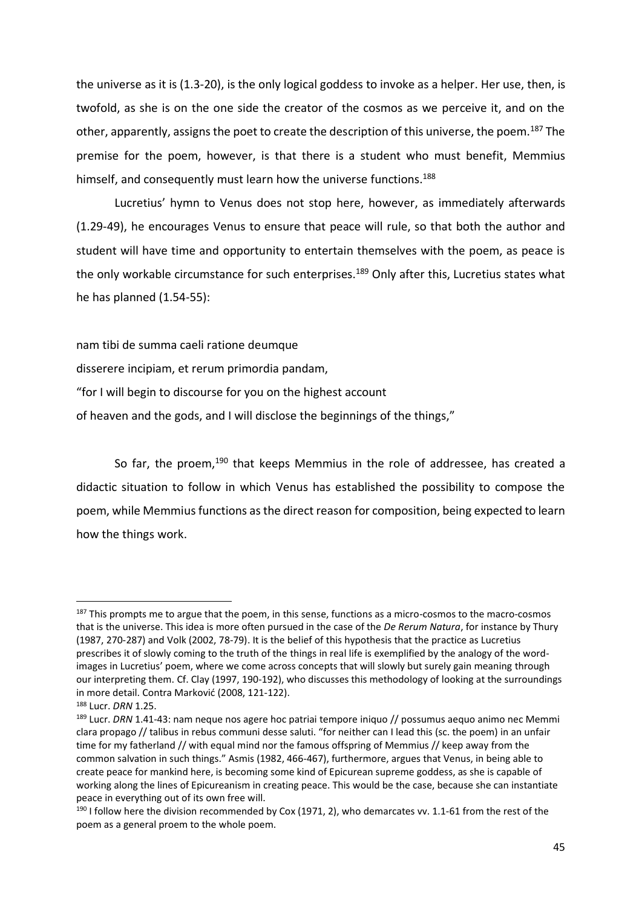the universe as it is (1.3-20), is the only logical goddess to invoke as a helper. Her use, then, is twofold, as she is on the one side the creator of the cosmos as we perceive it, and on the other, apparently, assigns the poet to create the description of this universe, the poem.<sup>187</sup> The premise for the poem, however, is that there is a student who must benefit, Memmius himself, and consequently must learn how the universe functions.<sup>188</sup>

 Lucretius' hymn to Venus does not stop here, however, as immediately afterwards (1.29-49), he encourages Venus to ensure that peace will rule, so that both the author and student will have time and opportunity to entertain themselves with the poem, as peace is the only workable circumstance for such enterprises.<sup>189</sup> Only after this, Lucretius states what he has planned (1.54-55):

nam tibi de summa caeli ratione deumque

disserere incipiam, et rerum primordia pandam,

"for I will begin to discourse for you on the highest account

of heaven and the gods, and I will disclose the beginnings of the things,"

So far, the proem,<sup>190</sup> that keeps Memmius in the role of addressee, has created a didactic situation to follow in which Venus has established the possibility to compose the poem, while Memmius functions as the direct reason for composition, being expected to learn how the things work.

 $187$  This prompts me to argue that the poem, in this sense, functions as a micro-cosmos to the macro-cosmos that is the universe. This idea is more often pursued in the case of the *De Rerum Natura*, for instance by Thury (1987, 270-287) and Volk (2002, 78-79). It is the belief of this hypothesis that the practice as Lucretius prescribes it of slowly coming to the truth of the things in real life is exemplified by the analogy of the wordimages in Lucretius' poem, where we come across concepts that will slowly but surely gain meaning through our interpreting them. Cf. Clay (1997, 190-192), who discusses this methodology of looking at the surroundings in more detail. Contra Marković (2008, 121-122).

<sup>188</sup> Lucr. *DRN* 1.25.

<sup>189</sup> Lucr. *DRN* 1.41-43: nam neque nos agere hoc patriai tempore iniquo // possumus aequo animo nec Memmi clara propago // talibus in rebus communi desse saluti. "for neither can I lead this (sc. the poem) in an unfair time for my fatherland // with equal mind nor the famous offspring of Memmius // keep away from the common salvation in such things." Asmis (1982, 466-467), furthermore, argues that Venus, in being able to create peace for mankind here, is becoming some kind of Epicurean supreme goddess, as she is capable of working along the lines of Epicureanism in creating peace. This would be the case, because she can instantiate peace in everything out of its own free will.

<sup>&</sup>lt;sup>190</sup> I follow here the division recommended by Cox (1971, 2), who demarcates vv. 1.1-61 from the rest of the poem as a general proem to the whole poem.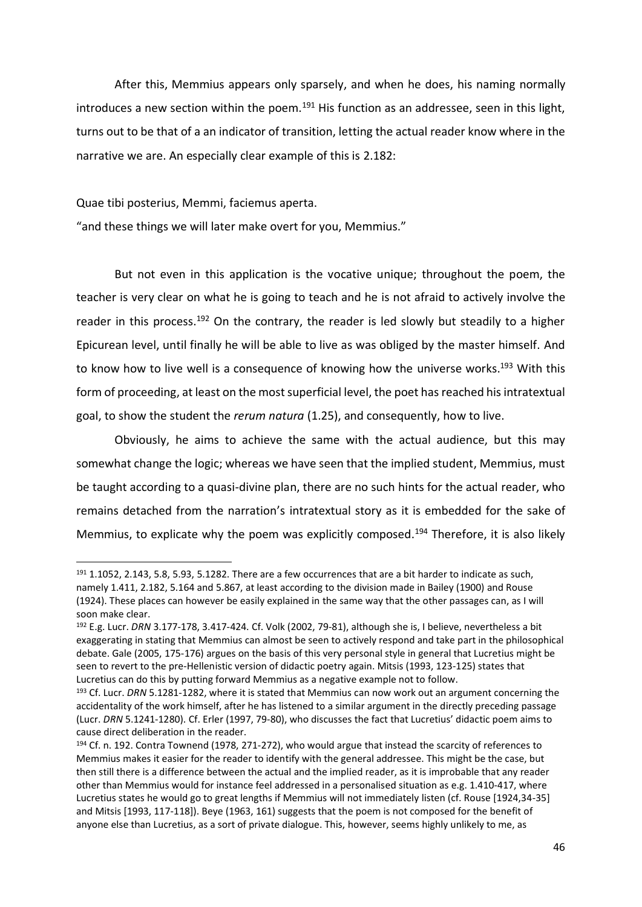After this, Memmius appears only sparsely, and when he does, his naming normally introduces a new section within the poem.<sup>191</sup> His function as an addressee, seen in this light, turns out to be that of a an indicator of transition, letting the actual reader know where in the narrative we are. An especially clear example of this is 2.182:

Quae tibi posterius, Memmi, faciemus aperta.

l

"and these things we will later make overt for you, Memmius."

But not even in this application is the vocative unique; throughout the poem, the teacher is very clear on what he is going to teach and he is not afraid to actively involve the reader in this process.<sup>192</sup> On the contrary, the reader is led slowly but steadily to a higher Epicurean level, until finally he will be able to live as was obliged by the master himself. And to know how to live well is a consequence of knowing how the universe works.<sup>193</sup> With this form of proceeding, at least on the most superficial level, the poet has reached his intratextual goal, to show the student the *rerum natura* (1.25), and consequently, how to live.

Obviously, he aims to achieve the same with the actual audience, but this may somewhat change the logic; whereas we have seen that the implied student, Memmius, must be taught according to a quasi-divine plan, there are no such hints for the actual reader, who remains detached from the narration's intratextual story as it is embedded for the sake of Memmius, to explicate why the poem was explicitly composed.<sup>194</sup> Therefore, it is also likely

 $191$  1.1052, 2.143, 5.8, 5.93, 5.1282. There are a few occurrences that are a bit harder to indicate as such, namely 1.411, 2.182, 5.164 and 5.867, at least according to the division made in Bailey (1900) and Rouse (1924). These places can however be easily explained in the same way that the other passages can, as I will soon make clear.

<sup>192</sup> E.g. Lucr. *DRN* 3.177-178, 3.417-424. Cf. Volk (2002, 79-81), although she is, I believe, nevertheless a bit exaggerating in stating that Memmius can almost be seen to actively respond and take part in the philosophical debate. Gale (2005, 175-176) argues on the basis of this very personal style in general that Lucretius might be seen to revert to the pre-Hellenistic version of didactic poetry again. Mitsis (1993, 123-125) states that Lucretius can do this by putting forward Memmius as a negative example not to follow.

<sup>193</sup> Cf. Lucr. *DRN* 5.1281-1282, where it is stated that Memmius can now work out an argument concerning the accidentality of the work himself, after he has listened to a similar argument in the directly preceding passage (Lucr. *DRN* 5.1241-1280). Cf. Erler (1997, 79-80), who discusses the fact that Lucretius' didactic poem aims to cause direct deliberation in the reader.

<sup>194</sup> Cf. n. 192. Contra Townend (1978, 271-272), who would argue that instead the scarcity of references to Memmius makes it easier for the reader to identify with the general addressee. This might be the case, but then still there is a difference between the actual and the implied reader, as it is improbable that any reader other than Memmius would for instance feel addressed in a personalised situation as e.g. 1.410-417, where Lucretius states he would go to great lengths if Memmius will not immediately listen (cf. Rouse [1924,34-35] and Mitsis [1993, 117-118]). Beye (1963, 161) suggests that the poem is not composed for the benefit of anyone else than Lucretius, as a sort of private dialogue. This, however, seems highly unlikely to me, as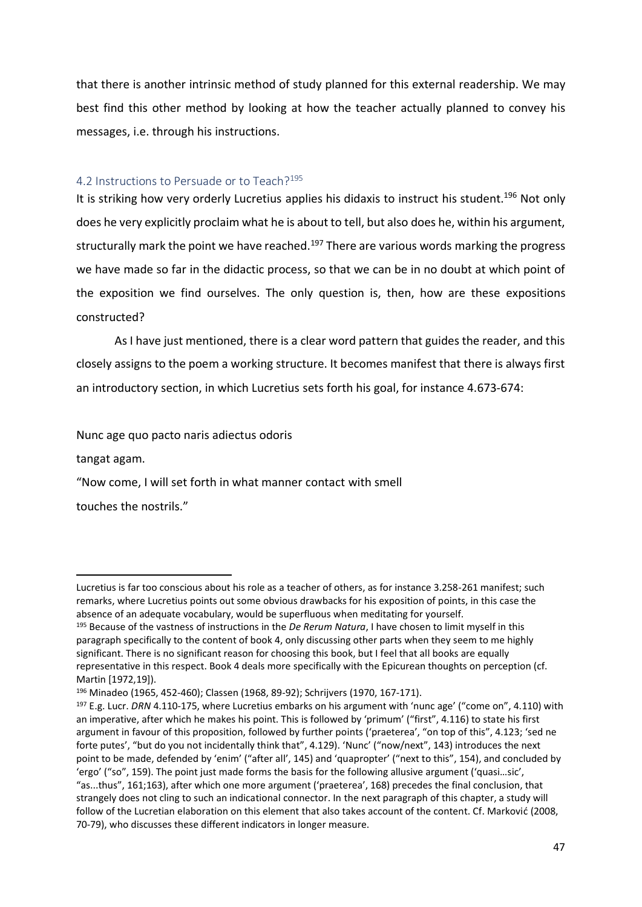that there is another intrinsic method of study planned for this external readership. We may best find this other method by looking at how the teacher actually planned to convey his messages, i.e. through his instructions.

### 4.2 Instructions to Persuade or to Teach?<sup>195</sup>

It is striking how very orderly Lucretius applies his didaxis to instruct his student.<sup>196</sup> Not only does he very explicitly proclaim what he is about to tell, but also does he, within his argument, structurally mark the point we have reached.<sup>197</sup> There are various words marking the progress we have made so far in the didactic process, so that we can be in no doubt at which point of the exposition we find ourselves. The only question is, then, how are these expositions constructed?

As I have just mentioned, there is a clear word pattern that guides the reader, and this closely assigns to the poem a working structure. It becomes manifest that there is always first an introductory section, in which Lucretius sets forth his goal, for instance 4.673-674:

Nunc age quo pacto naris adiectus odoris

tangat agam.

l

"Now come, I will set forth in what manner contact with smell

touches the nostrils."

Lucretius is far too conscious about his role as a teacher of others, as for instance 3.258-261 manifest; such remarks, where Lucretius points out some obvious drawbacks for his exposition of points, in this case the absence of an adequate vocabulary, would be superfluous when meditating for yourself.

<sup>195</sup> Because of the vastness of instructions in the *De Rerum Natura*, I have chosen to limit myself in this paragraph specifically to the content of book 4, only discussing other parts when they seem to me highly significant. There is no significant reason for choosing this book, but I feel that all books are equally representative in this respect. Book 4 deals more specifically with the Epicurean thoughts on perception (cf. Martin [1972,19]).

<sup>196</sup> Minadeo (1965, 452-460); Classen (1968, 89-92); Schrijvers (1970, 167-171).

<sup>197</sup> E.g. Lucr. *DRN* 4.110-175, where Lucretius embarks on his argument with 'nunc age' ("come on", 4.110) with an imperative, after which he makes his point. This is followed by 'primum' ("first", 4.116) to state his first argument in favour of this proposition, followed by further points ('praeterea', "on top of this", 4.123; 'sed ne forte putes', "but do you not incidentally think that", 4.129). 'Nunc' ("now/next", 143) introduces the next point to be made, defended by 'enim' ("after all', 145) and 'quapropter' ("next to this", 154), and concluded by 'ergo' ("so", 159). The point just made forms the basis for the following allusive argument ('quasi…sic', "as...thus", 161;163), after which one more argument ('praeterea', 168) precedes the final conclusion, that strangely does not cling to such an indicational connector. In the next paragraph of this chapter, a study will follow of the Lucretian elaboration on this element that also takes account of the content. Cf. Marković (2008, 70-79), who discusses these different indicators in longer measure.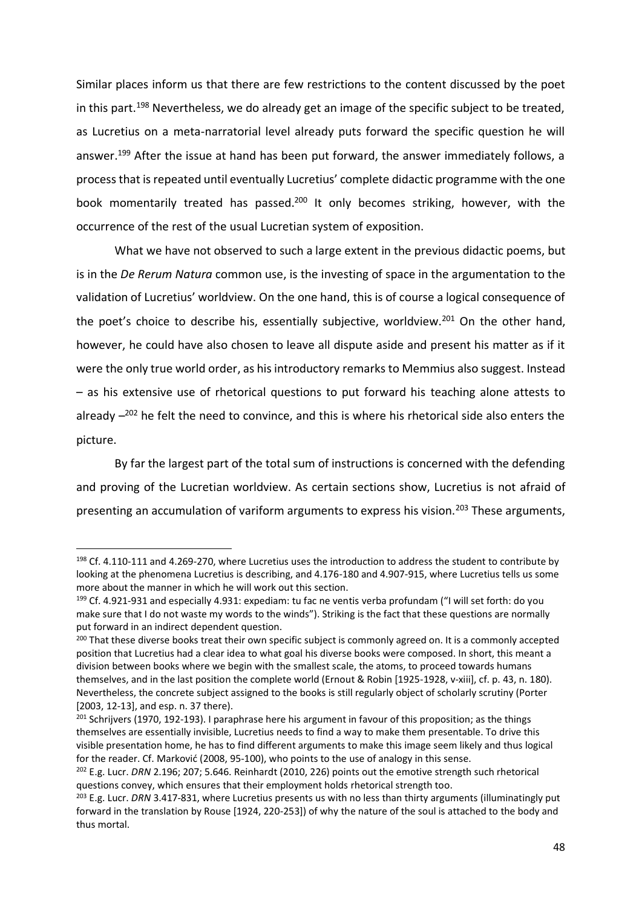Similar places inform us that there are few restrictions to the content discussed by the poet in this part.<sup>198</sup> Nevertheless, we do already get an image of the specific subject to be treated, as Lucretius on a meta-narratorial level already puts forward the specific question he will answer.<sup>199</sup> After the issue at hand has been put forward, the answer immediately follows, a process that is repeated until eventually Lucretius' complete didactic programme with the one book momentarily treated has passed.<sup>200</sup> It only becomes striking, however, with the occurrence of the rest of the usual Lucretian system of exposition.

What we have not observed to such a large extent in the previous didactic poems, but is in the *De Rerum Natura* common use, is the investing of space in the argumentation to the validation of Lucretius' worldview. On the one hand, this is of course a logical consequence of the poet's choice to describe his, essentially subjective, worldview.<sup>201</sup> On the other hand, however, he could have also chosen to leave all dispute aside and present his matter as if it were the only true world order, as his introductory remarks to Memmius also suggest. Instead – as his extensive use of rhetorical questions to put forward his teaching alone attests to already  $-{}^{202}$  he felt the need to convince, and this is where his rhetorical side also enters the picture.

By far the largest part of the total sum of instructions is concerned with the defending and proving of the Lucretian worldview. As certain sections show, Lucretius is not afraid of presenting an accumulation of variform arguments to express his vision.<sup>203</sup> These arguments,

 $198$  Cf. 4.110-111 and 4.269-270, where Lucretius uses the introduction to address the student to contribute by looking at the phenomena Lucretius is describing, and 4.176-180 and 4.907-915, where Lucretius tells us some more about the manner in which he will work out this section.

<sup>199</sup> Cf. 4.921-931 and especially 4.931: expediam: tu fac ne ventis verba profundam ("I will set forth: do you make sure that I do not waste my words to the winds"). Striking is the fact that these questions are normally put forward in an indirect dependent question.

<sup>&</sup>lt;sup>200</sup> That these diverse books treat their own specific subject is commonly agreed on. It is a commonly accepted position that Lucretius had a clear idea to what goal his diverse books were composed. In short, this meant a division between books where we begin with the smallest scale, the atoms, to proceed towards humans themselves, and in the last position the complete world (Ernout & Robin [1925-1928, v-xiii], cf. p. 43, n. 180). Nevertheless, the concrete subject assigned to the books is still regularly object of scholarly scrutiny (Porter [2003, 12-13], and esp. n. 37 there).

 $201$  Schrijvers (1970, 192-193). I paraphrase here his argument in favour of this proposition; as the things themselves are essentially invisible, Lucretius needs to find a way to make them presentable. To drive this visible presentation home, he has to find different arguments to make this image seem likely and thus logical for the reader. Cf. Marković (2008, 95-100), who points to the use of analogy in this sense.

<sup>202</sup> E.g. Lucr. *DRN* 2.196; 207; 5.646. Reinhardt (2010, 226) points out the emotive strength such rhetorical questions convey, which ensures that their employment holds rhetorical strength too.

<sup>203</sup> E.g. Lucr. *DRN* 3.417-831, where Lucretius presents us with no less than thirty arguments (illuminatingly put forward in the translation by Rouse [1924, 220-253]) of why the nature of the soul is attached to the body and thus mortal.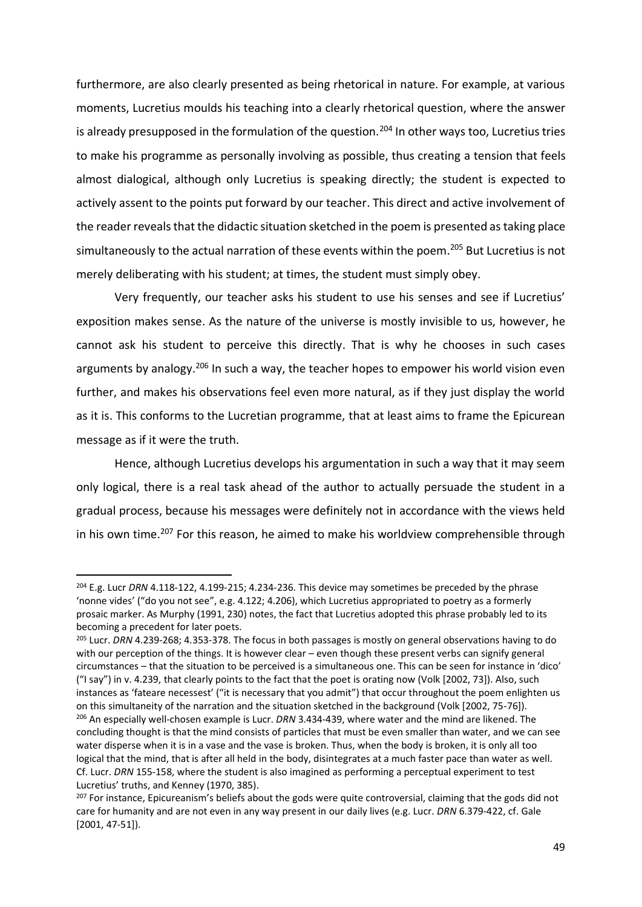furthermore, are also clearly presented as being rhetorical in nature. For example, at various moments, Lucretius moulds his teaching into a clearly rhetorical question, where the answer is already presupposed in the formulation of the question.<sup>204</sup> In other ways too, Lucretius tries to make his programme as personally involving as possible, thus creating a tension that feels almost dialogical, although only Lucretius is speaking directly; the student is expected to actively assent to the points put forward by our teacher. This direct and active involvement of the reader reveals that the didactic situation sketched in the poem is presented as taking place simultaneously to the actual narration of these events within the poem. <sup>205</sup> But Lucretius is not merely deliberating with his student; at times, the student must simply obey.

Very frequently, our teacher asks his student to use his senses and see if Lucretius' exposition makes sense. As the nature of the universe is mostly invisible to us, however, he cannot ask his student to perceive this directly. That is why he chooses in such cases arguments by analogy.<sup>206</sup> In such a way, the teacher hopes to empower his world vision even further, and makes his observations feel even more natural, as if they just display the world as it is. This conforms to the Lucretian programme, that at least aims to frame the Epicurean message as if it were the truth.

Hence, although Lucretius develops his argumentation in such a way that it may seem only logical, there is a real task ahead of the author to actually persuade the student in a gradual process, because his messages were definitely not in accordance with the views held in his own time.<sup>207</sup> For this reason, he aimed to make his worldview comprehensible through

<sup>204</sup> E.g. Lucr *DRN* 4.118-122, 4.199-215; 4.234-236. This device may sometimes be preceded by the phrase 'nonne vides' ("do you not see", e.g. 4.122; 4.206), which Lucretius appropriated to poetry as a formerly prosaic marker. As Murphy (1991, 230) notes, the fact that Lucretius adopted this phrase probably led to its becoming a precedent for later poets.

<sup>205</sup> Lucr. *DRN* 4.239-268; 4.353-378. The focus in both passages is mostly on general observations having to do with our perception of the things. It is however clear – even though these present verbs can signify general circumstances – that the situation to be perceived is a simultaneous one. This can be seen for instance in 'dico' ("I say") in v. 4.239, that clearly points to the fact that the poet is orating now (Volk [2002, 73]). Also, such instances as 'fateare necessest' ("it is necessary that you admit") that occur throughout the poem enlighten us on this simultaneity of the narration and the situation sketched in the background (Volk [2002, 75-76]). <sup>206</sup> An especially well-chosen example is Lucr. *DRN* 3.434-439, where water and the mind are likened. The concluding thought is that the mind consists of particles that must be even smaller than water, and we can see water disperse when it is in a vase and the vase is broken. Thus, when the body is broken, it is only all too logical that the mind, that is after all held in the body, disintegrates at a much faster pace than water as well. Cf. Lucr. *DRN* 155-158, where the student is also imagined as performing a perceptual experiment to test Lucretius' truths, and Kenney (1970, 385).

<sup>&</sup>lt;sup>207</sup> For instance, Epicureanism's beliefs about the gods were quite controversial, claiming that the gods did not care for humanity and are not even in any way present in our daily lives (e.g. Lucr. *DRN* 6.379-422, cf. Gale [2001, 47-51]).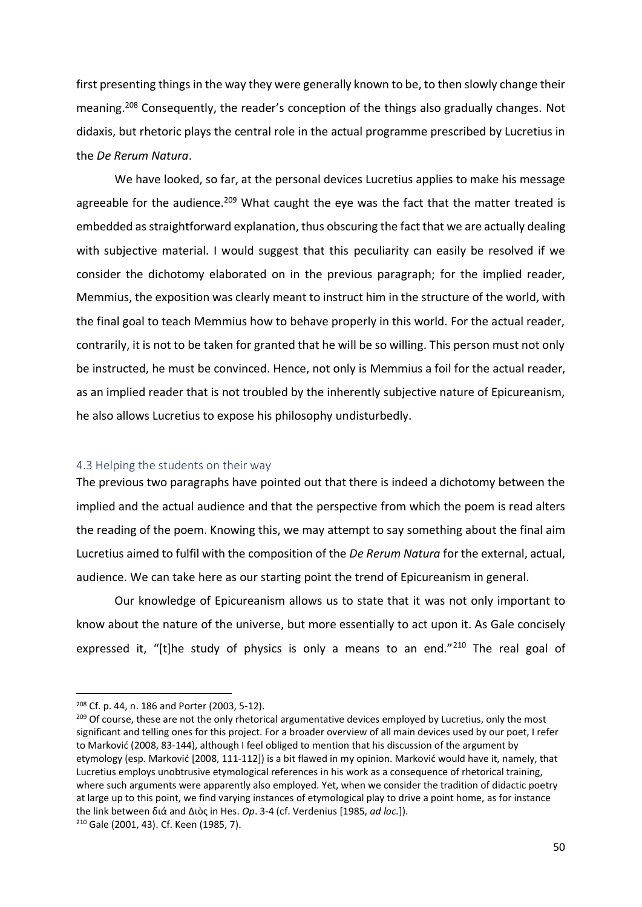first presenting things in the way they were generally known to be, to then slowly change their meaning.<sup>208</sup> Consequently, the reader's conception of the things also gradually changes. Not didaxis, but rhetoric plays the central role in the actual programme prescribed by Lucretius in the *De Rerum Natura*.

We have looked, so far, at the personal devices Lucretius applies to make his message agreeable for the audience.<sup>209</sup> What caught the eye was the fact that the matter treated is embedded as straightforward explanation, thus obscuring the fact that we are actually dealing with subjective material. I would suggest that this peculiarity can easily be resolved if we consider the dichotomy elaborated on in the previous paragraph; for the implied reader, Memmius, the exposition was clearly meant to instruct him in the structure of the world, with the final goal to teach Memmius how to behave properly in this world. For the actual reader, contrarily, it is not to be taken for granted that he will be so willing. This person must not only be instructed, he must be convinced. Hence, not only is Memmius a foil for the actual reader, as an implied reader that is not troubled by the inherently subjective nature of Epicureanism, he also allows Lucretius to expose his philosophy undisturbedly.

### 4.3 Helping the students on their way

The previous two paragraphs have pointed out that there is indeed a dichotomy between the implied and the actual audience and that the perspective from which the poem is read alters the reading of the poem. Knowing this, we may attempt to say something about the final aim Lucretius aimed to fulfil with the composition of the *De Rerum Natura* for the external, actual, audience. We can take here as our starting point the trend of Epicureanism in general.

Our knowledge of Epicureanism allows us to state that it was not only important to know about the nature of the universe, but more essentially to act upon it. As Gale concisely expressed it, "[t]he study of physics is only a means to an end." $210$  The real goal of

<sup>208</sup> Cf. p. 44, n. 186 and Porter (2003, 5-12).

<sup>&</sup>lt;sup>209</sup> Of course, these are not the only rhetorical argumentative devices employed by Lucretius, only the most significant and telling ones for this project. For a broader overview of all main devices used by our poet, I refer to Marković (2008, 83-144), although I feel obliged to mention that his discussion of the argument by etymology (esp. Marković [2008, 111-112]) is a bit flawed in my opinion. Marković would have it, namely, that Lucretius employs unobtrusive etymological references in his work as a consequence of rhetorical training, where such arguments were apparently also employed. Yet, when we consider the tradition of didactic poetry at large up to this point, we find varying instances of etymological play to drive a point home, as for instance the link between διά and Διὸς in Hes. *Op*. 3-4 (cf. Verdenius [1985, *ad loc.*]). <sup>210</sup> Gale (2001, 43). Cf. Keen (1985, 7).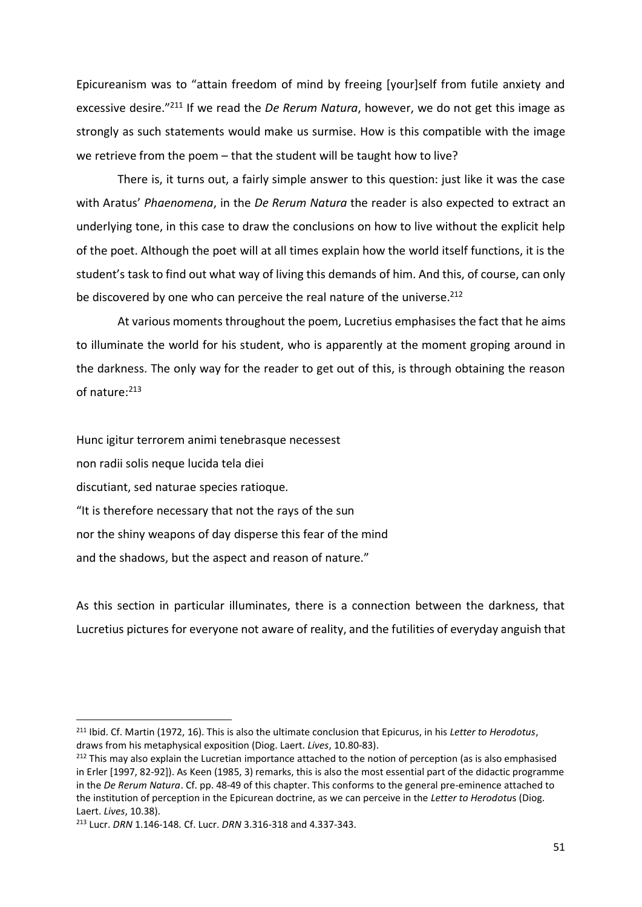Epicureanism was to "attain freedom of mind by freeing [your]self from futile anxiety and excessive desire."<sup>211</sup> If we read the *De Rerum Natura*, however, we do not get this image as strongly as such statements would make us surmise. How is this compatible with the image we retrieve from the poem – that the student will be taught how to live?

There is, it turns out, a fairly simple answer to this question: just like it was the case with Aratus' *Phaenomena*, in the *De Rerum Natura* the reader is also expected to extract an underlying tone, in this case to draw the conclusions on how to live without the explicit help of the poet. Although the poet will at all times explain how the world itself functions, it is the student's task to find out what way of living this demands of him. And this, of course, can only be discovered by one who can perceive the real nature of the universe.<sup>212</sup>

At various moments throughout the poem, Lucretius emphasises the fact that he aims to illuminate the world for his student, who is apparently at the moment groping around in the darkness. The only way for the reader to get out of this, is through obtaining the reason of nature:<sup>213</sup>

Hunc igitur terrorem animi tenebrasque necessest non radii solis neque lucida tela diei discutiant, sed naturae species ratioque*.* "It is therefore necessary that not the rays of the sun nor the shiny weapons of day disperse this fear of the mind and the shadows, but the aspect and reason of nature."

As this section in particular illuminates, there is a connection between the darkness, that Lucretius pictures for everyone not aware of reality, and the futilities of everyday anguish that

<sup>211</sup> Ibid. Cf. Martin (1972, 16). This is also the ultimate conclusion that Epicurus, in his *Letter to Herodotus*, draws from his metaphysical exposition (Diog. Laert. *Lives*, 10.80-83).

<sup>&</sup>lt;sup>212</sup> This may also explain the Lucretian importance attached to the notion of perception (as is also emphasised in Erler [1997, 82-92]). As Keen (1985, 3) remarks, this is also the most essential part of the didactic programme in the *De Rerum Natura*. Cf. pp. 48-49 of this chapter. This conforms to the general pre-eminence attached to the institution of perception in the Epicurean doctrine, as we can perceive in the *Letter to Herodotu*s (Diog. Laert. *Lives*, 10.38).

<sup>213</sup> Lucr. *DRN* 1.146-148. Cf. Lucr. *DRN* 3.316-318 and 4.337-343.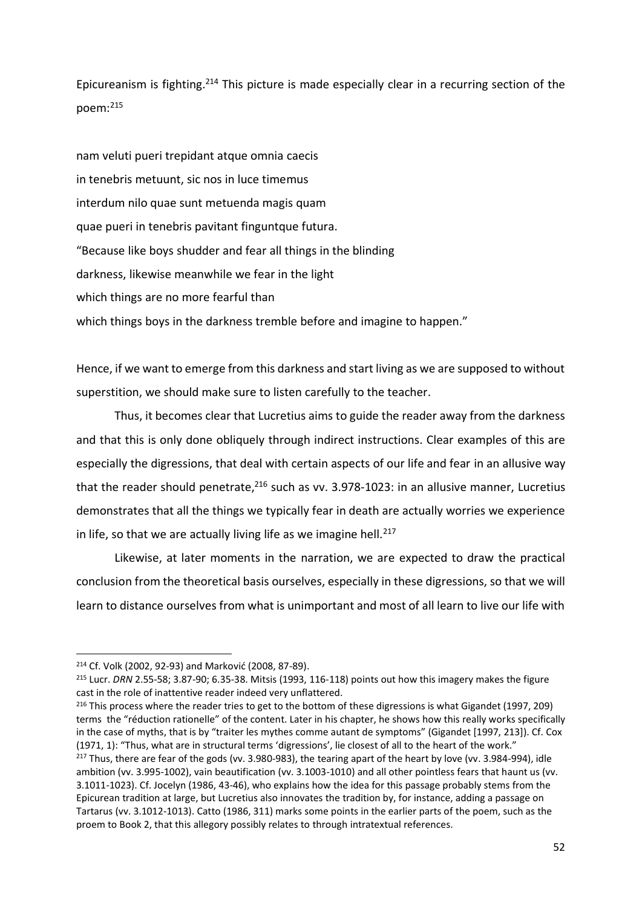Epicureanism is fighting.<sup>214</sup> This picture is made especially clear in a recurring section of the poem:<sup>215</sup>

nam veluti pueri trepidant atque omnia caecis in tenebris metuunt, sic nos in luce timemus interdum nilo quae sunt metuenda magis quam quae pueri in tenebris pavitant finguntque futura. "Because like boys shudder and fear all things in the blinding darkness, likewise meanwhile we fear in the light which things are no more fearful than which things boys in the darkness tremble before and imagine to happen."

Hence, if we want to emerge from this darkness and start living as we are supposed to without superstition, we should make sure to listen carefully to the teacher.

Thus, it becomes clear that Lucretius aims to guide the reader away from the darkness and that this is only done obliquely through indirect instructions. Clear examples of this are especially the digressions, that deal with certain aspects of our life and fear in an allusive way that the reader should penetrate,<sup>216</sup> such as vv. 3.978-1023: in an allusive manner, Lucretius demonstrates that all the things we typically fear in death are actually worries we experience in life, so that we are actually living life as we imagine hell.<sup>217</sup>

Likewise, at later moments in the narration, we are expected to draw the practical conclusion from the theoretical basis ourselves, especially in these digressions, so that we will learn to distance ourselves from what is unimportant and most of all learn to live our life with

<sup>214</sup> Cf. Volk (2002, 92-93) and Marković (2008, 87-89).

<sup>215</sup> Lucr. *DRN* 2.55-58; 3.87-90; 6.35-38. Mitsis (1993, 116-118) points out how this imagery makes the figure cast in the role of inattentive reader indeed very unflattered.

<sup>&</sup>lt;sup>216</sup> This process where the reader tries to get to the bottom of these digressions is what Gigandet (1997, 209) terms the "réduction rationelle" of the content. Later in his chapter, he shows how this really works specifically in the case of myths, that is by "traiter les mythes comme autant de symptoms" (Gigandet [1997, 213]). Cf. Cox (1971, 1): "Thus, what are in structural terms 'digressions', lie closest of all to the heart of the work."  $217$  Thus, there are fear of the gods (vv. 3.980-983), the tearing apart of the heart by love (vv. 3.984-994), idle ambition (vv. 3.995-1002), vain beautification (vv. 3.1003-1010) and all other pointless fears that haunt us (vv. 3.1011-1023). Cf. Jocelyn (1986, 43-46), who explains how the idea for this passage probably stems from the Epicurean tradition at large, but Lucretius also innovates the tradition by, for instance, adding a passage on Tartarus (vv. 3.1012-1013). Catto (1986, 311) marks some points in the earlier parts of the poem, such as the proem to Book 2, that this allegory possibly relates to through intratextual references.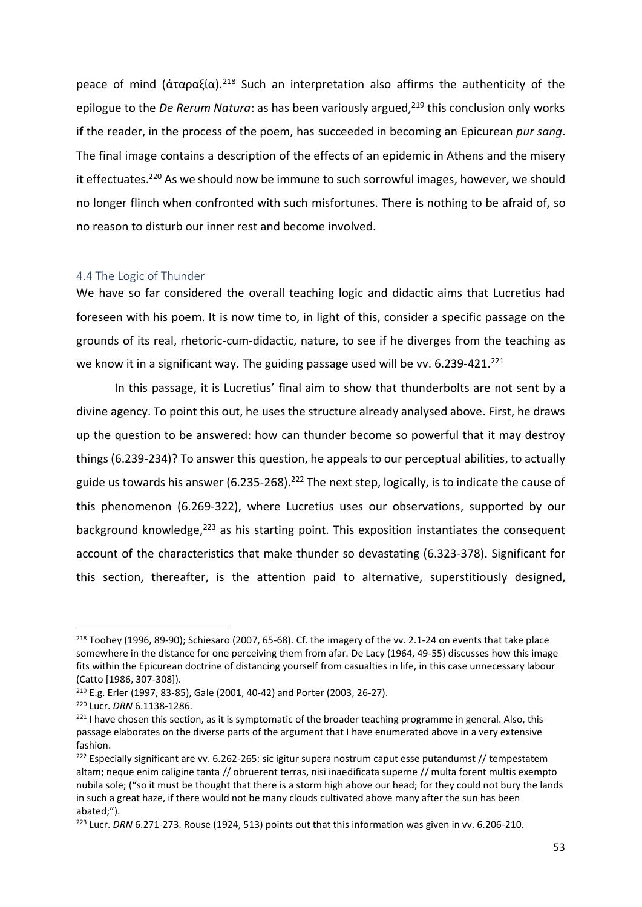peace of mind (άταραξία).<sup>218</sup> Such an interpretation also affirms the authenticity of the epilogue to the *De Rerum Natura*: as has been variously argued,<sup>219</sup> this conclusion only works if the reader, in the process of the poem, has succeeded in becoming an Epicurean *pur sang*. The final image contains a description of the effects of an epidemic in Athens and the misery it effectuates.<sup>220</sup> As we should now be immune to such sorrowful images, however, we should no longer flinch when confronted with such misfortunes. There is nothing to be afraid of, so no reason to disturb our inner rest and become involved.

#### 4.4 The Logic of Thunder

We have so far considered the overall teaching logic and didactic aims that Lucretius had foreseen with his poem. It is now time to, in light of this, consider a specific passage on the grounds of its real, rhetoric-cum-didactic, nature, to see if he diverges from the teaching as we know it in a significant way. The guiding passage used will be vv. 6.239-421.<sup>221</sup>

In this passage, it is Lucretius' final aim to show that thunderbolts are not sent by a divine agency. To point this out, he uses the structure already analysed above. First, he draws up the question to be answered: how can thunder become so powerful that it may destroy things (6.239-234)? To answer this question, he appeals to our perceptual abilities, to actually guide us towards his answer (6.235-268).<sup>222</sup> The next step, logically, is to indicate the cause of this phenomenon (6.269-322), where Lucretius uses our observations, supported by our background knowledge, $223$  as his starting point. This exposition instantiates the consequent account of the characteristics that make thunder so devastating (6.323-378). Significant for this section, thereafter, is the attention paid to alternative, superstitiously designed,

<sup>218</sup> Toohey (1996, 89-90); Schiesaro (2007, 65-68). Cf. the imagery of the vv. 2.1-24 on events that take place somewhere in the distance for one perceiving them from afar. De Lacy (1964, 49-55) discusses how this image fits within the Epicurean doctrine of distancing yourself from casualties in life, in this case unnecessary labour (Catto [1986, 307-308]).

<sup>219</sup> E.g. Erler (1997, 83-85), Gale (2001, 40-42) and Porter (2003, 26-27).

<sup>220</sup> Lucr. *DRN* 6.1138-1286.

 $221$  I have chosen this section, as it is symptomatic of the broader teaching programme in general. Also, this passage elaborates on the diverse parts of the argument that I have enumerated above in a very extensive fashion.

 $222$  Especially significant are vv. 6.262-265: sic igitur supera nostrum caput esse putandumst // tempestatem altam; neque enim caligine tanta // obruerent terras, nisi inaedificata superne // multa forent multis exempto nubila sole; ("so it must be thought that there is a storm high above our head; for they could not bury the lands in such a great haze, if there would not be many clouds cultivated above many after the sun has been abated;").

<sup>223</sup> Lucr. *DRN* 6.271-273. Rouse (1924, 513) points out that this information was given in vv. 6.206-210.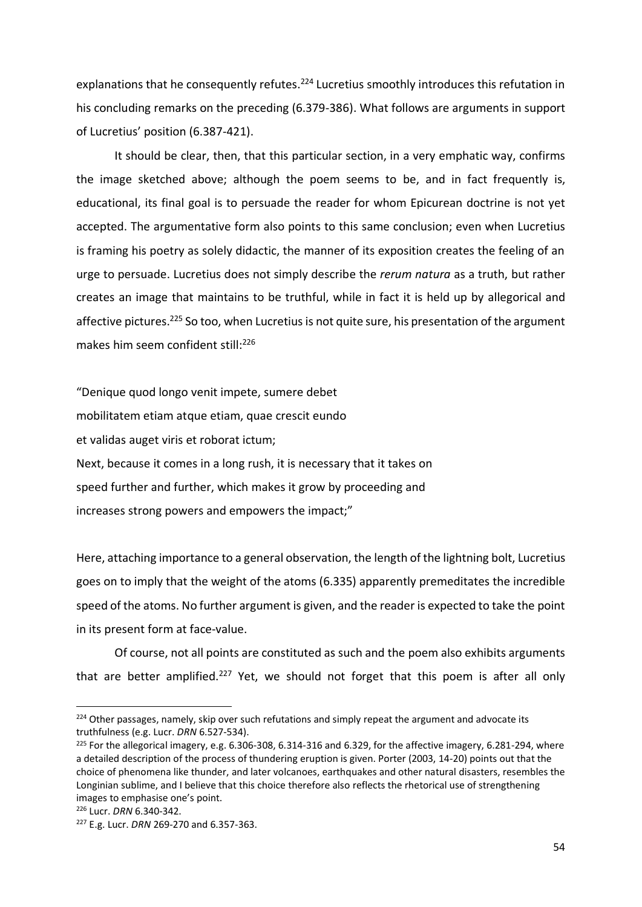explanations that he consequently refutes.<sup>224</sup> Lucretius smoothly introduces this refutation in his concluding remarks on the preceding (6.379-386). What follows are arguments in support of Lucretius' position (6.387-421).

It should be clear, then, that this particular section, in a very emphatic way, confirms the image sketched above; although the poem seems to be, and in fact frequently is, educational, its final goal is to persuade the reader for whom Epicurean doctrine is not yet accepted. The argumentative form also points to this same conclusion; even when Lucretius is framing his poetry as solely didactic, the manner of its exposition creates the feeling of an urge to persuade. Lucretius does not simply describe the *rerum natura* as a truth, but rather creates an image that maintains to be truthful, while in fact it is held up by allegorical and affective pictures.<sup>225</sup> So too, when Lucretius is not quite sure, his presentation of the argument makes him seem confident still: 226

"Denique quod longo venit impete, sumere debet mobilitatem etiam atque etiam, quae crescit eundo et validas auget viris et roborat ictum; Next, because it comes in a long rush, it is necessary that it takes on speed further and further, which makes it grow by proceeding and increases strong powers and empowers the impact;"

Here, attaching importance to a general observation, the length of the lightning bolt, Lucretius goes on to imply that the weight of the atoms (6.335) apparently premeditates the incredible speed of the atoms. No further argument is given, and the reader is expected to take the point in its present form at face-value.

Of course, not all points are constituted as such and the poem also exhibits arguments that are better amplified.<sup>227</sup> Yet, we should not forget that this poem is after all only

<sup>&</sup>lt;sup>224</sup> Other passages, namely, skip over such refutations and simply repeat the argument and advocate its truthfulness (e.g. Lucr. *DRN* 6.527-534).

<sup>&</sup>lt;sup>225</sup> For the allegorical imagery, e.g. 6.306-308, 6.314-316 and 6.329, for the affective imagery, 6.281-294, where a detailed description of the process of thundering eruption is given. Porter (2003, 14-20) points out that the choice of phenomena like thunder, and later volcanoes, earthquakes and other natural disasters, resembles the Longinian sublime, and I believe that this choice therefore also reflects the rhetorical use of strengthening images to emphasise one's point.

<sup>226</sup> Lucr. *DRN* 6.340-342.

<sup>227</sup> E.g. Lucr. *DRN* 269-270 and 6.357-363.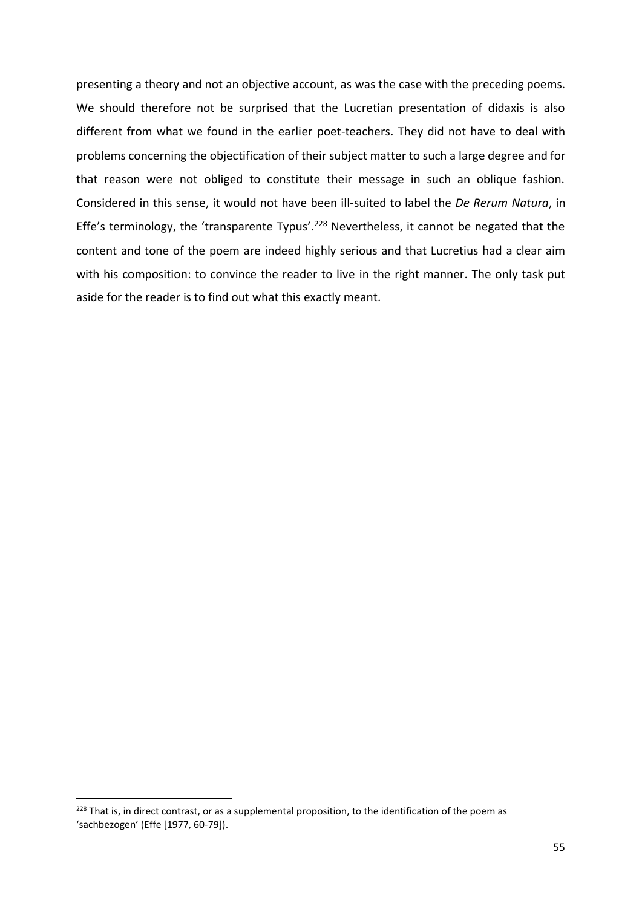presenting a theory and not an objective account, as was the case with the preceding poems. We should therefore not be surprised that the Lucretian presentation of didaxis is also different from what we found in the earlier poet-teachers. They did not have to deal with problems concerning the objectification of their subject matter to such a large degree and for that reason were not obliged to constitute their message in such an oblique fashion. Considered in this sense, it would not have been ill-suited to label the *De Rerum Natura*, in Effe's terminology, the 'transparente Typus'.<sup>228</sup> Nevertheless, it cannot be negated that the content and tone of the poem are indeed highly serious and that Lucretius had a clear aim with his composition: to convince the reader to live in the right manner. The only task put aside for the reader is to find out what this exactly meant.

<sup>&</sup>lt;sup>228</sup> That is, in direct contrast, or as a supplemental proposition, to the identification of the poem as 'sachbezogen' (Effe [1977, 60-79]).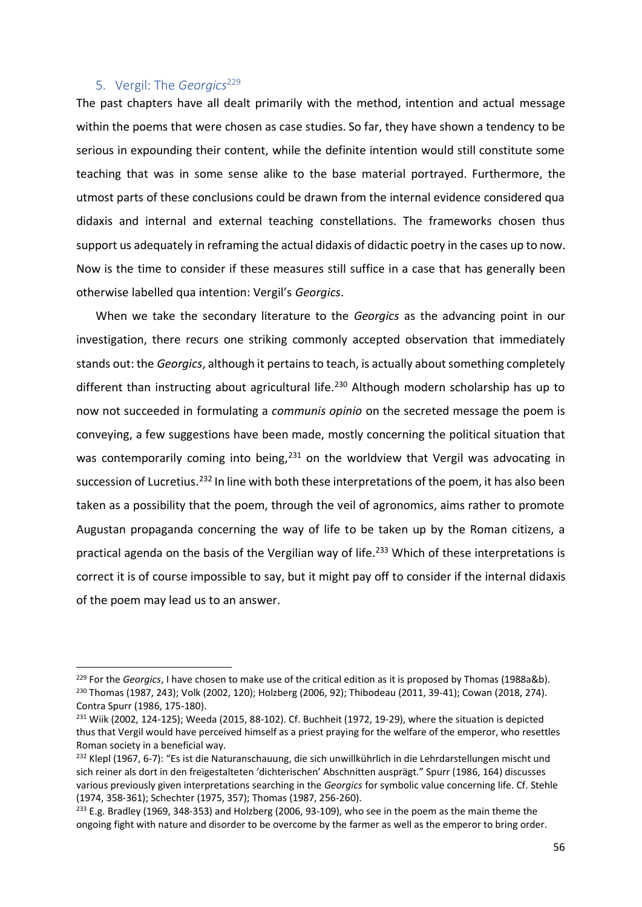## 5. Vergil: The *Georgics*<sup>229</sup>

 $\overline{a}$ 

The past chapters have all dealt primarily with the method, intention and actual message within the poems that were chosen as case studies. So far, they have shown a tendency to be serious in expounding their content, while the definite intention would still constitute some teaching that was in some sense alike to the base material portrayed. Furthermore, the utmost parts of these conclusions could be drawn from the internal evidence considered qua didaxis and internal and external teaching constellations. The frameworks chosen thus support us adequately in reframing the actual didaxis of didactic poetry in the cases up to now. Now is the time to consider if these measures still suffice in a case that has generally been otherwise labelled qua intention: Vergil's *Georgics*.

When we take the secondary literature to the *Georgics* as the advancing point in our investigation, there recurs one striking commonly accepted observation that immediately stands out: the *Georgics*, although it pertains to teach, is actually about something completely different than instructing about agricultural life.<sup>230</sup> Although modern scholarship has up to now not succeeded in formulating a *communis opinio* on the secreted message the poem is conveying, a few suggestions have been made, mostly concerning the political situation that was contemporarily coming into being, $231$  on the worldview that Vergil was advocating in succession of Lucretius.<sup>232</sup> In line with both these interpretations of the poem, it has also been taken as a possibility that the poem, through the veil of agronomics, aims rather to promote Augustan propaganda concerning the way of life to be taken up by the Roman citizens, a practical agenda on the basis of the Vergilian way of life.<sup>233</sup> Which of these interpretations is correct it is of course impossible to say, but it might pay off to consider if the internal didaxis of the poem may lead us to an answer.

<sup>229</sup> For the *Georgics*, I have chosen to make use of the critical edition as it is proposed by Thomas (1988a&b). <sup>230</sup> Thomas (1987, 243); Volk (2002, 120); Holzberg (2006, 92); Thibodeau (2011, 39-41); Cowan (2018, 274). Contra Spurr (1986, 175-180).

 $231$  Wiik (2002, 124-125); Weeda (2015, 88-102). Cf. Buchheit (1972, 19-29), where the situation is depicted thus that Vergil would have perceived himself as a priest praying for the welfare of the emperor, who resettles Roman society in a beneficial way.

<sup>&</sup>lt;sup>232</sup> Klepl (1967, 6-7): "Es ist die Naturanschauung, die sich unwillkührlich in die Lehrdarstellungen mischt und sich reiner als dort in den freigestalteten 'dichterischen' Abschnitten ausprägt." Spurr (1986, 164) discusses various previously given interpretations searching in the *Georgics* for symbolic value concerning life. Cf. Stehle (1974, 358-361); Schechter (1975, 357); Thomas (1987, 256-260).

<sup>&</sup>lt;sup>233</sup> E.g. Bradley (1969, 348-353) and Holzberg (2006, 93-109), who see in the poem as the main theme the ongoing fight with nature and disorder to be overcome by the farmer as well as the emperor to bring order.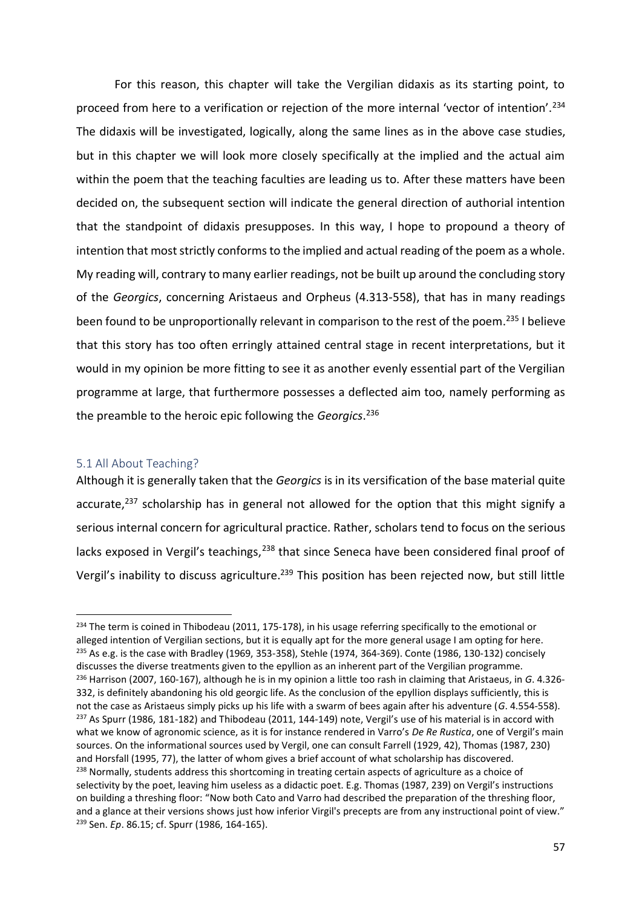For this reason, this chapter will take the Vergilian didaxis as its starting point, to proceed from here to a verification or rejection of the more internal 'vector of intention'.<sup>234</sup> The didaxis will be investigated, logically, along the same lines as in the above case studies, but in this chapter we will look more closely specifically at the implied and the actual aim within the poem that the teaching faculties are leading us to. After these matters have been decided on, the subsequent section will indicate the general direction of authorial intention that the standpoint of didaxis presupposes. In this way, I hope to propound a theory of intention that most strictly conforms to the implied and actual reading of the poem as a whole. My reading will, contrary to many earlier readings, not be built up around the concluding story of the *Georgics*, concerning Aristaeus and Orpheus (4.313-558), that has in many readings been found to be unproportionally relevant in comparison to the rest of the poem.<sup>235</sup> I believe that this story has too often erringly attained central stage in recent interpretations, but it would in my opinion be more fitting to see it as another evenly essential part of the Vergilian programme at large, that furthermore possesses a deflected aim too, namely performing as the preamble to the heroic epic following the *Georgics*. 236

#### 5.1 All About Teaching?

 $\overline{a}$ 

Although it is generally taken that the *Georgics* is in its versification of the base material quite accurate, $237$  scholarship has in general not allowed for the option that this might signify a serious internal concern for agricultural practice. Rather, scholars tend to focus on the serious lacks exposed in Vergil's teachings,<sup>238</sup> that since Seneca have been considered final proof of Vergil's inability to discuss agriculture.<sup>239</sup> This position has been rejected now, but still little

 $234$  The term is coined in Thibodeau (2011, 175-178), in his usage referring specifically to the emotional or alleged intention of Vergilian sections, but it is equally apt for the more general usage I am opting for here. <sup>235</sup> As e.g. is the case with Bradley (1969, 353-358), Stehle (1974, 364-369). Conte (1986, 130-132) concisely discusses the diverse treatments given to the epyllion as an inherent part of the Vergilian programme. <sup>236</sup> Harrison (2007, 160-167), although he is in my opinion a little too rash in claiming that Aristaeus, in *G*. 4.326- 332, is definitely abandoning his old georgic life. As the conclusion of the epyllion displays sufficiently, this is not the case as Aristaeus simply picks up his life with a swarm of bees again after his adventure (*G*. 4.554-558).  $237$  As Spurr (1986, 181-182) and Thibodeau (2011, 144-149) note, Vergil's use of his material is in accord with what we know of agronomic science, as it is for instance rendered in Varro's *De Re Rustica*, one of Vergil's main sources. On the informational sources used by Vergil, one can consult Farrell (1929, 42), Thomas (1987, 230) and Horsfall (1995, 77), the latter of whom gives a brief account of what scholarship has discovered. <sup>238</sup> Normally, students address this shortcoming in treating certain aspects of agriculture as a choice of selectivity by the poet, leaving him useless as a didactic poet. E.g. Thomas (1987, 239) on Vergil's instructions on building a threshing floor: "Now both Cato and Varro had described the preparation of the threshing floor, and a glance at their versions shows just how inferior Virgil's precepts are from any instructional point of view." <sup>239</sup> Sen. *Ep*. 86.15; cf. Spurr (1986, 164-165).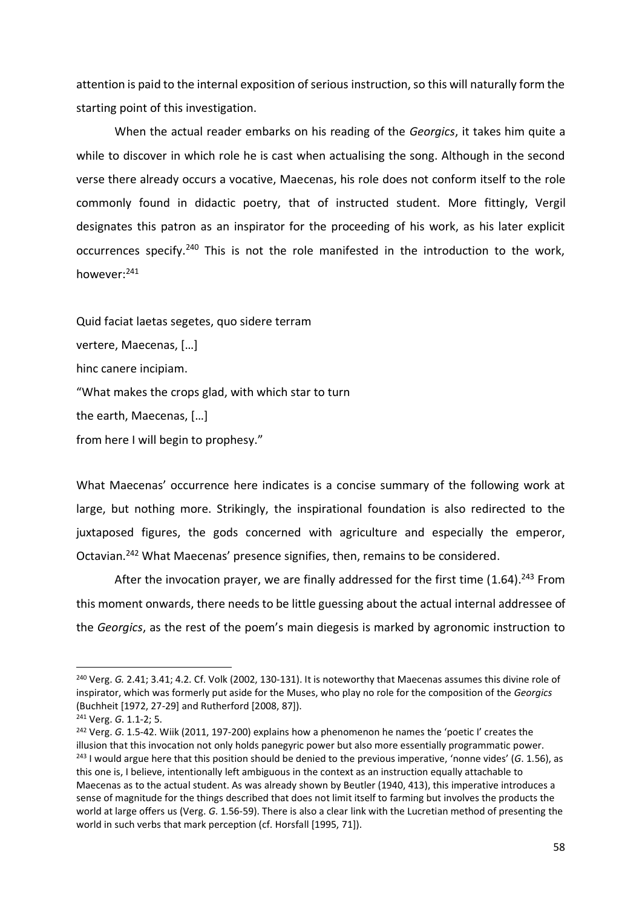attention is paid to the internal exposition of serious instruction, so this will naturally form the starting point of this investigation.

When the actual reader embarks on his reading of the *Georgics*, it takes him quite a while to discover in which role he is cast when actualising the song. Although in the second verse there already occurs a vocative, Maecenas, his role does not conform itself to the role commonly found in didactic poetry, that of instructed student. More fittingly, Vergil designates this patron as an inspirator for the proceeding of his work, as his later explicit occurrences specify.<sup>240</sup> This is not the role manifested in the introduction to the work, however:<sup>241</sup>

Quid faciat laetas segetes, quo sidere terram vertere, Maecenas, […] hinc canere incipiam. "What makes the crops glad, with which star to turn the earth, Maecenas, […] from here I will begin to prophesy."

What Maecenas' occurrence here indicates is a concise summary of the following work at large, but nothing more. Strikingly, the inspirational foundation is also redirected to the juxtaposed figures, the gods concerned with agriculture and especially the emperor, Octavian.<sup>242</sup> What Maecenas' presence signifies, then, remains to be considered.

After the invocation prayer, we are finally addressed for the first time  $(1.64).^{243}$  From this moment onwards, there needs to be little guessing about the actual internal addressee of the *Georgics*, as the rest of the poem's main diegesis is marked by agronomic instruction to

 $\overline{a}$ 

<sup>240</sup> Verg. *G.* 2.41; 3.41; 4.2. Cf. Volk (2002, 130-131). It is noteworthy that Maecenas assumes this divine role of inspirator, which was formerly put aside for the Muses, who play no role for the composition of the *Georgics* (Buchheit [1972, 27-29] and Rutherford [2008, 87]).

<sup>241</sup> Verg. *G*. 1.1-2; 5.

<sup>242</sup> Verg. *G*. 1.5-42. Wiik (2011, 197-200) explains how a phenomenon he names the 'poetic I' creates the illusion that this invocation not only holds panegyric power but also more essentially programmatic power. <sup>243</sup> I would argue here that this position should be denied to the previous imperative, 'nonne vides' (*G*. 1.56), as this one is, I believe, intentionally left ambiguous in the context as an instruction equally attachable to Maecenas as to the actual student. As was already shown by Beutler (1940, 413), this imperative introduces a sense of magnitude for the things described that does not limit itself to farming but involves the products the world at large offers us (Verg. *G*. 1.56-59). There is also a clear link with the Lucretian method of presenting the world in such verbs that mark perception (cf. Horsfall [1995, 71]).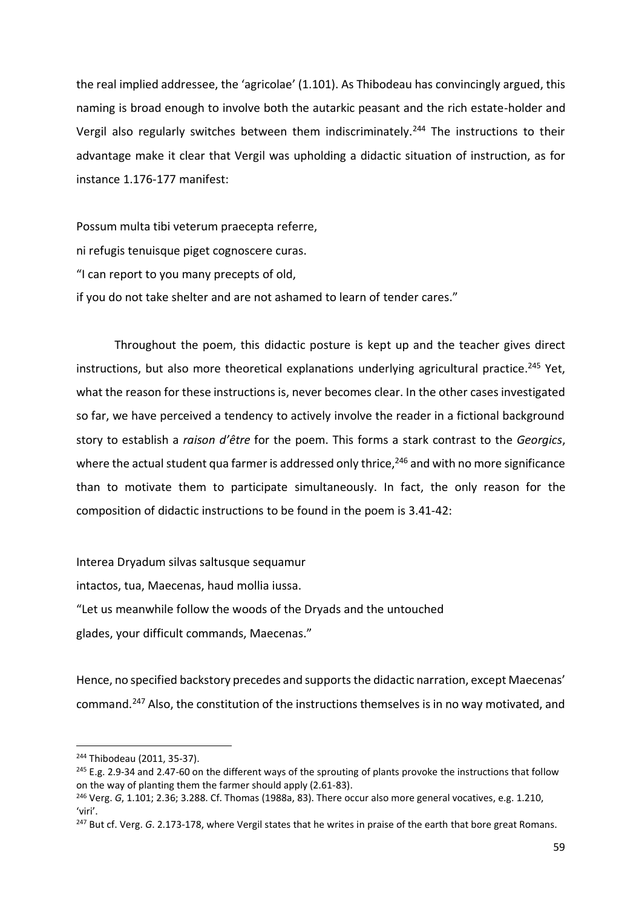the real implied addressee, the 'agricolae' (1.101). As Thibodeau has convincingly argued, this naming is broad enough to involve both the autarkic peasant and the rich estate-holder and Vergil also regularly switches between them indiscriminately.<sup>244</sup> The instructions to their advantage make it clear that Vergil was upholding a didactic situation of instruction, as for instance 1.176-177 manifest:

Possum multa tibi veterum praecepta referre, ni refugis tenuisque piget cognoscere curas. "I can report to you many precepts of old, if you do not take shelter and are not ashamed to learn of tender cares."

Throughout the poem, this didactic posture is kept up and the teacher gives direct instructions, but also more theoretical explanations underlying agricultural practice.<sup>245</sup> Yet, what the reason for these instructions is, never becomes clear. In the other cases investigated so far, we have perceived a tendency to actively involve the reader in a fictional background story to establish a *raison d'être* for the poem. This forms a stark contrast to the *Georgics*, where the actual student qua farmer is addressed only thrice,<sup>246</sup> and with no more significance than to motivate them to participate simultaneously. In fact, the only reason for the composition of didactic instructions to be found in the poem is 3.41-42:

Interea Dryadum silvas saltusque sequamur

intactos, tua, Maecenas, haud mollia iussa.

"Let us meanwhile follow the woods of the Dryads and the untouched glades, your difficult commands, Maecenas."

Hence, no specified backstory precedes and supports the didactic narration, except Maecenas' command.<sup>247</sup> Also, the constitution of the instructions themselves is in no way motivated, and

<sup>244</sup> Thibodeau (2011, 35-37).

<sup>&</sup>lt;sup>245</sup> E.g. 2.9-34 and 2.47-60 on the different ways of the sprouting of plants provoke the instructions that follow on the way of planting them the farmer should apply (2.61-83).

<sup>246</sup> Verg. *G*, 1.101; 2.36; 3.288. Cf. Thomas (1988a, 83). There occur also more general vocatives, e.g. 1.210, 'viri'.

<sup>&</sup>lt;sup>247</sup> But cf. Verg. *G*. 2.173-178, where Vergil states that he writes in praise of the earth that bore great Romans.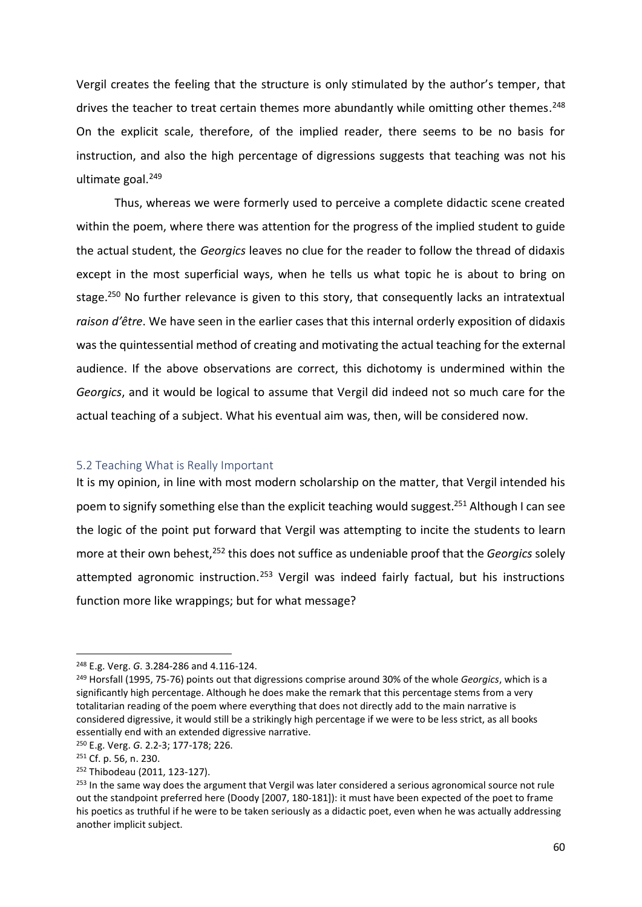Vergil creates the feeling that the structure is only stimulated by the author's temper, that drives the teacher to treat certain themes more abundantly while omitting other themes.<sup>248</sup> On the explicit scale, therefore, of the implied reader, there seems to be no basis for instruction, and also the high percentage of digressions suggests that teaching was not his ultimate goal. 249

Thus, whereas we were formerly used to perceive a complete didactic scene created within the poem, where there was attention for the progress of the implied student to guide the actual student, the *Georgics* leaves no clue for the reader to follow the thread of didaxis except in the most superficial ways, when he tells us what topic he is about to bring on stage.<sup>250</sup> No further relevance is given to this story, that consequently lacks an intratextual *raison d'être*. We have seen in the earlier cases that this internal orderly exposition of didaxis was the quintessential method of creating and motivating the actual teaching for the external audience. If the above observations are correct, this dichotomy is undermined within the *Georgics*, and it would be logical to assume that Vergil did indeed not so much care for the actual teaching of a subject. What his eventual aim was, then, will be considered now.

#### 5.2 Teaching What is Really Important

It is my opinion, in line with most modern scholarship on the matter, that Vergil intended his poem to signify something else than the explicit teaching would suggest.<sup>251</sup> Although I can see the logic of the point put forward that Vergil was attempting to incite the students to learn more at their own behest,<sup>252</sup> this does not suffice as undeniable proof that the *Georgics* solely attempted agronomic instruction.<sup>253</sup> Vergil was indeed fairly factual, but his instructions function more like wrappings; but for what message?

<sup>248</sup> E.g. Verg. *G*. 3.284-286 and 4.116-124.

<sup>249</sup> Horsfall (1995, 75-76) points out that digressions comprise around 30% of the whole *Georgics*, which is a significantly high percentage. Although he does make the remark that this percentage stems from a very totalitarian reading of the poem where everything that does not directly add to the main narrative is considered digressive, it would still be a strikingly high percentage if we were to be less strict, as all books essentially end with an extended digressive narrative.

<sup>250</sup> E.g. Verg. *G*. 2.2-3; 177-178; 226.

<sup>251</sup> Cf. p. 56, n. 230.

<sup>252</sup> Thibodeau (2011, 123-127).

<sup>&</sup>lt;sup>253</sup> In the same way does the argument that Vergil was later considered a serious agronomical source not rule out the standpoint preferred here (Doody [2007, 180-181]): it must have been expected of the poet to frame his poetics as truthful if he were to be taken seriously as a didactic poet, even when he was actually addressing another implicit subject.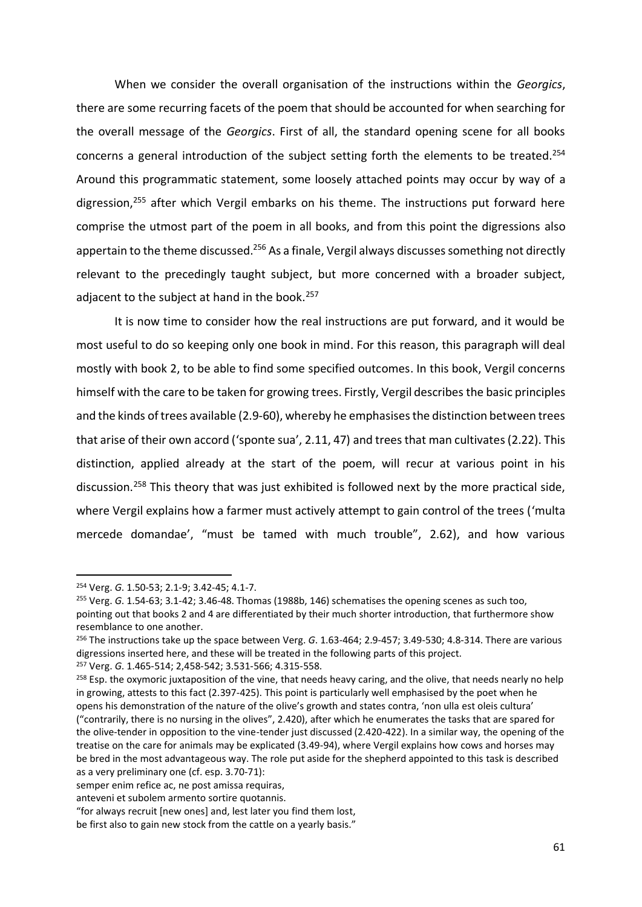When we consider the overall organisation of the instructions within the *Georgics*, there are some recurring facets of the poem that should be accounted for when searching for the overall message of the *Georgics*. First of all, the standard opening scene for all books concerns a general introduction of the subject setting forth the elements to be treated.<sup>254</sup> Around this programmatic statement, some loosely attached points may occur by way of a digression,<sup>255</sup> after which Vergil embarks on his theme. The instructions put forward here comprise the utmost part of the poem in all books, and from this point the digressions also appertain to the theme discussed.<sup>256</sup> As a finale, Vergil always discusses something not directly relevant to the precedingly taught subject, but more concerned with a broader subject, adjacent to the subject at hand in the book.<sup>257</sup>

It is now time to consider how the real instructions are put forward, and it would be most useful to do so keeping only one book in mind. For this reason, this paragraph will deal mostly with book 2, to be able to find some specified outcomes. In this book, Vergil concerns himself with the care to be taken for growing trees. Firstly, Vergil describes the basic principles and the kinds of trees available (2.9-60), whereby he emphasises the distinction between trees that arise of their own accord ('sponte sua', 2.11, 47) and trees that man cultivates(2.22). This distinction, applied already at the start of the poem, will recur at various point in his discussion.<sup>258</sup> This theory that was just exhibited is followed next by the more practical side, where Vergil explains how a farmer must actively attempt to gain control of the trees ('multa mercede domandae', "must be tamed with much trouble", 2.62), and how various

<sup>254</sup> Verg. *G*. 1.50-53; 2.1-9; 3.42-45; 4.1-7.

<sup>255</sup> Verg. *G*. 1.54-63; 3.1-42; 3.46-48. Thomas (1988b, 146) schematises the opening scenes as such too, pointing out that books 2 and 4 are differentiated by their much shorter introduction, that furthermore show resemblance to one another.

<sup>256</sup> The instructions take up the space between Verg. *G*. 1.63-464; 2.9-457; 3.49-530; 4.8-314. There are various digressions inserted here, and these will be treated in the following parts of this project. <sup>257</sup> Verg. *G*. 1.465-514; 2,458-542; 3.531-566; 4.315-558.

 $258$  Esp. the oxymoric juxtaposition of the vine, that needs heavy caring, and the olive, that needs nearly no help in growing, attests to this fact (2.397-425). This point is particularly well emphasised by the poet when he opens his demonstration of the nature of the olive's growth and states contra, 'non ulla est oleis cultura' ("contrarily, there is no nursing in the olives", 2.420), after which he enumerates the tasks that are spared for the olive-tender in opposition to the vine-tender just discussed (2.420-422). In a similar way, the opening of the treatise on the care for animals may be explicated (3.49-94), where Vergil explains how cows and horses may be bred in the most advantageous way. The role put aside for the shepherd appointed to this task is described as a very preliminary one (cf. esp. 3.70-71):

semper enim refice ac, ne post amissa requiras,

anteveni et subolem armento sortire quotannis.

<sup>&</sup>quot;for always recruit [new ones] and, lest later you find them lost,

be first also to gain new stock from the cattle on a yearly basis."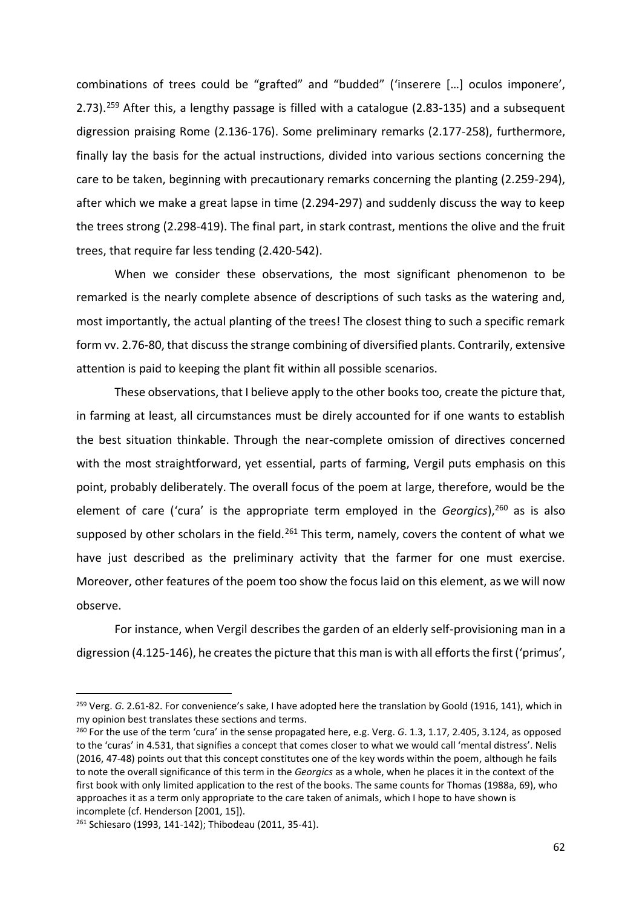combinations of trees could be "grafted" and "budded" ('inserere […] oculos imponere', 2.73).<sup>259</sup> After this, a lengthy passage is filled with a catalogue (2.83-135) and a subsequent digression praising Rome (2.136-176). Some preliminary remarks (2.177-258), furthermore, finally lay the basis for the actual instructions, divided into various sections concerning the care to be taken, beginning with precautionary remarks concerning the planting (2.259-294), after which we make a great lapse in time (2.294-297) and suddenly discuss the way to keep the trees strong (2.298-419). The final part, in stark contrast, mentions the olive and the fruit trees, that require far less tending (2.420-542).

When we consider these observations, the most significant phenomenon to be remarked is the nearly complete absence of descriptions of such tasks as the watering and, most importantly, the actual planting of the trees! The closest thing to such a specific remark form vv. 2.76-80, that discuss the strange combining of diversified plants. Contrarily, extensive attention is paid to keeping the plant fit within all possible scenarios.

These observations, that I believe apply to the other books too, create the picture that, in farming at least, all circumstances must be direly accounted for if one wants to establish the best situation thinkable. Through the near-complete omission of directives concerned with the most straightforward, yet essential, parts of farming, Vergil puts emphasis on this point, probably deliberately. The overall focus of the poem at large, therefore, would be the element of care ('cura' is the appropriate term employed in the *Georgics*), <sup>260</sup> as is also supposed by other scholars in the field.<sup>261</sup> This term, namely, covers the content of what we have just described as the preliminary activity that the farmer for one must exercise. Moreover, other features of the poem too show the focus laid on this element, as we will now observe.

For instance, when Vergil describes the garden of an elderly self-provisioning man in a digression (4.125-146), he creates the picture that this man is with all efforts the first ('primus',

<sup>259</sup> Verg. *G*. 2.61-82. For convenience's sake, I have adopted here the translation by Goold (1916, 141), which in my opinion best translates these sections and terms.

<sup>260</sup> For the use of the term 'cura' in the sense propagated here, e.g. Verg. *G*. 1.3, 1.17, 2.405, 3.124, as opposed to the 'curas' in 4.531, that signifies a concept that comes closer to what we would call 'mental distress'. Nelis (2016, 47-48) points out that this concept constitutes one of the key words within the poem, although he fails to note the overall significance of this term in the *Georgics* as a whole, when he places it in the context of the first book with only limited application to the rest of the books. The same counts for Thomas (1988a, 69), who approaches it as a term only appropriate to the care taken of animals, which I hope to have shown is incomplete (cf. Henderson [2001, 15]).

<sup>261</sup> Schiesaro (1993, 141-142); Thibodeau (2011, 35-41).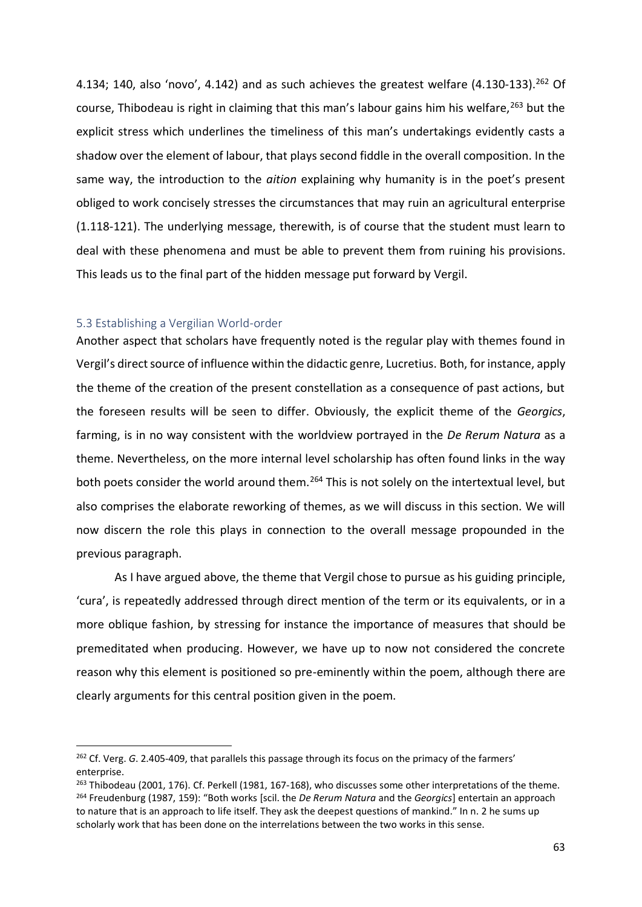4.134; 140, also 'novo', 4.142) and as such achieves the greatest welfare  $(4.130-133).^{262}$  Of course, Thibodeau is right in claiming that this man's labour gains him his welfare, <sup>263</sup> but the explicit stress which underlines the timeliness of this man's undertakings evidently casts a shadow over the element of labour, that plays second fiddle in the overall composition. In the same way, the introduction to the *aition* explaining why humanity is in the poet's present obliged to work concisely stresses the circumstances that may ruin an agricultural enterprise (1.118-121). The underlying message, therewith, is of course that the student must learn to deal with these phenomena and must be able to prevent them from ruining his provisions. This leads us to the final part of the hidden message put forward by Vergil.

### 5.3 Establishing a Vergilian World-order

l

Another aspect that scholars have frequently noted is the regular play with themes found in Vergil's direct source of influence within the didactic genre, Lucretius. Both, for instance, apply the theme of the creation of the present constellation as a consequence of past actions, but the foreseen results will be seen to differ. Obviously, the explicit theme of the *Georgics*, farming, is in no way consistent with the worldview portrayed in the *De Rerum Natura* as a theme. Nevertheless, on the more internal level scholarship has often found links in the way both poets consider the world around them.<sup>264</sup> This is not solely on the intertextual level, but also comprises the elaborate reworking of themes, as we will discuss in this section. We will now discern the role this plays in connection to the overall message propounded in the previous paragraph.

As I have argued above, the theme that Vergil chose to pursue as his guiding principle, 'cura', is repeatedly addressed through direct mention of the term or its equivalents, or in a more oblique fashion, by stressing for instance the importance of measures that should be premeditated when producing. However, we have up to now not considered the concrete reason why this element is positioned so pre-eminently within the poem, although there are clearly arguments for this central position given in the poem.

<sup>&</sup>lt;sup>262</sup> Cf. Verg. *G*. 2.405-409, that parallels this passage through its focus on the primacy of the farmers' enterprise.

<sup>&</sup>lt;sup>263</sup> Thibodeau (2001, 176). Cf. Perkell (1981, 167-168), who discusses some other interpretations of the theme. <sup>264</sup> Freudenburg (1987, 159): "Both works [scil. the *De Rerum Natura* and the *Georgics*] entertain an approach to nature that is an approach to life itself. They ask the deepest questions of mankind." In n. 2 he sums up scholarly work that has been done on the interrelations between the two works in this sense.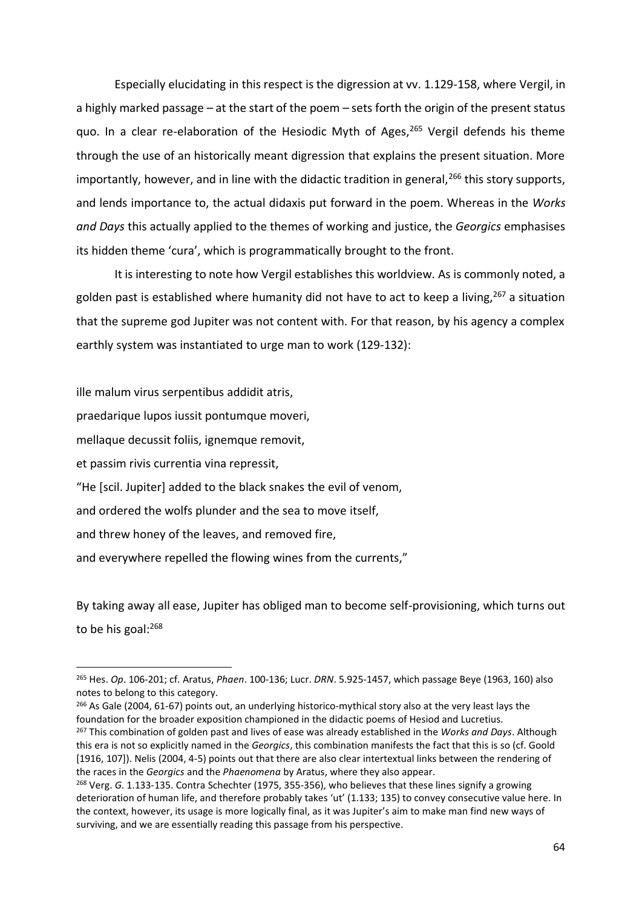Especially elucidating in this respect is the digression at vv. 1.129-158, where Vergil, in a highly marked passage – at the start of the poem – sets forth the origin of the present status quo. In a clear re-elaboration of the Hesiodic Myth of Ages,<sup>265</sup> Vergil defends his theme through the use of an historically meant digression that explains the present situation. More importantly, however, and in line with the didactic tradition in general,  $266$  this story supports, and lends importance to, the actual didaxis put forward in the poem. Whereas in the *Works and Days* this actually applied to the themes of working and justice, the *Georgics* emphasises its hidden theme 'cura', which is programmatically brought to the front.

It is interesting to note how Vergil establishes this worldview. As is commonly noted, a golden past is established where humanity did not have to act to keep a living,  $267$  a situation that the supreme god Jupiter was not content with. For that reason, by his agency a complex earthly system was instantiated to urge man to work (129-132):

ille malum virus serpentibus addidit atris,

praedarique lupos iussit pontumque moveri,

mellaque decussit foliis, ignemque removit,

et passim rivis currentia vina repressit,

 $\overline{a}$ 

"He [scil. Jupiter] added to the black snakes the evil of venom,

and ordered the wolfs plunder and the sea to move itself,

and threw honey of the leaves, and removed fire,

and everywhere repelled the flowing wines from the currents,"

By taking away all ease, Jupiter has obliged man to become self-provisioning, which turns out to be his goal:<sup>268</sup>

<sup>266</sup> As Gale (2004, 61-67) points out, an underlying historico-mythical story also at the very least lays the foundation for the broader exposition championed in the didactic poems of Hesiod and Lucretius. <sup>267</sup> This combination of golden past and lives of ease was already established in the *Works and Days*. Although this era is not so explicitly named in the *Georgics*, this combination manifests the fact that this is so (cf. Goold [1916, 107]). Nelis (2004, 4-5) points out that there are also clear intertextual links between the rendering of the races in the *Georgics* and the *Phaenomena* by Aratus, where they also appear.

<sup>265</sup> Hes. *Op*. 106-201; cf. Aratus, *Phaen*. 100-136; Lucr. *DRN*. 5.925-1457, which passage Beye (1963, 160) also notes to belong to this category.

<sup>268</sup> Verg. *G*. 1.133-135. Contra Schechter (1975, 355-356), who believes that these lines signify a growing deterioration of human life, and therefore probably takes 'ut' (1.133; 135) to convey consecutive value here. In the context, however, its usage is more logically final, as it was Jupiter's aim to make man find new ways of surviving, and we are essentially reading this passage from his perspective.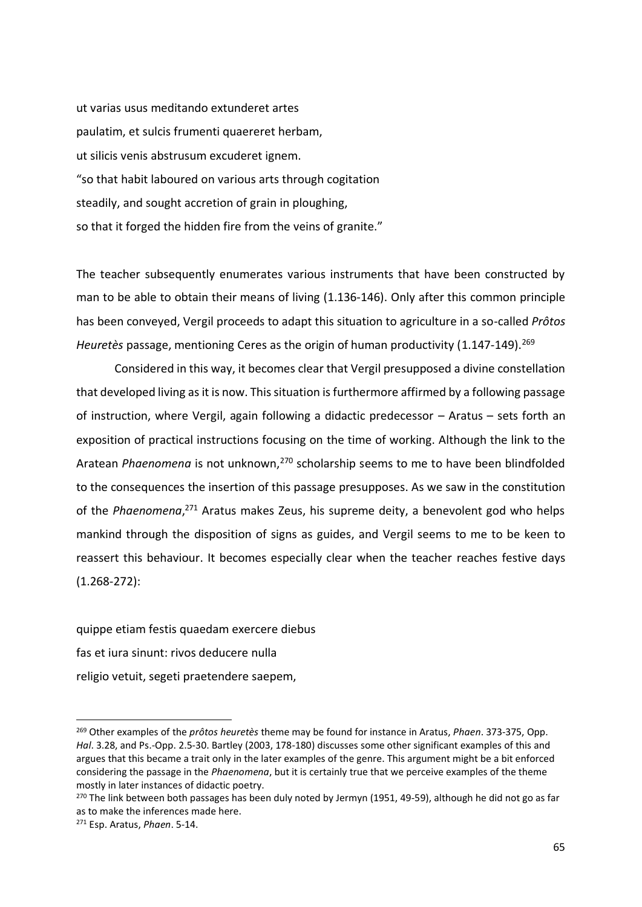ut varias usus meditando extunderet artes paulatim, et sulcis frumenti quaereret herbam, ut silicis venis abstrusum excuderet ignem. "so that habit laboured on various arts through cogitation steadily, and sought accretion of grain in ploughing, so that it forged the hidden fire from the veins of granite."

The teacher subsequently enumerates various instruments that have been constructed by man to be able to obtain their means of living (1.136-146). Only after this common principle has been conveyed, Vergil proceeds to adapt this situation to agriculture in a so-called *Prôtos Heuretès* passage, mentioning Ceres as the origin of human productivity (1.147-149).<sup>269</sup>

Considered in this way, it becomes clear that Vergil presupposed a divine constellation that developed living as it is now. This situation is furthermore affirmed by a following passage of instruction, where Vergil, again following a didactic predecessor – Aratus – sets forth an exposition of practical instructions focusing on the time of working. Although the link to the Aratean *Phaenomena* is not unknown,<sup>270</sup> scholarship seems to me to have been blindfolded to the consequences the insertion of this passage presupposes. As we saw in the constitution of the *Phaenomena*, <sup>271</sup> Aratus makes Zeus, his supreme deity, a benevolent god who helps mankind through the disposition of signs as guides, and Vergil seems to me to be keen to reassert this behaviour. It becomes especially clear when the teacher reaches festive days (1.268-272):

quippe etiam festis quaedam exercere diebus fas et iura sinunt: rivos deducere nulla religio vetuit, segeti praetendere saepem,

<sup>269</sup> Other examples of the *prôtos heuretès* theme may be found for instance in Aratus, *Phaen*. 373-375, Opp. *Hal*. 3.28, and Ps.-Opp. 2.5-30. Bartley (2003, 178-180) discusses some other significant examples of this and argues that this became a trait only in the later examples of the genre. This argument might be a bit enforced considering the passage in the *Phaenomena*, but it is certainly true that we perceive examples of the theme mostly in later instances of didactic poetry.

<sup>&</sup>lt;sup>270</sup> The link between both passages has been duly noted by Jermyn (1951, 49-59), although he did not go as far as to make the inferences made here.

<sup>271</sup> Esp. Aratus, *Phaen*. 5-14.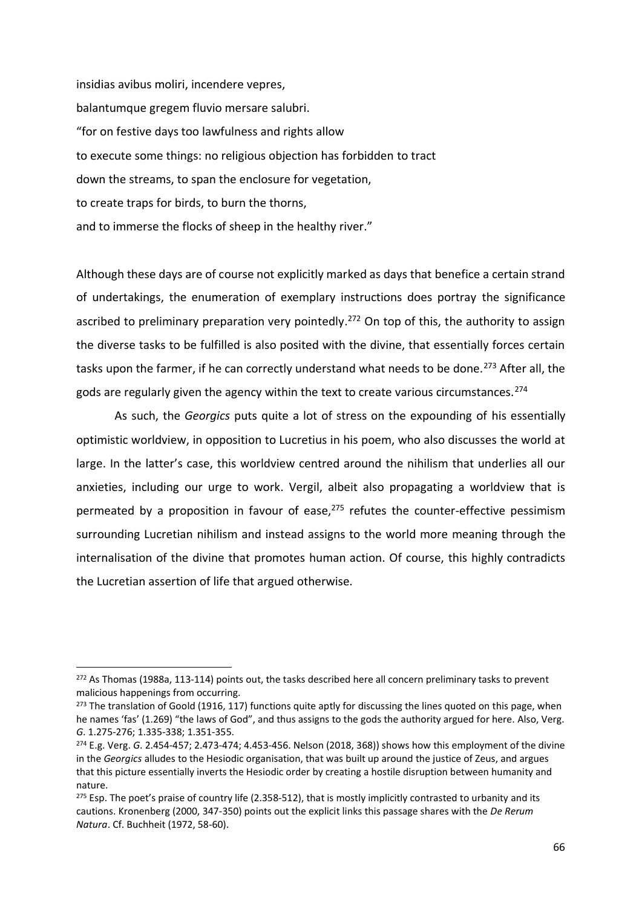insidias avibus moliri, incendere vepres, balantumque gregem fluvio mersare salubri. "for on festive days too lawfulness and rights allow to execute some things: no religious objection has forbidden to tract down the streams, to span the enclosure for vegetation, to create traps for birds, to burn the thorns, and to immerse the flocks of sheep in the healthy river."

Although these days are of course not explicitly marked as days that benefice a certain strand of undertakings, the enumeration of exemplary instructions does portray the significance ascribed to preliminary preparation very pointedly.<sup>272</sup> On top of this, the authority to assign the diverse tasks to be fulfilled is also posited with the divine, that essentially forces certain tasks upon the farmer, if he can correctly understand what needs to be done.<sup>273</sup> After all, the gods are regularly given the agency within the text to create various circumstances.<sup>274</sup>

As such, the *Georgics* puts quite a lot of stress on the expounding of his essentially optimistic worldview, in opposition to Lucretius in his poem, who also discusses the world at large. In the latter's case, this worldview centred around the nihilism that underlies all our anxieties, including our urge to work. Vergil, albeit also propagating a worldview that is permeated by a proposition in favour of ease, $275$  refutes the counter-effective pessimism surrounding Lucretian nihilism and instead assigns to the world more meaning through the internalisation of the divine that promotes human action. Of course, this highly contradicts the Lucretian assertion of life that argued otherwise.

 $\overline{a}$ 

<sup>&</sup>lt;sup>272</sup> As Thomas (1988a, 113-114) points out, the tasks described here all concern preliminary tasks to prevent malicious happenings from occurring.

<sup>&</sup>lt;sup>273</sup> The translation of Goold (1916, 117) functions quite aptly for discussing the lines quoted on this page, when he names 'fas' (1.269) "the laws of God", and thus assigns to the gods the authority argued for here. Also, Verg. *G*. 1.275-276; 1.335-338; 1.351-355.

<sup>274</sup> E.g. Verg. *G*. 2.454-457; 2.473-474; 4.453-456. Nelson (2018, 368)) shows how this employment of the divine in the *Georgics* alludes to the Hesiodic organisation, that was built up around the justice of Zeus, and argues that this picture essentially inverts the Hesiodic order by creating a hostile disruption between humanity and nature.

 $275$  Esp. The poet's praise of country life (2.358-512), that is mostly implicitly contrasted to urbanity and its cautions. Kronenberg (2000, 347-350) points out the explicit links this passage shares with the *De Rerum Natura*. Cf. Buchheit (1972, 58-60).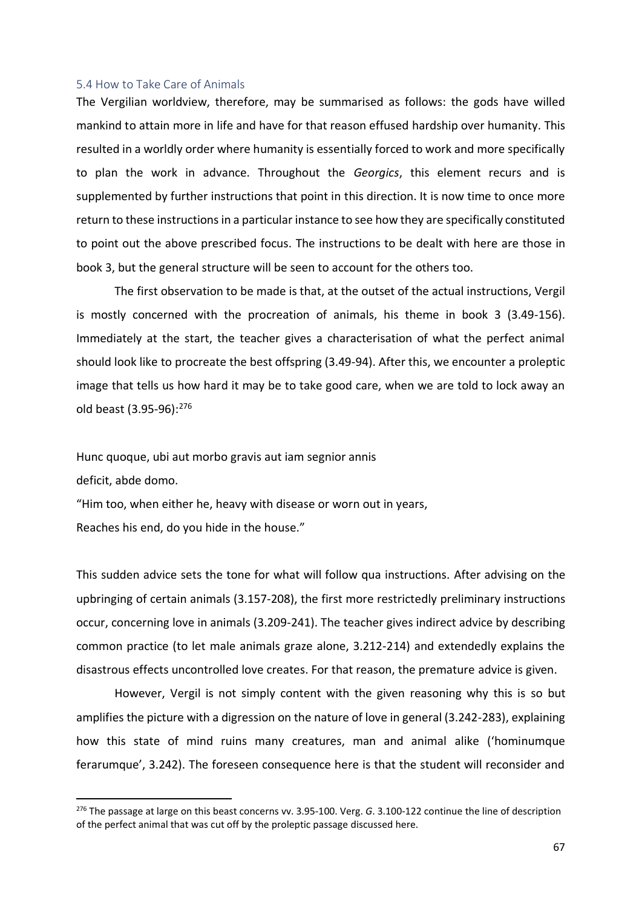#### 5.4 How to Take Care of Animals

The Vergilian worldview, therefore, may be summarised as follows: the gods have willed mankind to attain more in life and have for that reason effused hardship over humanity. This resulted in a worldly order where humanity is essentially forced to work and more specifically to plan the work in advance. Throughout the *Georgics*, this element recurs and is supplemented by further instructions that point in this direction. It is now time to once more return to these instructions in a particular instance to see how they are specifically constituted to point out the above prescribed focus. The instructions to be dealt with here are those in book 3, but the general structure will be seen to account for the others too.

The first observation to be made is that, at the outset of the actual instructions, Vergil is mostly concerned with the procreation of animals, his theme in book 3 (3.49-156). Immediately at the start, the teacher gives a characterisation of what the perfect animal should look like to procreate the best offspring (3.49-94). After this, we encounter a proleptic image that tells us how hard it may be to take good care, when we are told to lock away an old beast (3.95-96):<sup>276</sup>

Hunc quoque, ubi aut morbo gravis aut iam segnior annis

deficit, abde domo.

l

"Him too, when either he, heavy with disease or worn out in years,

Reaches his end, do you hide in the house."

This sudden advice sets the tone for what will follow qua instructions. After advising on the upbringing of certain animals (3.157-208), the first more restrictedly preliminary instructions occur, concerning love in animals (3.209-241). The teacher gives indirect advice by describing common practice (to let male animals graze alone, 3.212-214) and extendedly explains the disastrous effects uncontrolled love creates. For that reason, the premature advice is given.

However, Vergil is not simply content with the given reasoning why this is so but amplifies the picture with a digression on the nature of love in general (3.242-283), explaining how this state of mind ruins many creatures, man and animal alike ('hominumque ferarumque', 3.242). The foreseen consequence here is that the student will reconsider and

<sup>276</sup> The passage at large on this beast concerns vv. 3.95-100. Verg. *G*. 3.100-122 continue the line of description of the perfect animal that was cut off by the proleptic passage discussed here.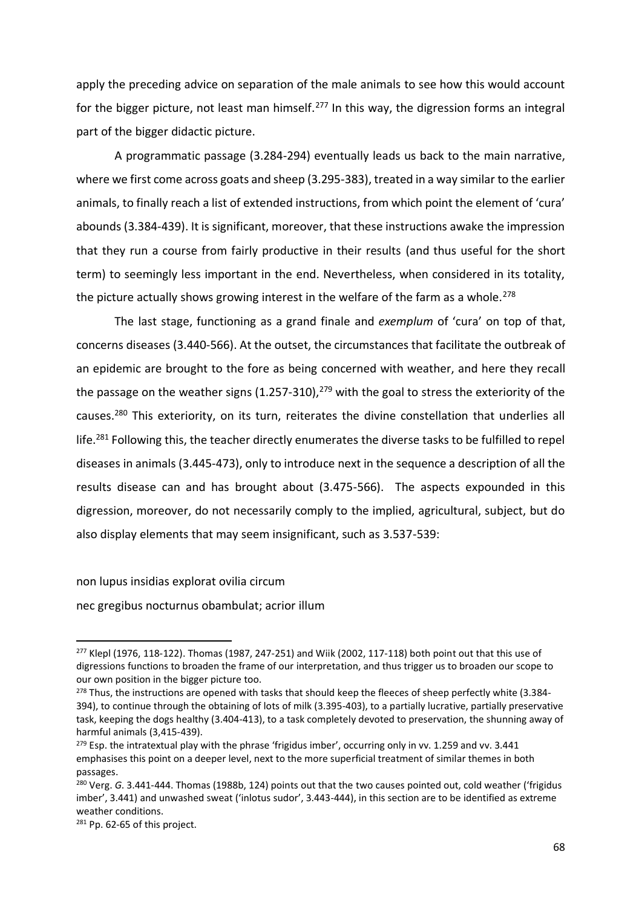apply the preceding advice on separation of the male animals to see how this would account for the bigger picture, not least man himself.<sup>277</sup> In this way, the digression forms an integral part of the bigger didactic picture.

A programmatic passage (3.284-294) eventually leads us back to the main narrative, where we first come across goats and sheep (3.295-383), treated in a way similar to the earlier animals, to finally reach a list of extended instructions, from which point the element of 'cura' abounds (3.384-439). It is significant, moreover, that these instructions awake the impression that they run a course from fairly productive in their results (and thus useful for the short term) to seemingly less important in the end. Nevertheless, when considered in its totality, the picture actually shows growing interest in the welfare of the farm as a whole.<sup>278</sup>

The last stage, functioning as a grand finale and *exemplum* of 'cura' on top of that, concerns diseases (3.440-566). At the outset, the circumstances that facilitate the outbreak of an epidemic are brought to the fore as being concerned with weather, and here they recall the passage on the weather signs  $(1.257-310),^{279}$  with the goal to stress the exteriority of the causes.<sup>280</sup> This exteriority, on its turn, reiterates the divine constellation that underlies all life.<sup>281</sup> Following this, the teacher directly enumerates the diverse tasks to be fulfilled to repel diseases in animals (3.445-473), only to introduce next in the sequence a description of all the results disease can and has brought about (3.475-566). The aspects expounded in this digression, moreover, do not necessarily comply to the implied, agricultural, subject, but do also display elements that may seem insignificant, such as 3.537-539:

non lupus insidias explorat ovilia circum

nec gregibus nocturnus obambulat; acrior illum

 $277$  Klepl (1976, 118-122). Thomas (1987, 247-251) and Wiik (2002, 117-118) both point out that this use of digressions functions to broaden the frame of our interpretation, and thus trigger us to broaden our scope to our own position in the bigger picture too.

<sup>&</sup>lt;sup>278</sup> Thus, the instructions are opened with tasks that should keep the fleeces of sheep perfectly white (3.384-394), to continue through the obtaining of lots of milk (3.395-403), to a partially lucrative, partially preservative task, keeping the dogs healthy (3.404-413), to a task completely devoted to preservation, the shunning away of harmful animals (3,415-439).

<sup>&</sup>lt;sup>279</sup> Esp. the intratextual play with the phrase 'frigidus imber', occurring only in vv. 1.259 and vv. 3.441 emphasises this point on a deeper level, next to the more superficial treatment of similar themes in both passages.

<sup>280</sup> Verg. *G*. 3.441-444. Thomas (1988b, 124) points out that the two causes pointed out, cold weather ('frigidus imber', 3.441) and unwashed sweat ('inlotus sudor', 3.443-444), in this section are to be identified as extreme weather conditions.

<sup>281</sup> Pp. 62-65 of this project.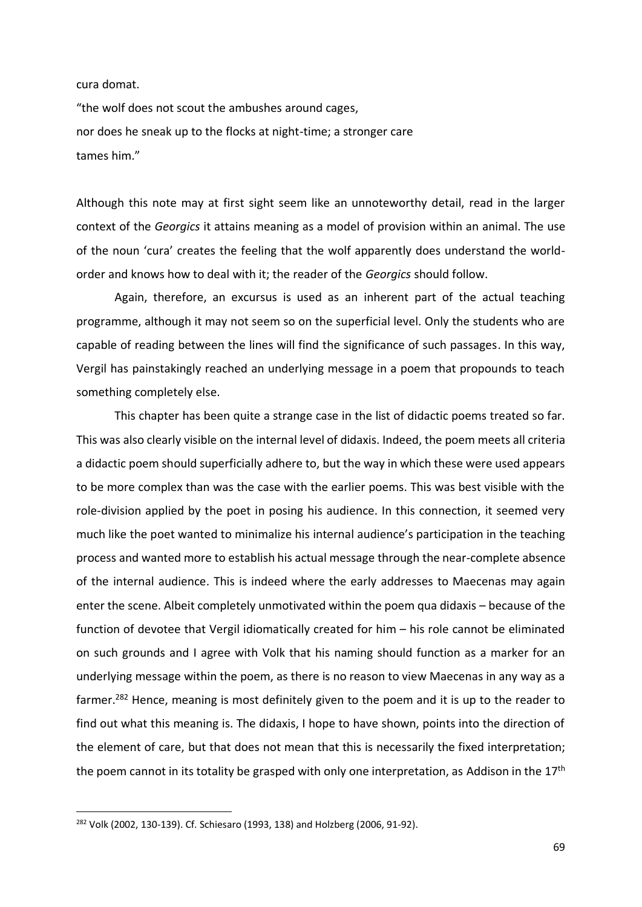cura domat.

"the wolf does not scout the ambushes around cages, nor does he sneak up to the flocks at night-time; a stronger care tames him."

Although this note may at first sight seem like an unnoteworthy detail, read in the larger context of the *Georgics* it attains meaning as a model of provision within an animal. The use of the noun 'cura' creates the feeling that the wolf apparently does understand the worldorder and knows how to deal with it; the reader of the *Georgics* should follow.

Again, therefore, an excursus is used as an inherent part of the actual teaching programme, although it may not seem so on the superficial level. Only the students who are capable of reading between the lines will find the significance of such passages. In this way, Vergil has painstakingly reached an underlying message in a poem that propounds to teach something completely else.

This chapter has been quite a strange case in the list of didactic poems treated so far. This was also clearly visible on the internal level of didaxis. Indeed, the poem meets all criteria a didactic poem should superficially adhere to, but the way in which these were used appears to be more complex than was the case with the earlier poems. This was best visible with the role-division applied by the poet in posing his audience. In this connection, it seemed very much like the poet wanted to minimalize his internal audience's participation in the teaching process and wanted more to establish his actual message through the near-complete absence of the internal audience. This is indeed where the early addresses to Maecenas may again enter the scene. Albeit completely unmotivated within the poem qua didaxis – because of the function of devotee that Vergil idiomatically created for him – his role cannot be eliminated on such grounds and I agree with Volk that his naming should function as a marker for an underlying message within the poem, as there is no reason to view Maecenas in any way as a farmer.<sup>282</sup> Hence, meaning is most definitely given to the poem and it is up to the reader to find out what this meaning is. The didaxis, I hope to have shown, points into the direction of the element of care, but that does not mean that this is necessarily the fixed interpretation; the poem cannot in its totality be grasped with only one interpretation, as Addison in the 17<sup>th</sup>

<sup>282</sup> Volk (2002, 130-139). Cf. Schiesaro (1993, 138) and Holzberg (2006, 91-92).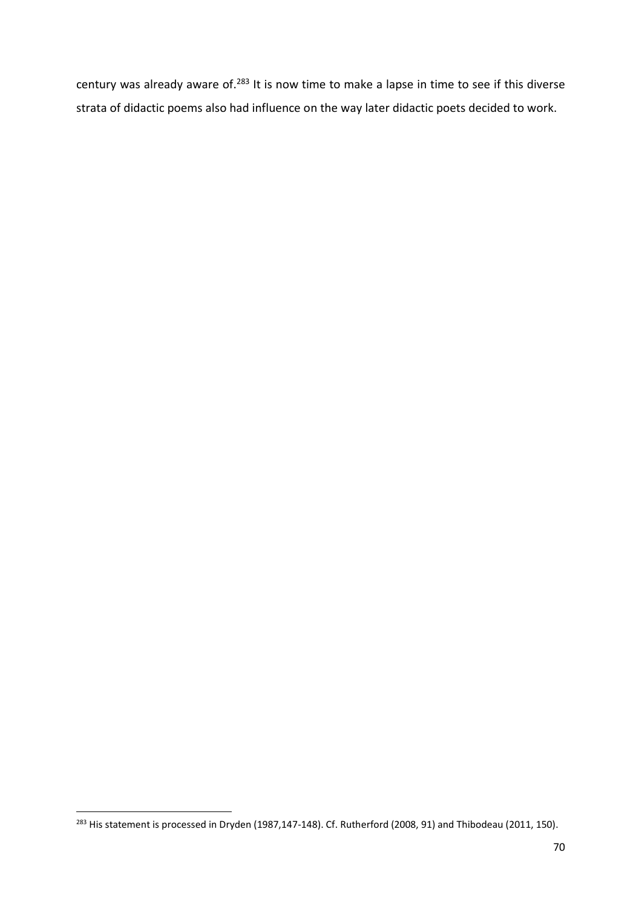century was already aware of.<sup>283</sup> It is now time to make a lapse in time to see if this diverse strata of didactic poems also had influence on the way later didactic poets decided to work.

<sup>&</sup>lt;sup>283</sup> His statement is processed in Dryden (1987,147-148). Cf. Rutherford (2008, 91) and Thibodeau (2011, 150).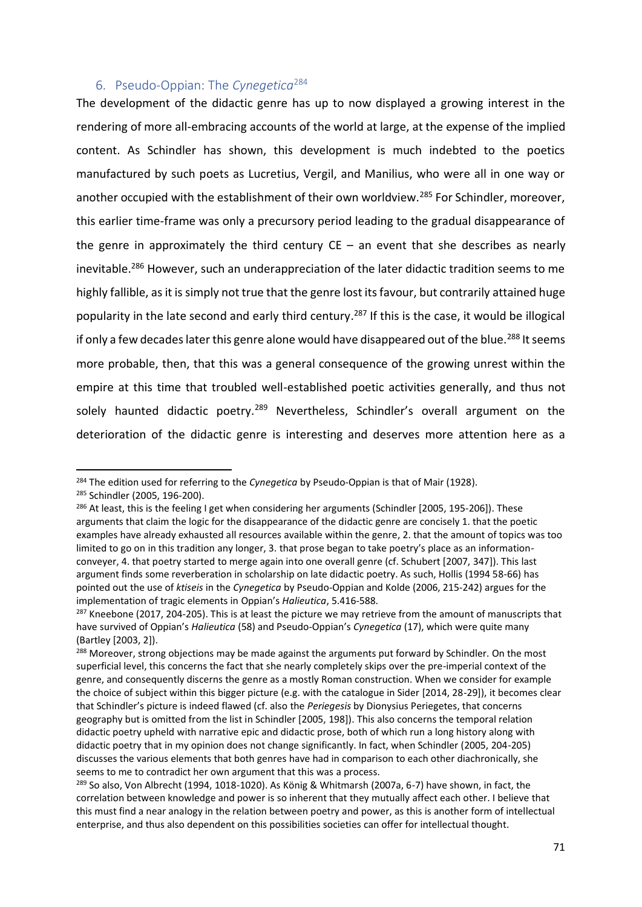## 6. Pseudo-Oppian: The *Cynegetica*<sup>284</sup>

The development of the didactic genre has up to now displayed a growing interest in the rendering of more all-embracing accounts of the world at large, at the expense of the implied content. As Schindler has shown, this development is much indebted to the poetics manufactured by such poets as Lucretius, Vergil, and Manilius, who were all in one way or another occupied with the establishment of their own worldview.<sup>285</sup> For Schindler, moreover, this earlier time-frame was only a precursory period leading to the gradual disappearance of the genre in approximately the third century  $CE -$  an event that she describes as nearly inevitable.<sup>286</sup> However, such an underappreciation of the later didactic tradition seems to me highly fallible, as it is simply not true that the genre lost its favour, but contrarily attained huge popularity in the late second and early third century.<sup>287</sup> If this is the case, it would be illogical if only a few decades later this genre alone would have disappeared out of the blue.<sup>288</sup> It seems more probable, then, that this was a general consequence of the growing unrest within the empire at this time that troubled well-established poetic activities generally, and thus not solely haunted didactic poetry.<sup>289</sup> Nevertheless, Schindler's overall argument on the deterioration of the didactic genre is interesting and deserves more attention here as a

<sup>284</sup> The edition used for referring to the *Cynegetica* by Pseudo-Oppian is that of Mair (1928).

<sup>285</sup> Schindler (2005, 196-200).

 $^{286}$  At least, this is the feeling I get when considering her arguments (Schindler [2005, 195-206]). These arguments that claim the logic for the disappearance of the didactic genre are concisely 1. that the poetic examples have already exhausted all resources available within the genre, 2. that the amount of topics was too limited to go on in this tradition any longer, 3. that prose began to take poetry's place as an informationconveyer, 4. that poetry started to merge again into one overall genre (cf. Schubert [2007, 347]). This last argument finds some reverberation in scholarship on late didactic poetry. As such, Hollis (1994 58-66) has pointed out the use of *ktiseis* in the *Cynegetica* by Pseudo-Oppian and Kolde (2006, 215-242) argues for the implementation of tragic elements in Oppian's *Halieutica*, 5.416-588.

<sup>&</sup>lt;sup>287</sup> Kneebone (2017, 204-205). This is at least the picture we may retrieve from the amount of manuscripts that have survived of Oppian's *Halieutica* (58) and Pseudo-Oppian's *Cynegetica* (17), which were quite many (Bartley [2003, 2]).

<sup>&</sup>lt;sup>288</sup> Moreover, strong objections may be made against the arguments put forward by Schindler. On the most superficial level, this concerns the fact that she nearly completely skips over the pre-imperial context of the genre, and consequently discerns the genre as a mostly Roman construction. When we consider for example the choice of subject within this bigger picture (e.g. with the catalogue in Sider [2014, 28-29]), it becomes clear that Schindler's picture is indeed flawed (cf. also the *Periegesis* by Dionysius Periegetes, that concerns geography but is omitted from the list in Schindler [2005, 198]). This also concerns the temporal relation didactic poetry upheld with narrative epic and didactic prose, both of which run a long history along with didactic poetry that in my opinion does not change significantly. In fact, when Schindler (2005, 204-205) discusses the various elements that both genres have had in comparison to each other diachronically, she seems to me to contradict her own argument that this was a process.

<sup>&</sup>lt;sup>289</sup> So also, Von Albrecht (1994, 1018-1020). As König & Whitmarsh (2007a, 6-7) have shown, in fact, the correlation between knowledge and power is so inherent that they mutually affect each other. I believe that this must find a near analogy in the relation between poetry and power, as this is another form of intellectual enterprise, and thus also dependent on this possibilities societies can offer for intellectual thought.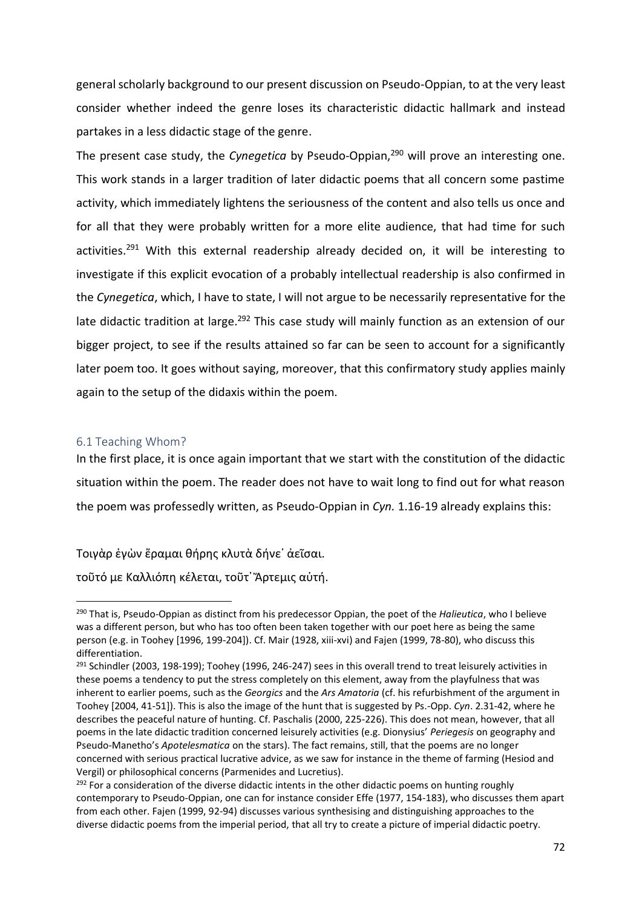general scholarly background to our present discussion on Pseudo-Oppian, to at the very least consider whether indeed the genre loses its characteristic didactic hallmark and instead partakes in a less didactic stage of the genre.

The present case study, the *Cynegetica* by Pseudo-Oppian,<sup>290</sup> will prove an interesting one. This work stands in a larger tradition of later didactic poems that all concern some pastime activity, which immediately lightens the seriousness of the content and also tells us once and for all that they were probably written for a more elite audience, that had time for such activities.<sup>291</sup> With this external readership already decided on, it will be interesting to investigate if this explicit evocation of a probably intellectual readership is also confirmed in the *Cynegetica*, which, I have to state, I will not argue to be necessarily representative for the late didactic tradition at large.<sup>292</sup> This case study will mainly function as an extension of our bigger project, to see if the results attained so far can be seen to account for a significantly later poem too. It goes without saying, moreover, that this confirmatory study applies mainly again to the setup of the didaxis within the poem.

### 6.1 Teaching Whom?

l

In the first place, it is once again important that we start with the constitution of the didactic situation within the poem. The reader does not have to wait long to find out for what reason the poem was professedly written, as Pseudo-Oppian in *Cyn.* 1.16-19 already explains this:

### Τοιγὰρ ἐγὼν ἔραμαι θήρης κλυτὰ δήνε᾿ ἀεῖσαι.

τοῦτό με Καλλιόπη κέλεται, τοῦτ᾿ Ἄρτεμις αὐτή.

<sup>290</sup> That is, Pseudo-Oppian as distinct from his predecessor Oppian, the poet of the *Halieutica*, who I believe was a different person, but who has too often been taken together with our poet here as being the same person (e.g. in Toohey [1996, 199-204]). Cf. Mair (1928, xiii-xvi) and Fajen (1999, 78-80), who discuss this differentiation.

<sup>&</sup>lt;sup>291</sup> Schindler (2003, 198-199); Toohey (1996, 246-247) sees in this overall trend to treat leisurely activities in these poems a tendency to put the stress completely on this element, away from the playfulness that was inherent to earlier poems, such as the *Georgics* and the *Ars Amatoria* (cf. his refurbishment of the argument in Toohey [2004, 41-51]). This is also the image of the hunt that is suggested by Ps.-Opp. *Cyn*. 2.31-42, where he describes the peaceful nature of hunting. Cf. Paschalis (2000, 225-226). This does not mean, however, that all poems in the late didactic tradition concerned leisurely activities (e.g. Dionysius' *Periegesis* on geography and Pseudo-Manetho's *Apotelesmatica* on the stars). The fact remains, still, that the poems are no longer concerned with serious practical lucrative advice, as we saw for instance in the theme of farming (Hesiod and Vergil) or philosophical concerns (Parmenides and Lucretius).

 $292$  For a consideration of the diverse didactic intents in the other didactic poems on hunting roughly contemporary to Pseudo-Oppian, one can for instance consider Effe (1977, 154-183), who discusses them apart from each other. Fajen (1999, 92-94) discusses various synthesising and distinguishing approaches to the diverse didactic poems from the imperial period, that all try to create a picture of imperial didactic poetry.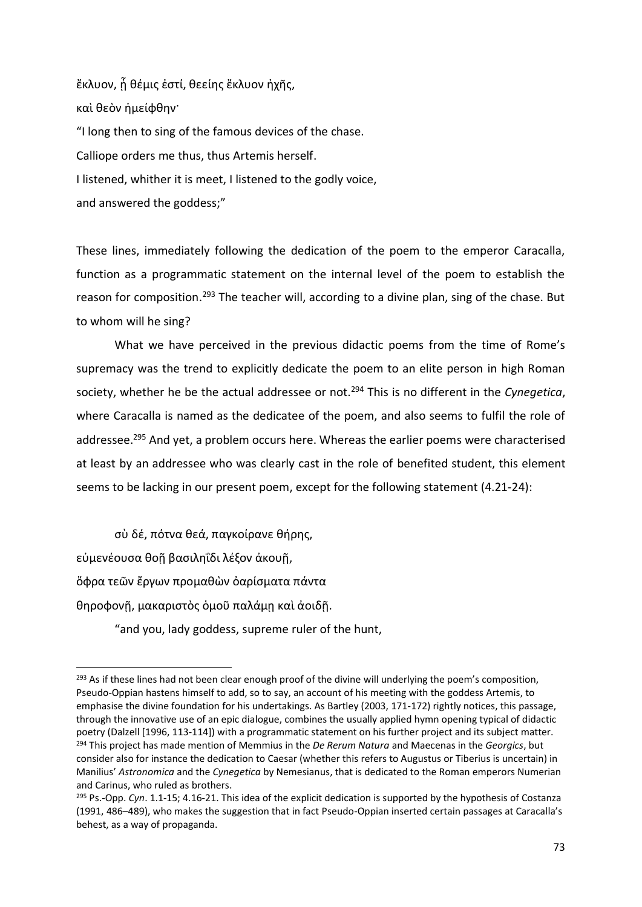ἔκλυον, ᾗ θέμις ἐστί, θεείης ἔκλυον ἠχῆς, καὶ θεὸν ἠμείφθην· "I long then to sing of the famous devices of the chase. Calliope orders me thus, thus Artemis herself. I listened, whither it is meet, I listened to the godly voice, and answered the goddess;"

These lines, immediately following the dedication of the poem to the emperor Caracalla, function as a programmatic statement on the internal level of the poem to establish the reason for composition.<sup>293</sup> The teacher will, according to a divine plan, sing of the chase. But to whom will he sing?

What we have perceived in the previous didactic poems from the time of Rome's supremacy was the trend to explicitly dedicate the poem to an elite person in high Roman society, whether he be the actual addressee or not.<sup>294</sup> This is no different in the *Cynegetica*, where Caracalla is named as the dedicatee of the poem, and also seems to fulfil the role of addressee.<sup>295</sup> And yet, a problem occurs here. Whereas the earlier poems were characterised at least by an addressee who was clearly cast in the role of benefited student, this element seems to be lacking in our present poem, except for the following statement (4.21-24):

σὺ δέ, πότνα θεά, παγκοίρανε θήρης, εὐμενέουσα θοῇ βασιληΐδι λέξον ἀκουῇ, ὄφρα τεῶν ἔργων προμαθὼν ὀαρίσματα πάντα θηροφονῇ, μακαριστὸς ὁμοῦ παλάμῃ καὶ ἀοιδῇ.

 $\overline{a}$ 

"and you, lady goddess, supreme ruler of the hunt,

<sup>&</sup>lt;sup>293</sup> As if these lines had not been clear enough proof of the divine will underlying the poem's composition, Pseudo-Oppian hastens himself to add, so to say, an account of his meeting with the goddess Artemis, to emphasise the divine foundation for his undertakings. As Bartley (2003, 171-172) rightly notices, this passage, through the innovative use of an epic dialogue, combines the usually applied hymn opening typical of didactic poetry (Dalzell [1996, 113-114]) with a programmatic statement on his further project and its subject matter. <sup>294</sup> This project has made mention of Memmius in the *De Rerum Natura* and Maecenas in the *Georgics*, but consider also for instance the dedication to Caesar (whether this refers to Augustus or Tiberius is uncertain) in Manilius' *Astronomica* and the *Cynegetica* by Nemesianus, that is dedicated to the Roman emperors Numerian and Carinus, who ruled as brothers.

<sup>295</sup> Ps.-Opp. *Cyn*. 1.1-15; 4.16-21. This idea of the explicit dedication is supported by the hypothesis of Costanza (1991, 486–489), who makes the suggestion that in fact Pseudo-Oppian inserted certain passages at Caracalla's behest, as a way of propaganda.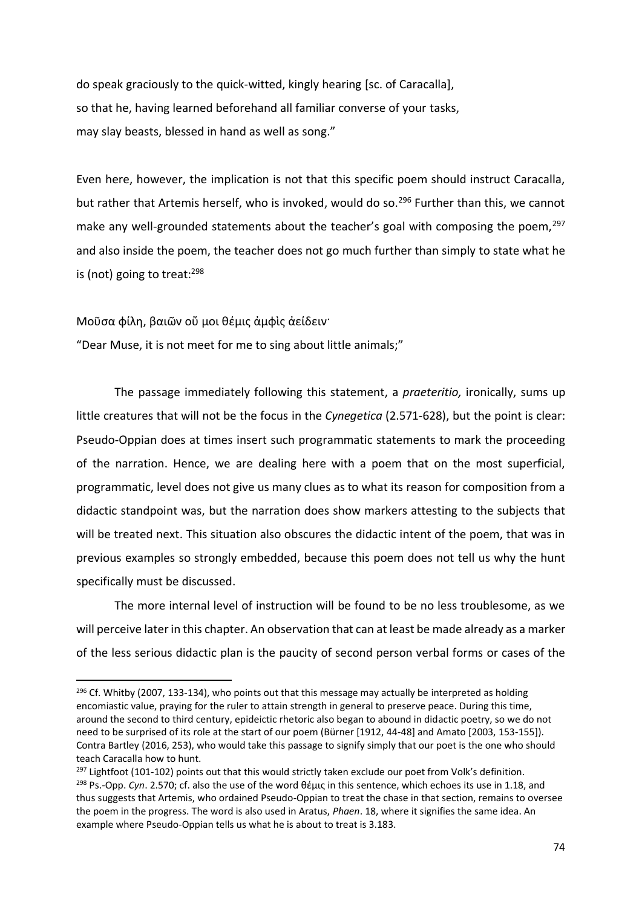do speak graciously to the quick-witted, kingly hearing [sc. of Caracalla], so that he, having learned beforehand all familiar converse of your tasks, may slay beasts, blessed in hand as well as song."

Even here, however, the implication is not that this specific poem should instruct Caracalla, but rather that Artemis herself, who is invoked, would do so.<sup>296</sup> Further than this, we cannot make any well-grounded statements about the teacher's goal with composing the poem,  $297$ and also inside the poem, the teacher does not go much further than simply to state what he is (not) going to treat:<sup>298</sup>

Μοῦσα φίλη, βαιῶν οὔ μοι θέμις ἀμφὶς ἀείδειν·

l

"Dear Muse, it is not meet for me to sing about little animals;"

The passage immediately following this statement, a *praeteritio,* ironically, sums up little creatures that will not be the focus in the *Cynegetica* (2.571-628), but the point is clear: Pseudo-Oppian does at times insert such programmatic statements to mark the proceeding of the narration. Hence, we are dealing here with a poem that on the most superficial, programmatic, level does not give us many clues as to what its reason for composition from a didactic standpoint was, but the narration does show markers attesting to the subjects that will be treated next. This situation also obscures the didactic intent of the poem, that was in previous examples so strongly embedded, because this poem does not tell us why the hunt specifically must be discussed.

The more internal level of instruction will be found to be no less troublesome, as we will perceive later in this chapter. An observation that can at least be made already as a marker of the less serious didactic plan is the paucity of second person verbal forms or cases of the

 $296$  Cf. Whitby (2007, 133-134), who points out that this message may actually be interpreted as holding encomiastic value, praying for the ruler to attain strength in general to preserve peace. During this time, around the second to third century, epideictic rhetoric also began to abound in didactic poetry, so we do not need to be surprised of its role at the start of our poem (Bürner [1912, 44-48] and Amato [2003, 153-155]). Contra Bartley (2016, 253), who would take this passage to signify simply that our poet is the one who should teach Caracalla how to hunt.

 $297$  Lightfoot (101-102) points out that this would strictly taken exclude our poet from Volk's definition. <sup>298</sup> Ps.-Opp. *Cyn*. 2.570; cf. also the use of the word θέμις in this sentence, which echoes its use in 1.18, and thus suggests that Artemis, who ordained Pseudo-Oppian to treat the chase in that section, remains to oversee the poem in the progress. The word is also used in Aratus, *Phaen*. 18, where it signifies the same idea. An example where Pseudo-Oppian tells us what he is about to treat is 3.183.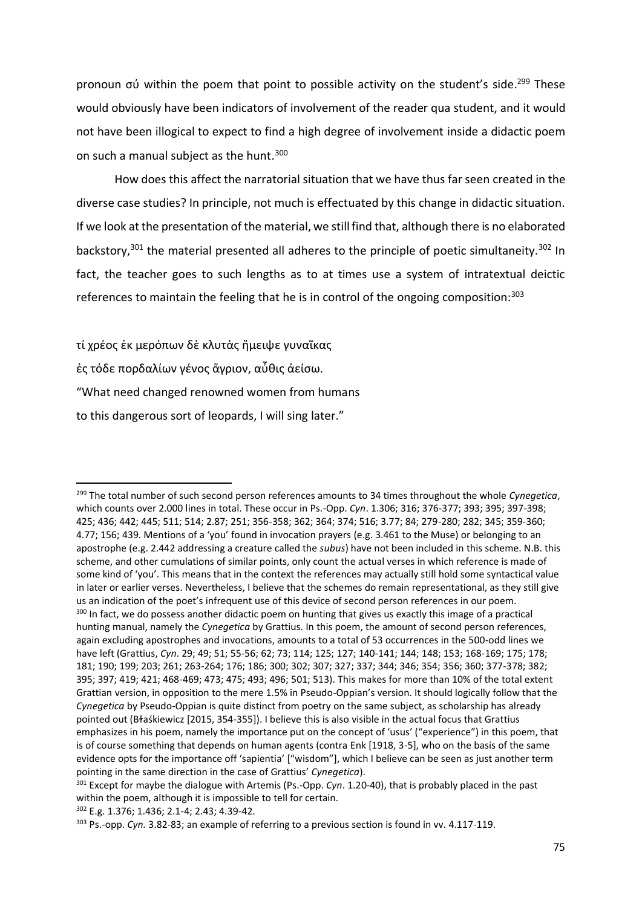pronoun σύ within the poem that point to possible activity on the student's side. <sup>299</sup> These would obviously have been indicators of involvement of the reader qua student, and it would not have been illogical to expect to find a high degree of involvement inside a didactic poem on such a manual subject as the hunt.<sup>300</sup>

How does this affect the narratorial situation that we have thus far seen created in the diverse case studies? In principle, not much is effectuated by this change in didactic situation. If we look at the presentation of the material, we still find that, although there is no elaborated backstory,<sup>301</sup> the material presented all adheres to the principle of poetic simultaneity.<sup>302</sup> In fact, the teacher goes to such lengths as to at times use a system of intratextual deictic references to maintain the feeling that he is in control of the ongoing composition:<sup>303</sup>

τί χρέος ἐκ μερόπων δὲ κλυτὰς ἤμειψε γυναῖκας ἐς τόδε πορδαλίων γένος ἄγριον, αὖθις ἀείσω. "What need changed renowned women from humans to this dangerous sort of leopards, I will sing later."

<sup>299</sup> The total number of such second person references amounts to 34 times throughout the whole *Cynegetica*, which counts over 2.000 lines in total. These occur in Ps.-Opp. *Cyn*. 1.306; 316; 376-377; 393; 395; 397-398; 425; 436; 442; 445; 511; 514; 2.87; 251; 356-358; 362; 364; 374; 516; 3.77; 84; 279-280; 282; 345; 359-360; 4.77; 156; 439. Mentions of a 'you' found in invocation prayers (e.g. 3.461 to the Muse) or belonging to an apostrophe (e.g. 2.442 addressing a creature called the *subus*) have not been included in this scheme. N.B. this scheme, and other cumulations of similar points, only count the actual verses in which reference is made of some kind of 'you'. This means that in the context the references may actually still hold some syntactical value in later or earlier verses. Nevertheless, I believe that the schemes do remain representational, as they still give us an indication of the poet's infrequent use of this device of second person references in our poem. <sup>300</sup> In fact, we do possess another didactic poem on hunting that gives us exactly this image of a practical hunting manual, namely the *Cynegetica* by Grattius. In this poem, the amount of second person references, again excluding apostrophes and invocations, amounts to a total of 53 occurrences in the 500-odd lines we have left (Grattius, *Cyn*. 29; 49; 51; 55-56; 62; 73; 114; 125; 127; 140-141; 144; 148; 153; 168-169; 175; 178; 181; 190; 199; 203; 261; 263-264; 176; 186; 300; 302; 307; 327; 337; 344; 346; 354; 356; 360; 377-378; 382; 395; 397; 419; 421; 468-469; 473; 475; 493; 496; 501; 513). This makes for more than 10% of the total extent Grattian version, in opposition to the mere 1.5% in Pseudo-Oppian's version. It should logically follow that the *Cynegetica* by Pseudo-Oppian is quite distinct from poetry on the same subject, as scholarship has already pointed out (Bɫaśkiewicz [2015, 354-355]). I believe this is also visible in the actual focus that Grattius emphasizes in his poem, namely the importance put on the concept of 'usus' ("experience") in this poem, that is of course something that depends on human agents (contra Enk [1918, 3-5], who on the basis of the same evidence opts for the importance off 'sapientia' ["wisdom"], which I believe can be seen as just another term pointing in the same direction in the case of Grattius' *Cynegetica*).

<sup>301</sup> Except for maybe the dialogue with Artemis (Ps.-Opp. *Cyn*. 1.20-40), that is probably placed in the past within the poem, although it is impossible to tell for certain.

<sup>302</sup> E.g. 1.376; 1.436; 2.1-4; 2.43; 4.39-42.

<sup>303</sup> Ps.-opp. *Cyn.* 3.82-83; an example of referring to a previous section is found in vv. 4.117-119.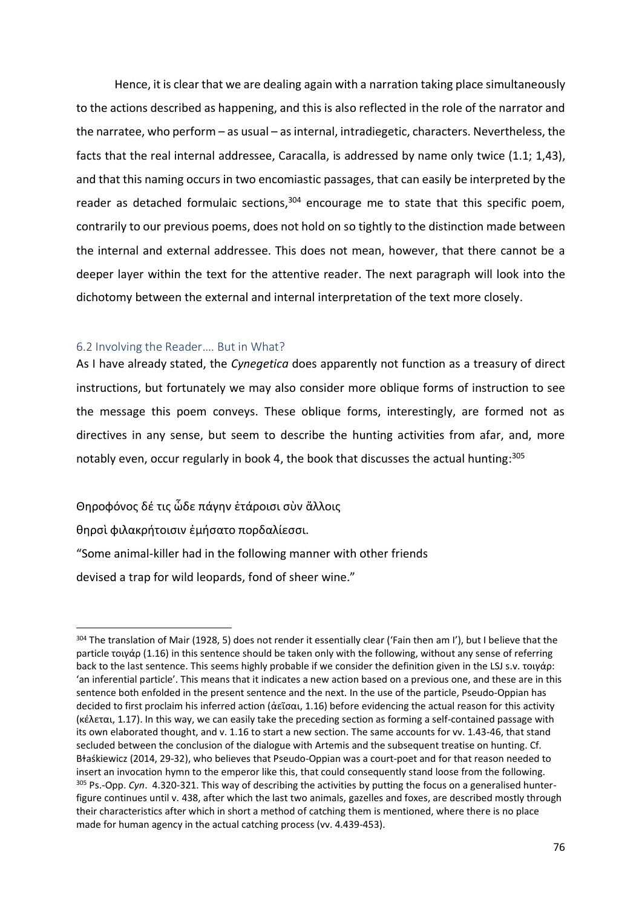Hence, it is clear that we are dealing again with a narration taking place simultaneously to the actions described as happening, and this is also reflected in the role of the narrator and the narratee, who perform – as usual – as internal, intradiegetic, characters. Nevertheless, the facts that the real internal addressee, Caracalla, is addressed by name only twice (1.1; 1,43), and that this naming occurs in two encomiastic passages, that can easily be interpreted by the reader as detached formulaic sections,<sup>304</sup> encourage me to state that this specific poem, contrarily to our previous poems, does not hold on so tightly to the distinction made between the internal and external addressee. This does not mean, however, that there cannot be a deeper layer within the text for the attentive reader. The next paragraph will look into the dichotomy between the external and internal interpretation of the text more closely.

# 6.2 Involving the Reader…. But in What?

As I have already stated, the *Cynegetica* does apparently not function as a treasury of direct instructions, but fortunately we may also consider more oblique forms of instruction to see the message this poem conveys. These oblique forms, interestingly, are formed not as directives in any sense, but seem to describe the hunting activities from afar, and, more notably even, occur regularly in book 4, the book that discusses the actual hunting:<sup>305</sup>

Θηροφόνος δέ τις ὧδε πάγην ἑτάροισι σὺν ἄλλοις

θηρσὶ φιλακρήτοισιν ἐμήσατο πορδαλίεσσι.

l

"Some animal-killer had in the following manner with other friends

devised a trap for wild leopards, fond of sheer wine."

<sup>304</sup> The translation of Mair (1928, 5) does not render it essentially clear ('Fain then am I'), but I believe that the particle τοιγάρ (1.16) in this sentence should be taken only with the following, without any sense of referring back to the last sentence. This seems highly probable if we consider the definition given in the LSJ s.v. τοιγάρ: 'an inferential particle'. This means that it indicates a new action based on a previous one, and these are in this sentence both enfolded in the present sentence and the next. In the use of the particle, Pseudo-Oppian has decided to first proclaim his inferred action (ἀεῖσαι, 1.16) before evidencing the actual reason for this activity (κέλεται, 1.17). In this way, we can easily take the preceding section as forming a self-contained passage with its own elaborated thought, and v. 1.16 to start a new section. The same accounts for vv. 1.43-46, that stand secluded between the conclusion of the dialogue with Artemis and the subsequent treatise on hunting. Cf. Błaśkiewicz (2014, 29-32), who believes that Pseudo-Oppian was a court-poet and for that reason needed to insert an invocation hymn to the emperor like this, that could consequently stand loose from the following. <sup>305</sup> Ps.-Opp. *Cyn*. 4.320-321. This way of describing the activities by putting the focus on a generalised hunterfigure continues until v. 438, after which the last two animals, gazelles and foxes, are described mostly through their characteristics after which in short a method of catching them is mentioned, where there is no place made for human agency in the actual catching process (vv. 4.439-453).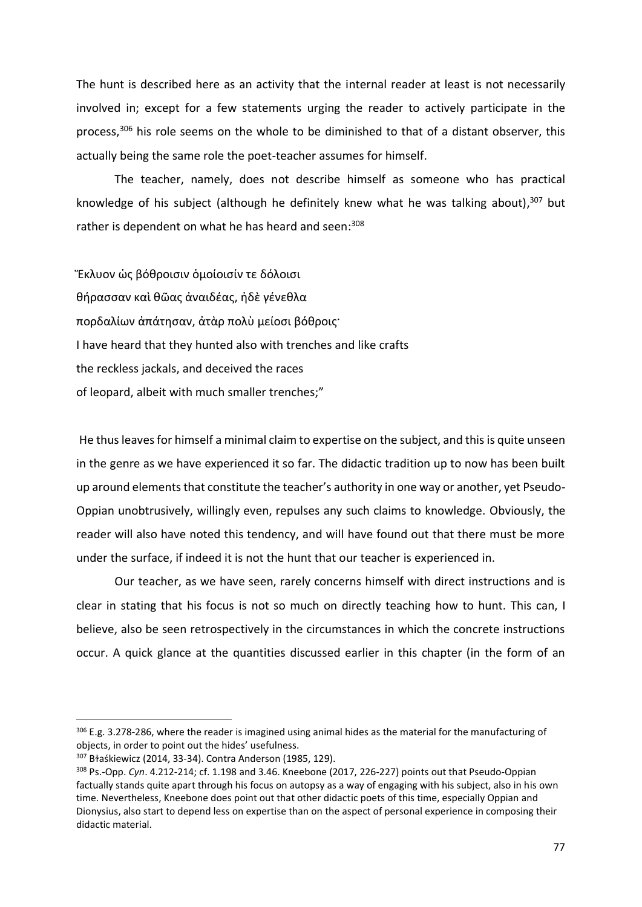The hunt is described here as an activity that the internal reader at least is not necessarily involved in; except for a few statements urging the reader to actively participate in the process,<sup>306</sup> his role seems on the whole to be diminished to that of a distant observer, this actually being the same role the poet-teacher assumes for himself.

The teacher, namely, does not describe himself as someone who has practical knowledge of his subject (although he definitely knew what he was talking about), <sup>307</sup> but rather is dependent on what he has heard and seen:<sup>308</sup>

Ἔκλυον ὡς βόθροισιν ὁμοίοισίν τε δόλοισι θήρασσαν καὶ θῶας ἀναιδέας, ἠδὲ γένεθλα πορδαλίων ἀπάτησαν, ἀτὰρ πολὺ μείοσι βόθροις· I have heard that they hunted also with trenches and like crafts the reckless jackals, and deceived the races of leopard, albeit with much smaller trenches;"

He thus leaves for himself a minimal claim to expertise on the subject, and this is quite unseen in the genre as we have experienced it so far. The didactic tradition up to now has been built up around elements that constitute the teacher's authority in one way or another, yet Pseudo-Oppian unobtrusively, willingly even, repulses any such claims to knowledge. Obviously, the reader will also have noted this tendency, and will have found out that there must be more under the surface, if indeed it is not the hunt that our teacher is experienced in.

Our teacher, as we have seen, rarely concerns himself with direct instructions and is clear in stating that his focus is not so much on directly teaching how to hunt. This can, I believe, also be seen retrospectively in the circumstances in which the concrete instructions occur. A quick glance at the quantities discussed earlier in this chapter (in the form of an

<sup>&</sup>lt;sup>306</sup> E.g. 3.278-286, where the reader is imagined using animal hides as the material for the manufacturing of objects, in order to point out the hides' usefulness.

<sup>307</sup> Bɫaśkiewicz (2014, 33-34). Contra Anderson (1985, 129).

<sup>308</sup> Ps.-Opp. *Cyn*. 4.212-214; cf. 1.198 and 3.46. Kneebone (2017, 226-227) points out that Pseudo-Oppian factually stands quite apart through his focus on autopsy as a way of engaging with his subject, also in his own time. Nevertheless, Kneebone does point out that other didactic poets of this time, especially Oppian and Dionysius, also start to depend less on expertise than on the aspect of personal experience in composing their didactic material.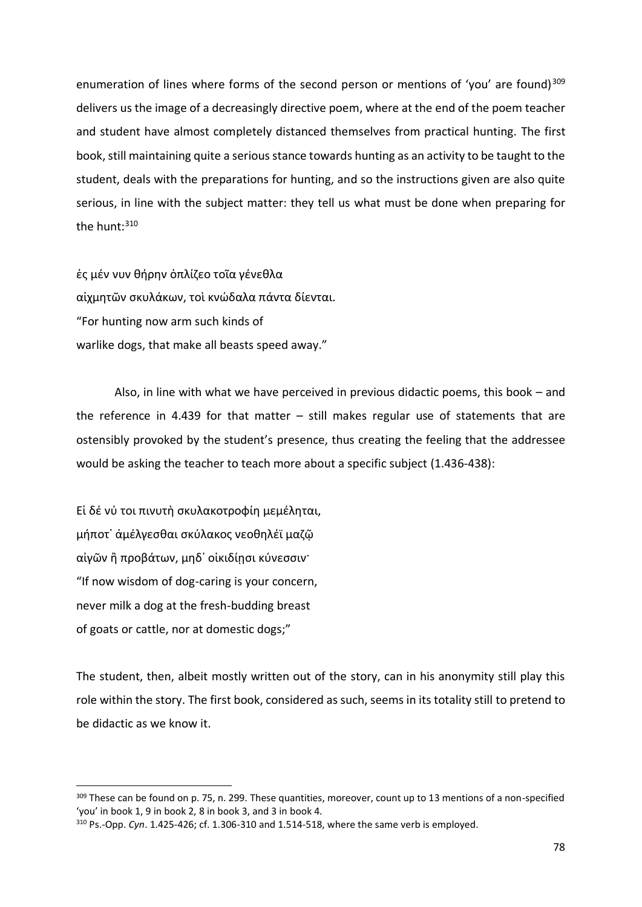enumeration of lines where forms of the second person or mentions of 'you' are found)<sup>309</sup> delivers us the image of a decreasingly directive poem, where at the end of the poem teacher and student have almost completely distanced themselves from practical hunting. The first book, still maintaining quite a serious stance towards hunting as an activity to be taught to the student, deals with the preparations for hunting, and so the instructions given are also quite serious, in line with the subject matter: they tell us what must be done when preparing for the hunt: $310$ 

ἐς μέν νυν θήρην ὁπλίζεο τοῖα γένεθλα αἰχμητῶν σκυλάκων, τοὶ κνώδαλα πάντα δίενται. "For hunting now arm such kinds of warlike dogs, that make all beasts speed away."

Also, in line with what we have perceived in previous didactic poems, this book – and the reference in 4.439 for that matter  $-$  still makes regular use of statements that are ostensibly provoked by the student's presence, thus creating the feeling that the addressee would be asking the teacher to teach more about a specific subject (1.436-438):

Εἰ δέ νύ τοι πινυτὴ σκυλακοτροφίη μεμέληται, μήποτ᾿ ἀμέλγεσθαι σκύλακος νεοθηλέϊ μαζῷ αἰγῶν ἢ προβάτων, μηδ᾿ οἰκιδίῃσι κύνεσσιν· "If now wisdom of dog-caring is your concern, never milk a dog at the fresh-budding breast of goats or cattle, nor at domestic dogs;"

l

The student, then, albeit mostly written out of the story, can in his anonymity still play this role within the story. The first book, considered as such, seems in its totality still to pretend to be didactic as we know it.

<sup>309</sup> These can be found on p. 75, n. 299. These quantities, moreover, count up to 13 mentions of a non-specified 'you' in book 1, 9 in book 2, 8 in book 3, and 3 in book 4.

<sup>310</sup> Ps.-Opp. *Cyn*. 1.425-426; cf. 1.306-310 and 1.514-518, where the same verb is employed.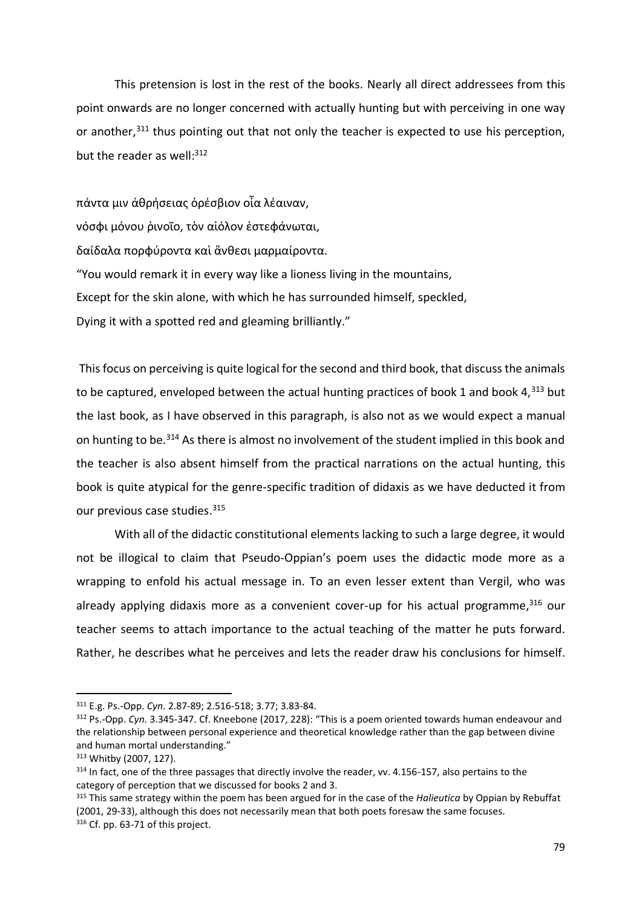This pretension is lost in the rest of the books. Nearly all direct addressees from this point onwards are no longer concerned with actually hunting but with perceiving in one way or another,<sup>311</sup> thus pointing out that not only the teacher is expected to use his perception, but the reader as well:<sup>312</sup>

πάντα μιν ἀθρήσειας ὀρέσβιον οἷα λέαιναν, νόσφι μόνου ῥινοῖο, τὸν αἰόλον ἐστεφάνωται, δαίδαλα πορφύροντα καὶ ἄνθεσι μαρμαίροντα. "You would remark it in every way like a lioness living in the mountains, Except for the skin alone, with which he has surrounded himself, speckled, Dying it with a spotted red and gleaming brilliantly."

This focus on perceiving is quite logical for the second and third book, that discuss the animals to be captured, enveloped between the actual hunting practices of book 1 and book  $4,^{313}$  but the last book, as I have observed in this paragraph, is also not as we would expect a manual on hunting to be.<sup>314</sup> As there is almost no involvement of the student implied in this book and the teacher is also absent himself from the practical narrations on the actual hunting, this book is quite atypical for the genre-specific tradition of didaxis as we have deducted it from our previous case studies.<sup>315</sup>

With all of the didactic constitutional elements lacking to such a large degree, it would not be illogical to claim that Pseudo-Oppian's poem uses the didactic mode more as a wrapping to enfold his actual message in. To an even lesser extent than Vergil, who was already applying didaxis more as a convenient cover-up for his actual programme,<sup>316</sup> our teacher seems to attach importance to the actual teaching of the matter he puts forward. Rather, he describes what he perceives and lets the reader draw his conclusions for himself.

<sup>311</sup> E.g. Ps.-Opp. *Cyn.* 2.87-89; 2.516-518; 3.77; 3.83-84.

<sup>312</sup> Ps.-Opp. *Cyn.* 3.345-347. Cf. Kneebone (2017, 228): "This is a poem oriented towards human endeavour and the relationship between personal experience and theoretical knowledge rather than the gap between divine and human mortal understanding."

<sup>313</sup> Whitby (2007, 127).

<sup>&</sup>lt;sup>314</sup> In fact, one of the three passages that directly involve the reader, vv. 4.156-157, also pertains to the category of perception that we discussed for books 2 and 3.

<sup>315</sup> This same strategy within the poem has been argued for in the case of the *Halieutica* by Oppian by Rebuffat (2001, 29-33), although this does not necessarily mean that both poets foresaw the same focuses. <sup>316</sup> Cf. pp. 63-71 of this project.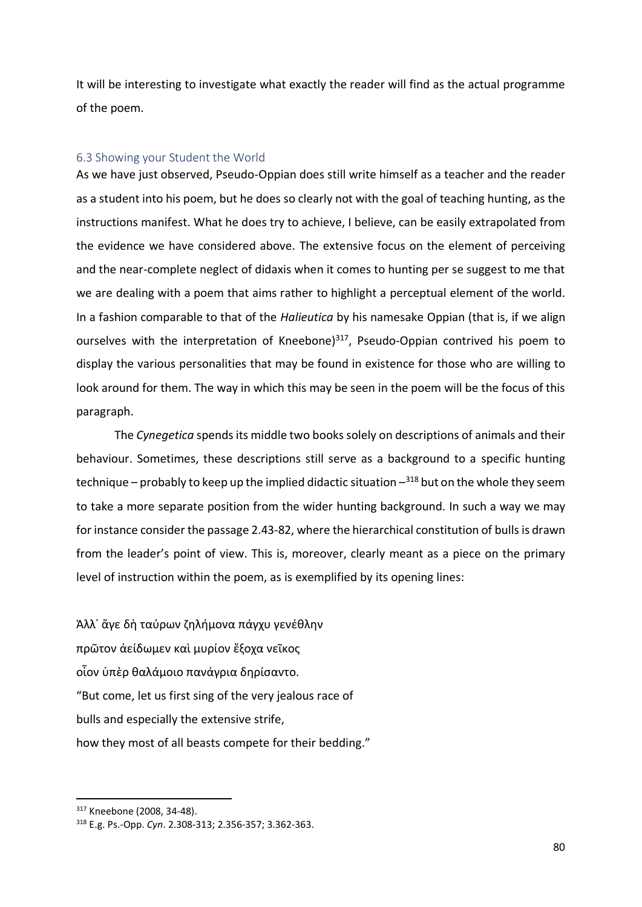It will be interesting to investigate what exactly the reader will find as the actual programme of the poem.

## 6.3 Showing your Student the World

As we have just observed, Pseudo-Oppian does still write himself as a teacher and the reader as a student into his poem, but he does so clearly not with the goal of teaching hunting, as the instructions manifest. What he does try to achieve, I believe, can be easily extrapolated from the evidence we have considered above. The extensive focus on the element of perceiving and the near-complete neglect of didaxis when it comes to hunting per se suggest to me that we are dealing with a poem that aims rather to highlight a perceptual element of the world. In a fashion comparable to that of the *Halieutica* by his namesake Oppian (that is, if we align ourselves with the interpretation of Kneebone) $317$ , Pseudo-Oppian contrived his poem to display the various personalities that may be found in existence for those who are willing to look around for them. The way in which this may be seen in the poem will be the focus of this paragraph.

The *Cynegetica* spends its middle two books solely on descriptions of animals and their behaviour. Sometimes, these descriptions still serve as a background to a specific hunting technique – probably to keep up the implied didactic situation -<sup>318</sup> but on the whole they seem to take a more separate position from the wider hunting background. In such a way we may for instance consider the passage 2.43-82, where the hierarchical constitution of bulls is drawn from the leader's point of view. This is, moreover, clearly meant as a piece on the primary level of instruction within the poem, as is exemplified by its opening lines:

Ἀλλ᾿ ἄγε δὴ ταύρων ζηλήμονα πάγχυ γενέθλην πρῶτον ἀείδωμεν καὶ μυρίον ἔξοχα νεῖκος οἷον ὑπὲρ θαλάμοιο πανάγρια δηρίσαντο. "But come, let us first sing of the very jealous race of bulls and especially the extensive strife, how they most of all beasts compete for their bedding."

<sup>317</sup> Kneebone (2008, 34-48).

<sup>318</sup> E.g. Ps.-Opp. *Cyn*. 2.308-313; 2.356-357; 3.362-363.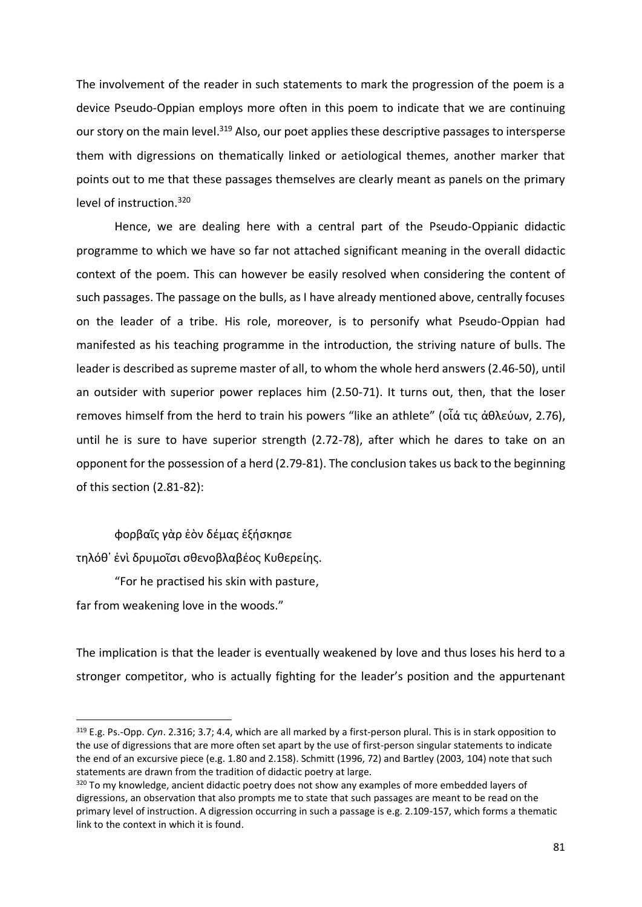The involvement of the reader in such statements to mark the progression of the poem is a device Pseudo-Oppian employs more often in this poem to indicate that we are continuing our story on the main level.<sup>319</sup> Also, our poet applies these descriptive passages to intersperse them with digressions on thematically linked or aetiological themes, another marker that points out to me that these passages themselves are clearly meant as panels on the primary level of instruction.<sup>320</sup>

Hence, we are dealing here with a central part of the Pseudo-Oppianic didactic programme to which we have so far not attached significant meaning in the overall didactic context of the poem. This can however be easily resolved when considering the content of such passages. The passage on the bulls, as I have already mentioned above, centrally focuses on the leader of a tribe. His role, moreover, is to personify what Pseudo-Oppian had manifested as his teaching programme in the introduction, the striving nature of bulls. The leader is described as supreme master of all, to whom the whole herd answers (2.46-50), until an outsider with superior power replaces him (2.50-71). It turns out, then, that the loser removes himself from the herd to train his powers "like an athlete" (οἶά τις ἀθλεύων, 2.76), until he is sure to have superior strength (2.72-78), after which he dares to take on an opponent for the possession of a herd (2.79-81). The conclusion takes us back to the beginning of this section (2.81-82):

φορβαῖς γὰρ ἑὸν δέμας ἐξήσκησε τηλόθ᾿ ἐνὶ δρυμοῖσι σθενοβλαβέος Κυθερείης. "For he practised his skin with pasture,

far from weakening love in the woods."

l

The implication is that the leader is eventually weakened by love and thus loses his herd to a stronger competitor, who is actually fighting for the leader's position and the appurtenant

<sup>319</sup> E.g. Ps.-Opp. *Cyn*. 2.316; 3.7; 4.4, which are all marked by a first-person plural. This is in stark opposition to the use of digressions that are more often set apart by the use of first-person singular statements to indicate the end of an excursive piece (e.g. 1.80 and 2.158). Schmitt (1996, 72) and Bartley (2003, 104) note that such statements are drawn from the tradition of didactic poetry at large.

<sup>&</sup>lt;sup>320</sup> To my knowledge, ancient didactic poetry does not show any examples of more embedded layers of digressions, an observation that also prompts me to state that such passages are meant to be read on the primary level of instruction. A digression occurring in such a passage is e.g. 2.109-157, which forms a thematic link to the context in which it is found.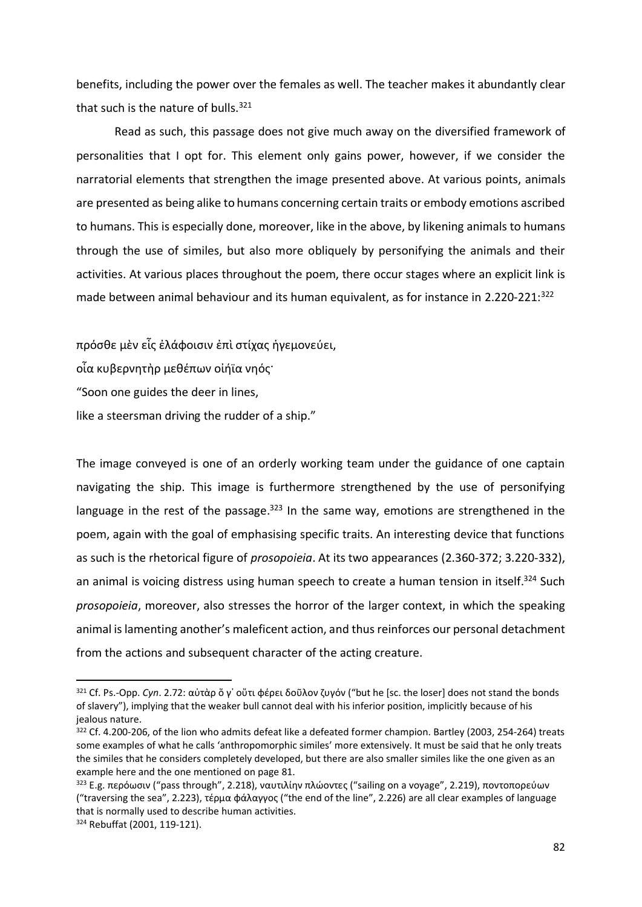benefits, including the power over the females as well. The teacher makes it abundantly clear that such is the nature of bulls. $321$ 

Read as such, this passage does not give much away on the diversified framework of personalities that I opt for. This element only gains power, however, if we consider the narratorial elements that strengthen the image presented above. At various points, animals are presented as being alike to humans concerning certain traits or embody emotions ascribed to humans. This is especially done, moreover, like in the above, by likening animals to humans through the use of similes, but also more obliquely by personifying the animals and their activities. At various places throughout the poem, there occur stages where an explicit link is made between animal behaviour and its human equivalent, as for instance in 2.220-221:<sup>322</sup>

πρόσθε μὲν εἷς ἐλάφοισιν ἐπὶ στίχας ἡγεμονεύει,

οἷα κυβερνητὴρ μεθέπων οἰήϊα νηός·

"Soon one guides the deer in lines,

like a steersman driving the rudder of a ship."

The image conveyed is one of an orderly working team under the guidance of one captain navigating the ship. This image is furthermore strengthened by the use of personifying language in the rest of the passage.<sup>323</sup> In the same way, emotions are strengthened in the poem, again with the goal of emphasising specific traits. An interesting device that functions as such is the rhetorical figure of *prosopoieia*. At its two appearances (2.360-372; 3.220-332), an animal is voicing distress using human speech to create a human tension in itself.<sup>324</sup> Such *prosopoieia*, moreover, also stresses the horror of the larger context, in which the speaking animal is lamenting another's maleficent action, and thus reinforces our personal detachment from the actions and subsequent character of the acting creature.

<sup>321</sup> Cf. Ps.-Opp. *Cyn*. 2.72: αὐτὰρ ὅ γ᾿ οὔτι φέρει δοῦλον ζυγόν ("but he [sc. the loser] does not stand the bonds of slavery"), implying that the weaker bull cannot deal with his inferior position, implicitly because of his jealous nature.

<sup>322</sup> Cf. 4.200-206, of the lion who admits defeat like a defeated former champion. Bartley (2003, 254-264) treats some examples of what he calls 'anthropomorphic similes' more extensively. It must be said that he only treats the similes that he considers completely developed, but there are also smaller similes like the one given as an example here and the one mentioned on page 81.

<sup>&</sup>lt;sup>323</sup> E.g. περόωσιν ("pass through", 2.218), ναυτιλίην πλώοντες ("sailing on a voyage", 2.219), ποντοπορεύων ("traversing the sea", 2.223), τέρμα φάλαγγος ("the end of the line", 2.226) are all clear examples of language that is normally used to describe human activities.

<sup>324</sup> Rebuffat (2001, 119-121).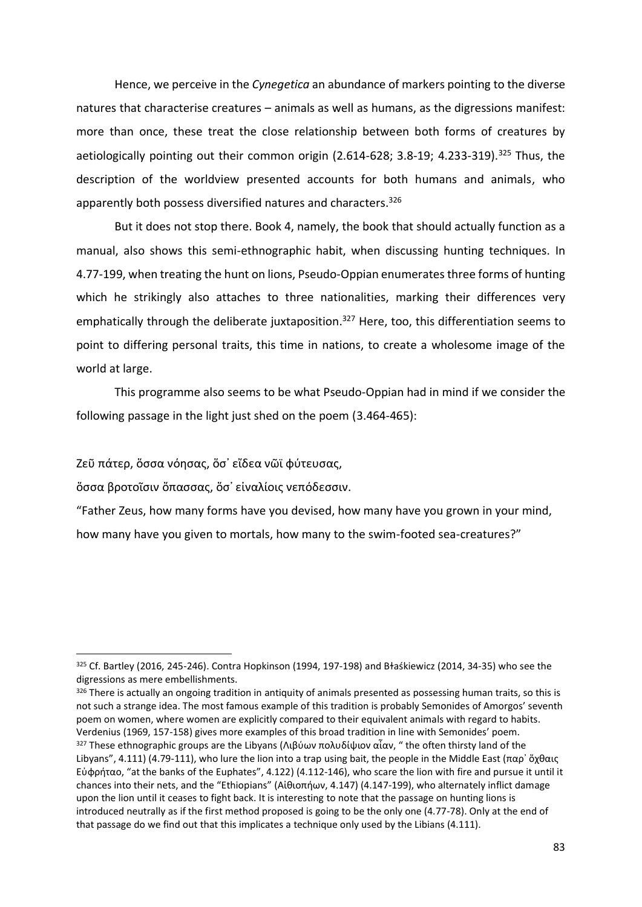Hence, we perceive in the *Cynegetica* an abundance of markers pointing to the diverse natures that characterise creatures – animals as well as humans, as the digressions manifest: more than once, these treat the close relationship between both forms of creatures by aetiologically pointing out their common origin  $(2.614-628; 3.8-19; 4.233-319).$ <sup>325</sup> Thus, the description of the worldview presented accounts for both humans and animals, who apparently both possess diversified natures and characters.<sup>326</sup>

But it does not stop there. Book 4, namely, the book that should actually function as a manual, also shows this semi-ethnographic habit, when discussing hunting techniques. In 4.77-199, when treating the hunt on lions, Pseudo-Oppian enumerates three forms of hunting which he strikingly also attaches to three nationalities, marking their differences very emphatically through the deliberate juxtaposition.<sup>327</sup> Here, too, this differentiation seems to point to differing personal traits, this time in nations, to create a wholesome image of the world at large.

This programme also seems to be what Pseudo-Oppian had in mind if we consider the following passage in the light just shed on the poem (3.464-465):

Ζεῦ πάτερ, ὅσσα νόησας, ὅσ᾿ εἴδεα νῶϊ φύτευσας,

l

ὅσσα βροτοῖσιν ὄπασσας, ὅσ᾿ εἰναλίοις νεπόδεσσιν.

"Father Zeus, how many forms have you devised, how many have you grown in your mind, how many have you given to mortals, how many to the swim-footed sea-creatures?"

 $326$  There is actually an ongoing tradition in antiquity of animals presented as possessing human traits, so this is not such a strange idea. The most famous example of this tradition is probably Semonides of Amorgos' seventh poem on women, where women are explicitly compared to their equivalent animals with regard to habits. Verdenius (1969, 157-158) gives more examples of this broad tradition in line with Semonides' poem. <sup>327</sup> These ethnographic groups are the Libyans (Λιβύων πολυδίψιον αἶαν, " the often thirsty land of the Libyans", 4.111) (4.79-111), who lure the lion into a trap using bait, the people in the Middle East (παρ' ὄχθαις Εὐφρήταο, "at the banks of the Euphates", 4.122) (4.112-146), who scare the lion with fire and pursue it until it chances into their nets, and the "Ethiopians" (Αἰθιοπήων, 4.147) (4.147-199), who alternately inflict damage upon the lion until it ceases to fight back. It is interesting to note that the passage on hunting lions is introduced neutrally as if the first method proposed is going to be the only one (4.77-78). Only at the end of that passage do we find out that this implicates a technique only used by the Libians (4.111).

 $325$  Cf. Bartley (2016, 245-246). Contra Hopkinson (1994, 197-198) and Błaśkiewicz (2014, 34-35) who see the digressions as mere embellishments.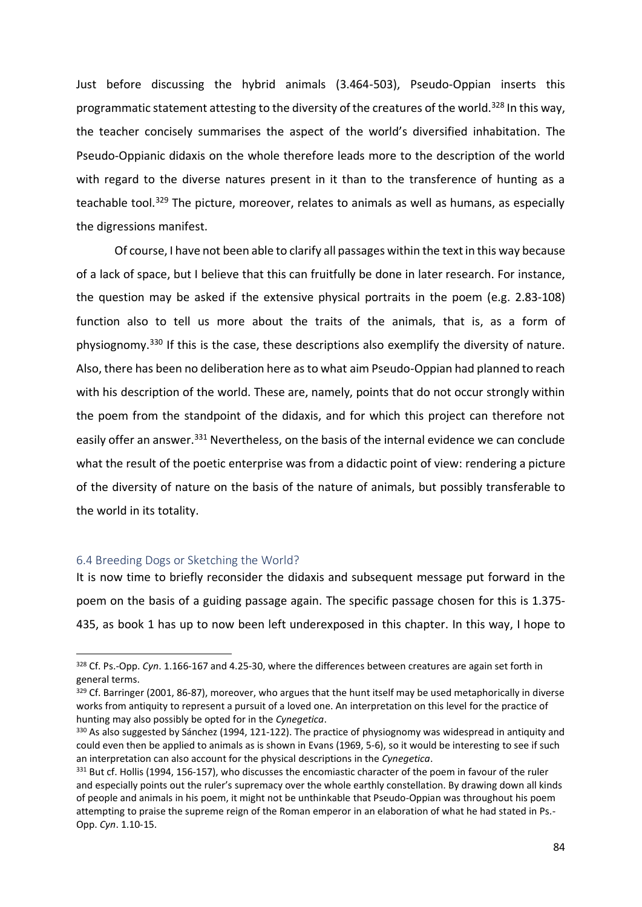Just before discussing the hybrid animals (3.464-503), Pseudo-Oppian inserts this programmatic statement attesting to the diversity of the creatures of the world.<sup>328</sup> In this way, the teacher concisely summarises the aspect of the world's diversified inhabitation. The Pseudo-Oppianic didaxis on the whole therefore leads more to the description of the world with regard to the diverse natures present in it than to the transference of hunting as a teachable tool.<sup>329</sup> The picture, moreover, relates to animals as well as humans, as especially the digressions manifest.

Of course, I have not been able to clarify all passages within the text in this way because of a lack of space, but I believe that this can fruitfully be done in later research. For instance, the question may be asked if the extensive physical portraits in the poem (e.g. 2.83-108) function also to tell us more about the traits of the animals, that is, as a form of physiognomy.<sup>330</sup> If this is the case, these descriptions also exemplify the diversity of nature. Also, there has been no deliberation here as to what aim Pseudo-Oppian had planned to reach with his description of the world. These are, namely, points that do not occur strongly within the poem from the standpoint of the didaxis, and for which this project can therefore not easilv offer an answer.<sup>331</sup> Nevertheless, on the basis of the internal evidence we can conclude what the result of the poetic enterprise was from a didactic point of view: rendering a picture of the diversity of nature on the basis of the nature of animals, but possibly transferable to the world in its totality.

## 6.4 Breeding Dogs or Sketching the World?

l

It is now time to briefly reconsider the didaxis and subsequent message put forward in the poem on the basis of a guiding passage again. The specific passage chosen for this is 1.375- 435, as book 1 has up to now been left underexposed in this chapter. In this way, I hope to

<sup>328</sup> Cf. Ps.-Opp. *Cyn*. 1.166-167 and 4.25-30, where the differences between creatures are again set forth in general terms.

<sup>329</sup> Cf. Barringer (2001, 86-87), moreover, who argues that the hunt itself may be used metaphorically in diverse works from antiquity to represent a pursuit of a loved one. An interpretation on this level for the practice of hunting may also possibly be opted for in the *Cynegetica*.

<sup>330</sup> As also suggested by Sánchez (1994, 121-122). The practice of physiognomy was widespread in antiquity and could even then be applied to animals as is shown in Evans (1969, 5-6), so it would be interesting to see if such an interpretation can also account for the physical descriptions in the *Cynegetica*.

<sup>331</sup> But cf. Hollis (1994, 156-157), who discusses the encomiastic character of the poem in favour of the ruler and especially points out the ruler's supremacy over the whole earthly constellation. By drawing down all kinds of people and animals in his poem, it might not be unthinkable that Pseudo-Oppian was throughout his poem attempting to praise the supreme reign of the Roman emperor in an elaboration of what he had stated in Ps.- Opp. *Cyn*. 1.10-15.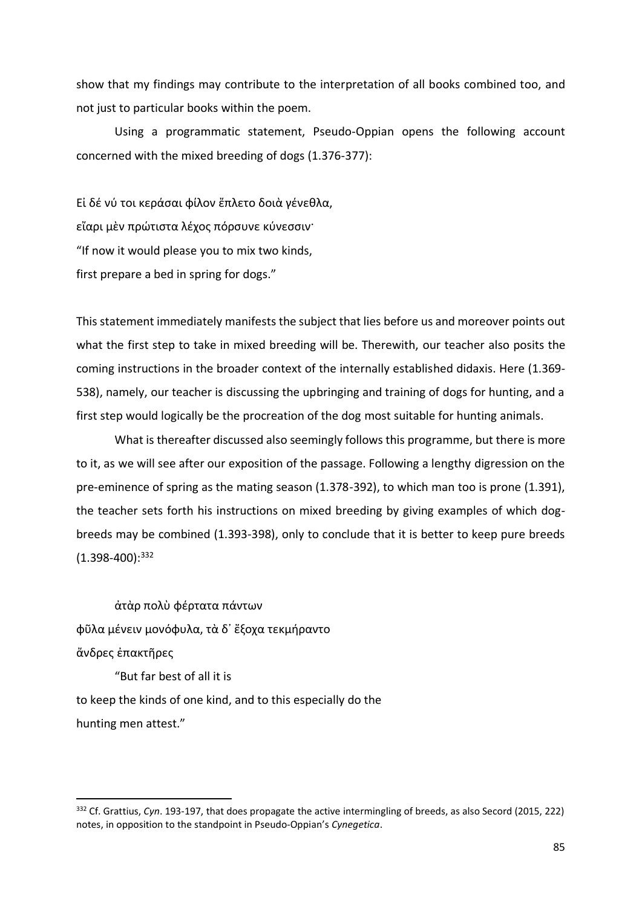show that my findings may contribute to the interpretation of all books combined too, and not just to particular books within the poem.

Using a programmatic statement, Pseudo-Oppian opens the following account concerned with the mixed breeding of dogs (1.376-377):

Εἰ δέ νύ τοι κεράσαι φίλον ἔπλετο δοιὰ γένεθλα, εἴαρι μὲν πρώτιστα λέχος πόρσυνε κύνεσσιν· "If now it would please you to mix two kinds, first prepare a bed in spring for dogs."

This statement immediately manifests the subject that lies before us and moreover points out what the first step to take in mixed breeding will be. Therewith, our teacher also posits the coming instructions in the broader context of the internally established didaxis. Here (1.369- 538), namely, our teacher is discussing the upbringing and training of dogs for hunting, and a first step would logically be the procreation of the dog most suitable for hunting animals.

What is thereafter discussed also seemingly follows this programme, but there is more to it, as we will see after our exposition of the passage. Following a lengthy digression on the pre-eminence of spring as the mating season (1.378-392), to which man too is prone (1.391), the teacher sets forth his instructions on mixed breeding by giving examples of which dogbreeds may be combined (1.393-398), only to conclude that it is better to keep pure breeds  $(1.398-400):^{332}$ 

ἀτὰρ πολὺ φέρτατα πάντων φῦλα μένειν μονόφυλα, τὰ δ᾿ ἔξοχα τεκμήραντο ἄνδρες ἐπακτῆρες "But far best of all it is

l

to keep the kinds of one kind, and to this especially do the hunting men attest."

<sup>332</sup> Cf. Grattius, *Cyn*. 193-197, that does propagate the active intermingling of breeds, as also Secord (2015, 222) notes, in opposition to the standpoint in Pseudo-Oppian's *Cynegetica*.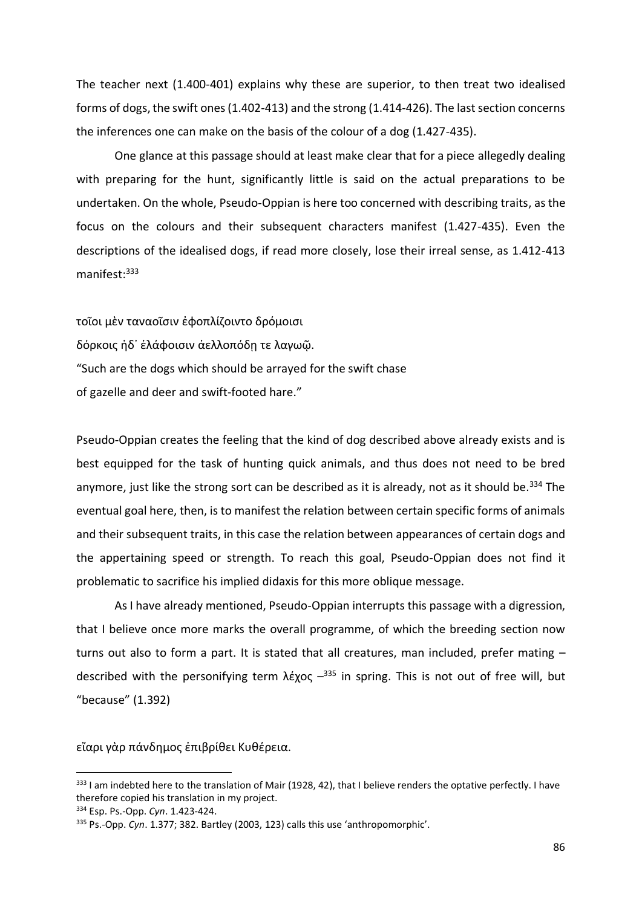The teacher next (1.400-401) explains why these are superior, to then treat two idealised forms of dogs, the swift ones (1.402-413) and the strong (1.414-426). The last section concerns the inferences one can make on the basis of the colour of a dog (1.427-435).

One glance at this passage should at least make clear that for a piece allegedly dealing with preparing for the hunt, significantly little is said on the actual preparations to be undertaken. On the whole, Pseudo-Oppian is here too concerned with describing traits, as the focus on the colours and their subsequent characters manifest (1.427-435). Even the descriptions of the idealised dogs, if read more closely, lose their irreal sense, as 1.412-413 manifest: 333

τοῖοι μὲν ταναοῖσιν ἐφοπλίζοιντο δρόμοισι δόρκοις ἠδ᾿ ἐλάφοισιν ἀελλοπόδῃ τε λαγωῷ. "Such are the dogs which should be arrayed for the swift chase of gazelle and deer and swift-footed hare."

Pseudo-Oppian creates the feeling that the kind of dog described above already exists and is best equipped for the task of hunting quick animals, and thus does not need to be bred anymore, just like the strong sort can be described as it is already, not as it should be.<sup>334</sup> The eventual goal here, then, is to manifest the relation between certain specific forms of animals and their subsequent traits, in this case the relation between appearances of certain dogs and the appertaining speed or strength. To reach this goal, Pseudo-Oppian does not find it problematic to sacrifice his implied didaxis for this more oblique message.

As I have already mentioned, Pseudo-Oppian interrupts this passage with a digression, that I believe once more marks the overall programme, of which the breeding section now turns out also to form a part. It is stated that all creatures, man included, prefer mating – described with the personifying term  $\lambda \xi \chi o \zeta$   $-$ <sup>335</sup> in spring. This is not out of free will, but "because" (1.392)

εἴαρι γὰρ πάνδημος ἐπιβρίθει Κυθέρεια.

<sup>333</sup> I am indebted here to the translation of Mair (1928, 42), that I believe renders the optative perfectly. I have therefore copied his translation in my project.

<sup>334</sup> Esp. Ps.-Opp. *Cyn*. 1.423-424.

<sup>335</sup> Ps.-Opp. *Cyn*. 1.377; 382. Bartley (2003, 123) calls this use 'anthropomorphic'.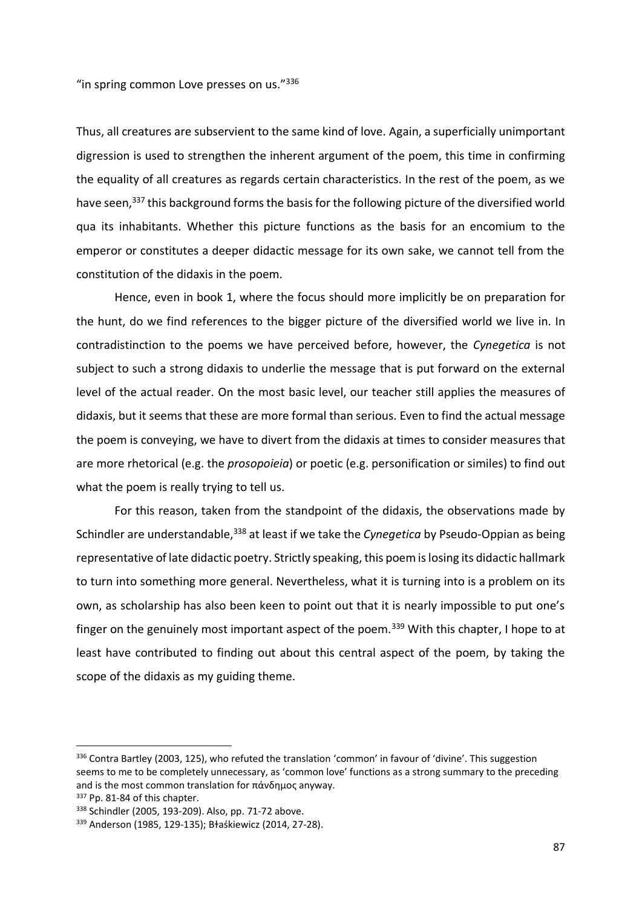"in spring common Love presses on us."336

Thus, all creatures are subservient to the same kind of love. Again, a superficially unimportant digression is used to strengthen the inherent argument of the poem, this time in confirming the equality of all creatures as regards certain characteristics. In the rest of the poem, as we have seen,<sup>337</sup> this background forms the basis for the following picture of the diversified world qua its inhabitants. Whether this picture functions as the basis for an encomium to the emperor or constitutes a deeper didactic message for its own sake, we cannot tell from the constitution of the didaxis in the poem.

Hence, even in book 1, where the focus should more implicitly be on preparation for the hunt, do we find references to the bigger picture of the diversified world we live in. In contradistinction to the poems we have perceived before, however, the *Cynegetica* is not subject to such a strong didaxis to underlie the message that is put forward on the external level of the actual reader. On the most basic level, our teacher still applies the measures of didaxis, but it seems that these are more formal than serious. Even to find the actual message the poem is conveying, we have to divert from the didaxis at times to consider measures that are more rhetorical (e.g. the *prosopoieia*) or poetic (e.g. personification or similes) to find out what the poem is really trying to tell us.

For this reason, taken from the standpoint of the didaxis, the observations made by Schindler are understandable,<sup>338</sup> at least if we take the *Cynegetica* by Pseudo-Oppian as being representative of late didactic poetry. Strictly speaking, this poem is losing its didactic hallmark to turn into something more general. Nevertheless, what it is turning into is a problem on its own, as scholarship has also been keen to point out that it is nearly impossible to put one's finger on the genuinely most important aspect of the poem.<sup>339</sup> With this chapter, I hope to at least have contributed to finding out about this central aspect of the poem, by taking the scope of the didaxis as my guiding theme.

<sup>336</sup> Contra Bartley (2003, 125), who refuted the translation 'common' in favour of 'divine'. This suggestion seems to me to be completely unnecessary, as 'common love' functions as a strong summary to the preceding and is the most common translation for πάνδημος anyway.

<sup>337</sup> Pp. 81-84 of this chapter.

<sup>338</sup> Schindler (2005, 193-209). Also, pp. 71-72 above.

<sup>339</sup> Anderson (1985, 129-135); Bɫaśkiewicz (2014, 27-28).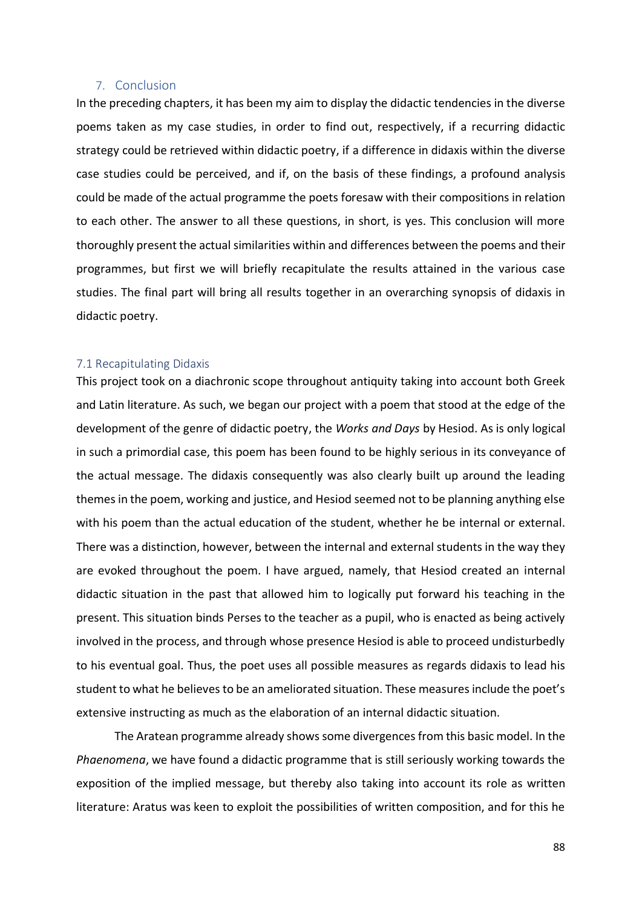## 7. Conclusion

In the preceding chapters, it has been my aim to display the didactic tendencies in the diverse poems taken as my case studies, in order to find out, respectively, if a recurring didactic strategy could be retrieved within didactic poetry, if a difference in didaxis within the diverse case studies could be perceived, and if, on the basis of these findings, a profound analysis could be made of the actual programme the poets foresaw with their compositions in relation to each other. The answer to all these questions, in short, is yes. This conclusion will more thoroughly present the actual similarities within and differences between the poems and their programmes, but first we will briefly recapitulate the results attained in the various case studies. The final part will bring all results together in an overarching synopsis of didaxis in didactic poetry.

#### 7.1 Recapitulating Didaxis

This project took on a diachronic scope throughout antiquity taking into account both Greek and Latin literature. As such, we began our project with a poem that stood at the edge of the development of the genre of didactic poetry, the *Works and Days* by Hesiod. As is only logical in such a primordial case, this poem has been found to be highly serious in its conveyance of the actual message. The didaxis consequently was also clearly built up around the leading themes in the poem, working and justice, and Hesiod seemed not to be planning anything else with his poem than the actual education of the student, whether he be internal or external. There was a distinction, however, between the internal and external students in the way they are evoked throughout the poem. I have argued, namely, that Hesiod created an internal didactic situation in the past that allowed him to logically put forward his teaching in the present. This situation binds Perses to the teacher as a pupil, who is enacted as being actively involved in the process, and through whose presence Hesiod is able to proceed undisturbedly to his eventual goal. Thus, the poet uses all possible measures as regards didaxis to lead his student to what he believes to be an ameliorated situation. These measures include the poet's extensive instructing as much as the elaboration of an internal didactic situation.

The Aratean programme already shows some divergences from this basic model. In the *Phaenomena*, we have found a didactic programme that is still seriously working towards the exposition of the implied message, but thereby also taking into account its role as written literature: Aratus was keen to exploit the possibilities of written composition, and for this he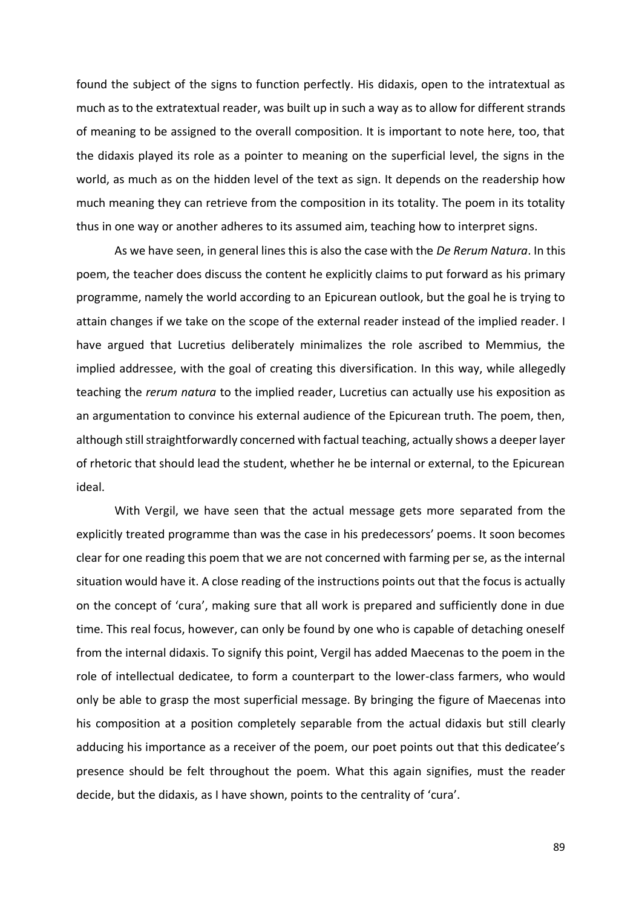found the subject of the signs to function perfectly. His didaxis, open to the intratextual as much as to the extratextual reader, was built up in such a way as to allow for different strands of meaning to be assigned to the overall composition. It is important to note here, too, that the didaxis played its role as a pointer to meaning on the superficial level, the signs in the world, as much as on the hidden level of the text as sign. It depends on the readership how much meaning they can retrieve from the composition in its totality. The poem in its totality thus in one way or another adheres to its assumed aim, teaching how to interpret signs.

As we have seen, in general lines this is also the case with the *De Rerum Natura*. In this poem, the teacher does discuss the content he explicitly claims to put forward as his primary programme, namely the world according to an Epicurean outlook, but the goal he is trying to attain changes if we take on the scope of the external reader instead of the implied reader. I have argued that Lucretius deliberately minimalizes the role ascribed to Memmius, the implied addressee, with the goal of creating this diversification. In this way, while allegedly teaching the *rerum natura* to the implied reader, Lucretius can actually use his exposition as an argumentation to convince his external audience of the Epicurean truth. The poem, then, although still straightforwardly concerned with factual teaching, actually shows a deeper layer of rhetoric that should lead the student, whether he be internal or external, to the Epicurean ideal.

With Vergil, we have seen that the actual message gets more separated from the explicitly treated programme than was the case in his predecessors' poems. It soon becomes clear for one reading this poem that we are not concerned with farming per se, as the internal situation would have it. A close reading of the instructions points out that the focus is actually on the concept of 'cura', making sure that all work is prepared and sufficiently done in due time. This real focus, however, can only be found by one who is capable of detaching oneself from the internal didaxis. To signify this point, Vergil has added Maecenas to the poem in the role of intellectual dedicatee, to form a counterpart to the lower-class farmers, who would only be able to grasp the most superficial message. By bringing the figure of Maecenas into his composition at a position completely separable from the actual didaxis but still clearly adducing his importance as a receiver of the poem, our poet points out that this dedicatee's presence should be felt throughout the poem. What this again signifies, must the reader decide, but the didaxis, as I have shown, points to the centrality of 'cura'.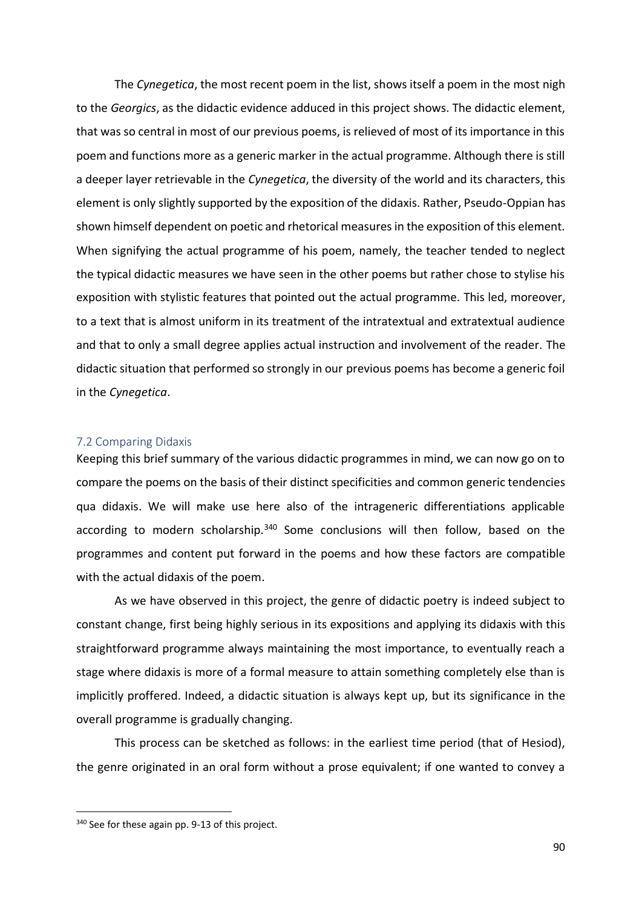The *Cynegetica*, the most recent poem in the list, shows itself a poem in the most nigh to the *Georgics*, as the didactic evidence adduced in this project shows. The didactic element, that was so central in most of our previous poems, is relieved of most of its importance in this poem and functions more as a generic marker in the actual programme. Although there is still a deeper layer retrievable in the *Cynegetica*, the diversity of the world and its characters, this element is only slightly supported by the exposition of the didaxis. Rather, Pseudo-Oppian has shown himself dependent on poetic and rhetorical measures in the exposition of this element. When signifying the actual programme of his poem, namely, the teacher tended to neglect the typical didactic measures we have seen in the other poems but rather chose to stylise his exposition with stylistic features that pointed out the actual programme. This led, moreover, to a text that is almost uniform in its treatment of the intratextual and extratextual audience and that to only a small degree applies actual instruction and involvement of the reader. The didactic situation that performed so strongly in our previous poems has become a generic foil in the *Cynegetica*.

## 7.2 Comparing Didaxis

Keeping this brief summary of the various didactic programmes in mind, we can now go on to compare the poems on the basis of their distinct specificities and common generic tendencies qua didaxis. We will make use here also of the intrageneric differentiations applicable according to modern scholarship. $340$  Some conclusions will then follow, based on the programmes and content put forward in the poems and how these factors are compatible with the actual didaxis of the poem.

As we have observed in this project, the genre of didactic poetry is indeed subject to constant change, first being highly serious in its expositions and applying its didaxis with this straightforward programme always maintaining the most importance, to eventually reach a stage where didaxis is more of a formal measure to attain something completely else than is implicitly proffered. Indeed, a didactic situation is always kept up, but its significance in the overall programme is gradually changing.

This process can be sketched as follows: in the earliest time period (that of Hesiod), the genre originated in an oral form without a prose equivalent; if one wanted to convey a

<sup>340</sup> See for these again pp. 9-13 of this project.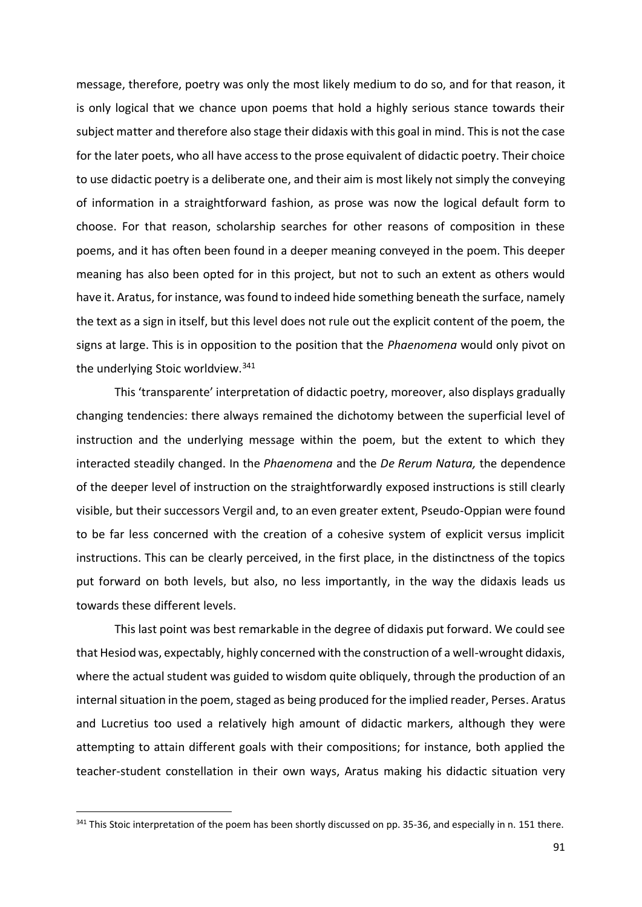message, therefore, poetry was only the most likely medium to do so, and for that reason, it is only logical that we chance upon poems that hold a highly serious stance towards their subject matter and therefore also stage their didaxis with this goal in mind. This is not the case for the later poets, who all have access to the prose equivalent of didactic poetry. Their choice to use didactic poetry is a deliberate one, and their aim is most likely not simply the conveying of information in a straightforward fashion, as prose was now the logical default form to choose. For that reason, scholarship searches for other reasons of composition in these poems, and it has often been found in a deeper meaning conveyed in the poem. This deeper meaning has also been opted for in this project, but not to such an extent as others would have it. Aratus, for instance, was found to indeed hide something beneath the surface, namely the text as a sign in itself, but this level does not rule out the explicit content of the poem, the signs at large. This is in opposition to the position that the *Phaenomena* would only pivot on the underlying Stoic worldview.<sup>341</sup>

This 'transparente' interpretation of didactic poetry, moreover, also displays gradually changing tendencies: there always remained the dichotomy between the superficial level of instruction and the underlying message within the poem, but the extent to which they interacted steadily changed. In the *Phaenomena* and the *De Rerum Natura,* the dependence of the deeper level of instruction on the straightforwardly exposed instructions is still clearly visible, but their successors Vergil and, to an even greater extent, Pseudo-Oppian were found to be far less concerned with the creation of a cohesive system of explicit versus implicit instructions. This can be clearly perceived, in the first place, in the distinctness of the topics put forward on both levels, but also, no less importantly, in the way the didaxis leads us towards these different levels.

This last point was best remarkable in the degree of didaxis put forward. We could see that Hesiod was, expectably, highly concerned with the construction of a well-wrought didaxis, where the actual student was guided to wisdom quite obliquely, through the production of an internal situation in the poem, staged as being produced for the implied reader, Perses. Aratus and Lucretius too used a relatively high amount of didactic markers, although they were attempting to attain different goals with their compositions; for instance, both applied the teacher-student constellation in their own ways, Aratus making his didactic situation very

<sup>341</sup> This Stoic interpretation of the poem has been shortly discussed on pp. 35-36, and especially in n. 151 there.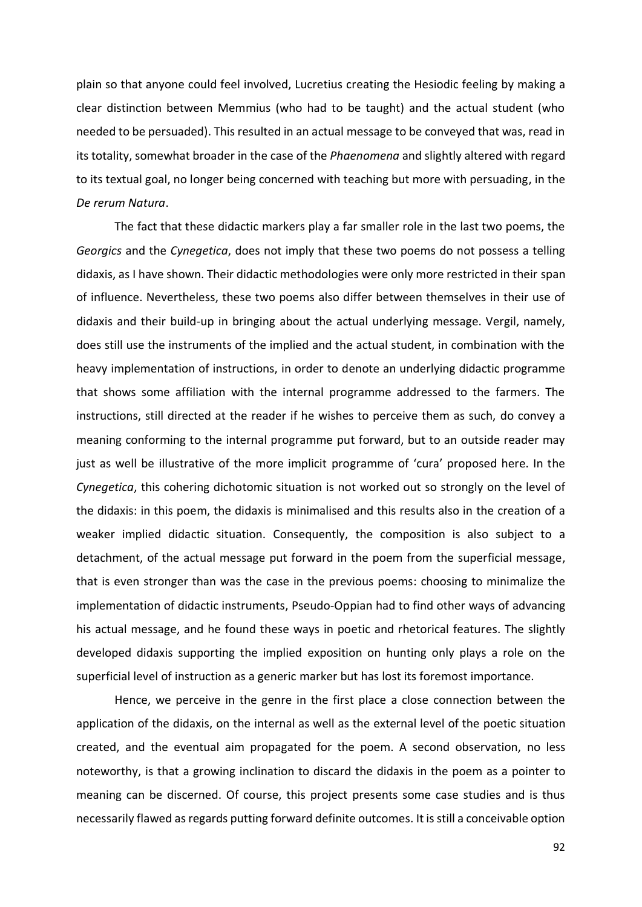plain so that anyone could feel involved, Lucretius creating the Hesiodic feeling by making a clear distinction between Memmius (who had to be taught) and the actual student (who needed to be persuaded). This resulted in an actual message to be conveyed that was, read in its totality, somewhat broader in the case of the *Phaenomena* and slightly altered with regard to its textual goal, no longer being concerned with teaching but more with persuading, in the *De rerum Natura*.

The fact that these didactic markers play a far smaller role in the last two poems, the *Georgics* and the *Cynegetica*, does not imply that these two poems do not possess a telling didaxis, as I have shown. Their didactic methodologies were only more restricted in their span of influence. Nevertheless, these two poems also differ between themselves in their use of didaxis and their build-up in bringing about the actual underlying message. Vergil, namely, does still use the instruments of the implied and the actual student, in combination with the heavy implementation of instructions, in order to denote an underlying didactic programme that shows some affiliation with the internal programme addressed to the farmers. The instructions, still directed at the reader if he wishes to perceive them as such, do convey a meaning conforming to the internal programme put forward, but to an outside reader may just as well be illustrative of the more implicit programme of 'cura' proposed here. In the *Cynegetica*, this cohering dichotomic situation is not worked out so strongly on the level of the didaxis: in this poem, the didaxis is minimalised and this results also in the creation of a weaker implied didactic situation. Consequently, the composition is also subject to a detachment, of the actual message put forward in the poem from the superficial message, that is even stronger than was the case in the previous poems: choosing to minimalize the implementation of didactic instruments, Pseudo-Oppian had to find other ways of advancing his actual message, and he found these ways in poetic and rhetorical features. The slightly developed didaxis supporting the implied exposition on hunting only plays a role on the superficial level of instruction as a generic marker but has lost its foremost importance.

Hence, we perceive in the genre in the first place a close connection between the application of the didaxis, on the internal as well as the external level of the poetic situation created, and the eventual aim propagated for the poem. A second observation, no less noteworthy, is that a growing inclination to discard the didaxis in the poem as a pointer to meaning can be discerned. Of course, this project presents some case studies and is thus necessarily flawed as regards putting forward definite outcomes. It is still a conceivable option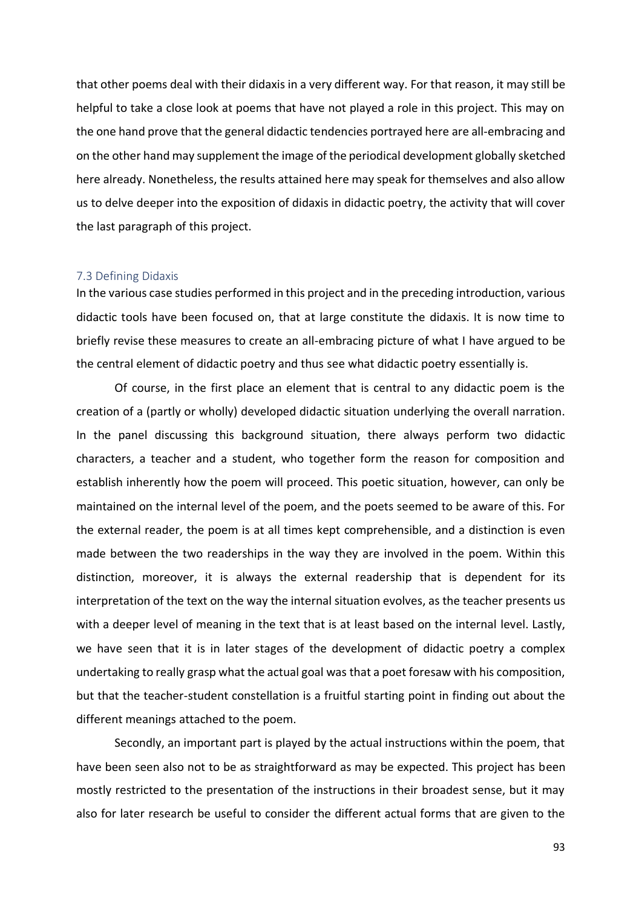that other poems deal with their didaxis in a very different way. For that reason, it may still be helpful to take a close look at poems that have not played a role in this project. This may on the one hand prove that the general didactic tendencies portrayed here are all-embracing and on the other hand may supplement the image of the periodical development globally sketched here already. Nonetheless, the results attained here may speak for themselves and also allow us to delve deeper into the exposition of didaxis in didactic poetry, the activity that will cover the last paragraph of this project.

#### 7.3 Defining Didaxis

In the various case studies performed in this project and in the preceding introduction, various didactic tools have been focused on, that at large constitute the didaxis. It is now time to briefly revise these measures to create an all-embracing picture of what I have argued to be the central element of didactic poetry and thus see what didactic poetry essentially is.

Of course, in the first place an element that is central to any didactic poem is the creation of a (partly or wholly) developed didactic situation underlying the overall narration. In the panel discussing this background situation, there always perform two didactic characters, a teacher and a student, who together form the reason for composition and establish inherently how the poem will proceed. This poetic situation, however, can only be maintained on the internal level of the poem, and the poets seemed to be aware of this. For the external reader, the poem is at all times kept comprehensible, and a distinction is even made between the two readerships in the way they are involved in the poem. Within this distinction, moreover, it is always the external readership that is dependent for its interpretation of the text on the way the internal situation evolves, as the teacher presents us with a deeper level of meaning in the text that is at least based on the internal level. Lastly, we have seen that it is in later stages of the development of didactic poetry a complex undertaking to really grasp what the actual goal was that a poet foresaw with his composition, but that the teacher-student constellation is a fruitful starting point in finding out about the different meanings attached to the poem.

Secondly, an important part is played by the actual instructions within the poem, that have been seen also not to be as straightforward as may be expected. This project has been mostly restricted to the presentation of the instructions in their broadest sense, but it may also for later research be useful to consider the different actual forms that are given to the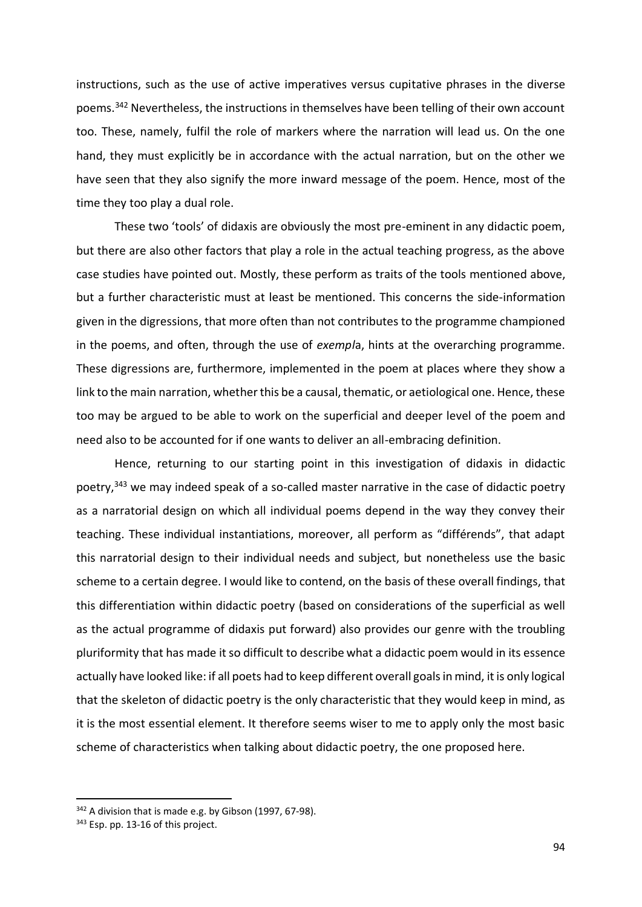instructions, such as the use of active imperatives versus cupitative phrases in the diverse poems.<sup>342</sup> Nevertheless, the instructions in themselves have been telling of their own account too. These, namely, fulfil the role of markers where the narration will lead us. On the one hand, they must explicitly be in accordance with the actual narration, but on the other we have seen that they also signify the more inward message of the poem. Hence, most of the time they too play a dual role.

These two 'tools' of didaxis are obviously the most pre-eminent in any didactic poem, but there are also other factors that play a role in the actual teaching progress, as the above case studies have pointed out. Mostly, these perform as traits of the tools mentioned above, but a further characteristic must at least be mentioned. This concerns the side-information given in the digressions, that more often than not contributes to the programme championed in the poems, and often, through the use of *exempl*a, hints at the overarching programme. These digressions are, furthermore, implemented in the poem at places where they show a link to the main narration, whether this be a causal, thematic, or aetiological one. Hence, these too may be argued to be able to work on the superficial and deeper level of the poem and need also to be accounted for if one wants to deliver an all-embracing definition.

Hence, returning to our starting point in this investigation of didaxis in didactic poetry, $343$  we may indeed speak of a so-called master narrative in the case of didactic poetry as a narratorial design on which all individual poems depend in the way they convey their teaching. These individual instantiations, moreover, all perform as "différends", that adapt this narratorial design to their individual needs and subject, but nonetheless use the basic scheme to a certain degree. I would like to contend, on the basis of these overall findings, that this differentiation within didactic poetry (based on considerations of the superficial as well as the actual programme of didaxis put forward) also provides our genre with the troubling pluriformity that has made it so difficult to describe what a didactic poem would in its essence actually have looked like: if all poets had to keep different overall goals in mind, it is only logical that the skeleton of didactic poetry is the only characteristic that they would keep in mind, as it is the most essential element. It therefore seems wiser to me to apply only the most basic scheme of characteristics when talking about didactic poetry, the one proposed here.

<sup>342</sup> A division that is made e.g. by Gibson (1997, 67-98).

<sup>343</sup> Esp. pp. 13-16 of this project.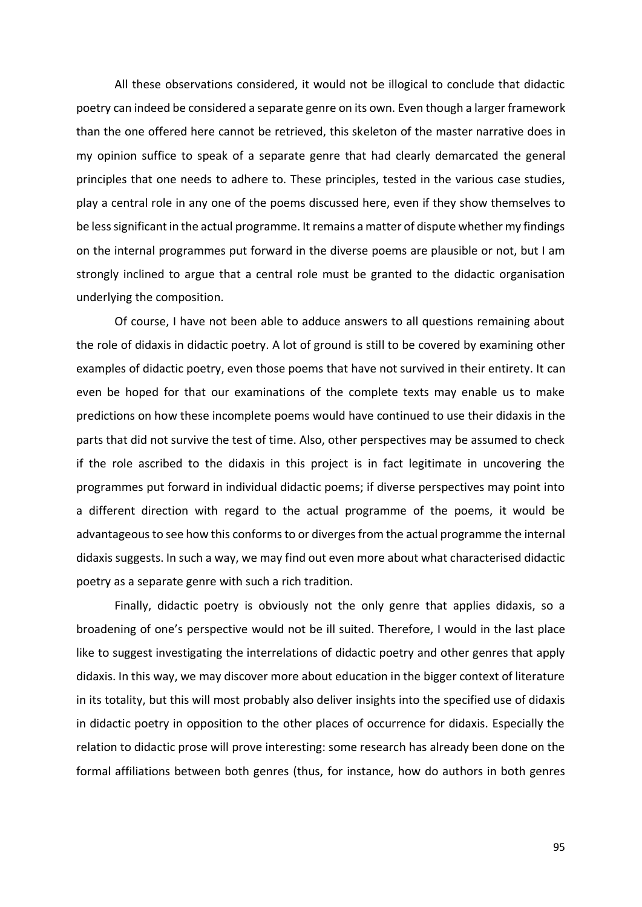All these observations considered, it would not be illogical to conclude that didactic poetry can indeed be considered a separate genre on its own. Even though a larger framework than the one offered here cannot be retrieved, this skeleton of the master narrative does in my opinion suffice to speak of a separate genre that had clearly demarcated the general principles that one needs to adhere to. These principles, tested in the various case studies, play a central role in any one of the poems discussed here, even if they show themselves to be less significant in the actual programme. It remains a matter of dispute whether my findings on the internal programmes put forward in the diverse poems are plausible or not, but I am strongly inclined to argue that a central role must be granted to the didactic organisation underlying the composition.

Of course, I have not been able to adduce answers to all questions remaining about the role of didaxis in didactic poetry. A lot of ground is still to be covered by examining other examples of didactic poetry, even those poems that have not survived in their entirety. It can even be hoped for that our examinations of the complete texts may enable us to make predictions on how these incomplete poems would have continued to use their didaxis in the parts that did not survive the test of time. Also, other perspectives may be assumed to check if the role ascribed to the didaxis in this project is in fact legitimate in uncovering the programmes put forward in individual didactic poems; if diverse perspectives may point into a different direction with regard to the actual programme of the poems, it would be advantageous to see how this conforms to or diverges from the actual programme the internal didaxis suggests. In such a way, we may find out even more about what characterised didactic poetry as a separate genre with such a rich tradition.

Finally, didactic poetry is obviously not the only genre that applies didaxis, so a broadening of one's perspective would not be ill suited. Therefore, I would in the last place like to suggest investigating the interrelations of didactic poetry and other genres that apply didaxis. In this way, we may discover more about education in the bigger context of literature in its totality, but this will most probably also deliver insights into the specified use of didaxis in didactic poetry in opposition to the other places of occurrence for didaxis. Especially the relation to didactic prose will prove interesting: some research has already been done on the formal affiliations between both genres (thus, for instance, how do authors in both genres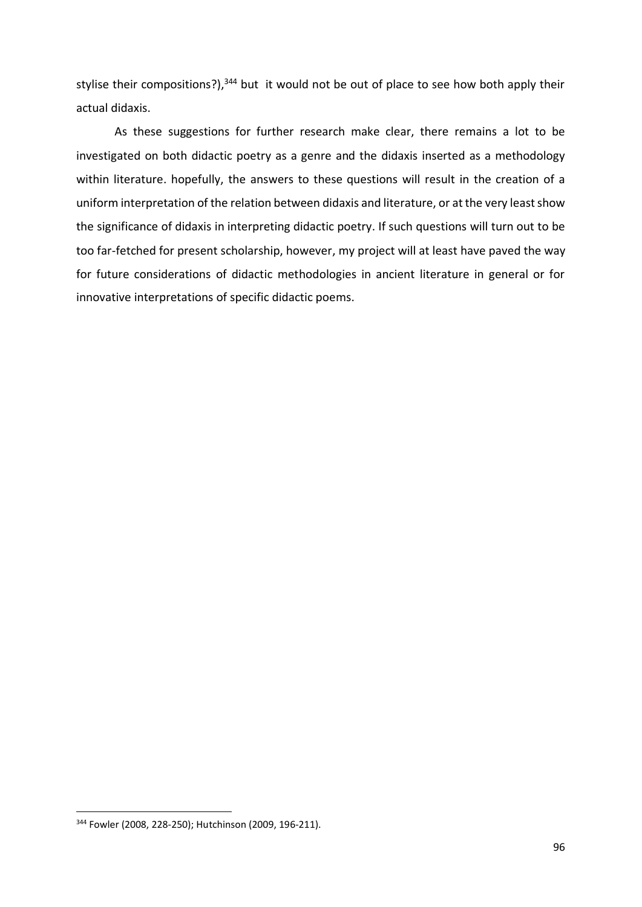stylise their compositions?),<sup>344</sup> but it would not be out of place to see how both apply their actual didaxis.

As these suggestions for further research make clear, there remains a lot to be investigated on both didactic poetry as a genre and the didaxis inserted as a methodology within literature. hopefully, the answers to these questions will result in the creation of a uniform interpretation of the relation between didaxis and literature, or at the very least show the significance of didaxis in interpreting didactic poetry. If such questions will turn out to be too far-fetched for present scholarship, however, my project will at least have paved the way for future considerations of didactic methodologies in ancient literature in general or for innovative interpretations of specific didactic poems.

<sup>344</sup> Fowler (2008, 228-250); Hutchinson (2009, 196-211).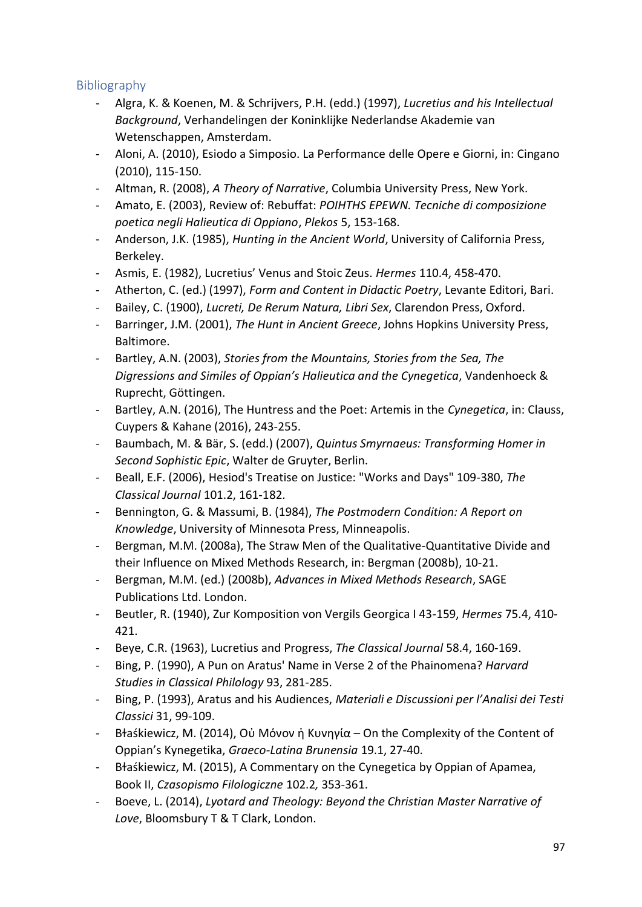# Bibliography

- Algra, K. & Koenen, M. & Schrijvers, P.H. (edd.) (1997), *Lucretius and his Intellectual Background*, Verhandelingen der Koninklijke Nederlandse Akademie van Wetenschappen, Amsterdam.
- Aloni, A. (2010), Esiodo a Simposio. La Performance delle Opere e Giorni, in: Cingano (2010), 115-150.
- Altman, R. (2008), *A Theory of Narrative*, Columbia University Press, New York.
- Amato, E. (2003), Review of: Rebuffat: *POIHTHS EPEWN. Tecniche di composizione poetica negli Halieutica di Oppiano*, *Plekos* 5, 153-168.
- Anderson, J.K. (1985), *Hunting in the Ancient World*, University of California Press, Berkeley.
- Asmis, E. (1982), Lucretius' Venus and Stoic Zeus. *Hermes* 110.4, 458-470.
- Atherton, C. (ed.) (1997), *Form and Content in Didactic Poetry*, Levante Editori, Bari.
- Bailey, C. (1900), *Lucreti, De Rerum Natura, Libri Sex*, Clarendon Press, Oxford.
- Barringer, J.M. (2001), *The Hunt in Ancient Greece*, Johns Hopkins University Press, Baltimore.
- Bartley, A.N. (2003), *Stories from the Mountains, Stories from the Sea, The Digressions and Similes of Oppian's Halieutica and the Cynegetica*, Vandenhoeck & Ruprecht, Göttingen.
- Bartley, A.N. (2016), The Huntress and the Poet: Artemis in the *Cynegetica*, in: Clauss, Cuypers & Kahane (2016), 243-255.
- Baumbach, M. & Bär, S. (edd.) (2007), *Quintus Smyrnaeus: Transforming Homer in Second Sophistic Epic*, Walter de Gruyter, Berlin.
- Beall, E.F. (2006), Hesiod's Treatise on Justice: "Works and Days" 109-380, *The Classical Journal* 101.2, 161-182.
- Bennington, G. & Massumi, B. (1984), *The Postmodern Condition: A Report on Knowledge*, University of Minnesota Press, Minneapolis.
- Bergman, M.M. (2008a), The Straw Men of the Qualitative-Quantitative Divide and their Influence on Mixed Methods Research, in: Bergman (2008b), 10-21.
- Bergman, M.M. (ed.) (2008b), *Advances in Mixed Methods Research*, SAGE Publications Ltd. London.
- Beutler, R. (1940), Zur Komposition von Vergils Georgica I 43-159, *Hermes* 75.4, 410- 421.
- Beye, C.R. (1963), Lucretius and Progress, *The Classical Journal* 58.4, 160-169.
- Bing, P. (1990), A Pun on Aratus' Name in Verse 2 of the Phainomena? *Harvard Studies in Classical Philology* 93, 281-285.
- Bing, P. (1993), Aratus and his Audiences, *Materiali e Discussioni per l'Analisi dei Testi Classici* 31, 99-109.
- Bɫaśkiewicz, M. (2014), Oὐ Μόνον ἡ Κυνηγία On the Complexity of the Content of Oppian's Kynegetika, *Graeco-Latina Brunensia* 19.1, 27-40.
- Bɫaśkiewicz, M. (2015), A Commentary on the Cynegetica by Oppian of Apamea, Book II, *Czasopismo Filologiczne* 102.2*,* 353-361.
- Boeve, L. (2014), *Lyotard and Theology: Beyond the Christian Master Narrative of Love*, Bloomsbury T & T Clark, London.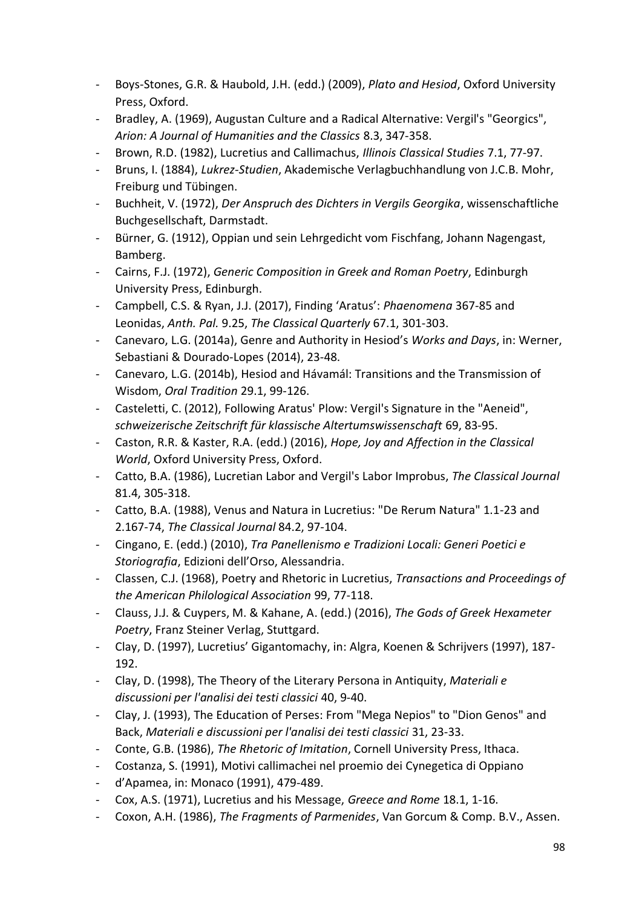- Boys-Stones, G.R. & Haubold, J.H. (edd.) (2009), *Plato and Hesiod*, Oxford University Press, Oxford.
- Bradley, A. (1969), Augustan Culture and a Radical Alternative: Vergil's "Georgics", *Arion: A Journal of Humanities and the Classics* 8.3, 347-358.
- Brown, R.D. (1982), Lucretius and Callimachus, *Illinois Classical Studies* 7.1, 77-97.
- Bruns, I. (1884), *Lukrez-Studien*, Akademische Verlagbuchhandlung von J.C.B. Mohr, Freiburg und Tübingen.
- Buchheit, V. (1972), *Der Anspruch des Dichters in Vergils Georgika*, wissenschaftliche Buchgesellschaft, Darmstadt.
- Bürner, G. (1912), Oppian und sein Lehrgedicht vom Fischfang, Johann Nagengast, Bamberg.
- Cairns, F.J. (1972), *Generic Composition in Greek and Roman Poetry*, Edinburgh University Press, Edinburgh.
- Campbell, C.S. & Ryan, J.J. (2017), Finding 'Aratus': *Phaenomena* 367-85 and Leonidas, *Anth. Pal.* 9.25, *The Classical Quarterly* 67.1, 301-303.
- Canevaro, L.G. (2014a), Genre and Authority in Hesiod's *Works and Days*, in: Werner, Sebastiani & Dourado-Lopes (2014), 23-48.
- Canevaro, L.G. (2014b), Hesiod and Hávamál: Transitions and the Transmission of Wisdom, *Oral Tradition* 29.1, 99-126.
- Casteletti, C. (2012), Following Aratus' Plow: Vergil's Signature in the "Aeneid", *schweizerische Zeitschrift für klassische Altertumswissenschaft* 69, 83-95.
- Caston, R.R. & Kaster, R.A. (edd.) (2016), *Hope, Joy and Affection in the Classical World*, Oxford University Press, Oxford.
- Catto, B.A. (1986), Lucretian Labor and Vergil's Labor Improbus, *The Classical Journal*  81.4, 305-318.
- Catto, B.A. (1988), Venus and Natura in Lucretius: "De Rerum Natura" 1.1-23 and 2.167-74, *The Classical Journal* 84.2, 97-104.
- Cingano, E. (edd.) (2010), *Tra Panellenismo e Tradizioni Locali: Generi Poetici e Storiografia*, Edizioni dell'Orso, Alessandria.
- Classen, C.J. (1968), Poetry and Rhetoric in Lucretius, *Transactions and Proceedings of the American Philological Association* 99, 77-118.
- Clauss, J.J. & Cuypers, M. & Kahane, A. (edd.) (2016), *The Gods of Greek Hexameter Poetry*, Franz Steiner Verlag, Stuttgard.
- Clay, D. (1997), Lucretius' Gigantomachy, in: Algra, Koenen & Schrijvers (1997), 187- 192.
- Clay, D. (1998), The Theory of the Literary Persona in Antiquity, *Materiali e discussioni per l'analisi dei testi classici* 40, 9-40.
- Clay, J. (1993), The Education of Perses: From "Mega Nepios" to "Dion Genos" and Back, *Materiali e discussioni per l'analisi dei testi classici* 31, 23-33.
- Conte, G.B. (1986), *The Rhetoric of Imitation*, Cornell University Press, Ithaca.
- Costanza, S. (1991), Motivi callimachei nel proemio dei Cynegetica di Oppiano
- d'Apamea, in: Monaco (1991), 479-489.
- Cox, A.S. (1971), Lucretius and his Message, *Greece and Rome* 18.1, 1-16.
- Coxon, A.H. (1986), *The Fragments of Parmenides*, Van Gorcum & Comp. B.V., Assen.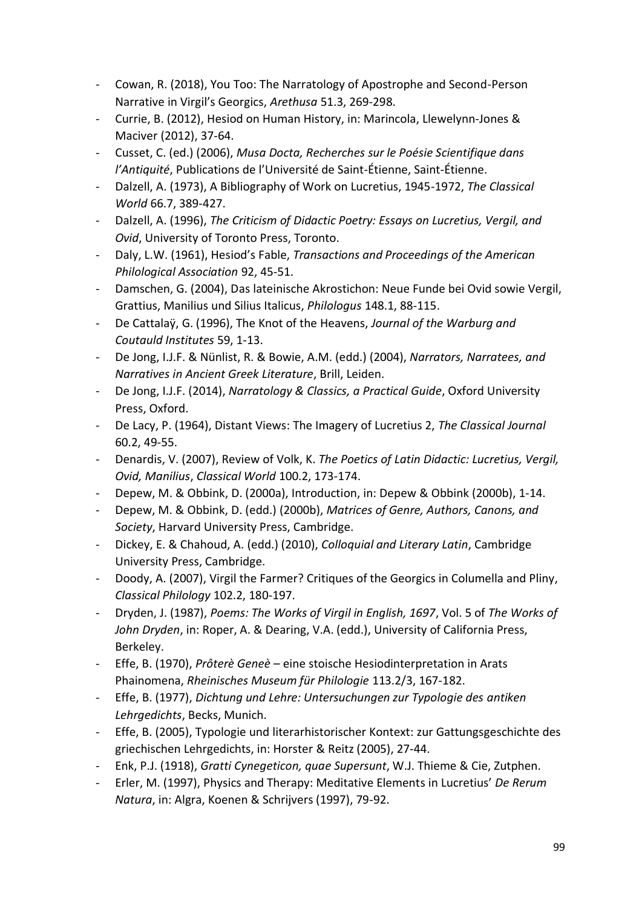- Cowan, R. (2018), You Too: The Narratology of Apostrophe and Second-Person Narrative in Virgil's Georgics, *Arethusa* 51.3, 269-298.
- Currie, B. (2012), Hesiod on Human History, in: Marincola, Llewelynn-Jones & Maciver (2012), 37-64.
- Cusset, C. (ed.) (2006), *Musa Docta, Recherches sur le Poésie Scientifique dans l'Antiquité*, Publications de l'Université de Saint-Étienne, Saint-Étienne.
- Dalzell, A. (1973), A Bibliography of Work on Lucretius, 1945-1972, *The Classical World* 66.7, 389-427.
- Dalzell, A. (1996), *The Criticism of Didactic Poetry: Essays on Lucretius, Vergil, and Ovid*, University of Toronto Press, Toronto.
- Daly, L.W. (1961), Hesiod's Fable, *Transactions and Proceedings of the American Philological Association* 92, 45-51.
- Damschen, G. (2004), Das lateinische Akrostichon: Neue Funde bei Ovid sowie Vergil, Grattius, Manilius und Silius Italicus, *Philologus* 148.1, 88-115.
- De Cattalaÿ, G. (1996), The Knot of the Heavens, *Journal of the Warburg and Coutauld Institutes* 59, 1-13.
- De Jong, I.J.F. & Nünlist, R. & Bowie, A.M. (edd.) (2004), *Narrators, Narratees, and Narratives in Ancient Greek Literature*, Brill, Leiden.
- De Jong, I.J.F. (2014), *Narratology & Classics, a Practical Guide*, Oxford University Press, Oxford.
- De Lacy, P. (1964), Distant Views: The Imagery of Lucretius 2, *The Classical Journal*  60.2, 49-55.
- Denardis, V. (2007), Review of Volk, K. *The Poetics of Latin Didactic: Lucretius, Vergil, Ovid, Manilius*, *Classical World* 100.2, 173-174.
- Depew, M. & Obbink, D. (2000a), Introduction, in: Depew & Obbink (2000b), 1-14.
- Depew, M. & Obbink, D. (edd.) (2000b), *Matrices of Genre, Authors, Canons, and Society*, Harvard University Press, Cambridge.
- Dickey, E. & Chahoud, A. (edd.) (2010), *Colloquial and Literary Latin*, Cambridge University Press, Cambridge.
- Doody, A. (2007), Virgil the Farmer? Critiques of the Georgics in Columella and Pliny, *Classical Philology* 102.2, 180-197.
- Dryden, J. (1987), *Poems: The Works of Virgil in English, 1697*, Vol. 5 of *The Works of John Dryden*, in: Roper, A. & Dearing, V.A. (edd.), University of California Press, Berkeley.
- Effe, B. (1970), *Prôterè Geneè* eine stoische Hesiodinterpretation in Arats Phainomena, *Rheinisches Museum für Philologie* 113.2/3, 167-182.
- Effe, B. (1977), *Dichtung und Lehre: Untersuchungen zur Typologie des antiken Lehrgedichts*, Becks, Munich.
- Effe, B. (2005), Typologie und literarhistorischer Kontext: zur Gattungsgeschichte des griechischen Lehrgedichts, in: Horster & Reitz (2005), 27-44.
- Enk, P.J. (1918), *Gratti Cynegeticon, quae Supersunt*, W.J. Thieme & Cie, Zutphen.
- Erler, M. (1997), Physics and Therapy: Meditative Elements in Lucretius' *De Rerum Natura*, in: Algra, Koenen & Schrijvers (1997), 79-92.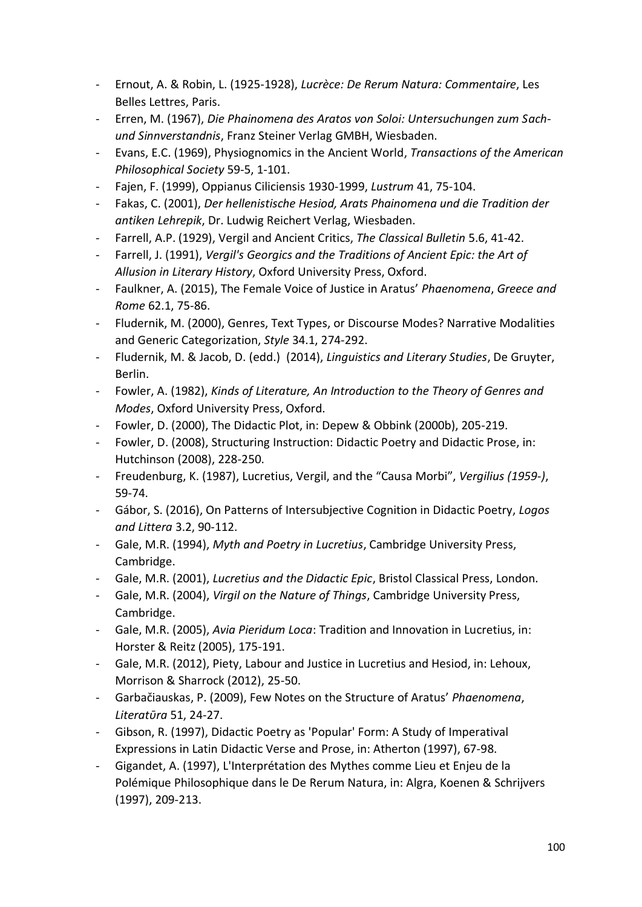- Ernout, A. & Robin, L. (1925-1928), *Lucrèce: De Rerum Natura: Commentaire*, Les Belles Lettres, Paris.
- Erren, M. (1967), *Die Phainomena des Aratos von Soloi: Untersuchungen zum Sachund Sinnverstandnis*, Franz Steiner Verlag GMBH, Wiesbaden.
- Evans, E.C. (1969), Physiognomics in the Ancient World, *Transactions of the American Philosophical Society* 59-5, 1-101.
- Fajen, F. (1999), Oppianus Ciliciensis 1930-1999, *Lustrum* 41, 75-104.
- Fakas, C. (2001), *Der hellenistische Hesiod, Arats Phainomena und die Tradition der antiken Lehrepik*, Dr. Ludwig Reichert Verlag, Wiesbaden.
- Farrell, A.P. (1929), Vergil and Ancient Critics, *The Classical Bulletin* 5.6, 41-42.
- Farrell, J. (1991), *Vergil's Georgics and the Traditions of Ancient Epic: the Art of Allusion in Literary History*, Oxford University Press, Oxford.
- Faulkner, A. (2015), The Female Voice of Justice in Aratus' *Phaenomena*, *Greece and Rome* 62.1, 75-86.
- Fludernik, M. (2000), Genres, Text Types, or Discourse Modes? Narrative Modalities and Generic Categorization, *Style* 34.1, 274-292.
- Fludernik, M. & Jacob, D. (edd.) (2014), *Linguistics and Literary Studies*, De Gruyter, Berlin.
- Fowler, A. (1982), *Kinds of Literature, An Introduction to the Theory of Genres and Modes*, Oxford University Press, Oxford.
- Fowler, D. (2000), The Didactic Plot, in: Depew & Obbink (2000b), 205-219.
- Fowler, D. (2008), Structuring Instruction: Didactic Poetry and Didactic Prose, in: Hutchinson (2008), 228-250.
- Freudenburg, K. (1987), Lucretius, Vergil, and the "Causa Morbi", *Vergilius (1959-)*, 59-74.
- Gábor, S. (2016), On Patterns of Intersubjective Cognition in Didactic Poetry, *Logos and Littera* 3.2, 90-112.
- Gale, M.R. (1994), *Myth and Poetry in Lucretius*, Cambridge University Press, Cambridge.
- Gale, M.R. (2001), *Lucretius and the Didactic Epic*, Bristol Classical Press, London.
- Gale, M.R. (2004), *Virgil on the Nature of Things*, Cambridge University Press, Cambridge.
- Gale, M.R. (2005), *Avia Pieridum Loca*: Tradition and Innovation in Lucretius, in: Horster & Reitz (2005), 175-191.
- Gale, M.R. (2012), Piety, Labour and Justice in Lucretius and Hesiod, in: Lehoux, Morrison & Sharrock (2012), 25-50.
- Garbačiauskas, P. (2009), Few Notes on the Structure of Aratus' *Phaenomena*, *Literatῡra* 51, 24-27.
- Gibson, R. (1997), Didactic Poetry as 'Popular' Form: A Study of Imperatival Expressions in Latin Didactic Verse and Prose, in: Atherton (1997), 67-98.
- Gigandet, A. (1997), L'Interprétation des Mythes comme Lieu et Enjeu de la Polémique Philosophique dans le De Rerum Natura, in: Algra, Koenen & Schrijvers (1997), 209-213.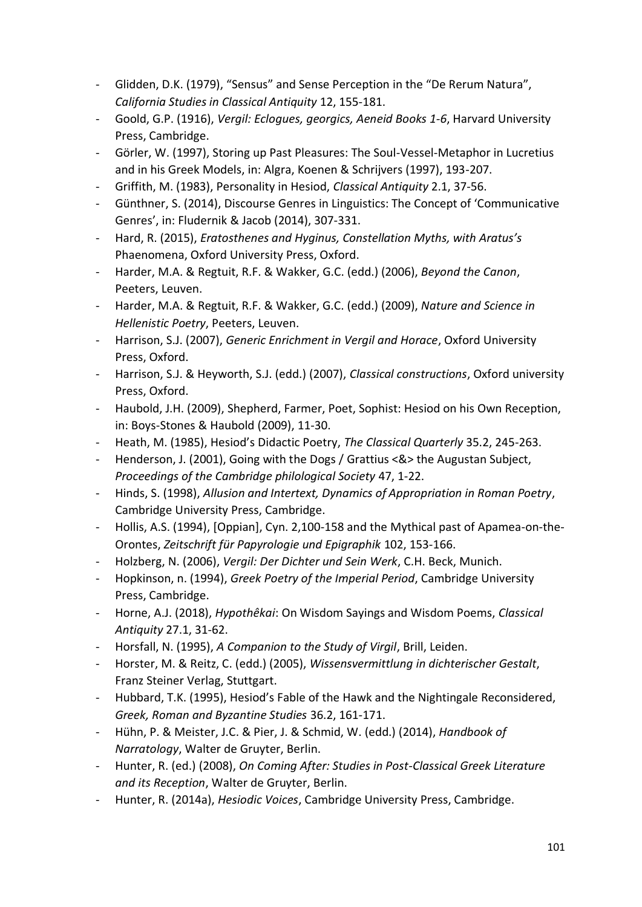- Glidden, D.K. (1979), "Sensus" and Sense Perception in the "De Rerum Natura", *California Studies in Classical Antiquity* 12, 155-181.
- Goold, G.P. (1916), *Vergil: Eclogues, georgics, Aeneid Books 1-6*, Harvard University Press, Cambridge.
- Görler, W. (1997), Storing up Past Pleasures: The Soul-Vessel-Metaphor in Lucretius and in his Greek Models, in: Algra, Koenen & Schrijvers (1997), 193-207.
- Griffith, M. (1983), Personality in Hesiod, *Classical Antiquity* 2.1, 37-56.
- Günthner, S. (2014), Discourse Genres in Linguistics: The Concept of 'Communicative Genres', in: Fludernik & Jacob (2014), 307-331.
- Hard, R. (2015), *Eratosthenes and Hyginus, Constellation Myths, with Aratus's*  Phaenomena, Oxford University Press, Oxford.
- Harder, M.A. & Regtuit, R.F. & Wakker, G.C. (edd.) (2006), *Beyond the Canon*, Peeters, Leuven.
- Harder, M.A. & Regtuit, R.F. & Wakker, G.C. (edd.) (2009), *Nature and Science in Hellenistic Poetry*, Peeters, Leuven.
- Harrison, S.J. (2007), *Generic Enrichment in Vergil and Horace*, Oxford University Press, Oxford.
- Harrison, S.J. & Heyworth, S.J. (edd.) (2007), *Classical constructions*, Oxford university Press, Oxford.
- Haubold, J.H. (2009), Shepherd, Farmer, Poet, Sophist: Hesiod on his Own Reception, in: Boys-Stones & Haubold (2009), 11-30.
- Heath, M. (1985), Hesiod's Didactic Poetry, *The Classical Quarterly* 35.2, 245-263.
- Henderson, J. (2001), Going with the Dogs / Grattius <&> the Augustan Subject, *Proceedings of the Cambridge philological Society* 47, 1-22.
- Hinds, S. (1998), *Allusion and Intertext, Dynamics of Appropriation in Roman Poetry*, Cambridge University Press, Cambridge.
- Hollis, A.S. (1994), [Oppian], Cyn. 2,100-158 and the Mythical past of Apamea-on-the-Orontes, *Zeitschrift für Papyrologie und Epigraphik* 102, 153-166.
- Holzberg, N. (2006), *Vergil: Der Dichter und Sein Werk*, C.H. Beck, Munich.
- Hopkinson, n. (1994), *Greek Poetry of the Imperial Period*, Cambridge University Press, Cambridge.
- Horne, A.J. (2018), *Hypothêkai*: On Wisdom Sayings and Wisdom Poems, *Classical Antiquity* 27.1, 31-62.
- Horsfall, N. (1995), *A Companion to the Study of Virgil*, Brill, Leiden.
- Horster, M. & Reitz, C. (edd.) (2005), *Wissensvermittlung in dichterischer Gestalt*, Franz Steiner Verlag, Stuttgart.
- Hubbard, T.K. (1995), Hesiod's Fable of the Hawk and the Nightingale Reconsidered, *Greek, Roman and Byzantine Studies* 36.2, 161-171.
- Hühn, P. & Meister, J.C. & Pier, J. & Schmid, W. (edd.) (2014), *Handbook of Narratology*, Walter de Gruyter, Berlin.
- Hunter, R. (ed.) (2008), *On Coming After: Studies in Post-Classical Greek Literature and its Reception*, Walter de Gruyter, Berlin.
- Hunter, R. (2014a), *Hesiodic Voices*, Cambridge University Press, Cambridge.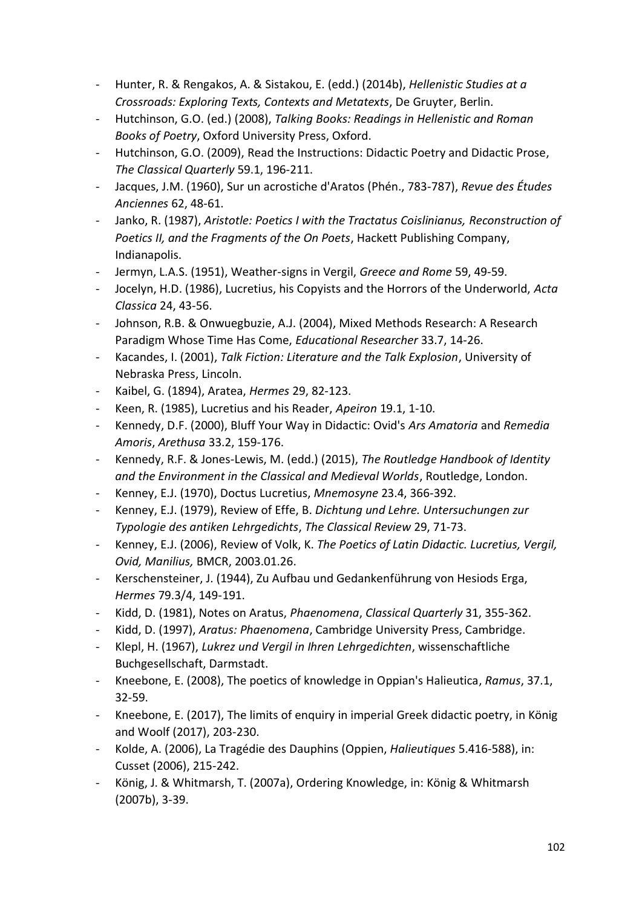- Hunter, R. & Rengakos, A. & Sistakou, E. (edd.) (2014b), *Hellenistic Studies at a Crossroads: Exploring Texts, Contexts and Metatexts*, De Gruyter, Berlin.
- Hutchinson, G.O. (ed.) (2008), *Talking Books: Readings in Hellenistic and Roman Books of Poetry*, Oxford University Press, Oxford.
- Hutchinson, G.O. (2009), Read the Instructions: Didactic Poetry and Didactic Prose, *The Classical Quarterly* 59.1, 196-211.
- Jacques, J.M. (1960), Sur un acrostiche d'Aratos (Phén., 783-787), *Revue des Études Anciennes* 62, 48-61.
- Janko, R. (1987), *Aristotle: Poetics I with the Tractatus Coislinianus, Reconstruction of Poetics II, and the Fragments of the On Poets*, Hackett Publishing Company, Indianapolis.
- Jermyn, L.A.S. (1951), Weather-signs in Vergil, *Greece and Rome* 59, 49-59.
- Jocelyn, H.D. (1986), Lucretius, his Copyists and the Horrors of the Underworld, *Acta Classica* 24, 43-56.
- Johnson, R.B. & Onwuegbuzie, A.J. (2004), Mixed Methods Research: A Research Paradigm Whose Time Has Come, *Educational Researcher* 33.7, 14-26.
- Kacandes, I. (2001), *Talk Fiction: Literature and the Talk Explosion*, University of Nebraska Press, Lincoln.
- Kaibel, G. (1894), Aratea, *Hermes* 29, 82-123.
- Keen, R. (1985), Lucretius and his Reader, *Apeiron* 19.1, 1-10.
- Kennedy, D.F. (2000), Bluff Your Way in Didactic: Ovid's *Ars Amatoria* and *Remedia Amoris*, *Arethusa* 33.2, 159-176.
- Kennedy, R.F. & Jones-Lewis, M. (edd.) (2015), *The Routledge Handbook of Identity and the Environment in the Classical and Medieval Worlds*, Routledge, London.
- Kenney, E.J. (1970), Doctus Lucretius, *Mnemosyne* 23.4, 366-392.
- Kenney, E.J. (1979), Review of Effe, B. *Dichtung und Lehre. Untersuchungen zur Typologie des antiken Lehrgedichts*, *The Classical Review* 29, 71-73.
- Kenney, E.J. (2006), Review of Volk, K. *The Poetics of Latin Didactic. Lucretius, Vergil, Ovid, Manilius,* BMCR, 2003.01.26.
- Kerschensteiner, J. (1944), Zu Aufbau und Gedankenführung von Hesiods Erga, *Hermes* 79.3/4, 149-191.
- Kidd, D. (1981), Notes on Aratus, *Phaenomena*, *Classical Quarterly* 31, 355-362.
- Kidd, D. (1997), *Aratus: Phaenomena*, Cambridge University Press, Cambridge.
- Klepl, H. (1967), *Lukrez und Vergil in Ihren Lehrgedichten*, wissenschaftliche Buchgesellschaft, Darmstadt.
- Kneebone, E. (2008), The poetics of knowledge in Oppian's Halieutica, *Ramus*, 37.1, 32-59.
- Kneebone, E. (2017), The limits of enquiry in imperial Greek didactic poetry, in König and Woolf (2017), 203-230.
- Kolde, A. (2006), La Tragédie des Dauphins (Oppien, *Halieutiques* 5.416-588), in: Cusset (2006), 215-242.
- König, J. & Whitmarsh, T. (2007a), Ordering Knowledge, in: König & Whitmarsh (2007b), 3-39.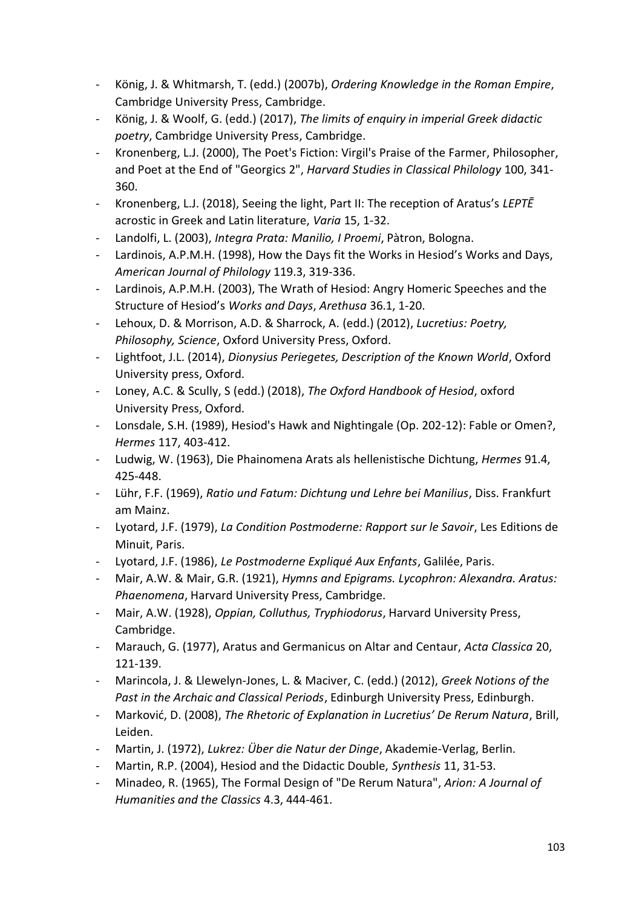- König, J. & Whitmarsh, T. (edd.) (2007b), *Ordering Knowledge in the Roman Empire*, Cambridge University Press, Cambridge.
- König, J. & Woolf, G. (edd.) (2017), *The limits of enquiry in imperial Greek didactic poetry*, Cambridge University Press, Cambridge.
- Kronenberg, L.J. (2000), The Poet's Fiction: Virgil's Praise of the Farmer, Philosopher, and Poet at the End of "Georgics 2", *Harvard Studies in Classical Philology* 100, 341- 360.
- Kronenberg, L.J. (2018), Seeing the light, Part II: The reception of Aratus's *LEPTĒ* acrostic in Greek and Latin literature, *Varia* 15, 1-32.
- Landolfi, L. (2003), *Integra Prata: Manilio, I Proemi*, Pàtron, Bologna.
- Lardinois, A.P.M.H. (1998), How the Days fit the Works in Hesiod's Works and Days, *American Journal of Philology* 119.3, 319-336.
- Lardinois, A.P.M.H. (2003), The Wrath of Hesiod: Angry Homeric Speeches and the Structure of Hesiod's *Works and Days*, *Arethusa* 36.1, 1-20.
- Lehoux, D. & Morrison, A.D. & Sharrock, A. (edd.) (2012), *Lucretius: Poetry, Philosophy, Science*, Oxford University Press, Oxford.
- Lightfoot, J.L. (2014), *Dionysius Periegetes, Description of the Known World*, Oxford University press, Oxford.
- Loney, A.C. & Scully, S (edd.) (2018), *The Oxford Handbook of Hesiod*, oxford University Press, Oxford.
- Lonsdale, S.H. (1989), Hesiod's Hawk and Nightingale (Op. 202-12): Fable or Omen?, *Hermes* 117, 403-412.
- Ludwig, W. (1963), Die Phainomena Arats als hellenistische Dichtung, *Hermes* 91.4, 425-448.
- Lühr, F.F. (1969), *Ratio und Fatum: Dichtung und Lehre bei Manilius*, Diss. Frankfurt am Mainz.
- Lyotard, J.F. (1979), *La Condition Postmoderne: Rapport sur le Savoir*, Les Editions de Minuit, Paris.
- Lyotard, J.F. (1986), *Le Postmoderne Expliqué Aux Enfants*, Galilée, Paris.
- Mair, A.W. & Mair, G.R. (1921), *Hymns and Epigrams. Lycophron: Alexandra. Aratus: Phaenomena*, Harvard University Press, Cambridge.
- Mair, A.W. (1928), *Oppian, Colluthus, Tryphiodorus*, Harvard University Press, Cambridge.
- Marauch, G. (1977), Aratus and Germanicus on Altar and Centaur, *Acta Classica* 20, 121-139.
- Marincola, J. & Llewelyn-Jones, L. & Maciver, C. (edd.) (2012), *Greek Notions of the Past in the Archaic and Classical Periods*, Edinburgh University Press, Edinburgh.
- Marković, D. (2008), *The Rhetoric of Explanation in Lucretius' De Rerum Natura*, Brill, Leiden.
- Martin, J. (1972), *Lukrez: Über die Natur der Dinge*, Akademie-Verlag, Berlin.
- Martin, R.P. (2004), Hesiod and the Didactic Double, *Synthesis* 11, 31-53.
- Minadeo, R. (1965), The Formal Design of "De Rerum Natura", *Arion: A Journal of Humanities and the Classics* 4.3, 444-461.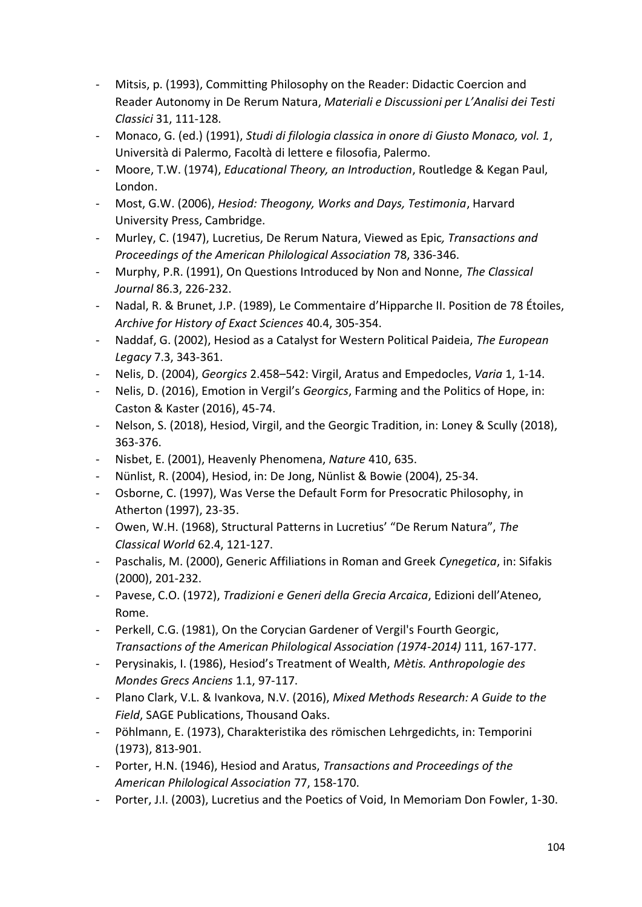- Mitsis, p. (1993), Committing Philosophy on the Reader: Didactic Coercion and Reader Autonomy in De Rerum Natura, *Materiali e Discussioni per L'Analisi dei Testi Classici* 31, 111-128.
- Monaco, G. (ed.) (1991), *Studi di filologia classica in onore di Giusto Monaco, vol. 1*, Università di Palermo, Facoltà di lettere e filosofia, Palermo.
- Moore, T.W. (1974), *Educational Theory, an Introduction*, Routledge & Kegan Paul, London.
- Most, G.W. (2006), *Hesiod: Theogony, Works and Days, Testimonia*, Harvard University Press, Cambridge.
- Murley, C. (1947), Lucretius, De Rerum Natura, Viewed as Epic*, Transactions and Proceedings of the American Philological Association* 78, 336-346.
- Murphy, P.R. (1991), On Questions Introduced by Non and Nonne, *The Classical Journal* 86.3, 226-232.
- Nadal, R. & Brunet, J.P. (1989), Le Commentaire d'Hipparche II. Position de 78 Étoiles, *Archive for History of Exact Sciences* 40.4, 305-354.
- Naddaf, G. (2002), Hesiod as a Catalyst for Western Political Paideia, *The European Legacy* 7.3, 343-361.
- Nelis, D. (2004), *Georgics* 2.458–542: Virgil, Aratus and Empedocles, *Varia* 1, 1-14.
- Nelis, D. (2016), Emotion in Vergil's *Georgics*, Farming and the Politics of Hope, in: Caston & Kaster (2016), 45-74.
- Nelson, S. (2018), Hesiod, Virgil, and the Georgic Tradition, in: Loney & Scully (2018), 363-376.
- Nisbet, E. (2001), Heavenly Phenomena, *Nature* 410, 635.
- Nünlist, R. (2004), Hesiod, in: De Jong, Nünlist & Bowie (2004), 25-34.
- Osborne, C. (1997), Was Verse the Default Form for Presocratic Philosophy, in Atherton (1997), 23-35.
- Owen, W.H. (1968), Structural Patterns in Lucretius' "De Rerum Natura", *The Classical World* 62.4, 121-127.
- Paschalis, M. (2000), Generic Affiliations in Roman and Greek *Cynegetica*, in: Sifakis (2000), 201-232.
- Pavese, C.O. (1972), *Tradizioni e Generi della Grecia Arcaica*, Edizioni dell'Ateneo, Rome.
- Perkell, C.G. (1981), On the Corycian Gardener of Vergil's Fourth Georgic, *Transactions of the American Philological Association (1974-2014)* 111, 167-177.
- Perysinakis, I. (1986), Hesiod's Treatment of Wealth, *Mètis. Anthropologie des Mondes Grecs Anciens* 1.1, 97-117.
- Plano Clark, V.L. & Ivankova, N.V. (2016), *Mixed Methods Research: A Guide to the Field*, SAGE Publications, Thousand Oaks.
- Pöhlmann, E. (1973), Charakteristika des römischen Lehrgedichts, in: Temporini (1973), 813-901.
- Porter, H.N. (1946), Hesiod and Aratus, *Transactions and Proceedings of the American Philological Association* 77, 158-170.
- Porter, J.I. (2003), Lucretius and the Poetics of Void, In Memoriam Don Fowler, 1-30.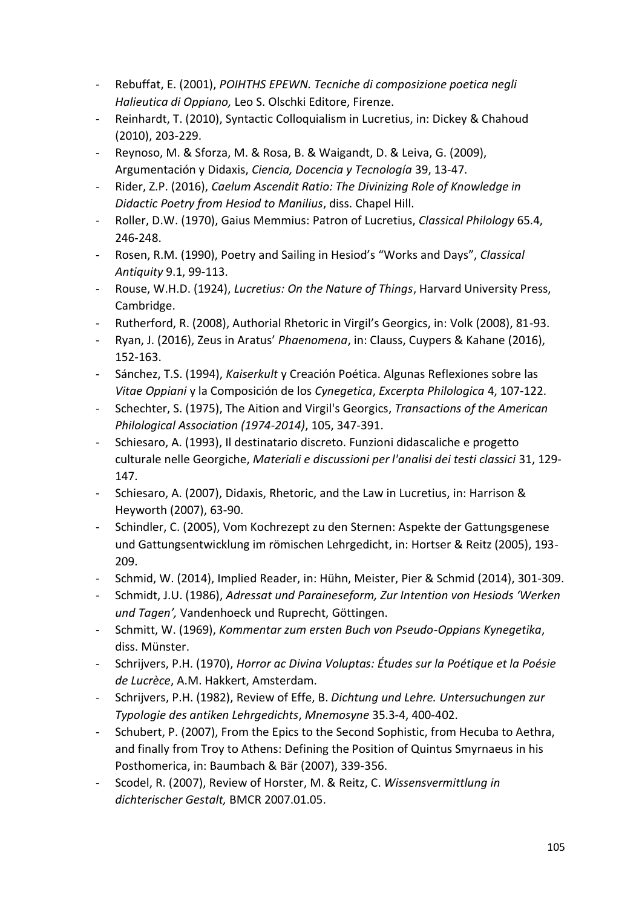- Rebuffat, E. (2001), *POIHTHS EPEWN. Tecniche di composizione poetica negli Halieutica di Oppiano,* Leo S. Olschki Editore, Firenze.
- Reinhardt, T. (2010), Syntactic Colloquialism in Lucretius, in: Dickey & Chahoud (2010), 203-229.
- Reynoso, M. & Sforza, M. & Rosa, B. & Waigandt, D. & Leiva, G. (2009), Argumentación y Didaxis, *Ciencia, Docencia y Tecnología* 39, 13-47.
- Rider, Z.P. (2016), *Caelum Ascendit Ratio: The Divinizing Role of Knowledge in Didactic Poetry from Hesiod to Manilius*, diss. Chapel Hill.
- Roller, D.W. (1970), Gaius Memmius: Patron of Lucretius, *Classical Philology* 65.4, 246-248.
- Rosen, R.M. (1990), Poetry and Sailing in Hesiod's "Works and Days", *Classical Antiquity* 9.1, 99-113.
- Rouse, W.H.D. (1924), *Lucretius: On the Nature of Things*, Harvard University Press, Cambridge.
- Rutherford, R. (2008), Authorial Rhetoric in Virgil's Georgics, in: Volk (2008), 81-93.
- Ryan, J. (2016), Zeus in Aratus' *Phaenomena*, in: Clauss, Cuypers & Kahane (2016), 152-163.
- Sánchez, T.S. (1994), *Kaiserkult* y Creación Poética. Algunas Reflexiones sobre las *Vitae Oppiani* y la Composición de los *Cynegetica*, *Excerpta Philologica* 4, 107-122.
- Schechter, S. (1975), The Aition and Virgil's Georgics, *Transactions of the American Philological Association (1974-2014)*, 105, 347-391.
- Schiesaro, A. (1993), Il destinatario discreto. Funzioni didascaliche e progetto culturale nelle Georgiche, *Materiali e discussioni per l'analisi dei testi classici* 31, 129- 147.
- Schiesaro, A. (2007), Didaxis, Rhetoric, and the Law in Lucretius, in: Harrison & Heyworth (2007), 63-90.
- Schindler, C. (2005), Vom Kochrezept zu den Sternen: Aspekte der Gattungsgenese und Gattungsentwicklung im römischen Lehrgedicht, in: Hortser & Reitz (2005), 193- 209.
- Schmid, W. (2014), Implied Reader, in: Hühn, Meister, Pier & Schmid (2014), 301-309.
- Schmidt, J.U. (1986), *Adressat und Paraineseform, Zur Intention von Hesiods 'Werken und Tagen',* Vandenhoeck und Ruprecht, Göttingen.
- Schmitt, W. (1969), *Kommentar zum ersten Buch von Pseudo-Oppians Kynegetika*, diss. Münster.
- Schrijvers, P.H. (1970), *Horror ac Divina Voluptas: Études sur la Poétique et la Poésie de Lucrèce*, A.M. Hakkert, Amsterdam.
- Schrijvers, P.H. (1982), Review of Effe, B. *Dichtung und Lehre. Untersuchungen zur Typologie des antiken Lehrgedichts*, *Mnemosyne* 35.3-4, 400-402.
- Schubert, P. (2007), From the Epics to the Second Sophistic, from Hecuba to Aethra, and finally from Troy to Athens: Defining the Position of Quintus Smyrnaeus in his Posthomerica, in: Baumbach & Bär (2007), 339-356.
- Scodel, R. (2007), Review of Horster, M. & Reitz, C. *Wissensvermittlung in dichterischer Gestalt,* BMCR 2007.01.05.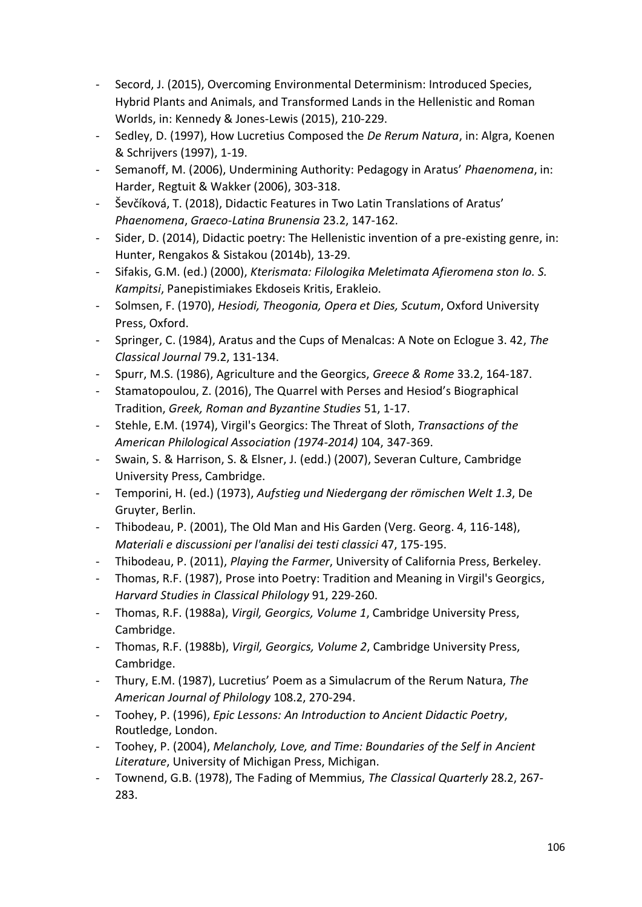- Secord, J. (2015), Overcoming Environmental Determinism: Introduced Species, Hybrid Plants and Animals, and Transformed Lands in the Hellenistic and Roman Worlds, in: Kennedy & Jones-Lewis (2015), 210-229.
- Sedley, D. (1997), How Lucretius Composed the *De Rerum Natura*, in: Algra, Koenen & Schrijvers (1997), 1-19.
- Semanoff, M. (2006), Undermining Authority: Pedagogy in Aratus' *Phaenomena*, in: Harder, Regtuit & Wakker (2006), 303-318.
- Ševčíková, T. (2018), Didactic Features in Two Latin Translations of Aratus' *Phaenomena*, *Graeco-Latina Brunensia* 23.2, 147-162.
- Sider, D. (2014), Didactic poetry: The Hellenistic invention of a pre-existing genre, in: Hunter, Rengakos & Sistakou (2014b), 13-29.
- Sifakis, G.M. (ed.) (2000), *Kterismata: Filologika Meletimata Afieromena ston Io. S. Kampitsi*, Panepistimiakes Ekdoseis Kritis, Erakleio.
- Solmsen, F. (1970), *Hesiodi, Theogonia, Opera et Dies, Scutum*, Oxford University Press, Oxford.
- Springer, C. (1984), Aratus and the Cups of Menalcas: A Note on Eclogue 3. 42, *The Classical Journal* 79.2, 131-134.
- Spurr, M.S. (1986), Agriculture and the Georgics, *Greece & Rome* 33.2, 164-187.
- Stamatopoulou, Z. (2016), The Quarrel with Perses and Hesiod's Biographical Tradition, *Greek, Roman and Byzantine Studies* 51, 1-17.
- Stehle, E.M. (1974), Virgil's Georgics: The Threat of Sloth, *Transactions of the American Philological Association (1974-2014)* 104, 347-369.
- Swain, S. & Harrison, S. & Elsner, J. (edd.) (2007), Severan Culture, Cambridge University Press, Cambridge.
- Temporini, H. (ed.) (1973), *Aufstieg und Niedergang der römischen Welt 1.3*, De Gruyter, Berlin.
- Thibodeau, P. (2001), The Old Man and His Garden (Verg. Georg. 4, 116-148), *Materiali e discussioni per l'analisi dei testi classici* 47, 175-195.
- Thibodeau, P. (2011), *Playing the Farmer*, University of California Press, Berkeley.
- Thomas, R.F. (1987), Prose into Poetry: Tradition and Meaning in Virgil's Georgics, *Harvard Studies in Classical Philology* 91, 229-260.
- Thomas, R.F. (1988a), *Virgil, Georgics, Volume 1*, Cambridge University Press, Cambridge.
- Thomas, R.F. (1988b), *Virgil, Georgics, Volume 2*, Cambridge University Press, Cambridge.
- Thury, E.M. (1987), Lucretius' Poem as a Simulacrum of the Rerum Natura, *The American Journal of Philology* 108.2, 270-294.
- Toohey, P. (1996), *Epic Lessons: An Introduction to Ancient Didactic Poetry*, Routledge, London.
- Toohey, P. (2004), *Melancholy, Love, and Time: Boundaries of the Self in Ancient Literature*, University of Michigan Press, Michigan.
- Townend, G.B. (1978), The Fading of Memmius, *The Classical Quarterly* 28.2, 267- 283.